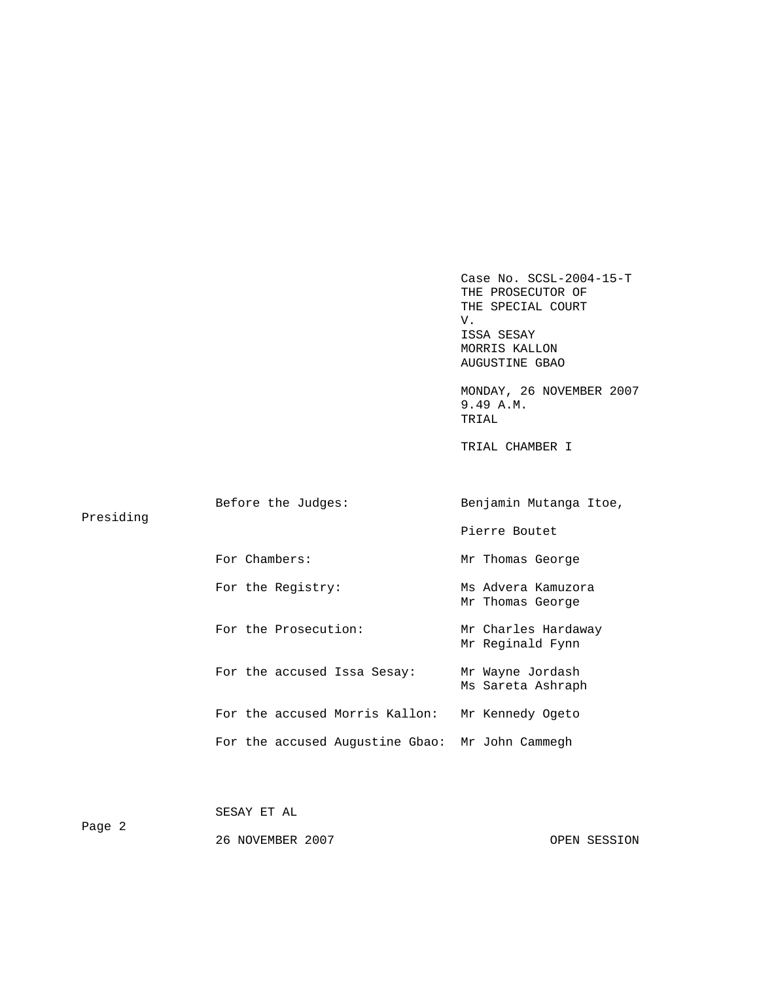Case No. SCSL-2004-15-T THE PROSECUTOR OF THE SPECIAL COURT V. V. ISSA SESAY MORRIS KALLON AUGUSTINE GBAO

 MONDAY, 26 NOVEMBER 2007 9.49 A.M. TRIAL

TRIAL CHAMBER I

| Presiding | Before the Judges:                              | Benjamin Mutanga Itoe,                  |  |  |
|-----------|-------------------------------------------------|-----------------------------------------|--|--|
|           |                                                 | Pierre Boutet                           |  |  |
|           | For Chambers:                                   | Mr Thomas George                        |  |  |
|           | For the Registry:                               | Ms Advera Kamuzora<br>Mr Thomas George  |  |  |
|           | For the Prosecution:                            | Mr Charles Hardaway<br>Mr Reginald Fynn |  |  |
|           | For the accused Issa Sesay:                     | Mr Wayne Jordash<br>Ms Sareta Ashraph   |  |  |
|           | For the accused Morris Kallon:                  | Mr Kennedy Ogeto                        |  |  |
|           | For the accused Augustine Gbao: Mr John Cammegh |                                         |  |  |
|           |                                                 |                                         |  |  |

| Page 2 | SESAY ET AL      |              |
|--------|------------------|--------------|
|        | 26 NOVEMBER 2007 | OPEN SESSION |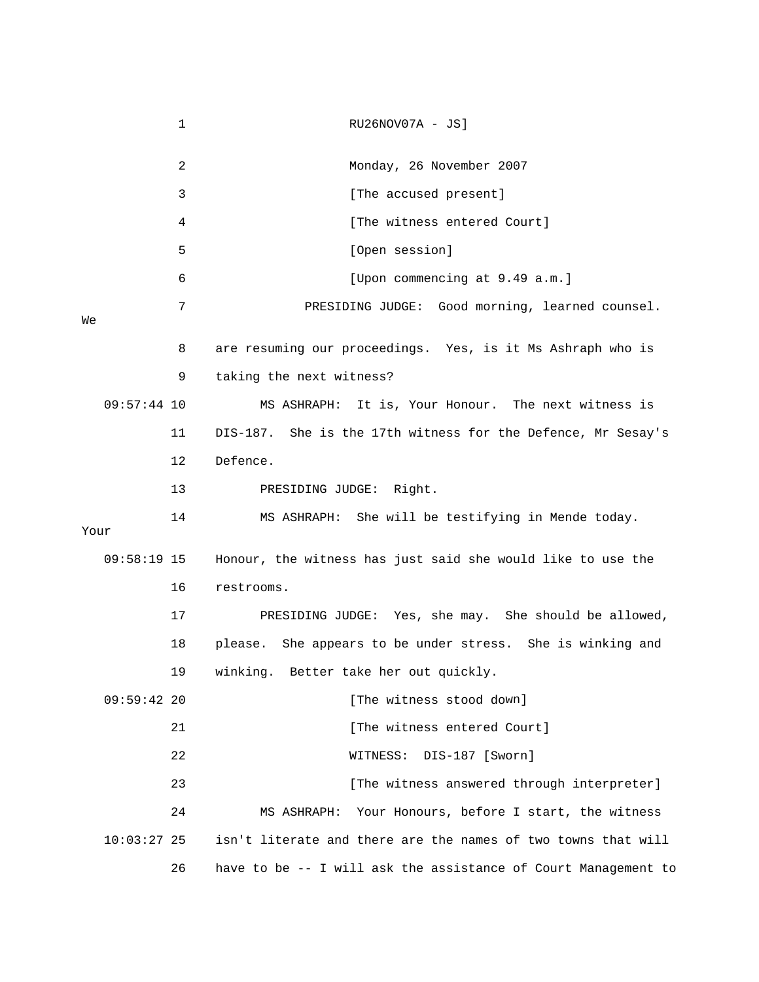1 RU26NOV07A - JS] 2 Monday, 26 November 2007 4 [The witness entered Court] 5 [Open session] 7 PRESIDING JUDGE: Good morning, learned counsel. 8 are resuming our proceedings. Yes, is it Ms Ashraph who is 9 taking the next witness? 11 DIS-187. She is the 17th witness for the Defence, Mr Sesay's 12 Defence. 13 PRESIDING JUDGE: Right. 14 MS ASHRAPH: She will be testifying in Mende today. 09:58:19 15 Honour, the witness has just said she would like to use the 16 restrooms. 17 PRESIDING JUDGE: Yes, she may. She should be allowed, 18 please. She appears to be under stress. She is winking and 19 winking. Better take her out quickly. 09:59:42 20 [The witness stood down] 21 **Example 21** [The witness entered Court] 22 WITNESS: DIS-187 [Sworn] 23 **12 Constructs** I and the witness answered through interpreter] 24 MS ASHRAPH: Your Honours, before I start, the witness 3 [The accused present] 6 [Upon commencing at 9.49 a.m.] We 09:57:44 10 MS ASHRAPH: It is, Your Honour. The next witness is Your 10:03:27 25 isn't literate and there are the names of two towns that will 26 have to be -- I will ask the assistance of Court Management to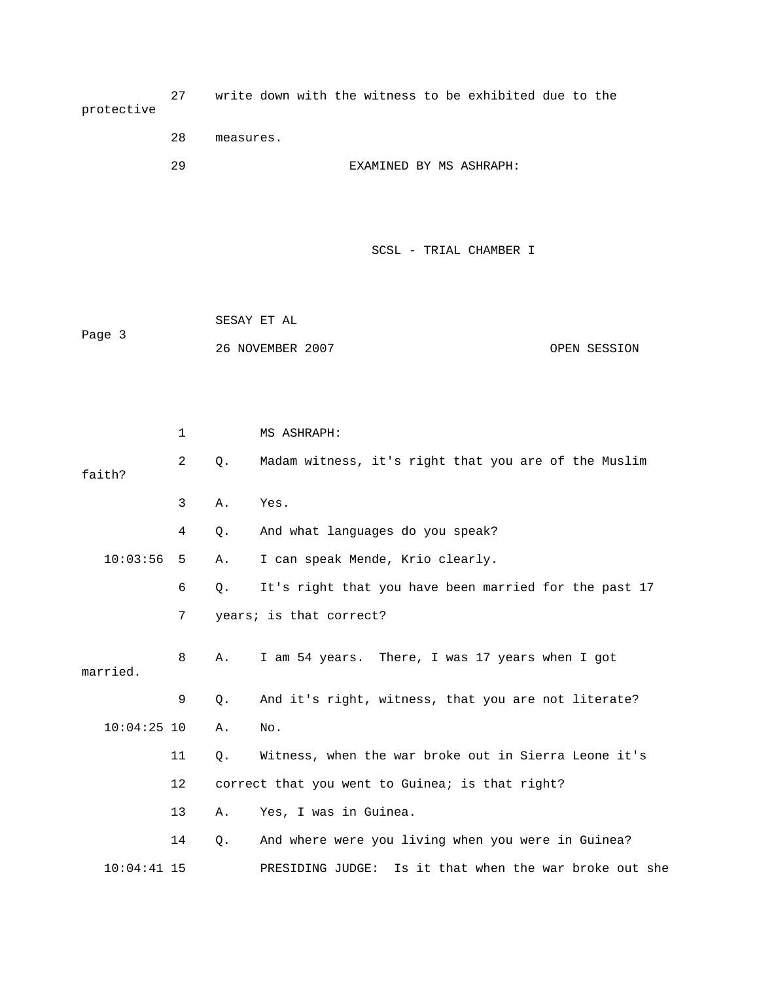| protective | 27             |           | write down with the witness to be exhibited due to the |              |
|------------|----------------|-----------|--------------------------------------------------------|--------------|
|            | 28             | measures. |                                                        |              |
|            | 29             |           | EXAMINED BY MS ASHRAPH:                                |              |
|            |                |           |                                                        |              |
|            |                |           |                                                        |              |
|            |                |           | SCSL - TRIAL CHAMBER I                                 |              |
|            |                |           |                                                        |              |
|            |                |           | SESAY ET AL                                            |              |
| Page 3     |                |           | 26 NOVEMBER 2007                                       | OPEN SESSION |
|            |                |           |                                                        |              |
|            |                |           |                                                        |              |
|            | 1              |           | MS ASHRAPH:                                            |              |
| faith?     | $\overline{c}$ | Q.        | Madam witness, it's right that you are of the Muslim   |              |
|            | 3              | Α.        | Yes.                                                   |              |
|            | 4              | Q.        | And what languages do you speak?                       |              |
| 10:03:56   | 5              | Α.        | I can speak Mende, Krio clearly.                       |              |
|            | 6              | Q.        | It's right that you have been married for the past 17  |              |
|            | 7              |           | years; is that correct?                                |              |
| married.   | 8              | Α.        | I am 54 years. There, I was 17 years when I got        |              |

 9 Q. And it's right, witness, that you are not literate? 10:04:25 10 A. No.

 11 Q. Witness, when the war broke out in Sierra Leone it's 13 A. Yes, I was in Guinea. 12 correct that you went to Guinea; is that right?

10:04:41 15 PRESIDING JUDGE: Is it that when the war broke out she 14 Q. And where were you living when you were in Guinea?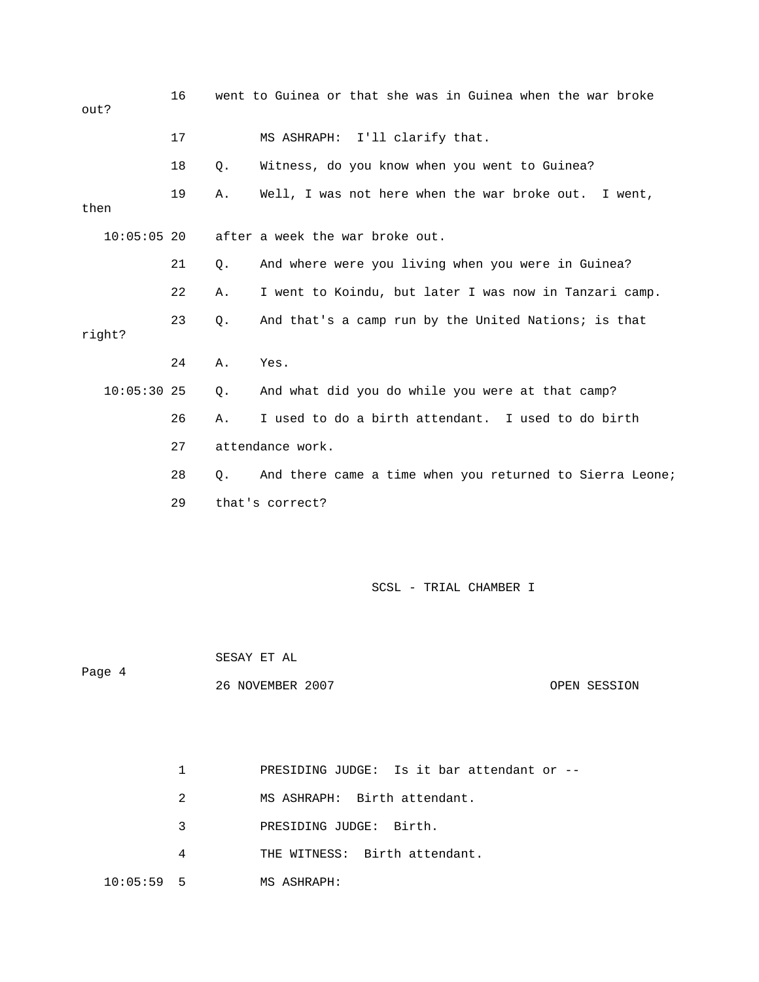16 went to Guinea or that she was in Guinea when the war broke 17 MS ASHRAPH: I'll clarify that. 18 Q. Witness, do you know when you went to Guinea? 21 Q. And where were you living when you were in Guinea? 22 A. I went to Koindu, but later I was now in Tanzari camp. 10:05:30 25 Q. And what did you do while you were at that camp? 26 A. I used to do a birth attendant. I used to do birth 28 Q. And there came a time when you returned to Sierra Leone; 29 that's correct? SCSL - TRIAL CHAMBER I out? 19 A. Well, I was not here when the war broke out. I went, then 10:05:05 20 after a week the war broke out. 23 Q. And that's a camp run by the United Nations; is that right? 24 A. Yes. 27 attendance work.

 SESAY ET AL 26 NOVEMBER 2007 OPEN SESSION Page 4

- 1 PRESIDING JUDGE: Is it bar attendant or --
- 2 MS ASHRAPH: Birth attendant.
- 3 PRESIDING JUDGE: Birth.
- 4 THE WITNESS: Birth attendant.
- 10:05:59 5 MS ASHRAPH: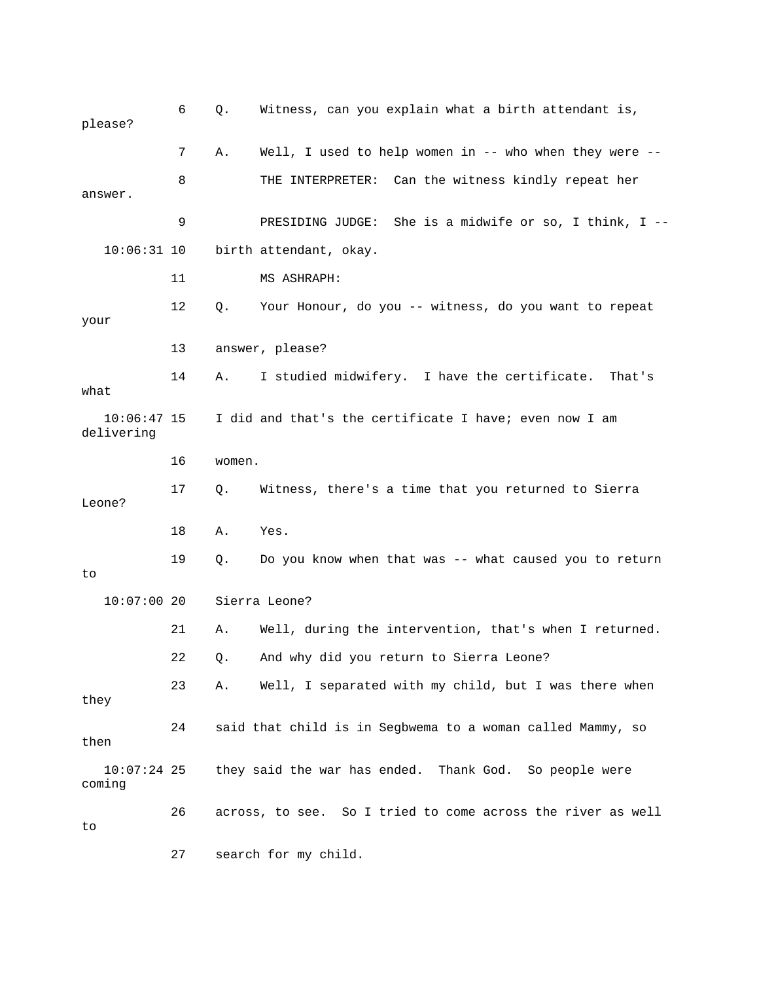| please?                     | 6  | Q.     | Witness, can you explain what a birth attendant is,         |
|-----------------------------|----|--------|-------------------------------------------------------------|
|                             | 7  | Α.     | Well, I used to help women in -- who when they were $-$ -   |
| answer.                     | 8  |        | THE INTERPRETER: Can the witness kindly repeat her          |
|                             | 9  |        | She is a midwife or so, I think, $I$ --<br>PRESIDING JUDGE: |
| $10:06:31$ 10               |    |        | birth attendant, okay.                                      |
|                             | 11 |        | MS ASHRAPH:                                                 |
| your                        | 12 | Q.     | Your Honour, do you -- witness, do you want to repeat       |
|                             | 13 |        | answer, please?                                             |
| what                        | 14 | Α.     | I studied midwifery. I have the certificate.<br>That's      |
| $10:06:47$ 15<br>delivering |    |        | I did and that's the certificate I have; even now I am      |
|                             | 16 | women. |                                                             |
| Leone?                      | 17 | Q.     | Witness, there's a time that you returned to Sierra         |
|                             | 18 | Α.     | Yes.                                                        |
| to                          | 19 | Q.     | Do you know when that was -- what caused you to return      |
| $10:07:00$ 20               |    |        | Sierra Leone?                                               |
|                             | 21 | Α.     | Well, during the intervention, that's when I returned.      |
|                             | 22 | Q.     | And why did you return to Sierra Leone?                     |
| they                        | 23 | Α.     | Well, I separated with my child, but I was there when       |
| then                        | 24 |        | said that child is in Segbwema to a woman called Mammy, so  |
| $10:07:24$ 25<br>coming     |    |        | they said the war has ended. Thank God. So people were      |
| to                          | 26 |        | across, to see. So I tried to come across the river as well |
|                             | 27 |        | search for my child.                                        |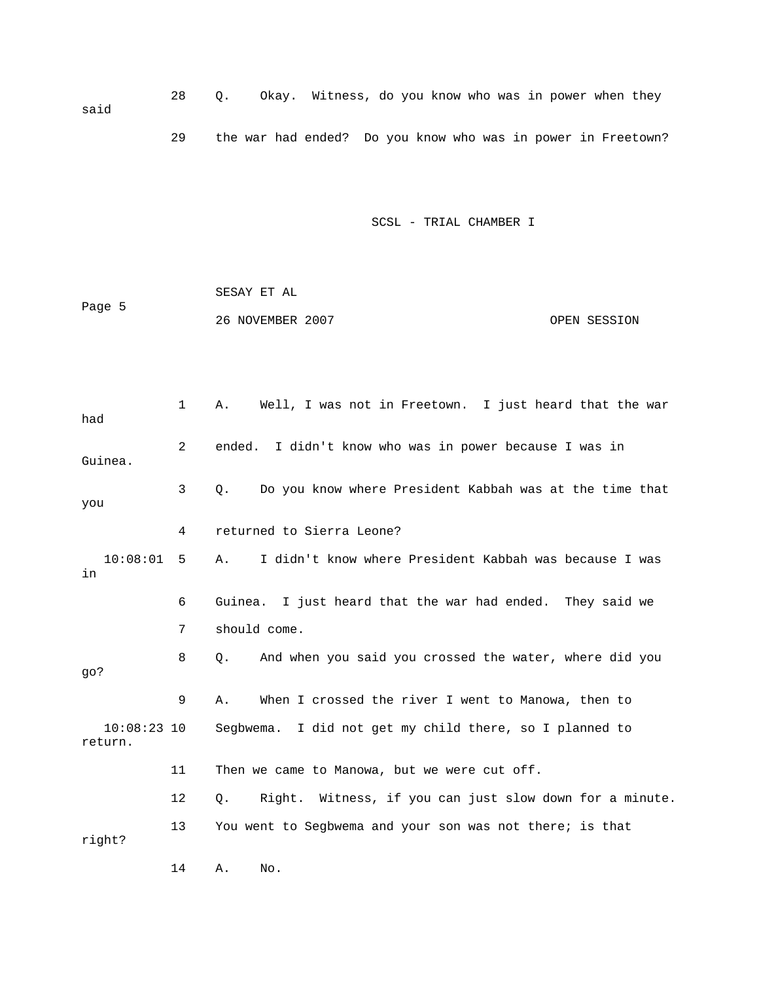28 Q. Okay. Witness, do you know who was in power when they said 29 the war had ended? Do you know who was in power in Freetown?

SCSL - TRIAL CHAMBER I

 SESAY ET AL Page 5 26 NOVEMBER 2007 OPEN SESSION

 1 A. Well, I was not in Freetown. I just heard that the war had 2 ended. I didn't know who was in power because I was in Guinea. 3 Q. Do you know where President Kabbah was at the time that you 4 returned to Sierra Leone? 10:08:01 5 A. I didn't know where President Kabbah was because I was in 6 Guinea. I just heard that the war had ended. They said we 7 should come. 8 Q. And when you said you crossed the water, where did you go? 9 A. When I crossed the river I went to Manowa, then to 10:08:23 10 Segbwema. I did not get my child there, so I planned to return. 11 Then we came to Manowa, but we were cut off. 12 Q. Right. Witness, if you can just slow down for a minute. 13 You went to Segbwema and your son was not there; is that right? 14 A. No.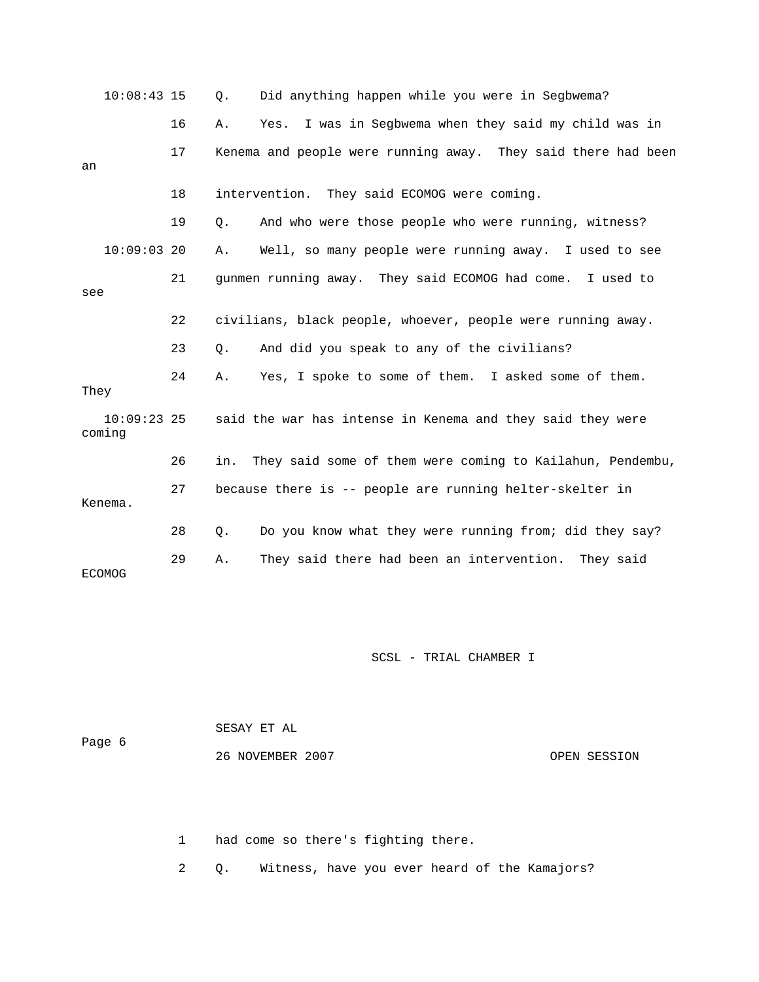|      | $10:08:43$ 15           |    | Q.    | Did anything happen while you were in Segbwema?               |
|------|-------------------------|----|-------|---------------------------------------------------------------|
|      |                         | 16 | Α.    | I was in Segbwema when they said my child was in<br>Yes.      |
| an   |                         | 17 |       | Kenema and people were running away. They said there had been |
|      |                         | 18 |       | intervention. They said ECOMOG were coming.                   |
|      |                         | 19 | $Q$ . | And who were those people who were running, witness?          |
|      | $10:09:03$ 20           |    | Α.    | Well, so many people were running away. I used to see         |
| see  |                         | 21 |       | gunmen running away. They said ECOMOG had come. I used to     |
|      |                         | 22 |       | civilians, black people, whoever, people were running away.   |
|      |                         | 23 | Q.    | And did you speak to any of the civilians?                    |
| They |                         | 24 | Α.    | Yes, I spoke to some of them. I asked some of them.           |
|      | $10:09:23$ 25<br>coming |    |       | said the war has intense in Kenema and they said they were    |
|      |                         | 26 | in.   | They said some of them were coming to Kailahun, Pendembu,     |
|      | Kenema.                 | 27 |       | because there is -- people are running helter-skelter in      |
|      |                         | 28 | Q.    | Do you know what they were running from; did they say?        |
|      | <b>ECOMOG</b>           | 29 | Α.    | They said there had been an intervention. They said           |

 SESAY ET AL Page 6 26 NOVEMBER 2007 OPEN SESSION

1 had come so there's fighting there.

2 Q. Witness, have you ever heard of the Kamajors?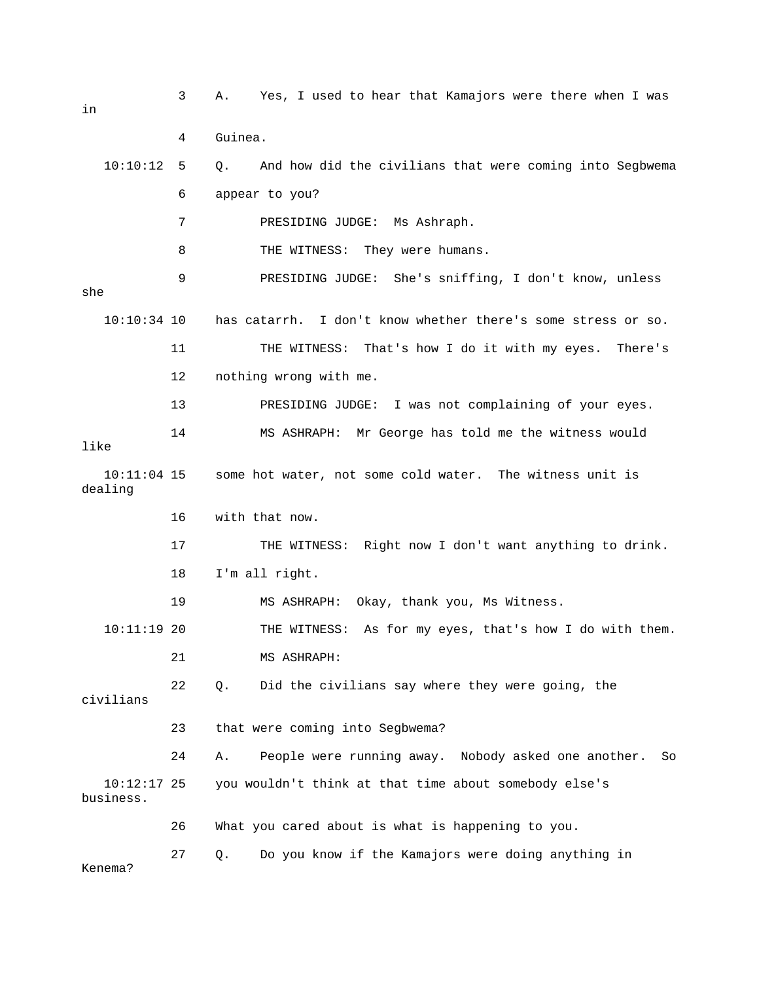3 A. Yes, I used to hear that Kamajors were there when I was in 4 Guinea. 10:10:12 5 Q. And how did the civilians that were coming into Segbwema 6 appear to you? 7 PRESIDING JUDGE: Ms Ashraph. 8 THE WITNESS: They were humans. 9 PRESIDING JUDGE: She's sniffing, I don't know, unless she 10:10:34 10 has catarrh. I don't know whether there's some stress or so. 11 THE WITNESS: That's how I do it with my eyes. There's 12 nothing wrong with me. 13 PRESIDING JUDGE: I was not complaining of your eyes. 14 MS ASHRAPH: Mr George has told me the witness would like 10:11:04 15 some hot water, not some cold water. The witness unit is dealing 16 with that now. 17 THE WITNESS: Right now I don't want anything to drink. 18 I'm all right. 19 MS ASHRAPH: Okay, thank you, Ms Witness. 10:11:19 20 THE WITNESS: As for my eyes, that's how I do with them. 21 MS ASHRAPH: 22 Q. Did the civilians say where they were going, the civilians 23 that were coming into Segbwema? 24 A. People were running away. Nobody asked one another. So 10:12:17 25 you wouldn't think at that time about somebody else's business. 26 What you cared about is what is happening to you. 27 Q. Do you know if the Kamajors were doing anything in Kenema?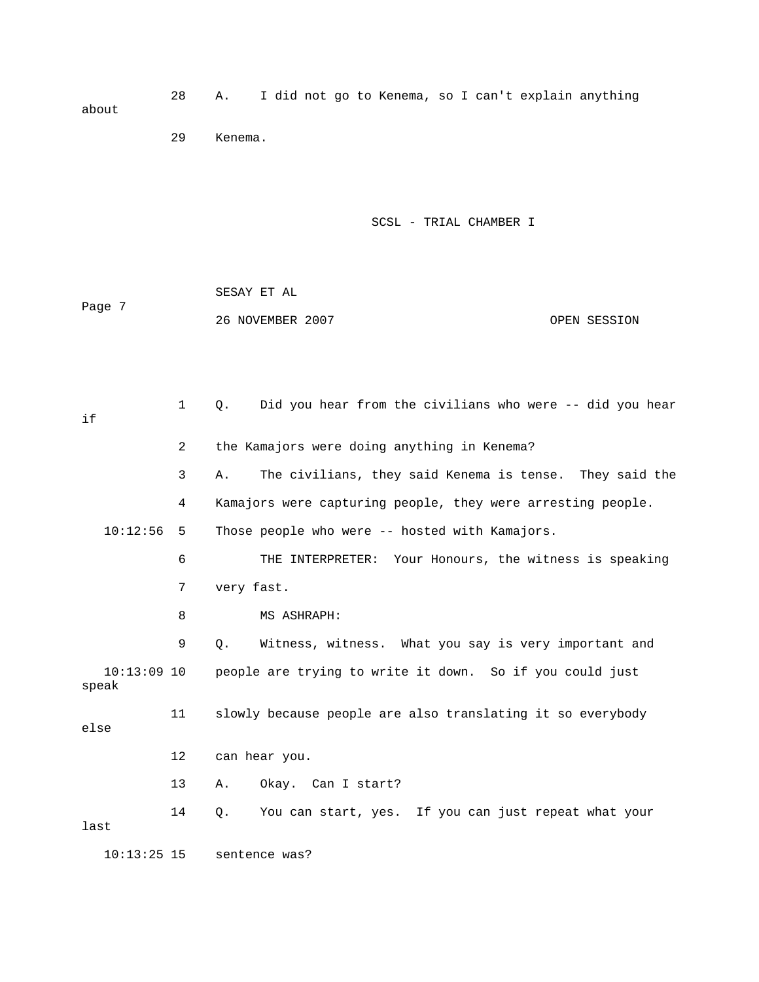28 A. I did not go to Kenema, so I can't explain anything about 29 Kenema.

SCSL - TRIAL CHAMBER I

 SESAY ET AL Page 7 26 NOVEMBER 2007 OPEN SESSION

 1 Q. Did you hear from the civilians who were -- did you hear if 2 the Kamajors were doing anything in Kenema? 3 A. The civilians, they said Kenema is tense. They said the 4 Kamajors were capturing people, they were arresting people. 10:12:56 5 Those people who were -- hosted with Kamajors. 6 THE INTERPRETER: Your Honours, the witness is speaking 7 very fast. 8 MS ASHRAPH: 9 Q. Witness, witness. What you say is very important and 10:13:09 10 people are trying to write it down. So if you could just speak 11 slowly because people are also translating it so everybody else 12 can hear you. 13 A. Okay. Can I start? 14 Q. You can start, yes. If you can just repeat what your last 10:13:25 15 sentence was?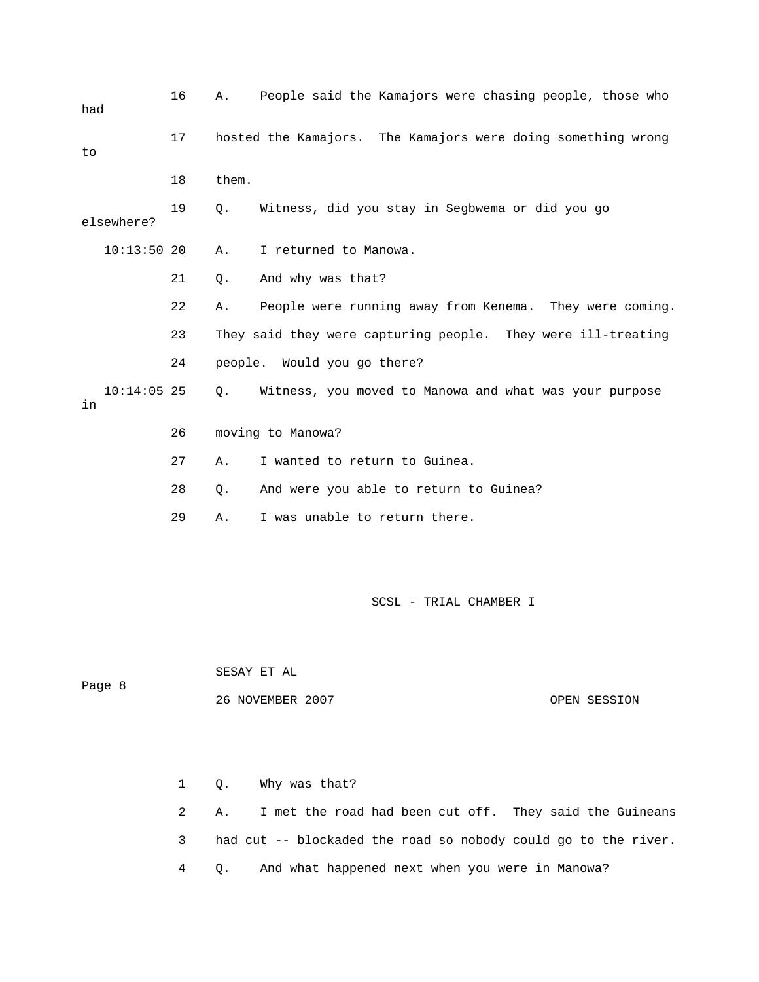| had    |               | 16 | Α.    | People said the Kamajors were chasing people, those who      |              |
|--------|---------------|----|-------|--------------------------------------------------------------|--------------|
| to     |               | 17 |       | hosted the Kamajors. The Kamajors were doing something wrong |              |
|        |               | 18 | them. |                                                              |              |
|        | elsewhere?    | 19 | Q.    | Witness, did you stay in Segbwema or did you go              |              |
|        | $10:13:50$ 20 |    | Α.    | I returned to Manowa.                                        |              |
|        |               | 21 | Q.    | And why was that?                                            |              |
|        |               | 22 | Α.    | People were running away from Kenema. They were coming.      |              |
|        |               | 23 |       | They said they were capturing people. They were ill-treating |              |
|        |               | 24 |       | people. Would you go there?                                  |              |
| in     | $10:14:05$ 25 |    | Q.    | Witness, you moved to Manowa and what was your purpose       |              |
|        |               | 26 |       | moving to Manowa?                                            |              |
|        |               | 27 | Α.    | I wanted to return to Guinea.                                |              |
|        |               | 28 | Q.    | And were you able to return to Guinea?                       |              |
|        |               | 29 | Α.    | I was unable to return there.                                |              |
|        |               |    |       |                                                              |              |
|        |               |    |       | SCSL - TRIAL CHAMBER I                                       |              |
|        |               |    |       | SESAY ET AL                                                  |              |
| Page 8 |               |    |       | 26 NOVEMBER 2007                                             | OPEN SESSION |

 1 Q. Why was that? 2 A. I met the road had been cut off. They said the Guineans 3 had cut -- blockaded the road so nobody could go to the river. 4 Q. And what happened next when you were in Manowa?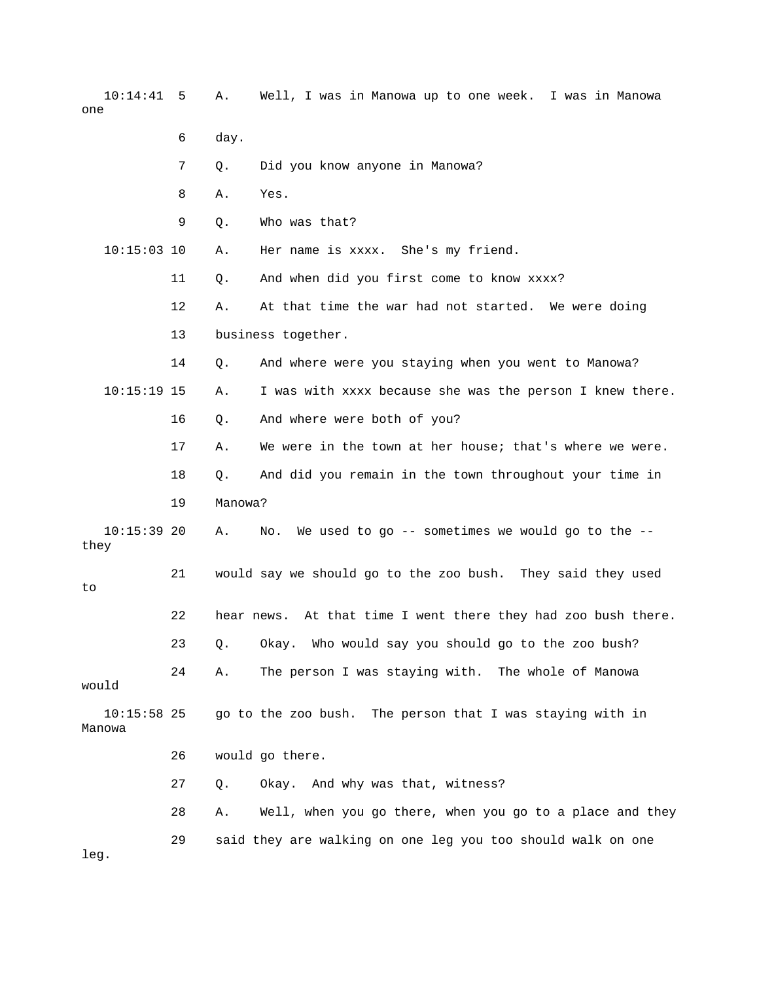10:14:41 5 A. Well, I was in Manowa up to one week. I was in Manowa one

- 6 day.
- 7 Q. Did you know anyone in Manowa?
- 8 A. Yes.
- 9 Q. Who was that?

10:15:03 10 A. Her name is xxxx. She's my friend.

- 11 Q. And when did you first come to know xxxx?
- 12 A. At that time the war had not started. We were doing
- 13 business together.

 14 Q. And where were you staying when you went to Manowa? 10:15:19 15 A. I was with xxxx because she was the person I knew there.

- 16 Q. And where were both of you?
- 17 A. We were in the town at her house; that's where we were.
- 18 Q. And did you remain in the town throughout your time in 19 Manowa?

23 Q. Okay. Who would say you should go to the zoo bush?

- No. We used to go -- sometimes we would go to the -- $10:15:39$  20 A. they
- 21 would say we should go to the zoo bush. They said they used 22 hear news. At that time I went there they had zoo bush there. to

 24 A. The person I was staying with. The whole of Manowa would

 10:15:58 25 go to the zoo bush. The person that I was staying with in Manowa

26 would go there.

27 Q. Okay. And why was that, witness?

 28 A. Well, when you go there, when you go to a place and they 29 said they are walking on one leg you too should walk on one

leg.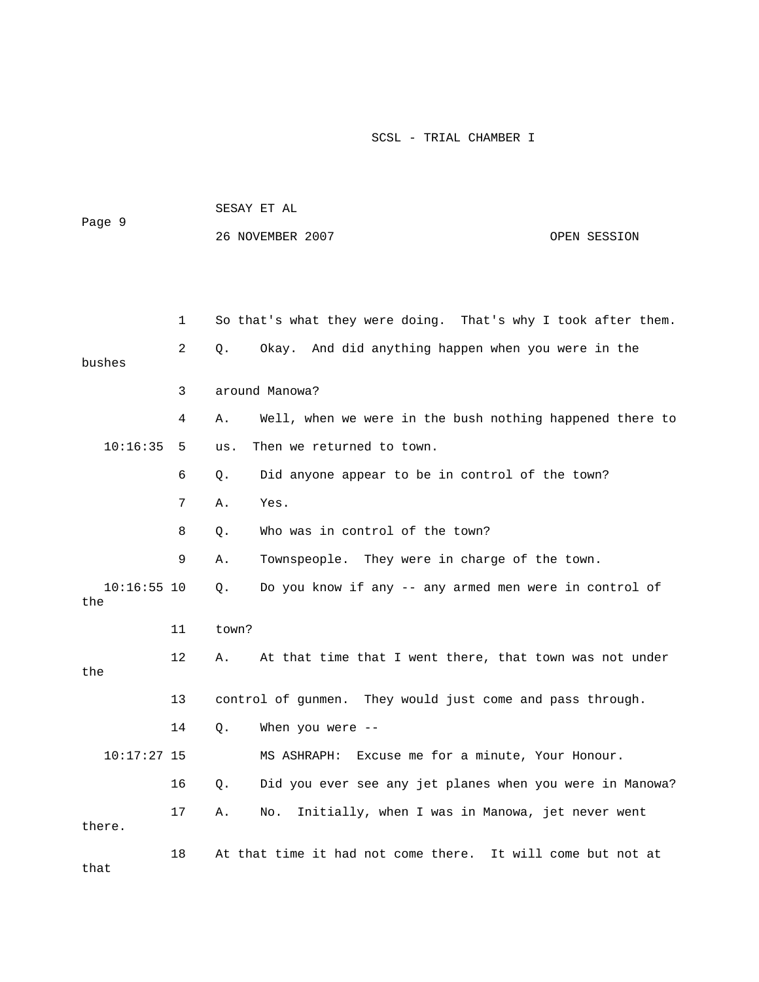| Page 9               |    | SESAY ET AL |                                                               |              |  |
|----------------------|----|-------------|---------------------------------------------------------------|--------------|--|
|                      |    |             | 26 NOVEMBER 2007                                              | OPEN SESSION |  |
|                      |    |             |                                                               |              |  |
|                      |    |             |                                                               |              |  |
|                      | 1  |             | So that's what they were doing. That's why I took after them. |              |  |
| bushes               | 2  | Q.          | Okay. And did anything happen when you were in the            |              |  |
|                      | 3  |             | around Manowa?                                                |              |  |
|                      | 4  | Α.          | Well, when we were in the bush nothing happened there to      |              |  |
| 10:16:35             | 5  | us.         | Then we returned to town.                                     |              |  |
|                      | 6  | Q.          | Did anyone appear to be in control of the town?               |              |  |
|                      | 7  | Α.          | Yes.                                                          |              |  |
|                      | 8  | Q.          | Who was in control of the town?                               |              |  |
|                      | 9  | Α.          | Townspeople. They were in charge of the town.                 |              |  |
| $10:16:55$ 10<br>the |    | Q.          | Do you know if any -- any armed men were in control of        |              |  |
|                      | 11 | town?       |                                                               |              |  |
| the                  | 12 | Α.          | At that time that I went there, that town was not under       |              |  |
|                      | 13 |             | control of gunmen. They would just come and pass through.     |              |  |
|                      | 14 | Q.          | When you were $-$ -                                           |              |  |
| $10:17:27$ 15        |    |             | MS ASHRAPH: Excuse me for a minute, Your Honour.              |              |  |
|                      | 16 | Q.          | Did you ever see any jet planes when you were in Manowa?      |              |  |
| there.               | 17 | Α.          | Initially, when I was in Manowa, jet never went<br>No.        |              |  |
| that                 | 18 |             | At that time it had not come there. It will come but not at   |              |  |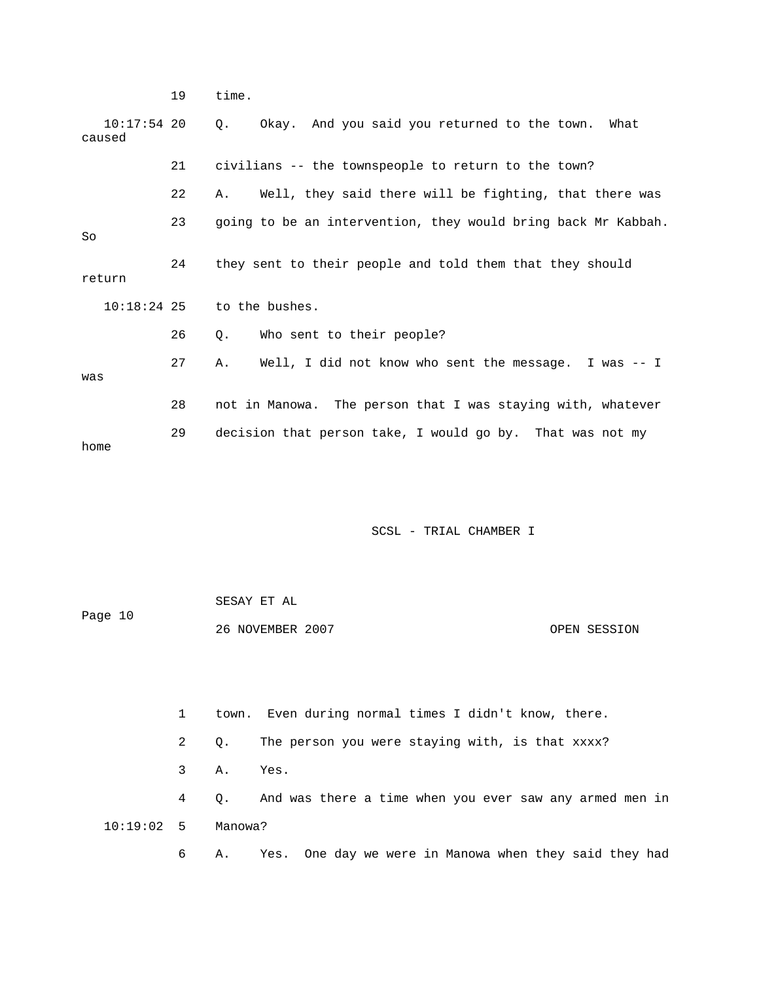19 time.

 10:17:54 20 Q. Okay. And you said you returned to the town. What 21 civilians -- the townspeople to return to the town? 23 going to be an intervention, they would bring back Mr Kabbah. 24 they sent to their people and told them that they should 10:18:24 25 to the bushes. 26 Q. Who sent to their people? 29 decision that person take, I would go by. That was not my caused 22 A. Well, they said there will be fighting, that there was So return 27 A. Well, I did not know who sent the message. I was -- I was 28 not in Manowa. The person that I was staying with, whatever home

SCSL - TRIAL CHAMBER I

 SESAY ET AL 26 NOVEMBER 2007 OPEN SESSION Page 10

 3 A. Yes. 4 Q. And was there a time when you ever saw any armed men in 2 Q. The person you were staying with, is that xxxx? 10:19:02 5 Manowa?

1 town. Even during normal times I didn't know, there.

6 A. Yes. One day we were in Manowa when they said they had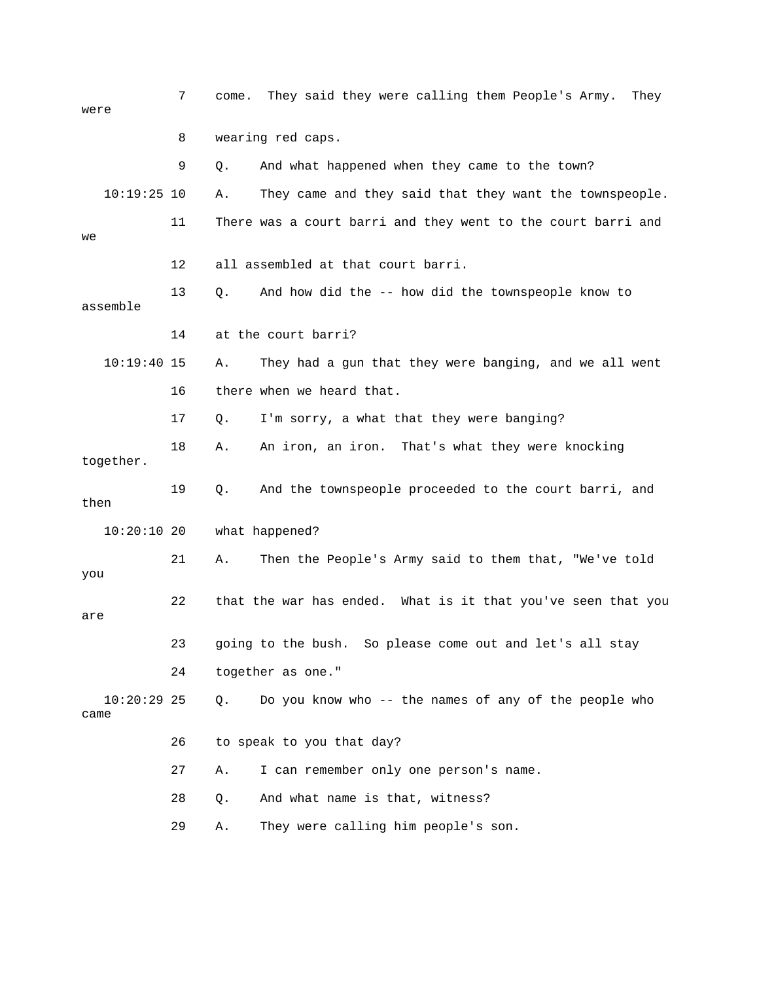| were                  | 7  | come. | They said they were calling them People's Army.<br>They      |
|-----------------------|----|-------|--------------------------------------------------------------|
|                       | 8  |       | wearing red caps.                                            |
|                       | 9  | Q.    | And what happened when they came to the town?                |
| $10:19:25$ 10         |    | Α.    | They came and they said that they want the townspeople.      |
| we                    | 11 |       | There was a court barri and they went to the court barri and |
|                       | 12 |       | all assembled at that court barri.                           |
| assemble              | 13 | Q.    | And how did the -- how did the townspeople know to           |
|                       | 14 |       | at the court barri?                                          |
| $10:19:40$ 15         |    | Α.    | They had a gun that they were banging, and we all went       |
|                       | 16 |       | there when we heard that.                                    |
|                       | 17 | Q.    | I'm sorry, a what that they were banging?                    |
| together.             | 18 | Α.    | An iron, an iron. That's what they were knocking             |
| then                  | 19 | Q.    | And the townspeople proceeded to the court barri, and        |
| $10:20:10$ 20         |    |       | what happened?                                               |
| you                   | 21 | Α.    | Then the People's Army said to them that, "We've told        |
| are                   | 22 |       | that the war has ended. What is it that you've seen that you |
|                       | 23 |       | going to the bush. So please come out and let's all stay     |
|                       | 24 |       | together as one."                                            |
| $10:20:29$ 25<br>came |    | Q.    | Do you know who -- the names of any of the people who        |
|                       | 26 |       | to speak to you that day?                                    |
|                       | 27 | Α.    | I can remember only one person's name.                       |
|                       | 28 | Q.    | And what name is that, witness?                              |
|                       | 29 | Α.    | They were calling him people's son.                          |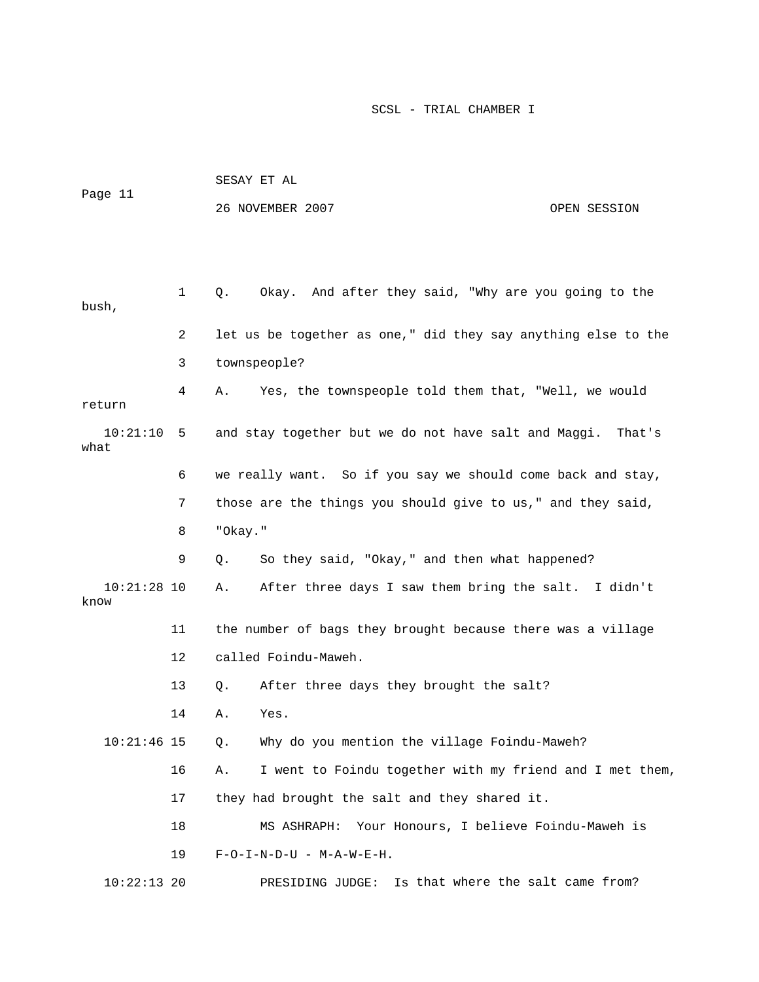|         |                | SESAY ET AL                                                   |  |  |  |
|---------|----------------|---------------------------------------------------------------|--|--|--|
| Page 11 |                | 26 NOVEMBER 2007<br>OPEN SESSION                              |  |  |  |
|         |                |                                                               |  |  |  |
| bush,   | $1 \quad$      | Okay. And after they said, "Why are you going to the<br>Q.    |  |  |  |
|         | $\overline{2}$ | let us be together as one," did they say anything else to the |  |  |  |
|         | 3              | townspeople?                                                  |  |  |  |

4 A. Yes, the townspeople told them that, "Well, we would and stay together but we do not have salt and Maggi. That's 6 we really want. So if you say we should come back and stay, return 10:21 what

9 Q. So they said, "Okay," and then what happened? 7 those are the things you should give to us," and they said, 8 "Okay."

10:21:28 10 A. After three days I saw them bring the salt. I didn't know 11 the number of bags they brought because there was a village 12 called Foindu-Maweh.

13 Q. After three days they brought the salt?

14 A. Yes.

Why do you mention the village Foindu-Maweh?  $10:21:46$  15 Q.

16 A. I went to Foindu together with my friend and I met them, 18 MS ASHRAPH: Your Honours, I believe Foindu-Maweh is 17 they had brought the salt and they shared it.

19 F-O-I-N-D-U - M-A-W-E-H.

10:22:13 20 PRESIDING JUDGE: Is that where the salt came from?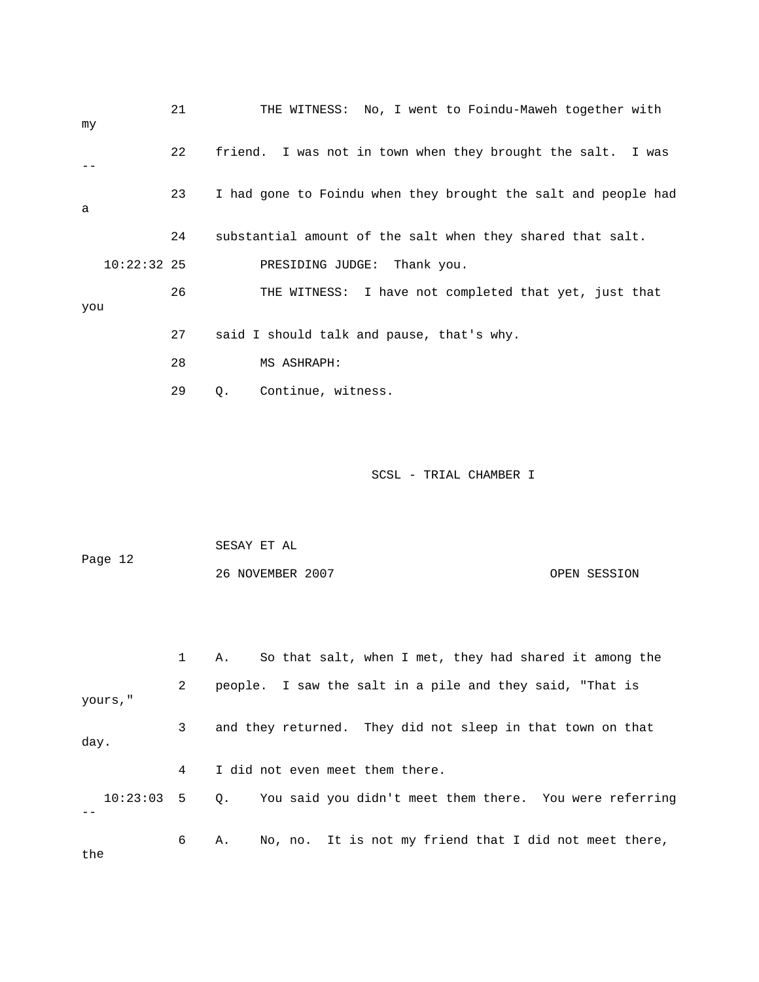| my  |               | 21 | THE WITNESS: No, I went to Foindu-Maweh together with          |
|-----|---------------|----|----------------------------------------------------------------|
|     |               | 22 | friend. I was not in town when they brought the salt. I was    |
| a   |               | 23 | I had gone to Foindu when they brought the salt and people had |
|     |               | 24 | substantial amount of the salt when they shared that salt.     |
|     | $10:22:32$ 25 |    | PRESIDING JUDGE: Thank you.                                    |
| you |               | 26 | THE WITNESS: I have not completed that yet, just that          |
|     |               | 27 | said I should talk and pause, that's why.                      |
|     |               | 28 | MS ASHRAPH:                                                    |
|     |               | 29 | Continue, witness.<br>Q.                                       |

| Page 12 | SESAY ET AL      |              |
|---------|------------------|--------------|
|         | 26 NOVEMBER 2007 | OPEN SESSION |

|          |   | So that salt, when I met, they had shared it among the<br>А.          |
|----------|---|-----------------------------------------------------------------------|
| yours, " | 2 | people. I saw the salt in a pile and they said, "That is              |
| day.     | 3 | and they returned. They did not sleep in that town on that            |
|          | 4 | I did not even meet them there.                                       |
|          |   | 10:23:03 5 Q. You said you didn't meet them there. You were referring |
| the      | 6 | No, no. It is not my friend that I did not meet there,<br>А.          |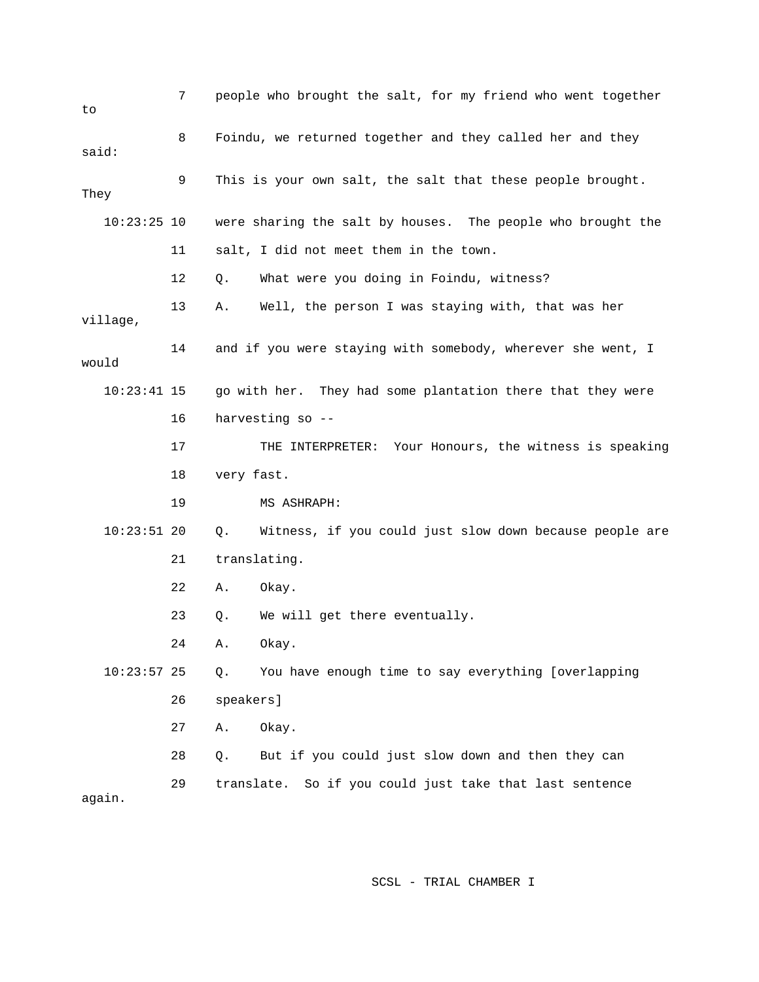| to            | 7  |              | people who brought the salt, for my friend who went together |
|---------------|----|--------------|--------------------------------------------------------------|
| said:         | 8  |              | Foindu, we returned together and they called her and they    |
| They          | 9  |              | This is your own salt, the salt that these people brought.   |
| $10:23:25$ 10 |    |              | were sharing the salt by houses. The people who brought the  |
|               | 11 |              | salt, I did not meet them in the town.                       |
|               | 12 | Q.           | What were you doing in Foindu, witness?                      |
| village,      | 13 | Α.           | Well, the person I was staying with, that was her            |
| would         | 14 |              | and if you were staying with somebody, wherever she went, I  |
| $10:23:41$ 15 |    |              | go with her. They had some plantation there that they were   |
|               | 16 |              | harvesting so --                                             |
|               | 17 |              | Your Honours, the witness is speaking<br>THE INTERPRETER:    |
|               | 18 | very fast.   |                                                              |
|               | 19 |              | MS ASHRAPH:                                                  |
| $10:23:51$ 20 |    | Q.           | Witness, if you could just slow down because people are      |
|               | 21 | translating. |                                                              |
|               | 22 | Α.           | Okay.                                                        |
|               | 23 | Q.           | We will get there eventually.                                |
|               | 24 | Α.           | Okay.                                                        |
| $10:23:57$ 25 |    | Q.           | You have enough time to say everything [overlapping          |
|               | 26 | speakers]    |                                                              |
|               | 27 | Α.           | Okay.                                                        |
|               | 28 | Q.           | But if you could just slow down and then they can            |
| again.        | 29 | translate.   | So if you could just take that last sentence                 |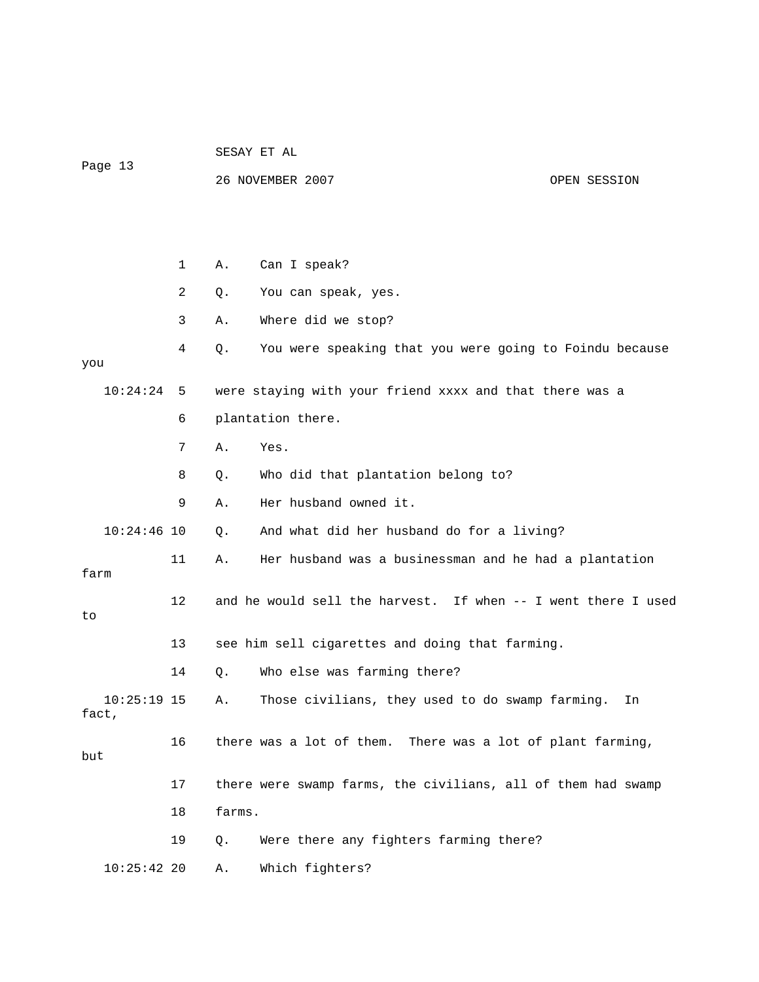| Page 13                |    |        | 26 NOVEMBER 2007                                              | OPEN SESSION |
|------------------------|----|--------|---------------------------------------------------------------|--------------|
|                        |    |        |                                                               |              |
|                        | 1  | Α.     | Can I speak?                                                  |              |
|                        | 2  | Q.     | You can speak, yes.                                           |              |
|                        | 3  | Α.     | Where did we stop?                                            |              |
| you                    | 4  | Q.     | You were speaking that you were going to Foindu because       |              |
| 10:24:24               | 5  |        | were staying with your friend xxxx and that there was a       |              |
|                        | 6  |        | plantation there.                                             |              |
|                        | 7  | Α.     | Yes.                                                          |              |
|                        | 8  | Q.     | Who did that plantation belong to?                            |              |
|                        | 9  | Α.     | Her husband owned it.                                         |              |
| $10:24:46$ 10          |    | Q.     | And what did her husband do for a living?                     |              |
| farm                   | 11 | Α.     | Her husband was a businessman and he had a plantation         |              |
| to                     | 12 |        | and he would sell the harvest. If when -- I went there I used |              |
|                        | 13 |        | see him sell cigarettes and doing that farming.               |              |
|                        | 14 | Q.     | Who else was farming there?                                   |              |
| $10:25:19$ 15<br>fact, |    | Α.     | Those civilians, they used to do swamp farming.               | In           |
| but                    | 16 |        | there was a lot of them. There was a lot of plant farming,    |              |
|                        | 17 |        | there were swamp farms, the civilians, all of them had swamp  |              |
|                        | 18 | farms. |                                                               |              |
|                        | 19 | Q.     | Were there any fighters farming there?                        |              |
| 10:25:4220             |    | Α.     | Which fighters?                                               |              |

SESAY ET AL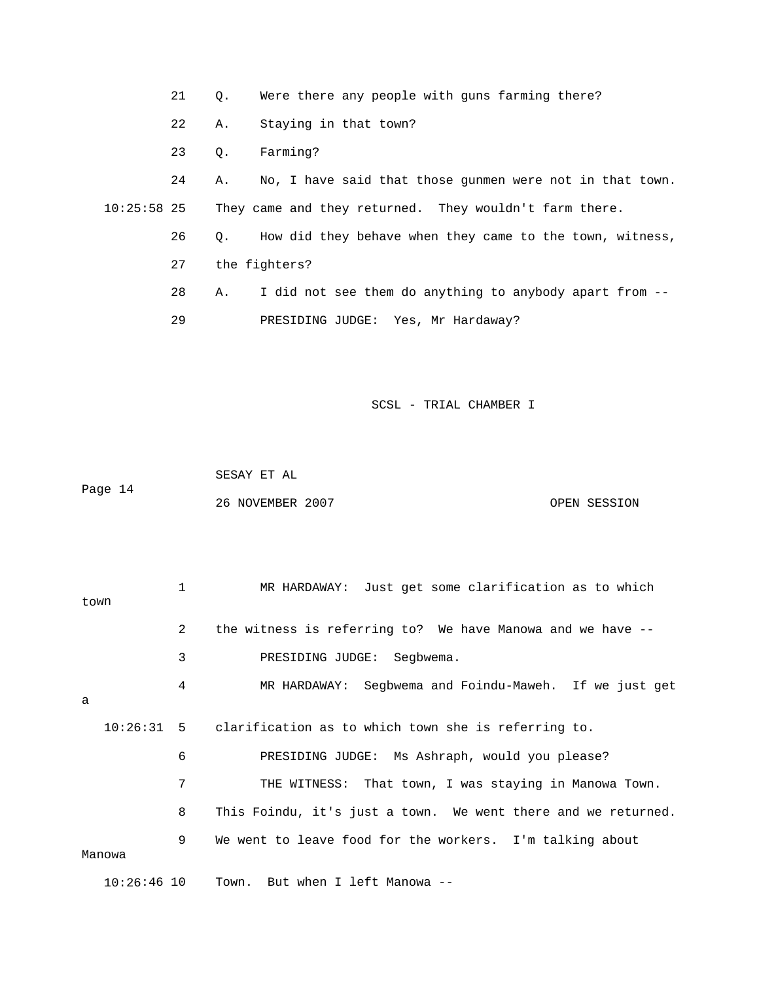- 21 Q. Were there any people with guns farming there?
- 22 A. Staying in that town?
- 23 Q. Farming?

24 A. No, I have said that those gunmen were not in that town. 26 Q. How did they behave when they came to the town, witness, 28 A. I did not see them do anything to anybody apart from -- 10:25:58 25 They came and they returned. They wouldn't farm there. 27 the fighters? 29 PRESIDING JUDGE: Yes, Mr Hardaway?

SCSL - TRIAL CHAMBER I

 SESAY ET AL Page 14 26 NOVEMBER 2007 OPEN SESSION

|               | $\mathbf{1}$   | MR HARDAWAY: Just get some clarification as to which           |
|---------------|----------------|----------------------------------------------------------------|
| town          |                |                                                                |
|               | $\overline{2}$ | the witness is referring to? We have Manowa and we have --     |
|               | 3              | PRESIDING JUDGE: Seqbwema.                                     |
| a             | 4              | MR HARDAWAY: Segbwema and Foindu-Maweh. If we just get         |
|               |                | 10:26:31 5 clarification as to which town she is referring to. |
|               | 6              | PRESIDING JUDGE: Ms Ashraph, would you please?                 |
|               | 7              | THE WITNESS: That town, I was staying in Manowa Town.          |
|               | 8              | This Foindu, it's just a town. We went there and we returned.  |
| Manowa        | 9              | We went to leave food for the workers. I'm talking about       |
| $10:26:46$ 10 |                | Town. But when I left Manowa --                                |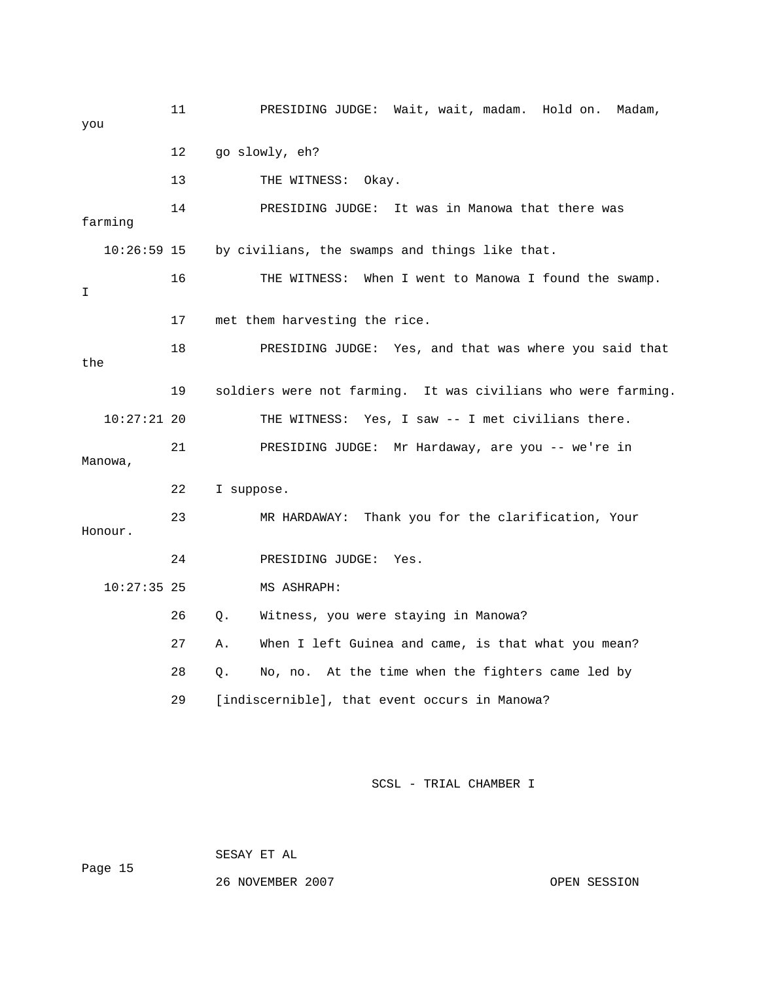11 PRESIDING JUDGE: Wait, wait, madam. Hold on. Madam, you 12 go slowly, eh? 13 THE WITNESS: Okay. 14 PRESIDING JUDGE: It was in Manowa that there was farming by civilians, the swamps and things like that. 16 THE WITNESS: When I went to Manowa I found the swamp. 17 met them harvesting the rice. 18 The SIDING JUDGE: Yes, and that was where you said that 19 soldiers were not farming. It was civilians who were farming. Manowa, 23 MR HARDAWAY: Thank you for the clarification, Your 24 PRESIDING JUDGE: Yes. 26 Q. Witness, you were staying in Manowa? 27 A. When I left Guinea and came, is that what you mean? 10:26: I the 10:27:21 20 THE WITNESS: Yes, I saw -- I met civilians there. 21 PRESIDING JUDGE: Mr Hardaway, are you -- we're in 22 I suppose. Honour. 10:27:35 25 MS ASHRAPH: 28 Q. No, no. At the time when the fighters came led by 29 [indiscernible], that event occurs in Manowa?

SCSL - TRIAL CHAMBER I

SESAY ET AL

Page 15

26 NOVEMBER 2007 OPEN SESSION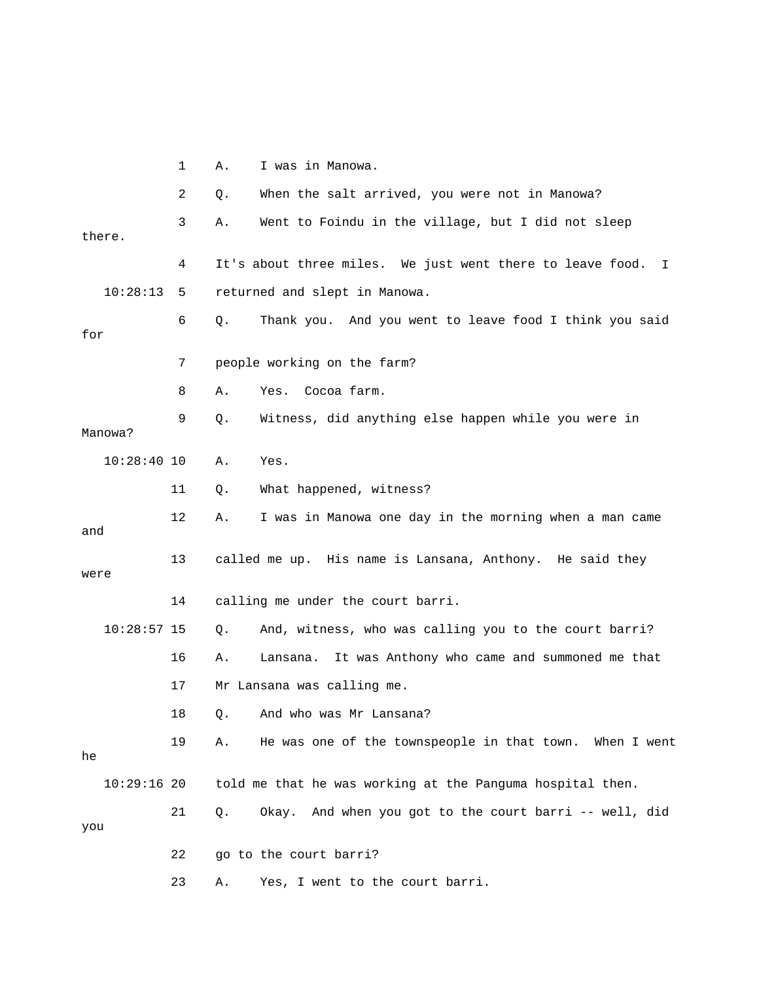1 A. I was in Manowa. 2 Q. When the salt arrived, you were not in Manowa? 3 A. Went to Foindu in the village, but I did not sleep 4 It's about three miles. We just went there to leave food. I 10:28:13 5 returned and slept in Manowa. 6 Q. Thank you. And you went to leave food I think you said 8 A. Yes. Cocoa farm. 9 Q. Witness, did anything else happen while you were in 11 Q. What happened, witness? 12 A. I was in Manowa one day in the morning when a man came 10:28:57 15 Q. And, witness, who was calling you to the court barri? 16 A. Lansana. It was Anthony who came and summoned me that 17 Mr Lansana was calling me. 18 Q. And who was Mr Lansana? 19 A. He was one of the townspeople in that town. When I went 21 Q. Okay. And when you got to the court barri -- well, did 23 A. Yes, I went to the court barri. there. for 7 people working on the farm? Manowa? 10:28:40 10 A. Yes. and 13 called me up. His name is Lansana, Anthony. He said they were 14 calling me under the court barri. he 10:29:16 20 told me that he was working at the Panguma hospital then. you 22 go to the court barri?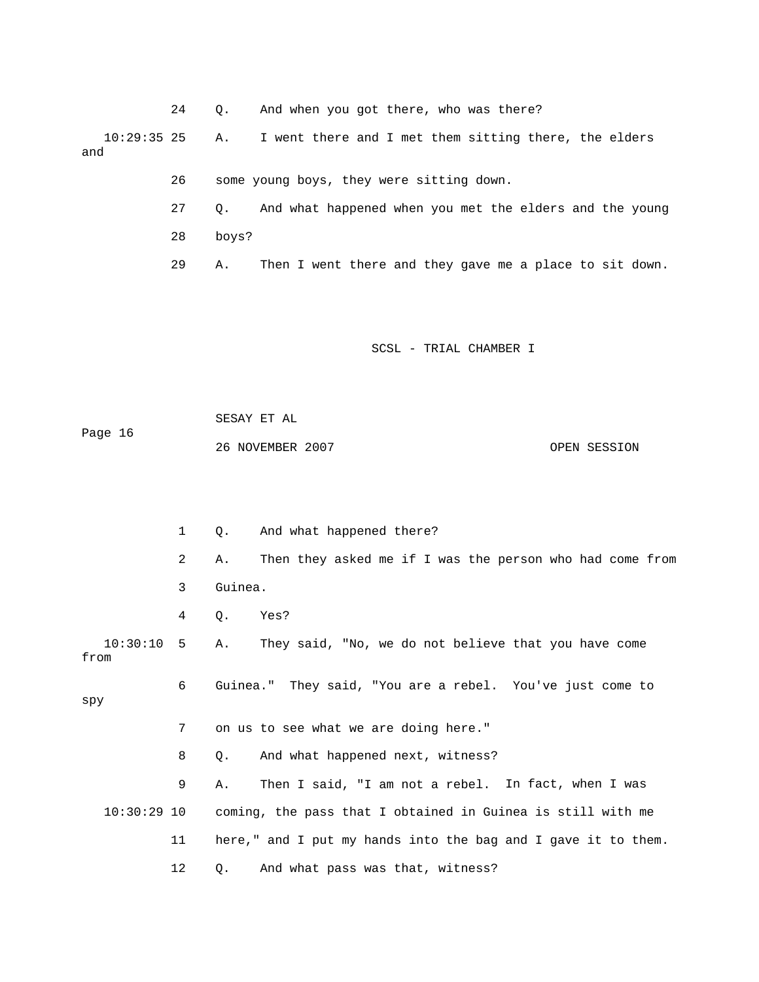|                      | 24 | $\circ$ . | And when you got there, who was there?                  |
|----------------------|----|-----------|---------------------------------------------------------|
| $10:29:35$ 25<br>and |    | Α.        | I went there and I met them sitting there, the elders   |
|                      | 26 |           | some young boys, they were sitting down.                |
|                      | 27 | $\circ$ . | And what happened when you met the elders and the young |
|                      | 28 | boys?     |                                                         |
|                      | 29 | Α.        | Then I went there and they gave me a place to sit down. |

 SESAY ET AL Page 16 26 NOVEMBER 2007 OPEN SESSION

 1 Q. And what happened there? 2 A. Then they asked me if I was the person who had come from 3 Guinea. 10:30:10 5 A. They said, "No, we do not believe that you have come 8 Q. And what happened next, witness? 9 A. Then I said, "I am not a rebel. In fact, when I was 10:30:29 10 coming, the pass that I obtained in Guinea is still with me . 11 here," and I put my hands into the bag and I gave it to them 4 Q. Yes? from 6 Guinea." They said, "You are a rebel. You've just come to spy 7 on us to see what we are doing here." 12 Q. And what pass was that, witness?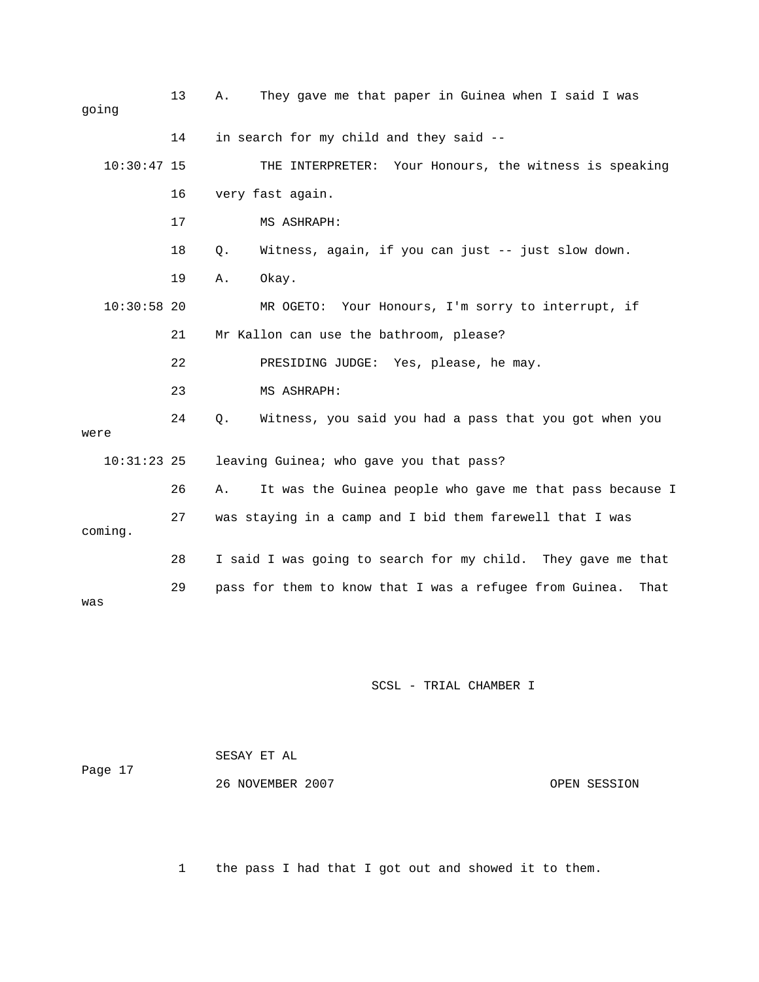| going         | 13 | Α. | They gave me that paper in Guinea when I said I was             |
|---------------|----|----|-----------------------------------------------------------------|
|               | 14 |    | in search for my child and they said --                         |
| $10:30:47$ 15 |    |    | THE INTERPRETER: Your Honours, the witness is speaking          |
|               | 16 |    | very fast again.                                                |
|               | 17 |    | MS ASHRAPH:                                                     |
|               | 18 | Q. | Witness, again, if you can just -- just slow down.              |
|               | 19 | Α. | Okay.                                                           |
| $10:30:58$ 20 |    |    | Your Honours, I'm sorry to interrupt, if<br>MR OGETO:           |
|               | 21 |    | Mr Kallon can use the bathroom, please?                         |
|               | 22 |    | PRESIDING JUDGE: Yes, please, he may.                           |
|               | 23 |    | MS ASHRAPH:                                                     |
| were          | 24 | Q. | Witness, you said you had a pass that you got when you          |
| $10:31:23$ 25 |    |    | leaving Guinea; who gave you that pass?                         |
|               | 26 | Α. | It was the Guinea people who gave me that pass because I        |
| coming.       | 27 |    | was staying in a camp and I bid them farewell that I was        |
|               | 28 |    | I said I was going to search for my child. They gave me that    |
| was           | 29 |    | pass for them to know that I was a refugee from Guinea.<br>That |

| Page 17 | SESAY ET AL      |              |
|---------|------------------|--------------|
|         | 26 NOVEMBER 2007 | OPEN SESSION |

1 the pass I had that I got out and showed it to them.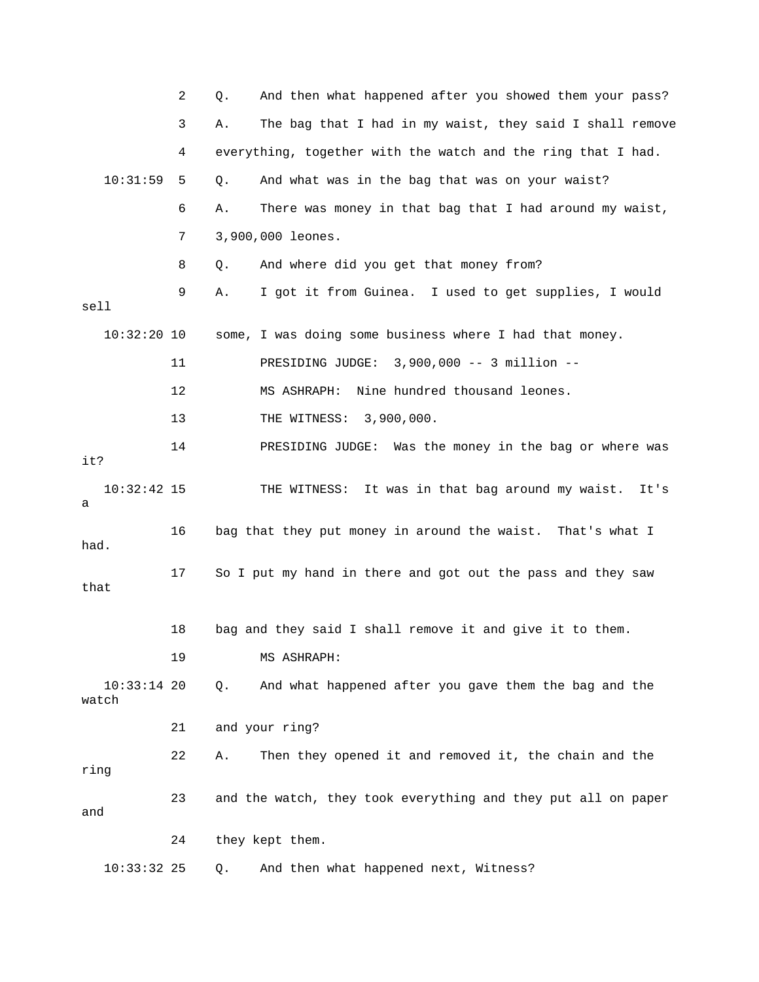|                        | 2  | And then what happened after you showed them your pass?<br>Q.  |
|------------------------|----|----------------------------------------------------------------|
|                        | 3  | The bag that I had in my waist, they said I shall remove<br>Α. |
|                        | 4  | everything, together with the watch and the ring that I had.   |
| 10:31:59               | 5  | And what was in the bag that was on your waist?<br>Q.          |
|                        | 6  | There was money in that bag that I had around my waist,<br>Α.  |
|                        | 7  | 3,900,000 leones.                                              |
|                        | 8  | And where did you get that money from?<br>Q.                   |
| sell                   | 9  | I got it from Guinea. I used to get supplies, I would<br>Α.    |
| $10:32:20$ 10          |    | some, I was doing some business where I had that money.        |
|                        | 11 | PRESIDING JUDGE: 3,900,000 -- 3 million --                     |
|                        | 12 | Nine hundred thousand leones.<br>MS ASHRAPH:                   |
|                        | 13 | THE WITNESS: 3,900,000.                                        |
| it?                    | 14 | PRESIDING JUDGE: Was the money in the bag or where was         |
| $10:32:42$ 15<br>а     |    | THE WITNESS: It was in that bag around my waist.<br>It's       |
| had.                   | 16 | bag that they put money in around the waist. That's what I     |
| that                   | 17 | So I put my hand in there and got out the pass and they saw    |
|                        | 18 | bag and they said I shall remove it and give it to them.       |
|                        | 19 | MS ASHRAPH:                                                    |
| $10:33:14$ 20<br>watch |    | And what happened after you gave them the bag and the<br>Q.    |
|                        | 21 | and your ring?                                                 |
| ring                   | 22 | Then they opened it and removed it, the chain and the<br>Α.    |
| and                    | 23 | and the watch, they took everything and they put all on paper  |
|                        | 24 | they kept them.                                                |
| $10:33:32$ 25          |    | And then what happened next, Witness?<br>Q.                    |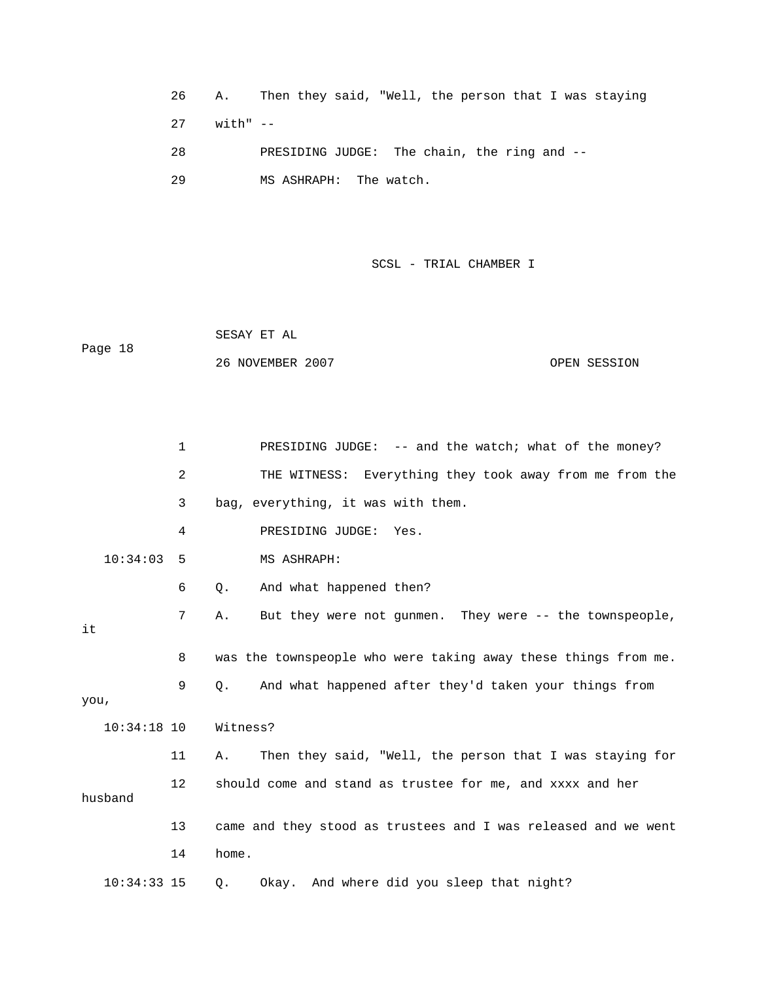26 A. Then they said, "Well, the person that I was staying 27 with" -- 28 PRESIDING JUDGE: The chain, the ring and --

29 MS ASHRAPH: The watch.

SCSL - TRIAL CHAMBER I

 SESAY ET AL Page 18 26 NOVEMBER 2007 OPEN SESSION

 1 PRESIDING JUDGE: -- and the watch; what of the money? 2 THE WITNESS: Everything they took away from me from the 7 A. But they were not gunmen. They were -- the townspeople, 8 was the townspeople who were taking away these things from me. 9 Q. And what happened after they'd taken your things from , you 10:34:18 10 Witness? 11 A. Then they said, "Well, the person that I was staying for 12 should come and stand as trustee for me, and xxxx and her husband 14 home. 3 bag, everything, it was with them. 4 PRESIDING JUDGE: Yes. 10:34:03 5 MS ASHRAPH: 6 Q. And what happened then? it 13 came and they stood as trustees and I was released and we went 10:34:33 15 Q. Okay. And where did you sleep that night?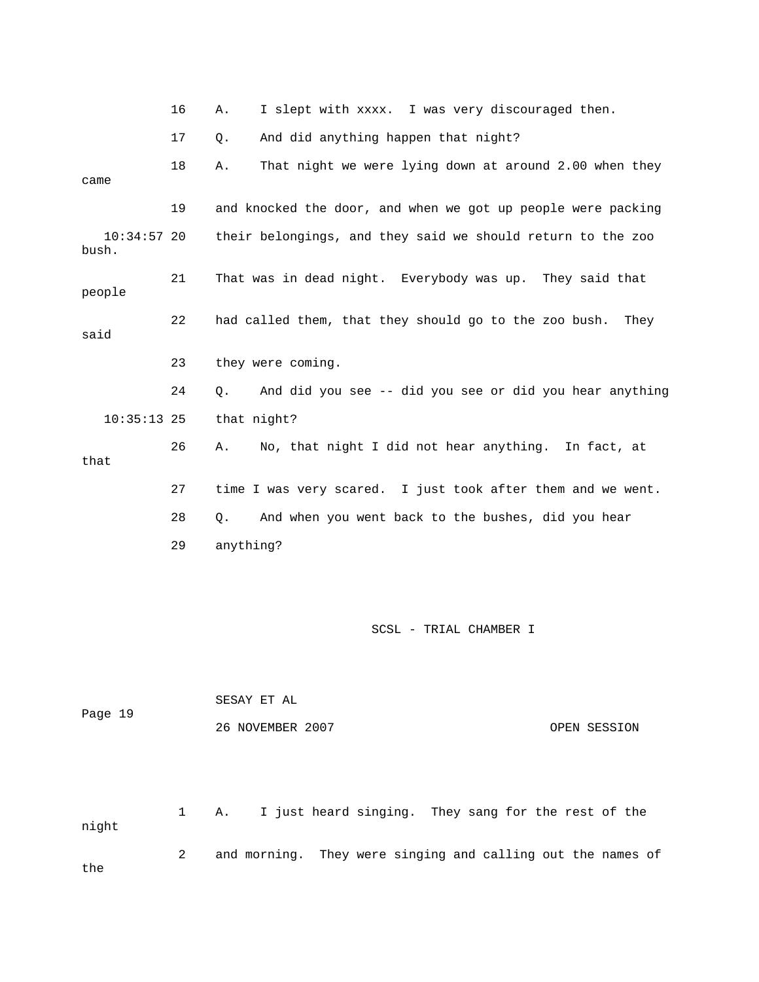- 16 A. I slept with xxxx. I was very discouraged then.
- 17 Q. And did anything happen that night?

18 A. That night we were lying down at around 2.00 when they came 19 and knocked the door, and when we got up people were packing their belongings, and they said we should return to the zoo bush. 24 Q. And did you see -- did you see or did you hear anything that 27 time I was very scared. I just took after them and we went. 28 Q. And when you went back to the bushes, did you hear  $10:34:57$  20 21 That was in dead night. Everybody was up. They said that people 22 had called them, that they should go to the zoo bush. They said 23 they were coming. 10:35:13 25 that night? 26 A. No, that night I did not hear anything. In fact, at 29 anything?

SCSL - TRIAL CHAMBER I

|         |              | SESAY ET AL                                                 |  |  |  |
|---------|--------------|-------------------------------------------------------------|--|--|--|
| Page 19 |              | 26 NOVEMBER 2007<br>OPEN SESSION                            |  |  |  |
| night   | $\mathbf{1}$ | I just heard singing. They sang for the rest of the<br>Α.   |  |  |  |
| the     | 2            | and morning. They were singing and calling out the names of |  |  |  |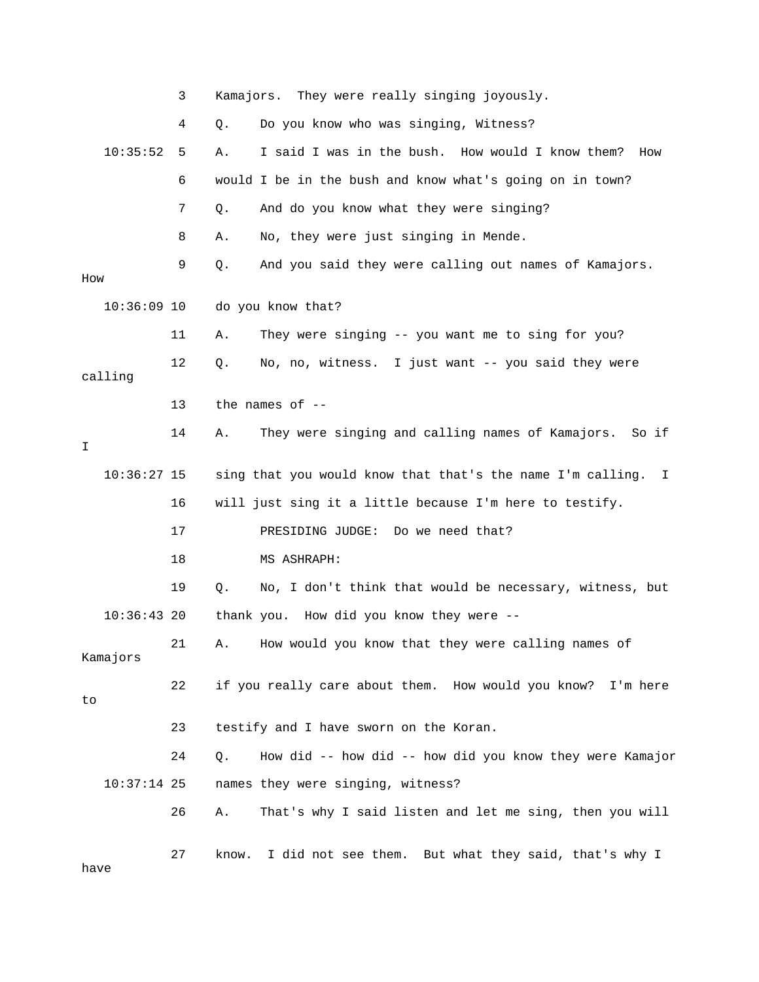|               | 3  | Kamajors. They were really singing joyously.                     |
|---------------|----|------------------------------------------------------------------|
|               | 4  | Do you know who was singing, Witness?<br>Q.                      |
| 10:35:52      | 5  | I said I was in the bush. How would I know them?<br>Α.<br>How    |
|               | 6  | would I be in the bush and know what's going on in town?         |
|               | 7  | And do you know what they were singing?<br>Q.                    |
|               | 8  | No, they were just singing in Mende.<br>Α.                       |
| How           | 9  | And you said they were calling out names of Kamajors.<br>Q.      |
| $10:36:09$ 10 |    | do you know that?                                                |
|               | 11 | They were singing -- you want me to sing for you?<br>Α.          |
| calling       | 12 | No, no, witness. I just want -- you said they were<br>Q.         |
|               | 13 | the names of $-$ -                                               |
| I             | 14 | They were singing and calling names of Kamajors. So if<br>Α.     |
| $10:36:27$ 15 |    | sing that you would know that that's the name I'm calling.<br>I. |
|               | 16 | will just sing it a little because I'm here to testify.          |
|               | 17 | PRESIDING JUDGE:<br>Do we need that?                             |
|               | 18 | MS ASHRAPH:                                                      |
|               | 19 | No, I don't think that would be necessary, witness, but<br>Q.    |
| 10:36:4320    |    | thank you. How did you know they were --                         |
| Kamajors      | 21 | How would you know that they were calling names of<br>Α.         |
| to            | 22 | if you really care about them. How would you know? I'm here      |
|               | 23 | testify and I have sworn on the Koran.                           |
|               | 24 | How did -- how did -- how did you know they were Kamajor<br>Q.   |
| $10:37:14$ 25 |    | names they were singing, witness?                                |
|               | 26 | That's why I said listen and let me sing, then you will<br>Α.    |
| have          | 27 | I did not see them. But what they said, that's why I<br>know.    |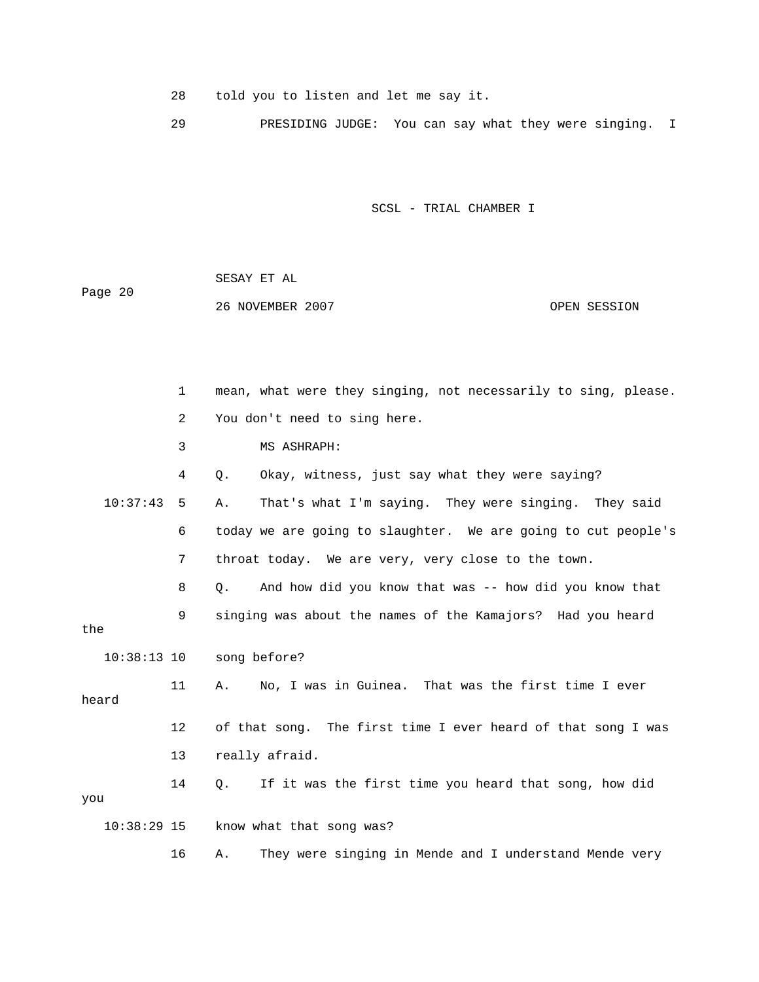28 told you to listen and let me say it.

29 PRESIDING JUDGE: You can say what they were singing. I

SCSL - TRIAL CHAMBER I

| Page 20 | SESAY ET AL      |  |              |
|---------|------------------|--|--------------|
|         | 26 NOVEMBER 2007 |  | OPEN SESSION |

1 mean, what were they singing, not necessarily to sing, please. 2 You don't need to sing here. 3 MS ASHRAPH: 10:37:43 5 A. That's what I'm saying. They were singing. They said 6 today we are going to slaughter. We are going to cut people's the 11 A. No, I was in Guinea. That was the first time I ever 12 of that song. The first time I ever heard of that song I was 13 really afraid. you 16 A. They were singing in Mende and I understand Mende very 4 Q. Okay, witness, just say what they were saying? 7 throat today. We are very, very close to the town. 8 Q. And how did you know that was -- how did you know that 9 singing was about the names of the Kamajors? Had you heard 10:38:13 10 song before? heard 14 Q. If it was the first time you heard that song, how did 10:38:29 15 know what that song was?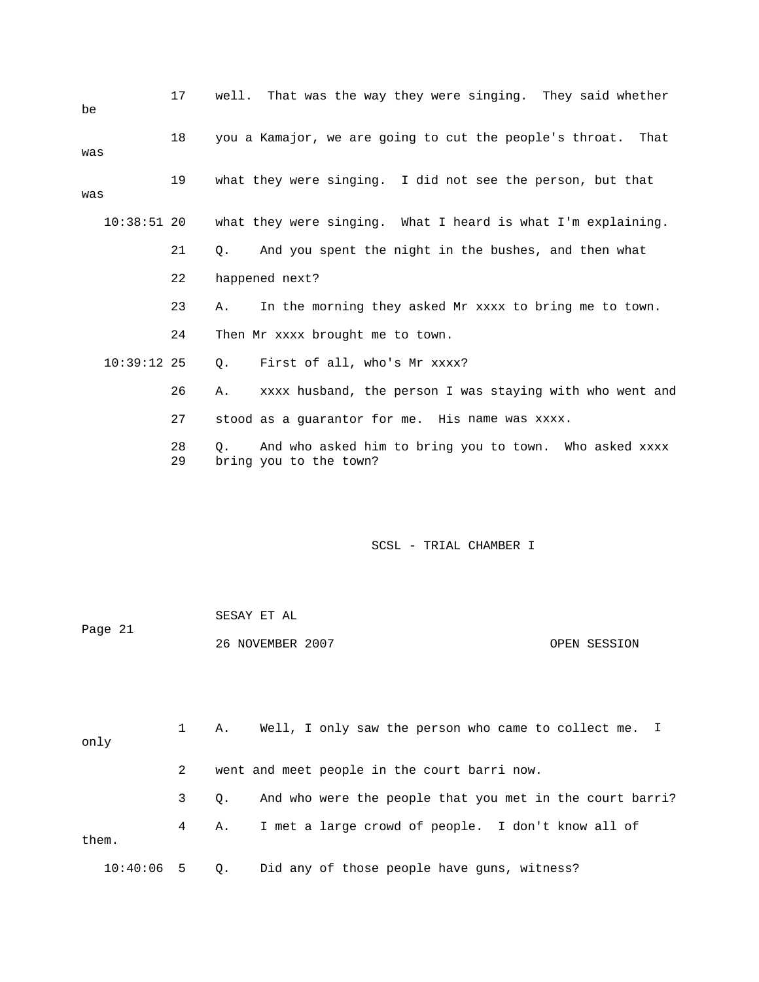| be  |               | 17       | well.      | That was the way they were singing. They said whether                            |
|-----|---------------|----------|------------|----------------------------------------------------------------------------------|
| was |               | 18       |            | you a Kamajor, we are going to cut the people's throat. That                     |
| was |               | 19       |            | what they were singing. I did not see the person, but that                       |
|     | 10:38:51 20   |          |            | what they were singing. What I heard is what I'm explaining.                     |
|     |               | 21       | О.         | And you spent the night in the bushes, and then what                             |
|     |               | 22       |            | happened next?                                                                   |
|     |               | 23       | Α.         | In the morning they asked Mr xxxx to bring me to town.                           |
|     |               | 24       |            | Then Mr xxxx brought me to town.                                                 |
|     | $10:39:12$ 25 |          | 0.         | First of all, who's Mr xxxx?                                                     |
|     |               | 26       | Α.         | xxxx husband, the person I was staying with who went and                         |
|     |               | 27       |            | stood as a quarantor for me. His name was xxxx.                                  |
|     |               | 28<br>29 | $\Omega$ . | And who asked him to bring you to town. Who asked xxxx<br>bring you to the town? |

#### SCSL - TRIAL CHAMBER I **SCS** SECTION CONTINUES: SAMPLE SECTION CONTINUES

 SESAY ET AL 26 NOVEMBER 2007 OPEN SESSION Page 21

| only         |   | 1 A. | Well, I only saw the person who came to collect me. I    |
|--------------|---|------|----------------------------------------------------------|
|              | 2 |      | went and meet people in the court barri now.             |
|              |   | 3 O. | And who were the people that you met in the court barri? |
| them.        |   |      | 4 A. I met a large crowd of people. I don't know all of  |
| $10:40:06$ 5 |   | 0.   | Did any of those people have guns, witness?              |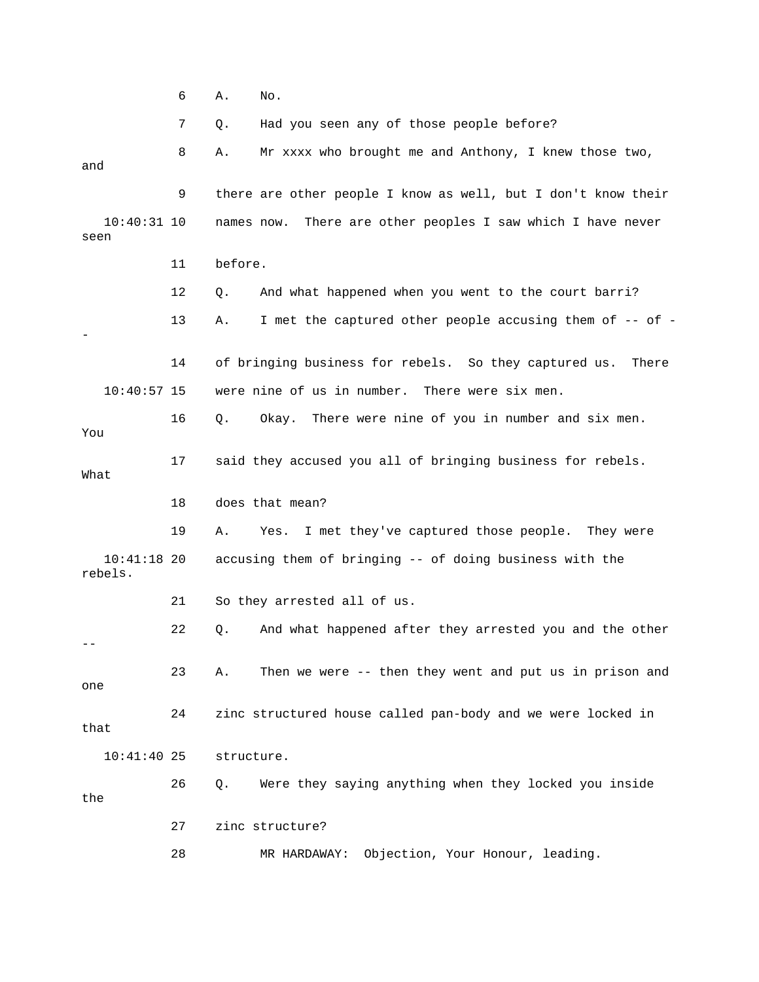6 A. No.

7 Q. Had you seen any of those people before?

8 A. Mr xxxx who brought me and Anthony, I knew those two, and 9 there are other people I know as well, but I don't know their 10:40:31 10 names now. There are other peoples I saw which I have never 11 before. 12 Q. And what happened when you went to the court barri? 13 A. I met the captured other people accusing them of -- of -14 of bringing business for rebels. So they captured us. There 10:40:57 15 were nine of us in number. There were six men. 16 Q. Okay. There were nine of you in number and six men. You 17 said they accused you all of bringing business for rebels. 19 A. Yes. I met they've captured those people. They were accusing them of bringing -- of doing business with the rebels. 21 So they arrested all of us. 22 Q. And what happened after they arrested you and the other 23 A. Then we were -- then they went and put us in prison and 26 Q. Were they saying anything when they locked you inside 27 zinc structure? 28 MR HARDAWAY: Objection, Your Honour, leading. seen - What 18 does that mean?  $10:41:18$  20 - one 24 zinc structured house called pan-body and we were locked in that 10:41:40 25 structure. the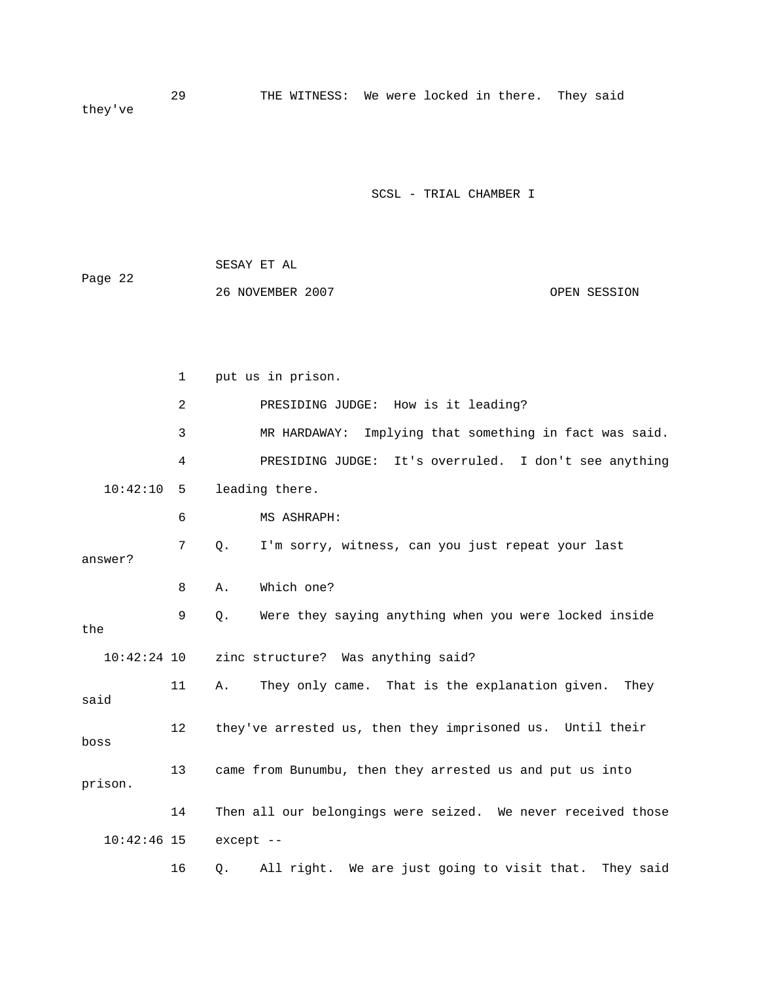29 THE WITNESS: We were locked in there. They said they've

SCSL - TRIAL CHAMBER I

| Page 22 | SESAY ET AL      |              |
|---------|------------------|--------------|
|         | 26 NOVEMBER 2007 | OPEN SESSION |

|               | $\mathbf{1}$ | put us in prison.                                              |
|---------------|--------------|----------------------------------------------------------------|
|               | 2            | PRESIDING JUDGE: How is it leading?                            |
|               | 3            | Implying that something in fact was said.<br>MR HARDAWAY:      |
|               | 4            | PRESIDING JUDGE: It's overruled. I don't see anything          |
| 10:42:10      | 5            | leading there.                                                 |
|               | 6            | MS ASHRAPH:                                                    |
| answer?       | 7            | I'm sorry, witness, can you just repeat your last<br>Q.        |
|               | 8            | Which one?<br>Α.                                               |
| the           | 9            | Were they saying anything when you were locked inside<br>Q.    |
| $10:42:24$ 10 |              | zinc structure? Was anything said?                             |
| said          | 11           | They only came. That is the explanation given. They<br>A.      |
| boss          | 12           | they've arrested us, then they imprisoned us. Until their      |
| prison.       | 13           | came from Bunumbu, then they arrested us and put us into       |
|               | 14           | Then all our belongings were seized. We never received those   |
| $10:42:46$ 15 |              | except --                                                      |
|               | 16           | All right. We are just going to visit that.<br>They said<br>Q. |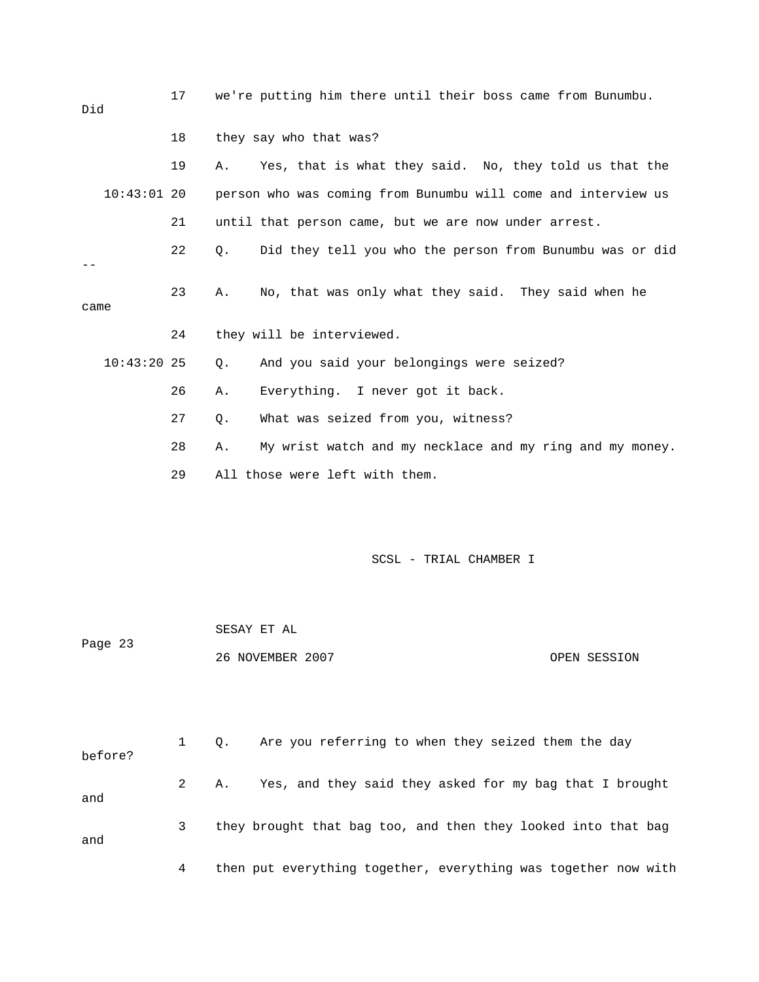| Did           | 17           |                  | we're putting him there until their boss came from Bunumbu.   |  |
|---------------|--------------|------------------|---------------------------------------------------------------|--|
|               | 18           |                  | they say who that was?                                        |  |
|               | 19           | Α.               | Yes, that is what they said. No, they told us that the        |  |
| $10:43:01$ 20 |              |                  | person who was coming from Bunumbu will come and interview us |  |
|               | 21           |                  | until that person came, but we are now under arrest.          |  |
|               | 22           | Q.               | Did they tell you who the person from Bunumbu was or did      |  |
| came          | 23           | Α.               | No, that was only what they said. They said when he           |  |
|               | 24           |                  | they will be interviewed.                                     |  |
| $10:43:20$ 25 |              | Q.               | And you said your belongings were seized?                     |  |
|               | 26           | Α.               | Everything. I never got it back.                              |  |
|               | 27           | Q.               | What was seized from you, witness?                            |  |
|               | 28           | Α.               | My wrist watch and my necklace and my ring and my money.      |  |
|               | 29           |                  | All those were left with them.                                |  |
|               |              |                  | SCSL - TRIAL CHAMBER I                                        |  |
|               |              | SESAY ET AL      |                                                               |  |
| Page 23       |              | 26 NOVEMBER 2007 | OPEN SESSION                                                  |  |
|               |              |                  |                                                               |  |
| before?       | $\mathbf{1}$ | Q.               | Are you referring to when they seized them the day            |  |
| and           | 2            | Α.               | Yes, and they said they asked for my bag that I brought       |  |

and

4 then put everything together, everything was together now with

3 they brought that bag too, and then they looked into that bag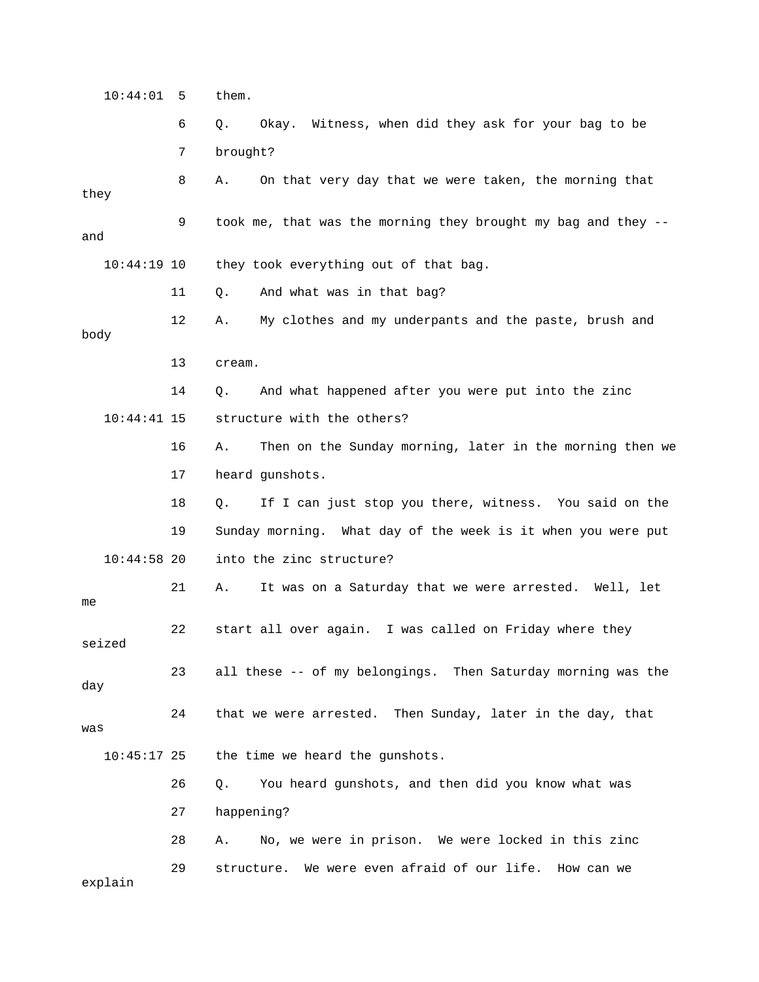10:44:01 5 them.

 6 Q. Okay. Witness, when did they ask for your bag to be 7 brought? 8 A. On that very day that we were taken, the morning that 9 took me, that was the morning they brought my bag and they -they took everything out of that bag. 12 A. My clothes and my underpants and the paste, brush and 10:44:41 15 structure with the others? 16 A. Then on the Sunday morning, later in the morning then we 17 heard gunshots. 18 Q. If I can just stop you there, witness. You said on the 10:44:58 20 into the zinc structure? 21 A. It was on a Saturday that we were arrested. Well, let 22 start all over again. I was called on Friday where they seized 23 all these -- of my belongings. Then Saturday morning was the day 24 that we were arrested. Then Sunday, later in the day, that was the time we heard the gunshots. 27 happening? they and 10:44:19 10 11 Q. And what was in that bag? body 13 cream. 14 Q. And what happened after you were put into the zinc 19 Sunday morning. What day of the week is it when you were put me  $10:45:17$  25 26 Q. You heard gunshots, and then did you know what was 28 A. No, we were in prison. We were locked in this zinc 29 structure. We were even afraid of our life. How can we explain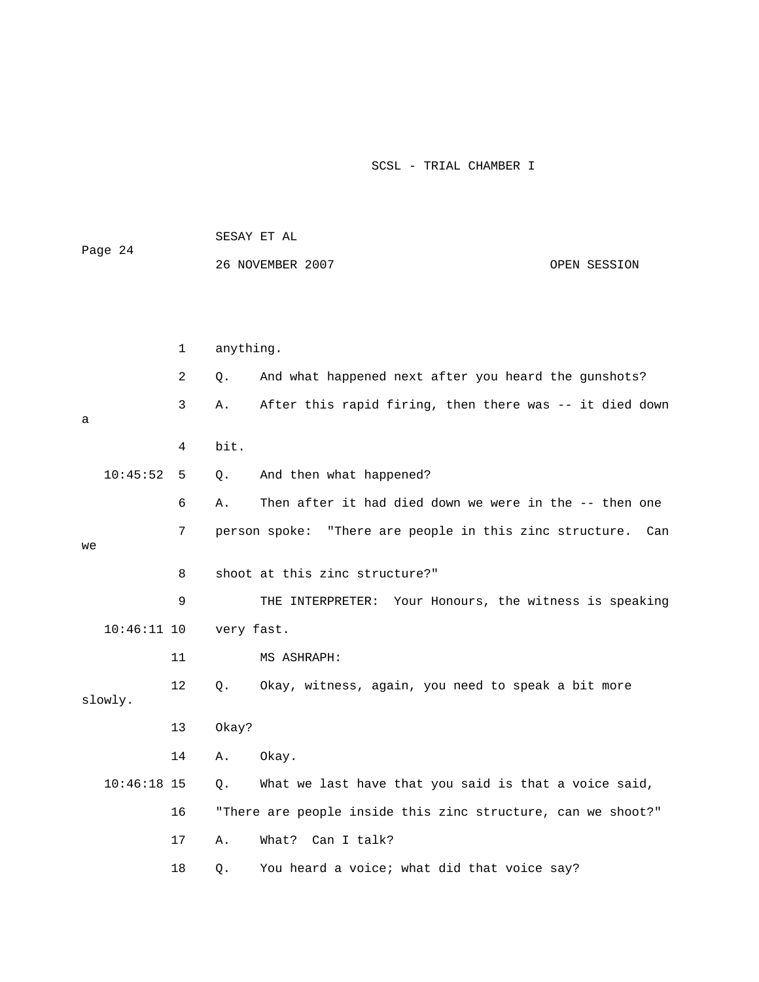|    |               |    |            | SESAY ET AL                                                  |              |
|----|---------------|----|------------|--------------------------------------------------------------|--------------|
|    | Page 24       |    |            | 26 NOVEMBER 2007                                             | OPEN SESSION |
|    |               |    |            |                                                              |              |
|    |               |    |            |                                                              |              |
|    |               | 1  | anything.  |                                                              |              |
|    |               | 2  | Q.         | And what happened next after you heard the gunshots?         |              |
| а  |               | 3  | Α.         | After this rapid firing, then there was -- it died down      |              |
|    |               | 4  | bit.       |                                                              |              |
|    | 10:45:52      | 5  | Q.         | And then what happened?                                      |              |
|    |               | 6  | Α.         | Then after it had died down we were in the -- then one       |              |
|    |               | 7  |            | person spoke: "There are people in this zinc structure.      | Can          |
| we |               |    |            |                                                              |              |
|    |               | 8  |            | shoot at this zinc structure?"                               |              |
|    |               | 9  |            | THE INTERPRETER: Your Honours, the witness is speaking       |              |
|    | $10:46:11$ 10 |    | very fast. |                                                              |              |
|    |               | 11 |            | MS ASHRAPH:                                                  |              |
|    | slowly.       | 12 | О.         | Okay, witness, again, you need to speak a bit more           |              |
|    |               | 13 | 0kay?      |                                                              |              |
|    |               | 14 | Α.         | Okay.                                                        |              |
|    | $10:46:18$ 15 |    | Q.         | What we last have that you said is that a voice said,        |              |
|    |               | 16 |            | "There are people inside this zinc structure, can we shoot?" |              |
|    |               | 17 | Α.         | What? Can I talk?                                            |              |
|    |               | 18 | Q.         | You heard a voice; what did that voice say?                  |              |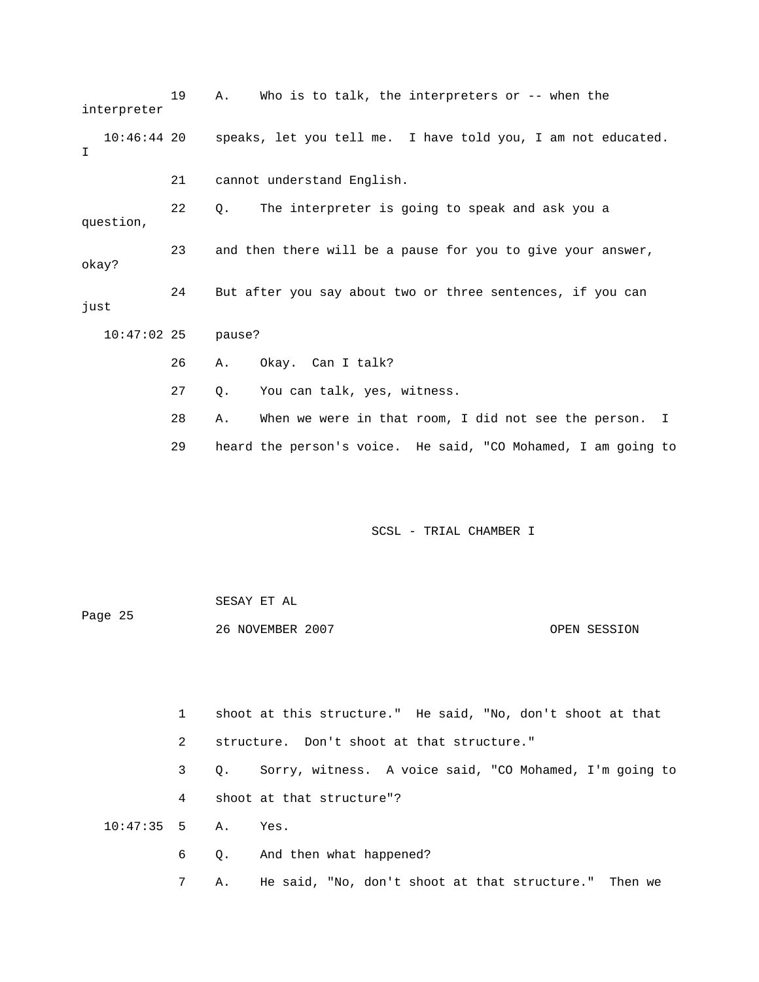| interpreter        | 19 | Who is to talk, the interpreters or $-$ - when the<br>Α.                 |
|--------------------|----|--------------------------------------------------------------------------|
| T                  |    | 10:46:44 20 speaks, let you tell me. I have told you, I am not educated. |
|                    | 21 | cannot understand English.                                               |
| question,          | 22 | The interpreter is going to speak and ask you a<br>$\circ$ .             |
| okay?              | 23 | and then there will be a pause for you to give your answer,              |
| just               | 24 | But after you say about two or three sentences, if you can               |
| 10:47:02 25 pause? |    |                                                                          |
|                    | 26 | Okay. Can I talk?<br>Α.                                                  |
|                    | 27 | You can talk, yes, witness.<br>Q.                                        |
|                    | 28 | When we were in that room, I did not see the person. I<br>Α.             |
|                    | 29 | heard the person's voice. He said, "CO Mohamed, I am going to            |

| Page 25 | SESAY ET AL      |              |
|---------|------------------|--------------|
|         | 26 NOVEMBER 2007 | OPEN SESSION |

|                      | $1 \quad$   | shoot at this structure." He said, "No, don't shoot at that |
|----------------------|-------------|-------------------------------------------------------------|
|                      | 2           | structure. Don't shoot at that structure."                  |
|                      | $3^{\circ}$ | Q. Sorry, witness. A voice said, "CO Mohamed, I'm going to  |
|                      | 4           | shoot at that structure"?                                   |
| $10:47:35$ 5 A. Yes. |             |                                                             |
|                      |             | 6 Q. And then what happened?                                |
|                      |             |                                                             |

7 A. He said, "No, don't shoot at that structure." Then we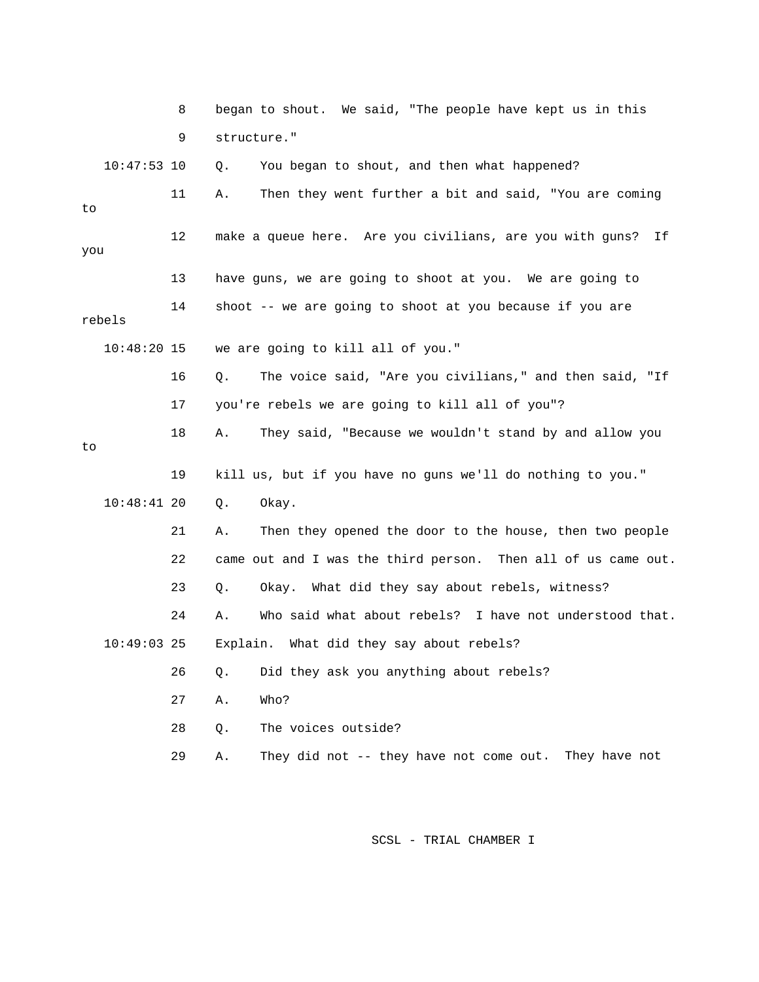|               | 8  | began to shout. We said, "The people have kept us in this     |
|---------------|----|---------------------------------------------------------------|
|               | 9  | structure."                                                   |
| $10:47:53$ 10 |    | You began to shout, and then what happened?<br>Q.             |
| to            | 11 | Then they went further a bit and said, "You are coming<br>Α.  |
| you           | 12 | make a queue here. Are you civilians, are you with guns? If   |
|               | 13 | have guns, we are going to shoot at you. We are going to      |
| rebels        | 14 | shoot -- we are going to shoot at you because if you are      |
| $10:48:20$ 15 |    | we are going to kill all of you."                             |
|               | 16 | The voice said, "Are you civilians," and then said, "If<br>Q. |
|               | 17 | you're rebels we are going to kill all of you"?               |
| to            | 18 | They said, "Because we wouldn't stand by and allow you<br>Α.  |
|               | 19 | kill us, but if you have no guns we'll do nothing to you."    |
| $10:48:41$ 20 |    | Okay.<br>Q.                                                   |
|               | 21 | Then they opened the door to the house, then two people<br>Α. |
|               | 22 | came out and I was the third person. Then all of us came out. |
|               | 23 | Okay. What did they say about rebels, witness?<br>Q.          |
|               | 24 | Who said what about rebels? I have not understood that.<br>Α. |
| $10:49:03$ 25 |    | Explain. What did they say about rebels?                      |
|               | 26 | Did they ask you anything about rebels?<br>Q.                 |
|               | 27 | Who?<br>Α.                                                    |
|               | 28 | The voices outside?<br>Q.                                     |
|               | 29 | They did not -- they have not come out. They have not<br>Α.   |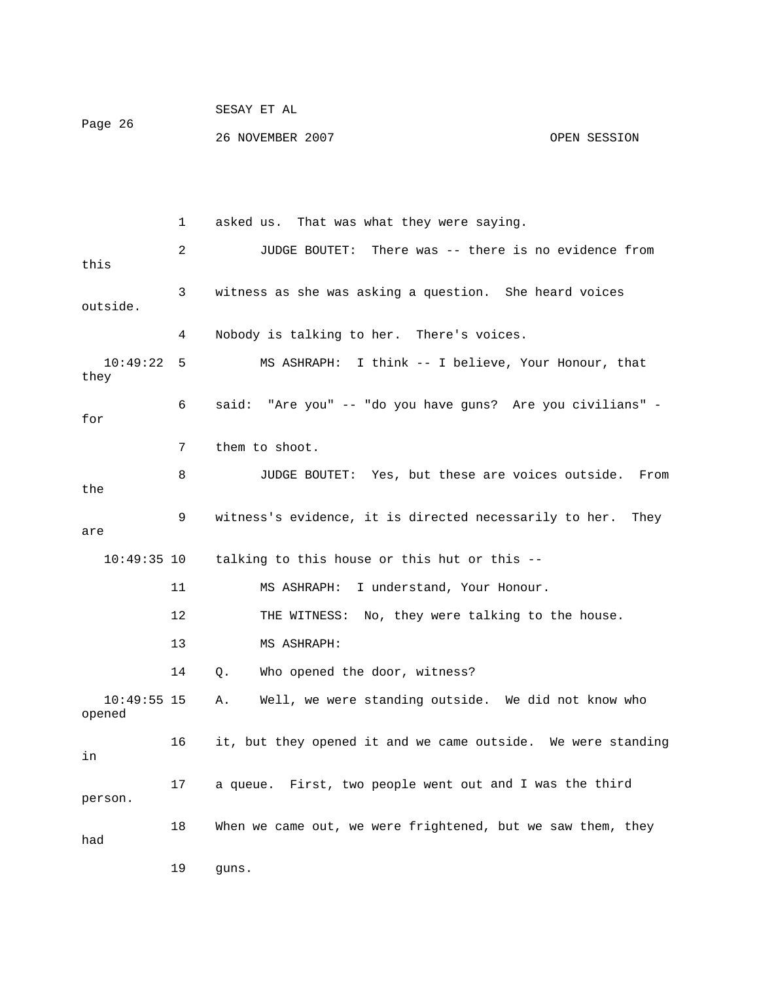| Page 26 | SESAY ET AL      |              |
|---------|------------------|--------------|
|         | 26 NOVEMBER 2007 | OPEN SESSION |

this 3 witness as she was asking a question. She heard voices outside. " - 6 said: "Are you" -- "do you have guns? Are you civilians 8 JUDGE BOUTET: Yes, but these are voices outside. From 10:49:35 10 talking to this house or this hut or this -- 12 THE WITNESS: No, they were talking to the house. 13 MS ASHRAPH: 10:49:55 15 A. Well, we were standing outside. We did not know who opened 16 it, but they opened it and we came outside. We were standing 17 a queue. First, two people went out and I was the third person. 1 asked us. That was what they were saying. 2 JUDGE BOUTET: There was -- there is no evidence from 4 Nobody is talking to her. There's voices. 10:49:22 5 MS ASHRAPH: I think -- I believe, Your Honour, that they for 7 them to shoot. the 9 witness's evidence, it is directed necessarily to her. They are 11 MS ASHRAPH: I understand, Your Honour. 14 Q. Who opened the door, witness? in 18 When we came out, we were frightened, but we saw them, they had 19 guns.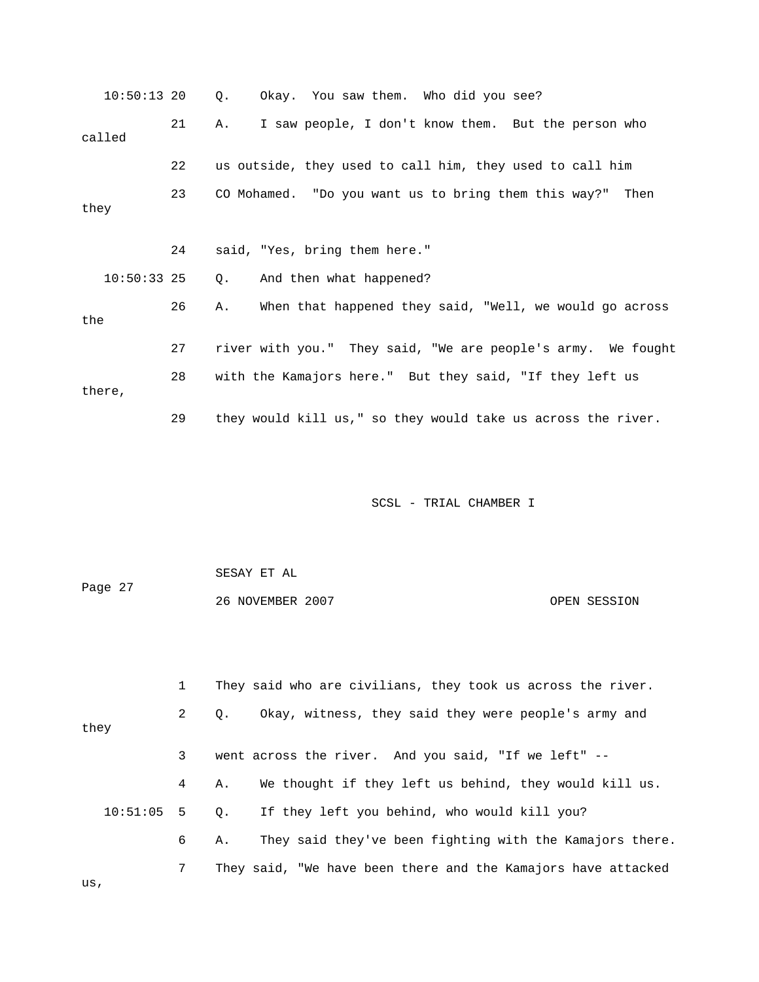|        | $10:50:13$ 20 |    | 0. |  | Okay. You saw them. Who did you see?                     |                        |  |                                                              |  |
|--------|---------------|----|----|--|----------------------------------------------------------|------------------------|--|--------------------------------------------------------------|--|
| called |               | 21 | Α. |  | I saw people, I don't know them. But the person who      |                        |  |                                                              |  |
|        |               | 22 |    |  | us outside, they used to call him, they used to call him |                        |  |                                                              |  |
| they   |               | 23 |    |  | CO Mohamed. "Do you want us to bring them this way?"     |                        |  | Then                                                         |  |
|        |               | 24 |    |  | said, "Yes, bring them here."                            |                        |  |                                                              |  |
|        | $10:50:33$ 25 |    | О. |  | And then what happened?                                  |                        |  |                                                              |  |
| the    |               | 26 | Α. |  |                                                          |                        |  | When that happened they said, "Well, we would go across      |  |
|        |               | 27 |    |  |                                                          |                        |  | river with you." They said, "We are people's army. We fought |  |
| there, |               | 28 |    |  | with the Kamajors here." But they said, "If they left us |                        |  |                                                              |  |
|        |               | 29 |    |  |                                                          |                        |  | they would kill us," so they would take us across the river. |  |
|        |               |    |    |  |                                                          |                        |  |                                                              |  |
|        |               |    |    |  |                                                          | SCSL - TRIAL CHAMBER I |  |                                                              |  |

|         | SESAY ET AL      |              |
|---------|------------------|--------------|
| Page 27 |                  |              |
|         | 26 NOVEMBER 2007 | OPEN SESSION |

|      |              | They said who are civilians, they took us across the river.    |
|------|--------------|----------------------------------------------------------------|
| they | $\mathbf{2}$ | Okay, witness, they said they were people's army and<br>0.     |
|      | 3            | went across the river. And you said, "If we left" --           |
|      | 4            | We thought if they left us behind, they would kill us.<br>А.   |
|      |              | 10:51:05 5 0. If they left you behind, who would kill you?     |
|      | 6            | They said they've been fighting with the Kamajors there.<br>А. |
|      | $7\degree$   | They said, "We have been there and the Kamajors have attacked  |
| us,  |              |                                                                |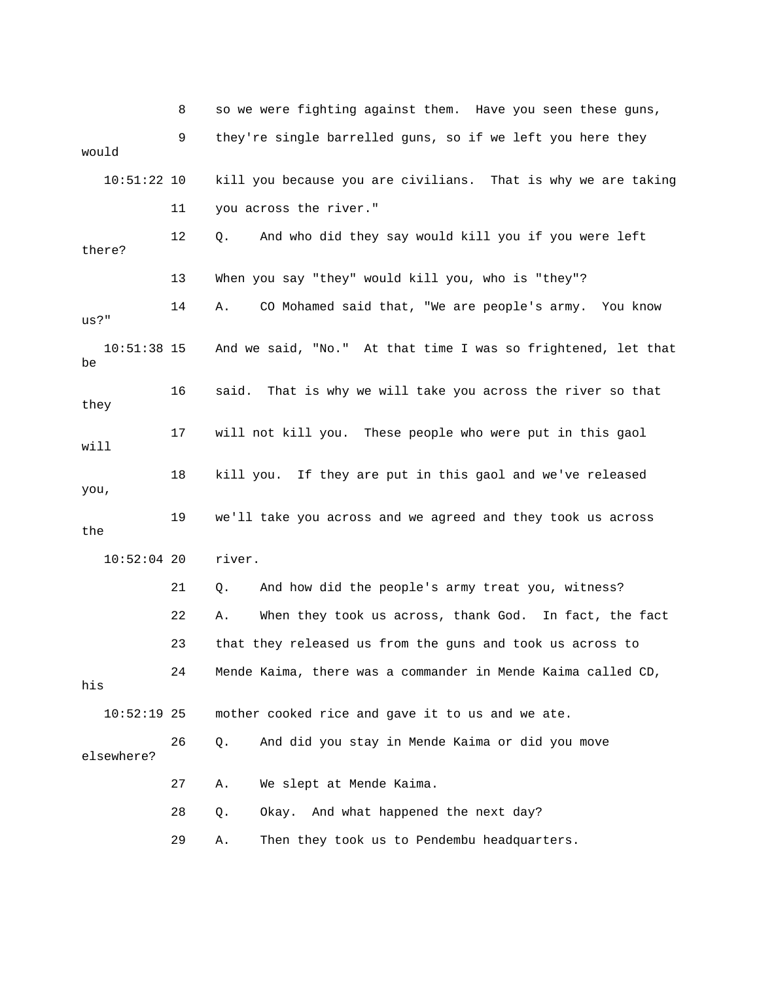8 so we were fighting against them. Have you seen th ese guns, 9 they're single barrelled guns, so if we left you he re they 11 you across the river." 14 A. CO Mohamed said that, "We are people's army. You know 10:51:38 15 And we said, "No." At that time I was so frightened, let that 16 said. That is why we will take you across the river so that 17 will not kill you. These people who were put in this gaol 18 kill you. If they are put in this gaol and we've released , you 19 we'll take you across and we agreed and they took us across 52:04 20 river. 10: 22 A. When they took us across, thank God. In fact, the fact 23 that they released us from the guns and took us across to 24 Mende Kaima, there was a commander in Mende Kaima called CD, his 10:52:19 25 mother cooked rice and gave it to us and we ate. 28 Q. Okay. And what happened the next day? would 10:51:22 10 kill you because you are civilians. That is why we are taking 12 Q. And who did they say would kill you if you were left there? 13 When you say "they" would kill you, who is "they"? us?" be they will the 21 Q. And how did the people's army treat you, witness? 26 Q. And did you stay in Mende Kaima or did you move elsewhere? 27 A. We slept at Mende Kaima. 29 A. Then they took us to Pendembu headquarters.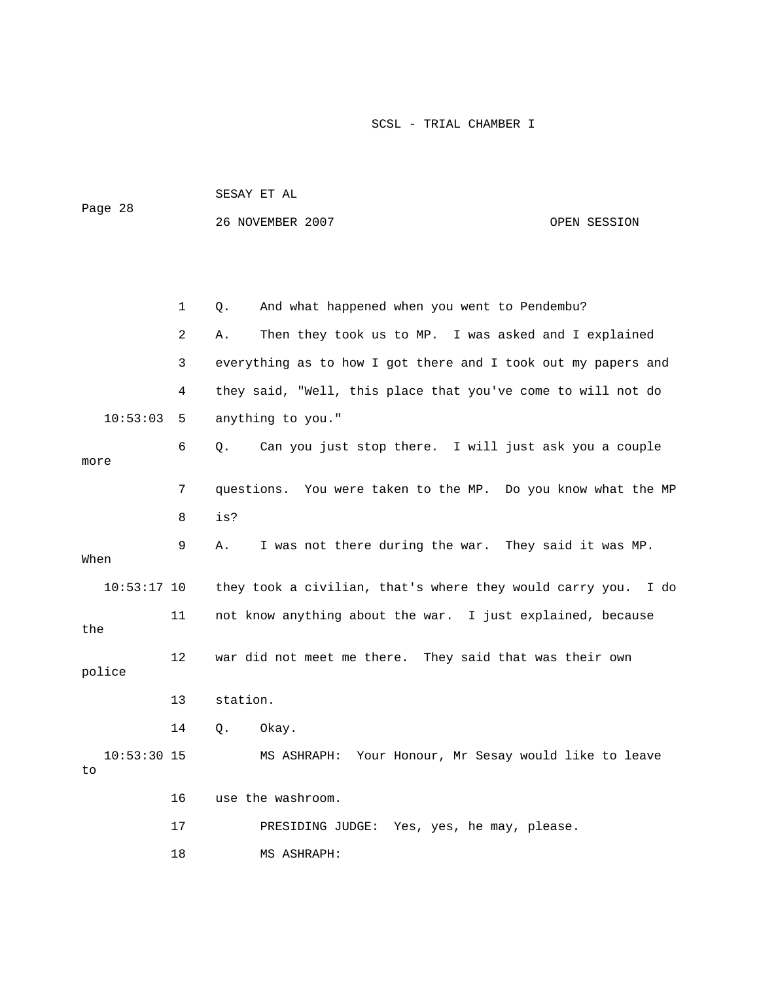| Page 28             |    | SESAY ET AL                                                   |              |  |  |  |  |  |
|---------------------|----|---------------------------------------------------------------|--------------|--|--|--|--|--|
|                     |    | 26 NOVEMBER 2007                                              | OPEN SESSION |  |  |  |  |  |
|                     |    |                                                               |              |  |  |  |  |  |
|                     |    |                                                               |              |  |  |  |  |  |
|                     | 1  | And what happened when you went to Pendembu?<br>Q.            |              |  |  |  |  |  |
|                     |    |                                                               |              |  |  |  |  |  |
|                     | 2  | Then they took us to MP. I was asked and I explained<br>Α.    |              |  |  |  |  |  |
|                     | 3  | everything as to how I got there and I took out my papers and |              |  |  |  |  |  |
|                     | 4  | they said, "Well, this place that you've come to will not do  |              |  |  |  |  |  |
| 10:53:03            | 5  | anything to you."                                             |              |  |  |  |  |  |
|                     | 6  | Can you just stop there. I will just ask you a couple<br>Q.   |              |  |  |  |  |  |
| more                |    |                                                               |              |  |  |  |  |  |
|                     | 7  | questions. You were taken to the MP. Do you know what the MP  |              |  |  |  |  |  |
|                     | 8  | is?                                                           |              |  |  |  |  |  |
| When                | 9  | I was not there during the war. They said it was MP.<br>Α.    |              |  |  |  |  |  |
| $10:53:17$ 10       |    | they took a civilian, that's where they would carry you. I do |              |  |  |  |  |  |
| the                 | 11 | not know anything about the war. I just explained, because    |              |  |  |  |  |  |
| police              | 12 | war did not meet me there. They said that was their own       |              |  |  |  |  |  |
|                     | 13 | station.                                                      |              |  |  |  |  |  |
|                     | 14 | Q.<br>Okay.                                                   |              |  |  |  |  |  |
| $10:53:30$ 15<br>to |    | MS ASHRAPH: Your Honour, Mr Sesay would like to leave         |              |  |  |  |  |  |
|                     | 16 | use the washroom.                                             |              |  |  |  |  |  |
|                     | 17 | PRESIDING JUDGE: Yes, yes, he may, please.                    |              |  |  |  |  |  |
|                     | 18 | MS ASHRAPH:                                                   |              |  |  |  |  |  |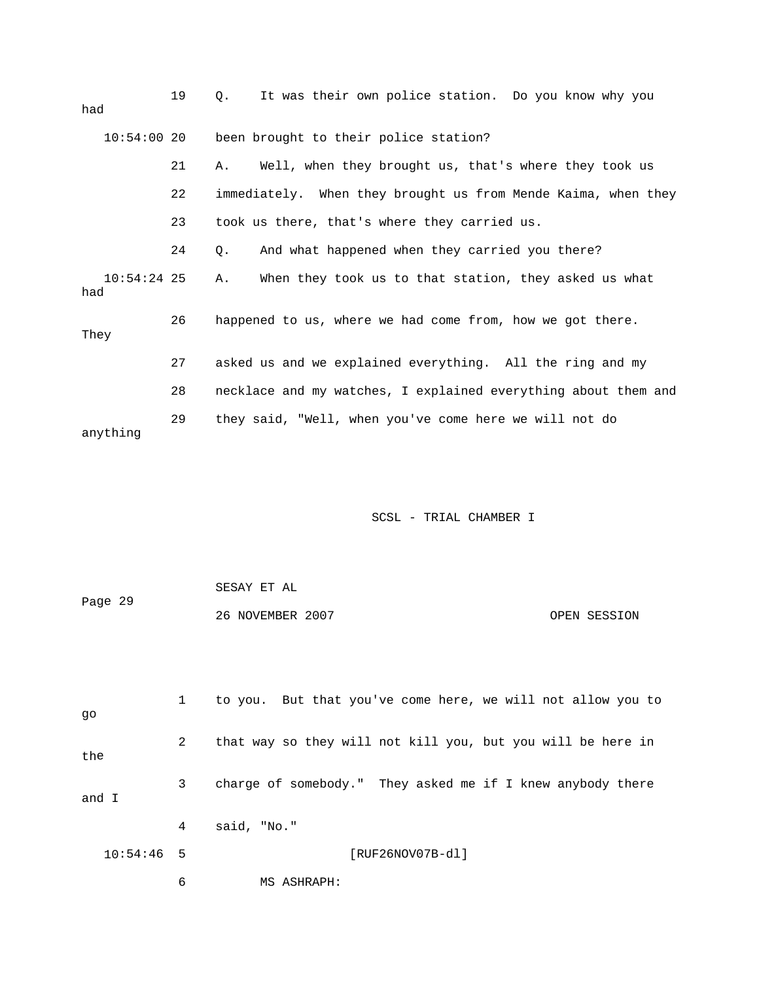| had                  | 19 | It was their own police station. Do you know why you<br>$\circ$ . |
|----------------------|----|-------------------------------------------------------------------|
| 10:54:0020           |    | been brought to their police station?                             |
|                      | 21 | Well, when they brought us, that's where they took us<br>Α.       |
|                      | 22 | immediately. When they brought us from Mende Kaima, when they     |
|                      | 23 | took us there, that's where they carried us.                      |
|                      | 24 | And what happened when they carried you there?<br>О.              |
| $10:54:24$ 25<br>had |    | When they took us to that station, they asked us what<br>Α.       |
| They                 | 26 | happened to us, where we had come from, how we got there.         |
|                      | 27 | asked us and we explained everything. All the ring and my         |
|                      | 28 | necklace and my watches, I explained everything about them and    |
| anything             | 29 | they said, "Well, when you've come here we will not do            |

|         | SESAY ET AL      |              |
|---------|------------------|--------------|
| Page 29 |                  |              |
|         | 26 NOVEMBER 2007 | OPEN SESSION |

| qo           |   | to you. But that you've come here, we will not allow you to |
|--------------|---|-------------------------------------------------------------|
| the          | 2 | that way so they will not kill you, but you will be here in |
| and I        | 3 | charge of somebody." They asked me if I knew anybody there  |
|              | 4 | said, "No."                                                 |
| $10:54:46$ 5 |   | [RUF26NOV07B-dl]                                            |

6 MS ASHRAPH: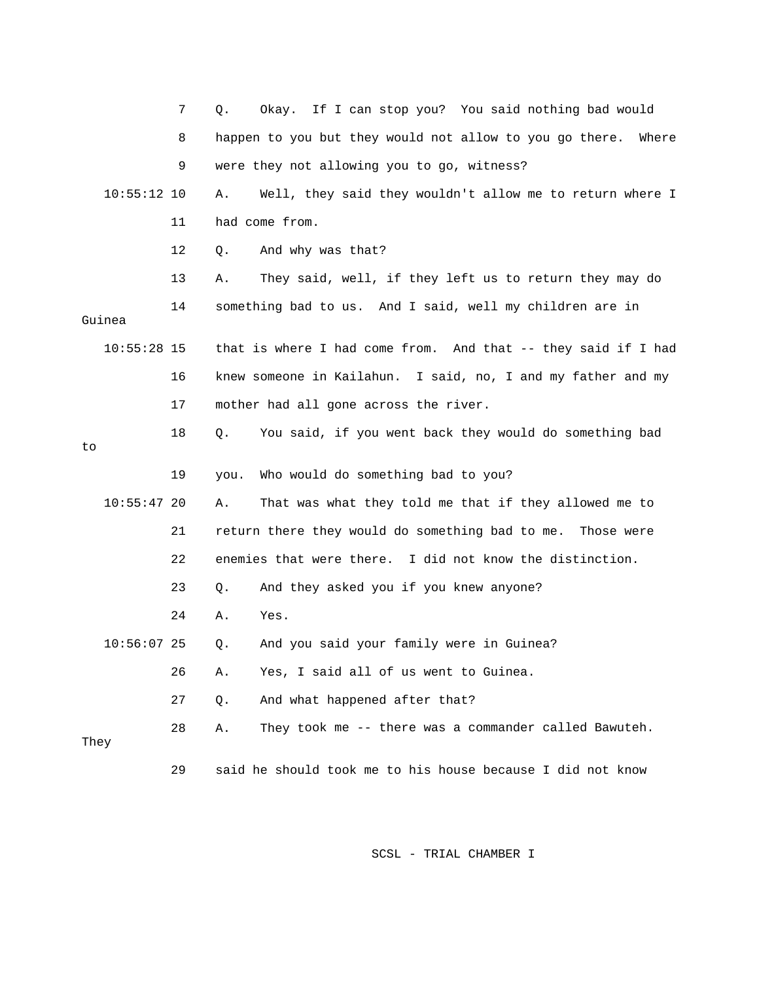|               | 7  | Okay. If I can stop you? You said nothing bad would<br>Q.        |
|---------------|----|------------------------------------------------------------------|
|               | 8  | happen to you but they would not allow to you go there.<br>Where |
|               | 9  | were they not allowing you to go, witness?                       |
| $10:55:12$ 10 |    | Well, they said they wouldn't allow me to return where I<br>Α.   |
|               | 11 | had come from.                                                   |
|               | 12 | And why was that?<br>Q.                                          |
|               | 13 | They said, well, if they left us to return they may do<br>Α.     |
| Guinea        | 14 | something bad to us. And I said, well my children are in         |
| $10:55:28$ 15 |    | that is where I had come from. And that -- they said if I had    |
|               | 16 | knew someone in Kailahun. I said, no, I and my father and my     |
|               | 17 | mother had all gone across the river.                            |
| to            | 18 | You said, if you went back they would do something bad<br>Q.     |
|               | 19 | Who would do something bad to you?<br>you.                       |
| 10:55:4720    |    | That was what they told me that if they allowed me to<br>Α.      |
|               | 21 | return there they would do something bad to me. Those were       |
|               | 22 | enemies that were there. I did not know the distinction.         |
|               | 23 | And they asked you if you knew anyone?<br>Q.                     |
|               | 24 | Α.<br>Yes.                                                       |
| $10:56:07$ 25 |    | And you said your family were in Guinea?<br>Q.                   |
|               | 26 | Yes, I said all of us went to Guinea.<br>Α.                      |
|               | 27 | And what happened after that?<br>$Q$ .                           |
| They          | 28 | They took me -- there was a commander called Bawuteh.<br>Α.      |
|               | 29 | said he should took me to his house because I did not know       |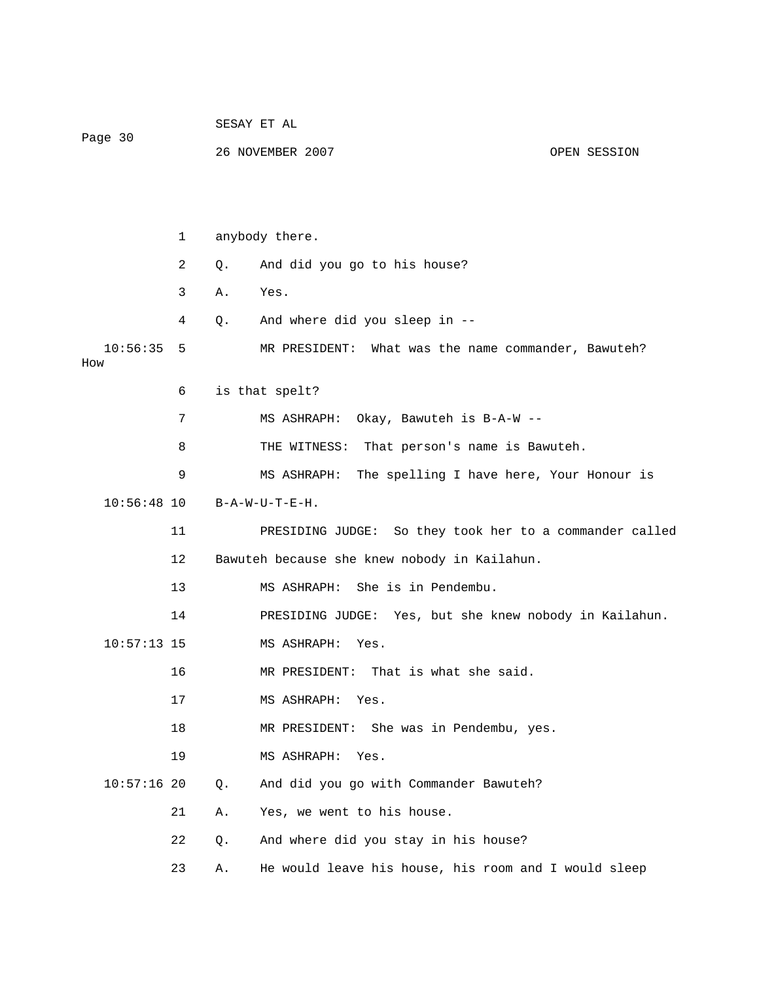| Page 30         |    | SESAY ET AL |                                                         |  |              |  |  |  |
|-----------------|----|-------------|---------------------------------------------------------|--|--------------|--|--|--|
|                 |    |             | 26 NOVEMBER 2007                                        |  | OPEN SESSION |  |  |  |
|                 |    |             |                                                         |  |              |  |  |  |
|                 |    |             |                                                         |  |              |  |  |  |
|                 | 1  |             | anybody there.                                          |  |              |  |  |  |
|                 | 2  | Q.          | And did you go to his house?                            |  |              |  |  |  |
|                 | 3  | Α.          | Yes.                                                    |  |              |  |  |  |
|                 | 4  | Q.          | And where did you sleep in --                           |  |              |  |  |  |
| 10:56:35<br>How | 5  |             | MR PRESIDENT: What was the name commander, Bawuteh?     |  |              |  |  |  |
|                 | 6  |             | is that spelt?                                          |  |              |  |  |  |
|                 | 7  |             | Okay, Bawuteh is B-A-W --<br>MS ASHRAPH:                |  |              |  |  |  |
|                 | 8  |             | THE WITNESS: That person's name is Bawuteh.             |  |              |  |  |  |
|                 | 9  |             | MS ASHRAPH:<br>The spelling I have here, Your Honour is |  |              |  |  |  |
| $10:56:48$ 10   |    |             | $B - A - W - U - T - E - H$ .                           |  |              |  |  |  |
|                 | 11 |             | PRESIDING JUDGE: So they took her to a commander called |  |              |  |  |  |
|                 | 12 |             | Bawuteh because she knew nobody in Kailahun.            |  |              |  |  |  |
|                 | 13 |             | She is in Pendembu.<br>MS ASHRAPH:                      |  |              |  |  |  |
|                 | 14 |             | PRESIDING JUDGE: Yes, but she knew nobody in Kailahun.  |  |              |  |  |  |
| $10:57:13$ 15   |    |             | MS ASHRAPH:<br>Yes.                                     |  |              |  |  |  |
|                 | 16 |             | MR PRESIDENT: That is what she said.                    |  |              |  |  |  |
|                 | 17 |             | MS ASHRAPH: Yes.                                        |  |              |  |  |  |
|                 | 18 |             | She was in Pendembu, yes.<br>MR PRESIDENT:              |  |              |  |  |  |
|                 | 19 |             | MS ASHRAPH:<br>Yes.                                     |  |              |  |  |  |
| $10:57:16$ 20   |    | Q.          | And did you go with Commander Bawuteh?                  |  |              |  |  |  |
|                 | 21 | Α.          | Yes, we went to his house.                              |  |              |  |  |  |
|                 | 22 | Q.          | And where did you stay in his house?                    |  |              |  |  |  |
|                 | 23 | Α.          | He would leave his house, his room and I would sleep    |  |              |  |  |  |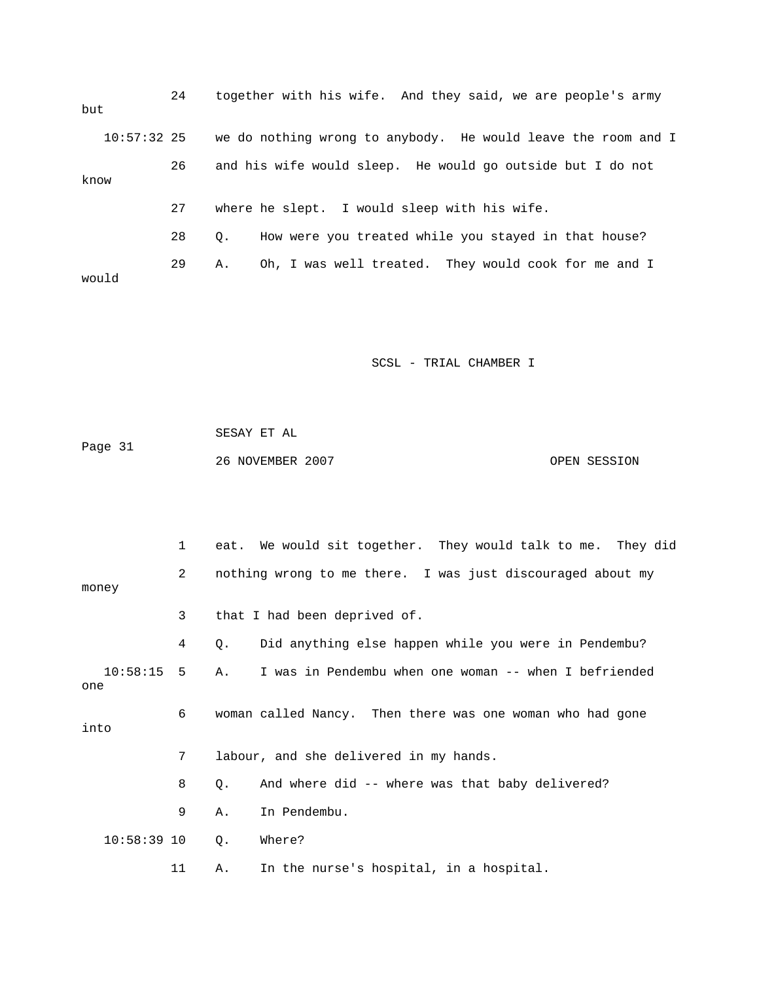| but           | 24 | together with his wife. And they said, we are people's army   |
|---------------|----|---------------------------------------------------------------|
| $10:57:32$ 25 |    | we do nothing wrong to anybody. He would leave the room and I |
| know          | 26 | and his wife would sleep. He would go outside but I do not    |
|               | 27 | where he slept. I would sleep with his wife.                  |
|               | 28 | How were you treated while you stayed in that house?<br>0.    |
| would         | 29 | Oh, I was well treated. They would cook for me and I<br>Α.    |

 SESAY ET AL Page 31 26 NOVEMBER 2007 OPEN SESSION

1 eat. We would sit together. They would talk to me. They did money 3 that I had been deprived of. 4 Q. Did anything else happen while you were in Pendembu? 10:58:15 5 A. I was in Pendembu when one woman -- when I befriended 6 woman called Nancy. Then there was one woman who had gone 9 A. In Pendembu. 58:39 10 Q. Where? 10: 11 A. In the nurse's hospital, in a hospital. 2 nothing wrong to me there. I was just discouraged about my one into 7 labour, and she delivered in my hands. 8 Q. And where did -- where was that baby delivered?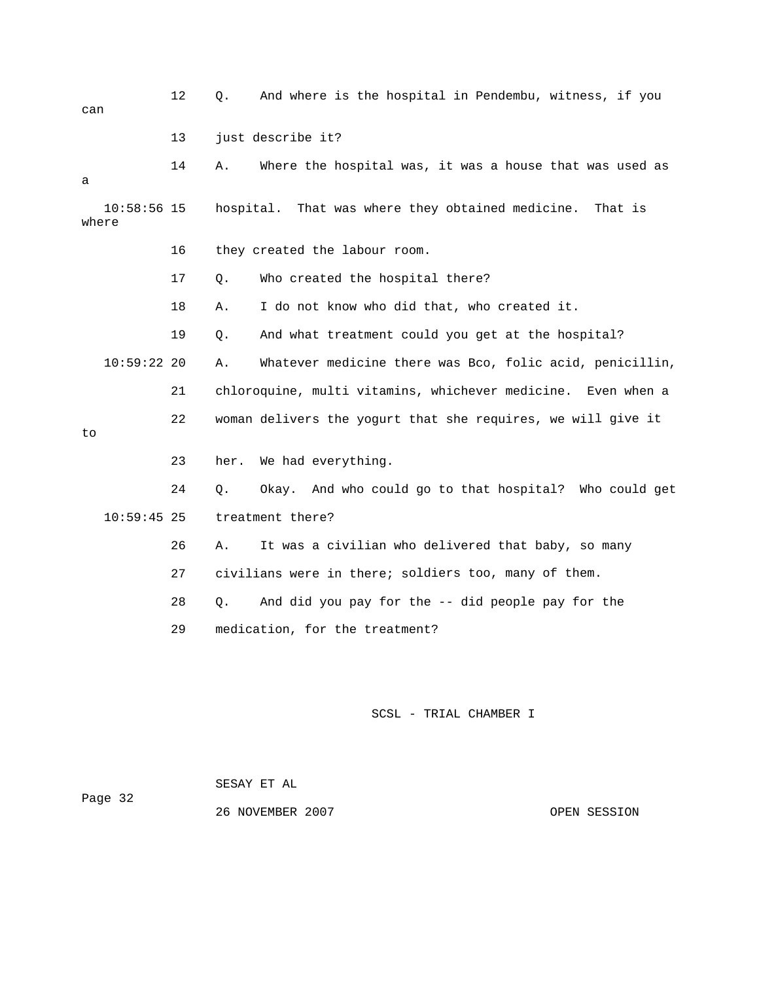| can   |               | 12 | Q.   | And where is the hospital in Pendembu, witness, if you       |
|-------|---------------|----|------|--------------------------------------------------------------|
|       |               | 13 |      | just describe it?                                            |
| а     |               | 14 | Α.   | Where the hospital was, it was a house that was used as      |
| where | $10:58:56$ 15 |    |      | hospital. That was where they obtained medicine.<br>That is  |
|       |               | 16 |      | they created the labour room.                                |
|       |               | 17 | Q.   | Who created the hospital there?                              |
|       |               | 18 | Α.   | I do not know who did that, who created it.                  |
|       |               | 19 | Q.   | And what treatment could you get at the hospital?            |
|       | 10:59:2220    |    | Α.   | Whatever medicine there was Bco, folic acid, penicillin,     |
|       |               | 21 |      | chloroquine, multi vitamins, whichever medicine. Even when a |
| to    |               | 22 |      | woman delivers the yogurt that she requires, we will give it |
|       |               | 23 | her. | We had everything.                                           |
|       |               | 24 | О.   | And who could go to that hospital? Who could get<br>Okay.    |
|       | $10:59:45$ 25 |    |      | treatment there?                                             |
|       |               | 26 | Α.   | It was a civilian who delivered that baby, so many           |
|       |               | 27 |      | civilians were in there; soldiers too, many of them.         |
|       |               | 28 | Q.   | And did you pay for the -- did people pay for the            |
|       |               | 29 |      | medication, for the treatment?                               |
|       |               |    |      |                                                              |
|       |               |    |      |                                                              |

SESAY ET AL

ge 32 Pa

26 NOVEMBER 2007 COPEN SESSION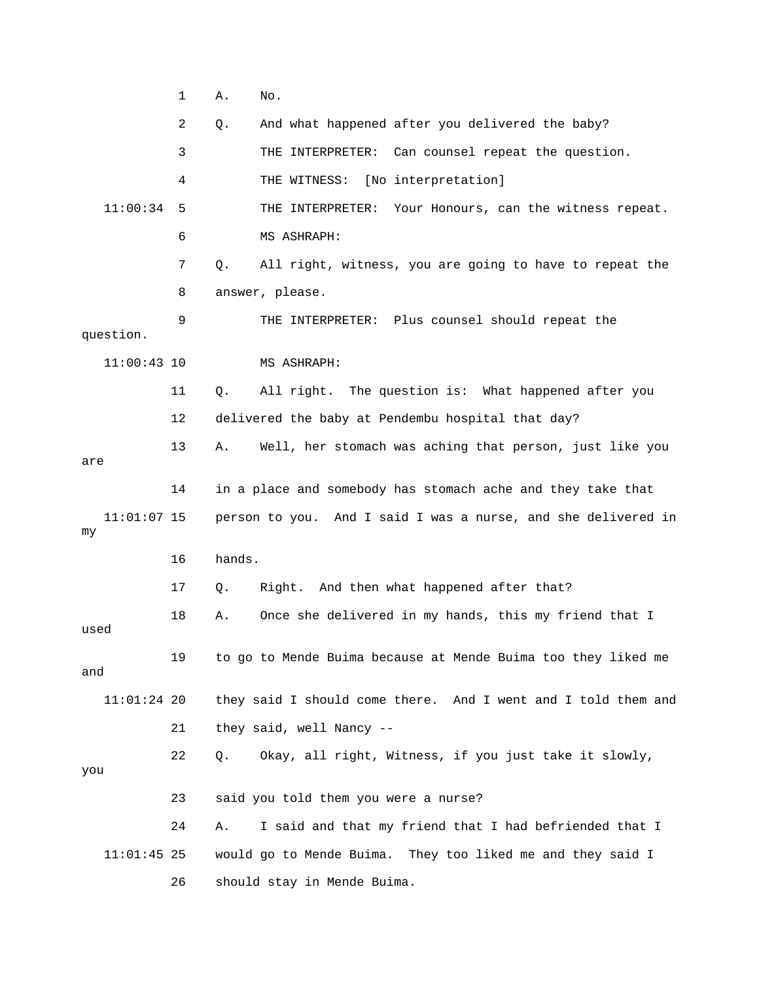1 A. No. 2 Q. And what happened after you delivered the baby? 3 THE INTERPRETER: Can counsel repeat the question. 4 THE WITNESS: [No interpretation] THE INTERPRETER: Your Honours, can the witness repeat. 7 Q. All right, witness, you are going to have to repeat the question. 11 Q. All right. The question is: What happened after you 12 delivered the baby at Pendembu hospital that day? 13 A. Well, her stomach was aching that person, just like you are 14 in a place and somebody has stomach ache and they take that 11:01:07 15 person to you. And I said I was a nurse, and she delivered in 17 Q. Right. And then what happened after that? 19 to go to Mende Buima because at Mende Buima too they liked me  $11:01:24$  20 they said I should come there. And I went and I told them and 22 Q. Okay, all right, Witness, if you just take it slowly, 23 said you told them you were a nurse? 11:01:45 25 would go to Mende Buima. They too liked me and they said I 26 should stay in Mende Buima.  $11:00:34$  5 6 MS ASHRAPH: 8 answer, please. 9 THE INTERPRETER: Plus counsel should repeat the 11:00:43 10 MS ASHRAPH: my 16 hands. 18 A. Once she delivered in my hands, this my friend that I used and 21 they said, well Nancy - you 24 A. I said and that my friend that I had befriended that I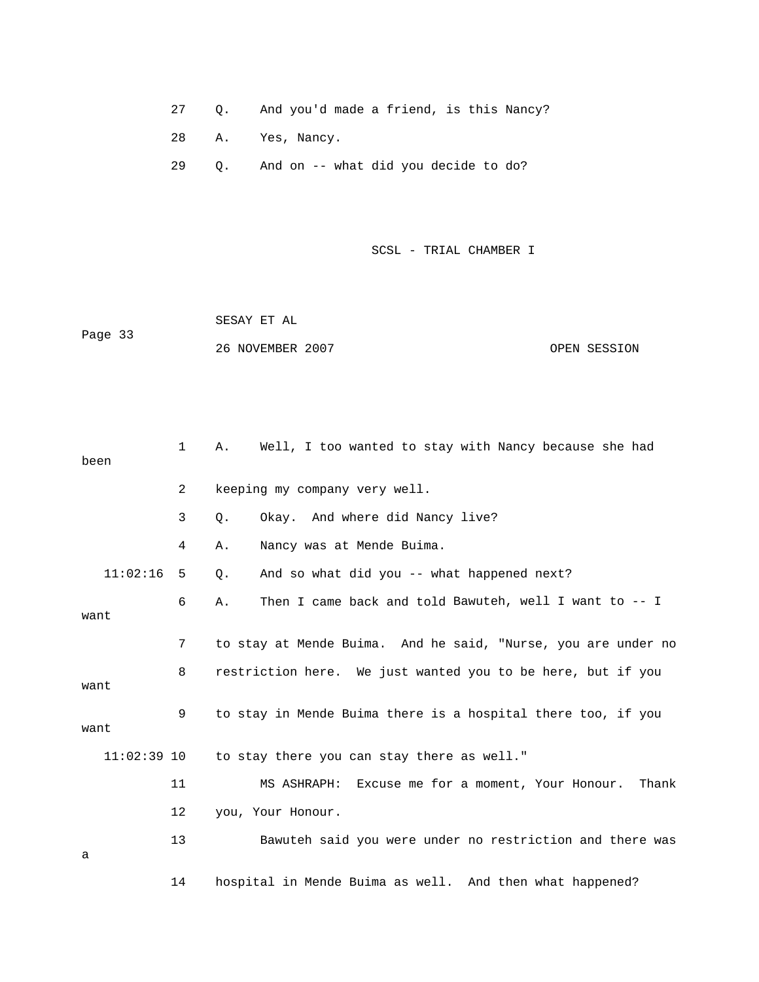- 27 Q. And you'd made a friend, is this Nancy?
- 28 A. Yes, Nancy.
- 29 Q. And on -- what did you decide to do?

 SESAY ET AL ge 33 26 NOVEMBER 2007 OPEN SESSION Pa

| been          | $\mathbf{1}$ | Well, I too wanted to stay with Nancy because she had<br>Α.   |
|---------------|--------------|---------------------------------------------------------------|
|               | 2            | keeping my company very well.                                 |
|               | 3            | Okay. And where did Nancy live?<br>Q.                         |
|               | 4            | Nancy was at Mende Buima.<br>Α.                               |
| 11:02:16      | 5            | And so what did you -- what happened next?<br>Q.              |
| want          | 6            | Then I came back and told Bawuteh, well I want to -- I<br>Α.  |
|               | 7            | to stay at Mende Buima. And he said, "Nurse, you are under no |
| want          | 8            | restriction here. We just wanted you to be here, but if you   |
| want          | 9            | to stay in Mende Buima there is a hospital there too, if you  |
| $11:02:39$ 10 |              | to stay there you can stay there as well."                    |
|               | 11           | MS ASHRAPH: Excuse me for a moment, Your Honour.<br>Thank     |
|               | 12           | you, Your Honour.                                             |
| a             | 13           | Bawuteh said you were under no restriction and there was      |
|               | 14           | hospital in Mende Buima as well. And then what happened?      |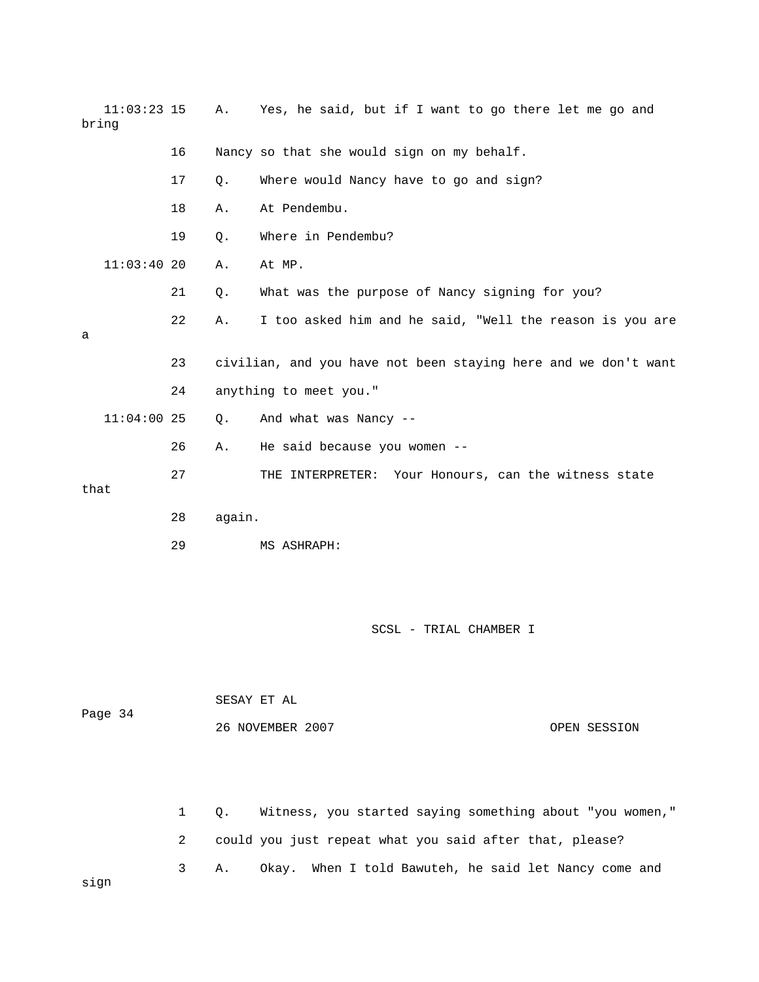| $11:03:23$ 15<br>bring |    | Α.     | Yes, he said, but if I want to go there let me go and          |
|------------------------|----|--------|----------------------------------------------------------------|
|                        | 16 |        | Nancy so that she would sign on my behalf.                     |
|                        | 17 | Q.     | Where would Nancy have to go and sign?                         |
|                        | 18 | Α.     | At Pendembu.                                                   |
|                        | 19 | Q.     | Where in Pendembu?                                             |
| 11:03:4020             |    | Α.     | At MP.                                                         |
|                        | 21 | Q.     | What was the purpose of Nancy signing for you?                 |
| a                      | 22 | Α.     | I too asked him and he said, "Well the reason is you are       |
|                        | 23 |        | civilian, and you have not been staying here and we don't want |
|                        | 24 |        | anything to meet you."                                         |
| $11:04:00$ 25          |    | Q.     | And what was Nancy --                                          |
|                        | 26 | Α.     | He said because you women --                                   |
| that                   | 27 |        | THE INTERPRETER: Your Honours, can the witness state           |
|                        | 28 | again. |                                                                |
|                        | 29 |        | MS ASHRAPH:                                                    |
|                        |    |        |                                                                |
|                        |    |        | SCSL - TRIAL CHAMBER I                                         |

| $-0.9$ $-1$ |              |           | 26 NOVEMBER 2007<br>OPEN SESSION                         |
|-------------|--------------|-----------|----------------------------------------------------------|
|             |              |           |                                                          |
|             |              |           |                                                          |
|             | $\mathbf{1}$ | $\circ$ . | Witness, you started saying something about "you women," |
|             | 2            |           | could you just repeat what you said after that, please?  |
| sign        | 3            | Α.        | Okay. When I told Bawuteh, he said let Nancy come and    |

SESAY ET AL

Page 34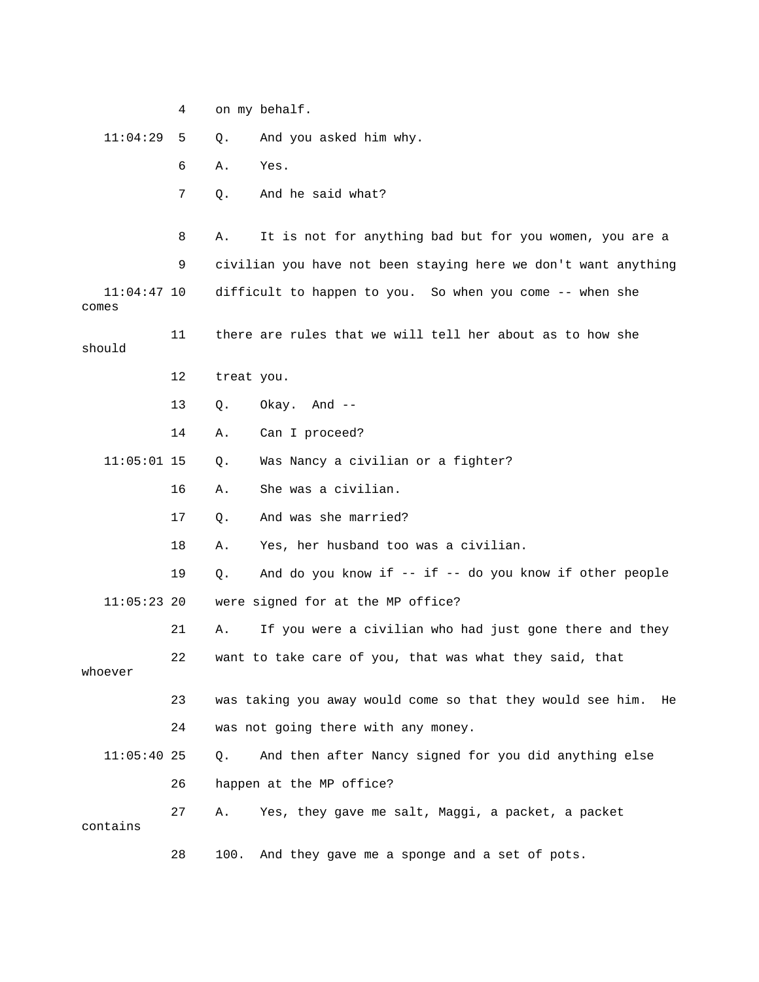|                        | 4  |            | on my behalf.                                                    |
|------------------------|----|------------|------------------------------------------------------------------|
| 11:04:29               | 5  | Q.         | And you asked him why.                                           |
|                        | 6  | Α.         | Yes.                                                             |
|                        | 7  | Q.         | And he said what?                                                |
|                        | 8  | Α.         | It is not for anything bad but for you women, you are a          |
|                        | 9  |            | civilian you have not been staying here we don't want anything   |
| $11:04:47$ 10<br>comes |    |            | difficult to happen to you. So when you come -- when she         |
| should                 | 11 |            | there are rules that we will tell her about as to how she        |
|                        | 12 | treat you. |                                                                  |
|                        | 13 | Q.         | Okay. And --                                                     |
|                        | 14 | Α.         | Can I proceed?                                                   |
| $11:05:01$ 15          |    | Q.         | Was Nancy a civilian or a fighter?                               |
|                        | 16 | Α.         | She was a civilian.                                              |
|                        | 17 | Q.         | And was she married?                                             |
|                        | 18 | Α.         | Yes, her husband too was a civilian.                             |
|                        | 19 | Q.         | And do you know if $--$ if $--$ do you know if other people      |
| $11:05:23$ 20          |    |            | were signed for at the MP office?                                |
|                        | 21 | Α.         | If you were a civilian who had just gone there and they          |
| whoever                | 22 |            | want to take care of you, that was what they said, that          |
|                        | 23 |            | was taking you away would come so that they would see him.<br>He |
|                        | 24 |            | was not going there with any money.                              |
| $11:05:40$ 25          |    | Q.         | And then after Nancy signed for you did anything else            |
|                        | 26 |            | happen at the MP office?                                         |
| contains               | 27 | Α.         | Yes, they gave me salt, Maggi, a packet, a packet                |
|                        | 28 | 100.       | And they gave me a sponge and a set of pots.                     |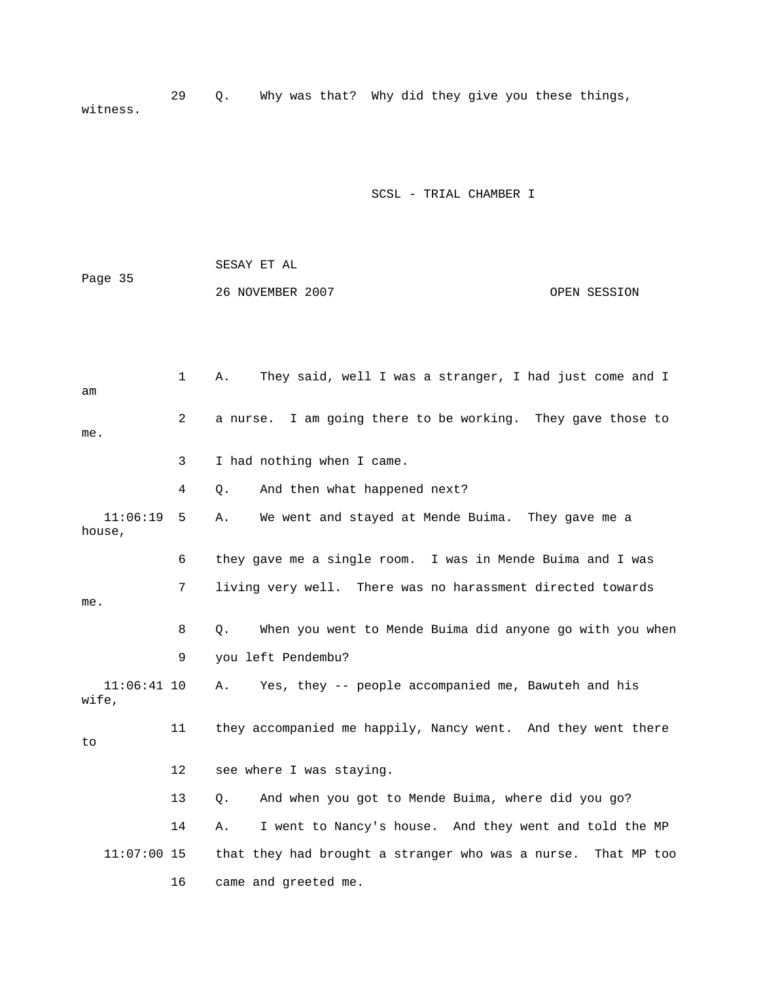29 Q. Why was that? Why did they give you these things, witness.

### SCSL - TRIAL CHAMBER I

|         | SESAY ET AL      |              |
|---------|------------------|--------------|
| Page 35 |                  |              |
|         | 26 NOVEMBER 2007 | OPEN SESSION |

 1 A. They said, well I was a stranger, I had just come and I 2 a nurse. I am going there to be working. They gave those to 3 I had nothing when I came. 4 Q. And then what happened next? 7 living very well. There was no harassment directed towards 8 Q. When you went to Mende Buima did anyone go with you when 11:06:41 10 A. Yes, they -- people accompanied me, Bawuteh and his 13 Q. And when you got to Mende Buima, where did you go? 14 A. I went to Nancy's house. And they went and told the MP 11:07:00 15 that they had brought a stranger who was a nurse. That MP too 16 came and greeted me. am me. 11:06:19 5 A. We went and stayed at Mende Buima. They gave me a house, 6 they gave me a single room. I was in Mende Buima and I was me. 9 you left Pendembu? wife, 11 they accompanied me happily, Nancy went. And they went there to 12 see where I was staying.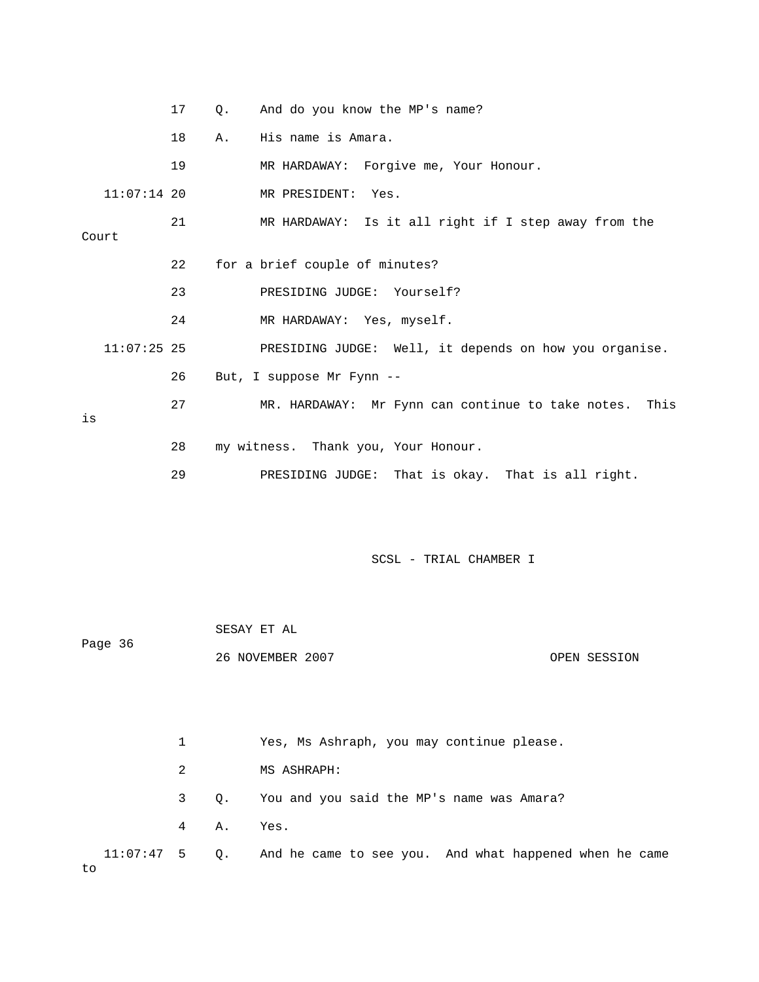|       |               | 17 | О.                                                     | And do you know the MP's name?                         |
|-------|---------------|----|--------------------------------------------------------|--------------------------------------------------------|
|       |               | 18 | Α.                                                     | His name is Amara.                                     |
|       |               | 19 |                                                        | MR HARDAWAY: Forgive me, Your Honour.                  |
|       | $11:07:14$ 20 |    |                                                        | MR PRESIDENT: Yes.                                     |
| Court |               | 21 |                                                        | MR HARDAWAY: Is it all right if I step away from the   |
|       |               | 22 |                                                        | for a brief couple of minutes?                         |
|       |               | 23 |                                                        | PRESIDING JUDGE: Yourself?                             |
|       |               | 24 |                                                        | MR HARDAWAY: Yes, myself.                              |
|       | $11:07:25$ 25 |    |                                                        | PRESIDING JUDGE: Well, it depends on how you organise. |
| is    | 26            |    | But, I suppose Mr Fynn --                              |                                                        |
|       | 27            |    | MR. HARDAWAY: Mr Fynn can continue to take notes. This |                                                        |
|       |               |    |                                                        |                                                        |
|       |               | 28 |                                                        | my witness. Thank you, Your Honour.                    |
|       |               | 29 |                                                        | That is okay. That is all right.<br>PRESIDING JUDGE:   |

| Page 36 | SESAY ET AL      |  |              |  |  |  |  |
|---------|------------------|--|--------------|--|--|--|--|
|         | 26 NOVEMBER 2007 |  | OPEN SESSION |  |  |  |  |
|         |                  |  |              |  |  |  |  |

 1 Yes, Ms Ashraph, you may continue please. 2 MS ASHRAPH: 3 Q. You and you said the MP's name was Amara? 11:07:47 5 Q. And he came to see you. And what happened when he came 4 A. Yes.

to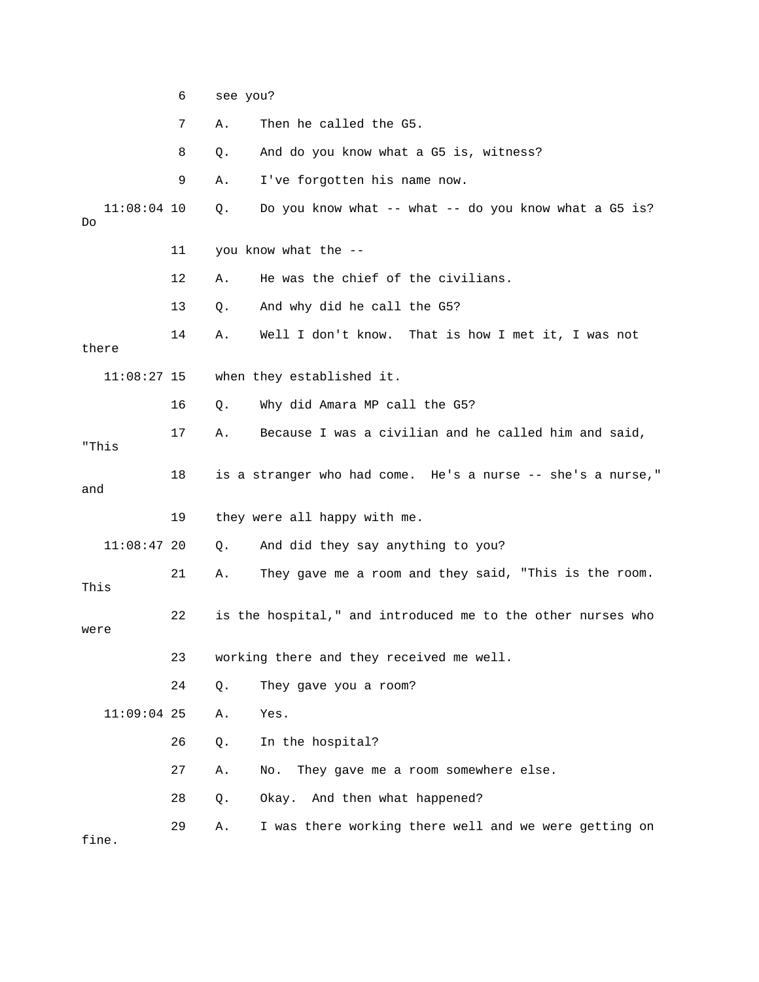|                     | 6  | see you? |                                                             |
|---------------------|----|----------|-------------------------------------------------------------|
|                     | 7  | Α.       | Then he called the G5.                                      |
|                     | 8  | Q.       | And do you know what a G5 is, witness?                      |
|                     | 9  | Α.       | I've forgotten his name now.                                |
| $11:08:04$ 10<br>Do |    | Q.       | Do you know what -- what -- do you know what a G5 is?       |
|                     | 11 |          | you know what the --                                        |
|                     | 12 | Α.       | He was the chief of the civilians.                          |
|                     | 13 | Q.       | And why did he call the G5?                                 |
| there               | 14 | Α.       | Well I don't know. That is how I met it, I was not          |
| $11:08:27$ 15       |    |          | when they established it.                                   |
|                     | 16 | Q.       | Why did Amara MP call the G5?                               |
| "This               | 17 | Α.       | Because I was a civilian and he called him and said,        |
| and                 | 18 |          | is a stranger who had come. He's a nurse -- she's a nurse," |
|                     | 19 |          | they were all happy with me.                                |
| $11:08:47$ 20       |    | Q.       | And did they say anything to you?                           |
| This                | 21 | Α.       | They gave me a room and they said, "This is the room.       |
| were                | 22 |          | is the hospital," and introduced me to the other nurses who |
|                     | 23 |          | working there and they received me well.                    |
|                     | 24 | Q.       | They gave you a room?                                       |
| $11:09:04$ 25       |    | Α.       | Yes.                                                        |
|                     | 26 | Q.       | In the hospital?                                            |
|                     | 27 | Α.       | They gave me a room somewhere else.<br>No.                  |
|                     | 28 | Q.       | And then what happened?<br>Okay.                            |
| fine.               | 29 | Α.       | I was there working there well and we were getting on       |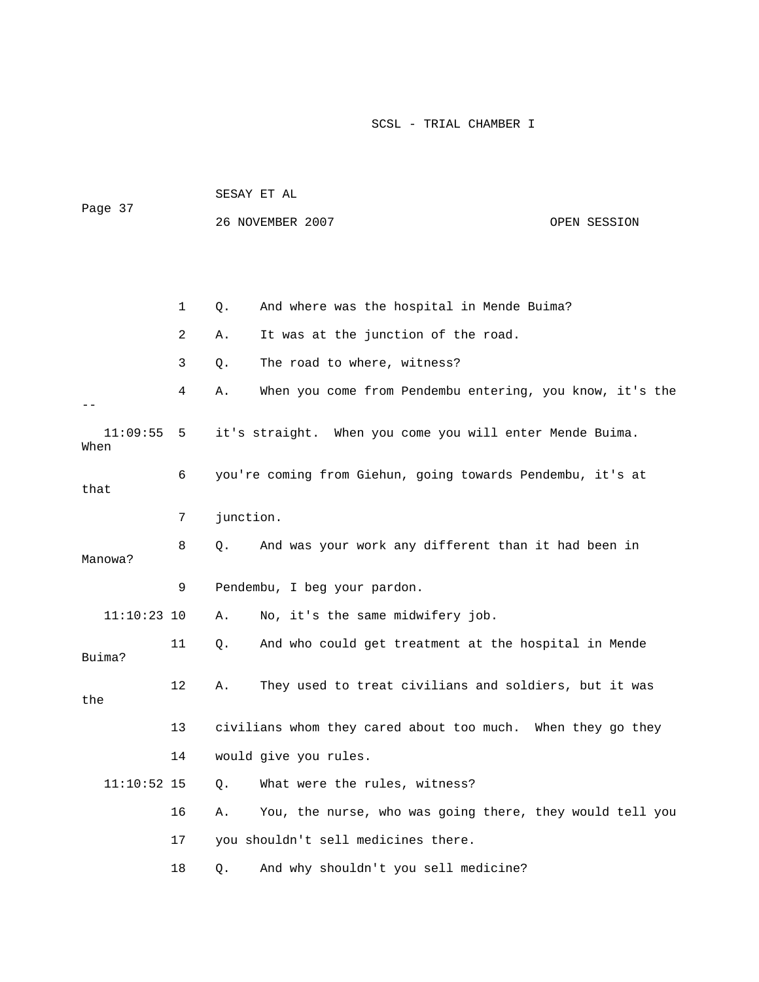|                  |    |           | 26 NOVEMBER 2007                                            | OPEN SESSION |
|------------------|----|-----------|-------------------------------------------------------------|--------------|
|                  |    |           |                                                             |              |
|                  | 1  | Q.        | And where was the hospital in Mende Buima?                  |              |
|                  | 2  | Α.        | It was at the junction of the road.                         |              |
|                  | 3  | Q.        | The road to where, witness?                                 |              |
|                  | 4  | Α.        | When you come from Pendembu entering, you know, it's the    |              |
| 11:09:55<br>When | 5  |           | it's straight. When you come you will enter Mende Buima.    |              |
| that             | 6  |           | you're coming from Giehun, going towards Pendembu, it's at  |              |
|                  | 7  | junction. |                                                             |              |
| Manowa?          | 8  | Q.        | And was your work any different than it had been in         |              |
|                  | 9  |           | Pendembu, I beg your pardon.                                |              |
| $11:10:23$ 10    |    | Α.        | No, it's the same midwifery job.                            |              |
| Buima?           | 11 | Q.        | And who could get treatment at the hospital in Mende        |              |
| the              | 12 | Α.        | They used to treat civilians and soldiers, but it was       |              |
|                  | 13 |           | civilians whom they cared about too much. When they go they |              |
|                  | 14 |           | would give you rules.                                       |              |
| $11:10:52$ 15    |    | $Q$ .     | What were the rules, witness?                               |              |
|                  | 16 | Α.        | You, the nurse, who was going there, they would tell you    |              |
|                  | 17 |           | you shouldn't sell medicines there.                         |              |
|                  | 18 | Q.        | And why shouldn't you sell medicine?                        |              |

Page 37

SESAY ET AL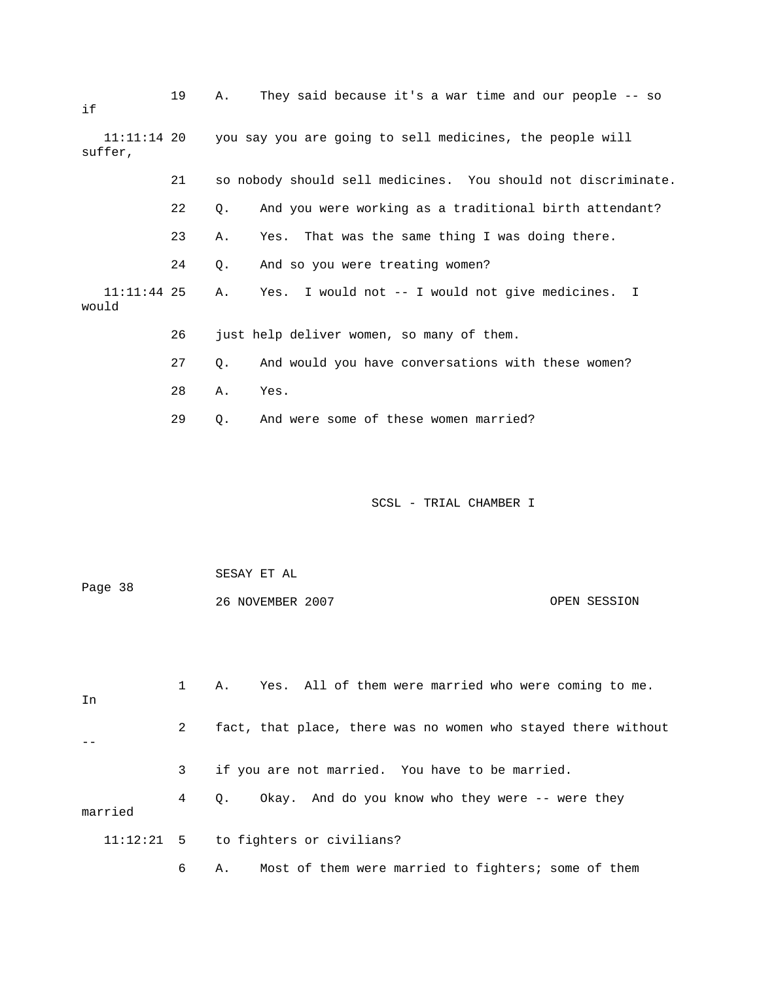| if                       | 19 | They said because it's a war time and our people -- so<br>Α.    |
|--------------------------|----|-----------------------------------------------------------------|
| $11:11:14$ 20<br>suffer, |    | you say you are going to sell medicines, the people will        |
|                          | 21 | so nobody should sell medicines. You should not discriminate.   |
|                          | 22 | And you were working as a traditional birth attendant?<br>$Q$ . |
|                          | 23 | That was the same thing I was doing there.<br>Α.<br>Yes.        |
|                          | 24 | And so you were treating women?<br>Q.                           |
| $11:11:44$ 25<br>would   |    | I would not -- I would not give medicines. I<br>Α.<br>Yes.      |
|                          | 26 | just help deliver women, so many of them.                       |
|                          | 27 | And would you have conversations with these women?<br>Q.        |
|                          | 28 | Yes.<br>Α.                                                      |
|                          | 29 | And were some of these women married?<br>Q.                     |
|                          |    | SCSL - TRIAL CHAMBER I                                          |
| Page 38                  |    | SESAY ET AL<br>26 NOVEMBER 2007<br>OPEN SESSION                 |
| In                       | 1  | Yes. All of them were married who were coming to me.<br>Α.      |
|                          | 2  | fact, that place, there was no women who stayed there without   |

married

- 11:12:21 5 to fighters or civilians?
	- 6 A. Most of them were married to fighters; some of them

4 Q. Okay. And do you know who they were -- were they

3 if you are not married. You have to be married.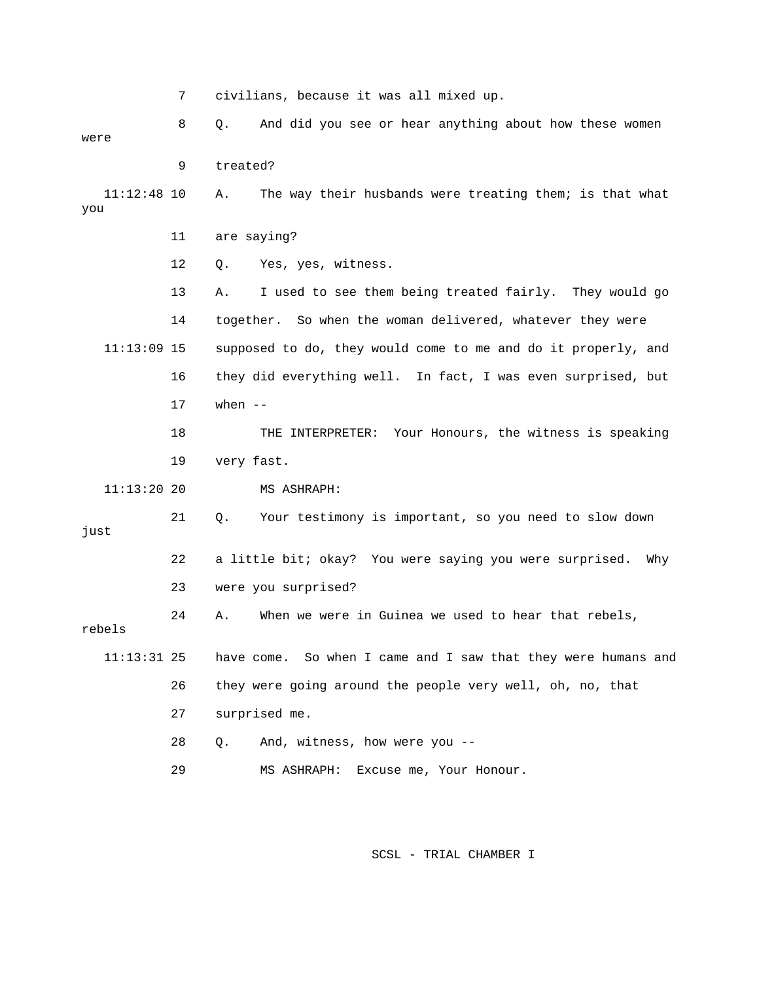7 civilians, because it was all mixed up.

 8 Q. And did you see or hear anything about how these women were 9 treated? A. The way their husbands were treating them; is that what you 12 Q. Yes, yes, witness. 13 A. I used to see them being treated fairly. They would go 14 together. So when the woman delivered, whatever they were supposed to do, they would come to me and do it properly, and 18 THE INTERPRETER: Your Honours, the witness is speaking 19 very fast. 22 a little bit; okay? You were saying you were surprised. Why 23 were you surprised? When we were in Guinea we used to hear that rebels, 11:13:31 25 have come. So when I came and I saw that they were humans and 26 they were going around the people very well, oh, no, that 28 Q. And, witness, how were you -- 29 MS ASHRAPH: Excuse me, Your Honour. 11:12: 11 are saying?  $11:13:09$  15 16 they did everything well. In fact, I was even surprised, but 17 when -- 11:13:20 20 MS ASHRAPH: 21 Q. Your testimony is important, so you need to slow down just 24 A. Wh rebels 27 surprised me.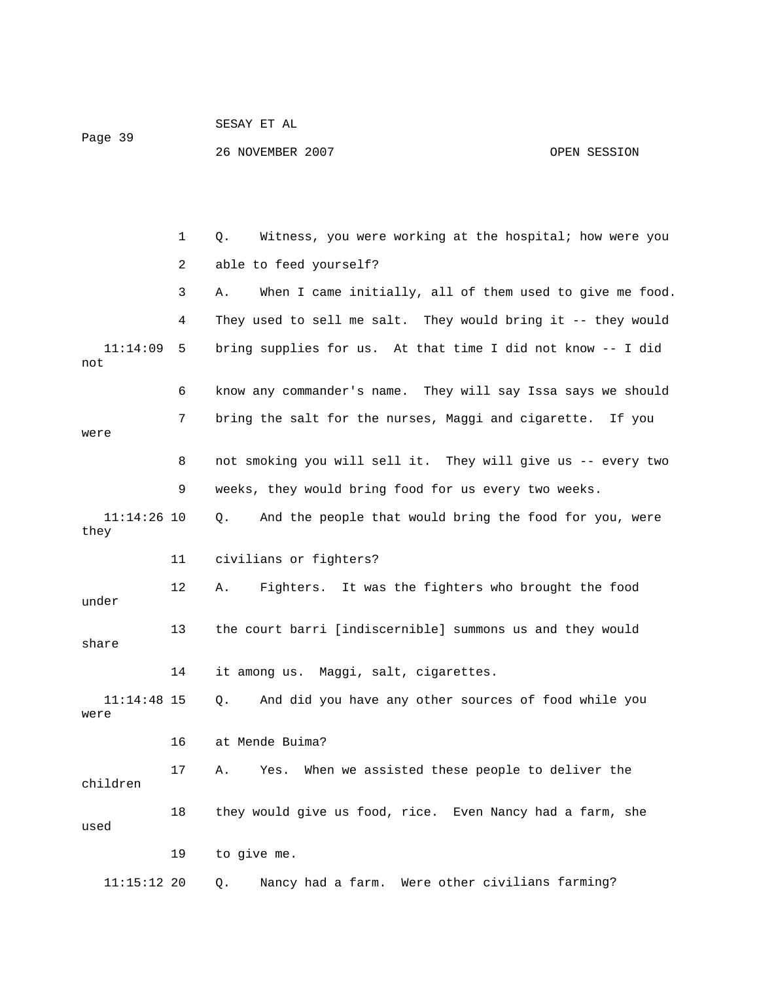1 Q. Witness, you were working at the hospital; how were you 2 able to feed yourself? 3 A. When I came initially, all of them used to give me food. 11:14:09 5 bring supplies for us. At that time I did not know -- I did not 6 know any commander's name. They will say Issa says we should 7 bring the salt for the nurses, Maggi and cigarette. If you 8 not smoking you will sell it. They will give us -- every two 11 civilians or fighters? under 13 the court barri [indiscernible] summons us and they would share 14 it among us. Maggi, salt, cigarettes. 11:14:48 15 Q. And did you have any other sources of food while you 16 at Mende Buima? 17 A. Yes. When we assisted these people to deliver the 18 they would give us food, rice. Even Nancy had a farm, she 19 to give me. 11:15:12 20 Q. Nancy had a farm. Were other civilians farming? 4 They used to sell me salt. They would bring it -- they would were 9 weeks, they would bring food for us every two weeks. 11:14:26 10 Q. And the people that would bring the food for you, were they 12 A. Fighters. It was the fighters who brought the food were children used

OPEN SESSION

SESAY ET AL

26 NOVEMBER 2007

Page 39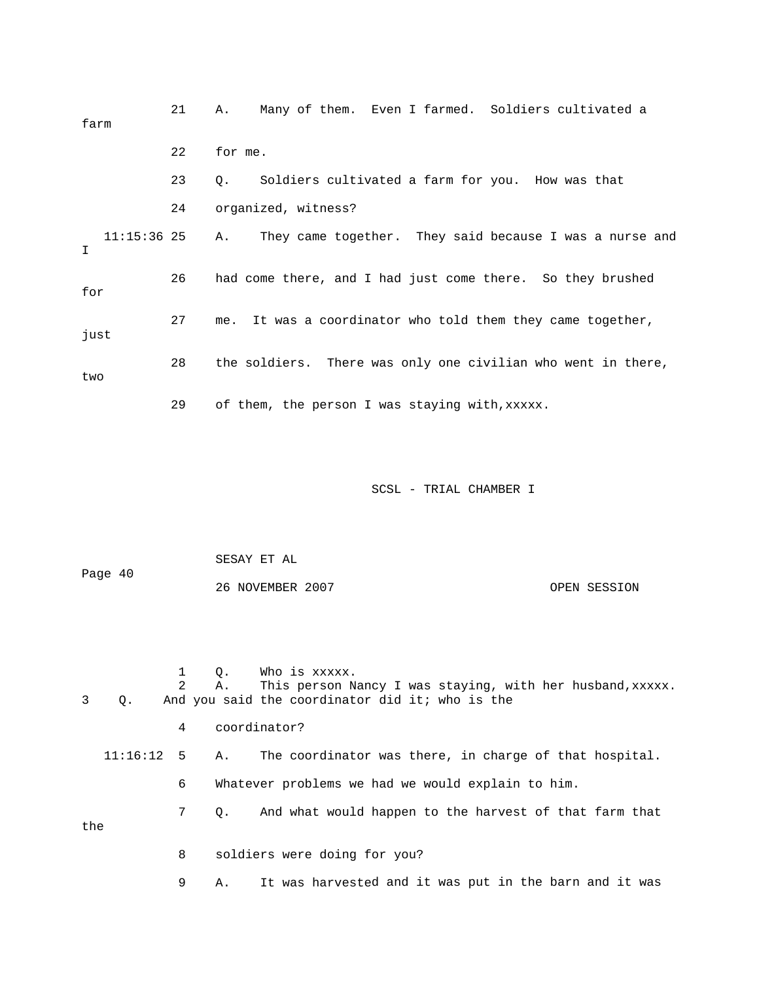| farm               | 21 | Many of them. Even I farmed. Soldiers cultivated a<br>Α.      |
|--------------------|----|---------------------------------------------------------------|
|                    | 22 | for me.                                                       |
|                    | 23 | Soldiers cultivated a farm for you. How was that<br>Q.        |
|                    | 24 | organized, witness?                                           |
| $11:15:36$ 25<br>I |    | They came together. They said because I was a nurse and<br>Α. |
| for                | 26 | had come there, and I had just come there. So they brushed    |
| just               | 27 | It was a coordinator who told them they came together,<br>me. |
| two                | 28 | the soldiers. There was only one civilian who went in there,  |
|                    | 29 | of them, the person I was staying with, xxxxx.                |
|                    |    |                                                               |

 SESAY ET AL 26 NOVEMBER 2007 OPEN SESSION Page 40

1 Q. Who is xxxxx.<br>2 A. This person N A. This person Nancy I was staying, with her husband, xxxxx. 4 coordinator? 3 Q. And you said the coordinator did it; who is the

 11:16:12 5 A. The coordinator was there, in charge of that hospital. 6 Whatever problems we had we would explain to him.

 7 Q. And what would happen to the harvest of that farm that the

8 soldiers were doing for you?

9 A. It was harvested and it was put in the barn and it was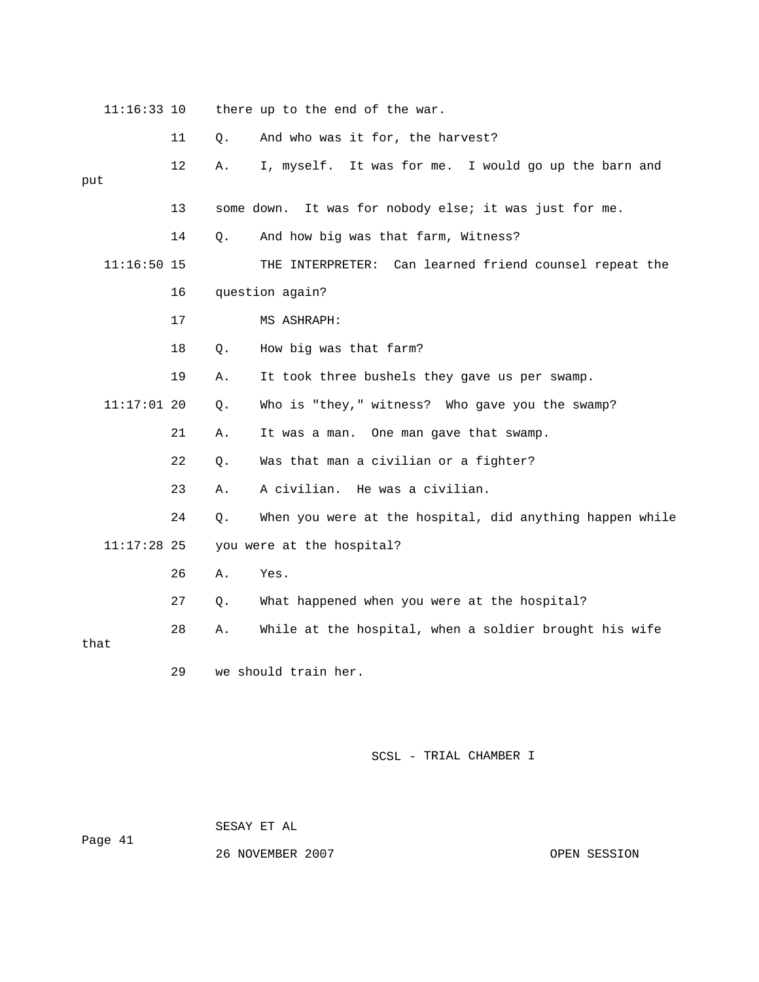11:16:33 10 there up to the end of the war. 11 Q. And who was it for, the harvest? put 13 some down. It was for nobody else; it was just for me. 14 Q. And how big was that farm, Witness? 11:16:50 15 THE INTERPRETER: Can learned friend counsel repeat the 21 A. It was a man. One man gave that swamp. 22 Q. Was that man a civilian or a fighter? 24 Q. When you were at the hospital, did anything happen while 11:17:28 25 you were at the hospital? 27 Q. What happened when you were at the hospital? 28 A. While at the hospital, when a soldier brought his wife 12 A. I, myself. It was for me. I would go up the barn and 16 question again? 17 MS ASHRAPH: 18 Q. How big was that farm? 19 A. It took three bushels they gave us per swamp. 11:17:01 20 Q. Who is "they," witness? Who gave you the swamp? 23 A. A civilian. He was a civilian. 26 A. Yes. that 29 we should train her.

SCSL - TRIAL CHAMBER I

SESAY ET AL

Page 41

26 NOVEMBER 2007 OPEN SESSION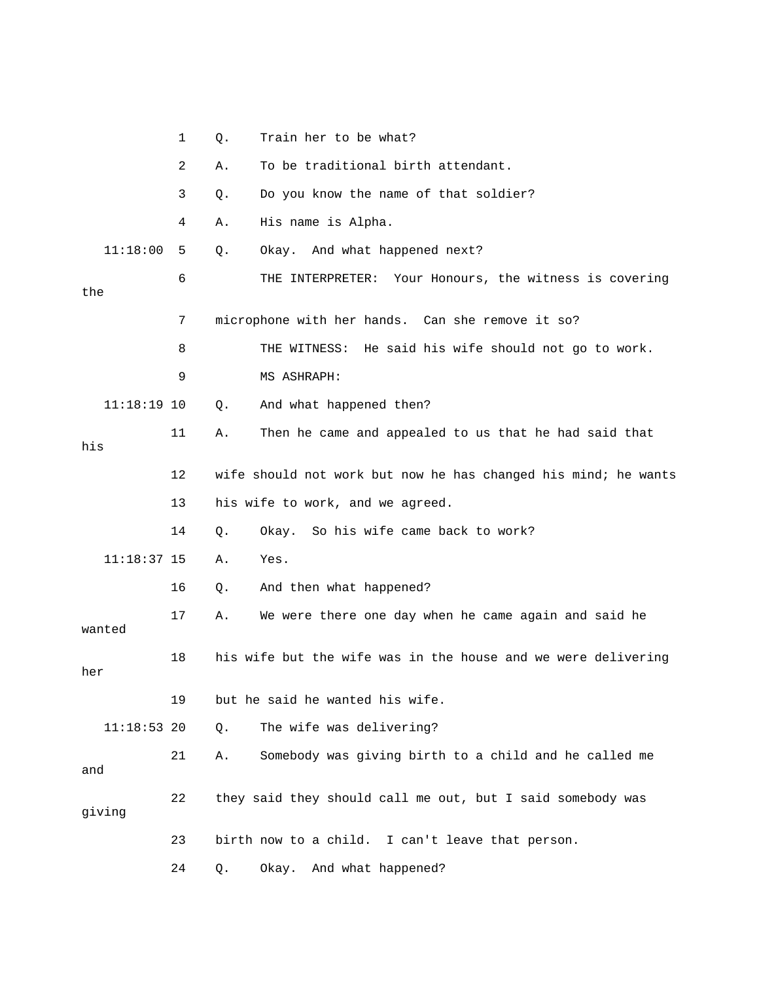|               | 1  | Q. | Train her to be what?                                          |
|---------------|----|----|----------------------------------------------------------------|
|               | 2  | Α. | To be traditional birth attendant.                             |
|               | 3  | Q. | Do you know the name of that soldier?                          |
|               | 4  | Α. | His name is Alpha.                                             |
| 11:18:00      | 5  | Q. | Okay. And what happened next?                                  |
| the           | 6  |    | THE INTERPRETER:<br>Your Honours, the witness is covering      |
|               | 7  |    | microphone with her hands. Can she remove it so?               |
|               | 8  |    | He said his wife should not go to work.<br>THE WITNESS:        |
|               | 9  |    | MS ASHRAPH:                                                    |
| $11:18:19$ 10 |    | Q. | And what happened then?                                        |
| his           | 11 | Α. | Then he came and appealed to us that he had said that          |
|               | 12 |    | wife should not work but now he has changed his mind; he wants |
|               | 13 |    | his wife to work, and we agreed.                               |
|               | 14 | Q. | Okay. So his wife came back to work?                           |
| $11:18:37$ 15 |    | Α. | Yes.                                                           |
|               | 16 | Q. | And then what happened?                                        |
| wanted        | 17 | Α. | We were there one day when he came again and said he           |
| her           | 18 |    | his wife but the wife was in the house and we were delivering  |
|               | 19 |    | but he said he wanted his wife.                                |
| $11:18:53$ 20 |    | Q. | The wife was delivering?                                       |
| and           | 21 | Α. | Somebody was giving birth to a child and he called me          |
| qiving        | 22 |    | they said they should call me out, but I said somebody was     |
|               | 23 |    | birth now to a child. I can't leave that person.               |
|               | 24 | Q. | Okay. And what happened?                                       |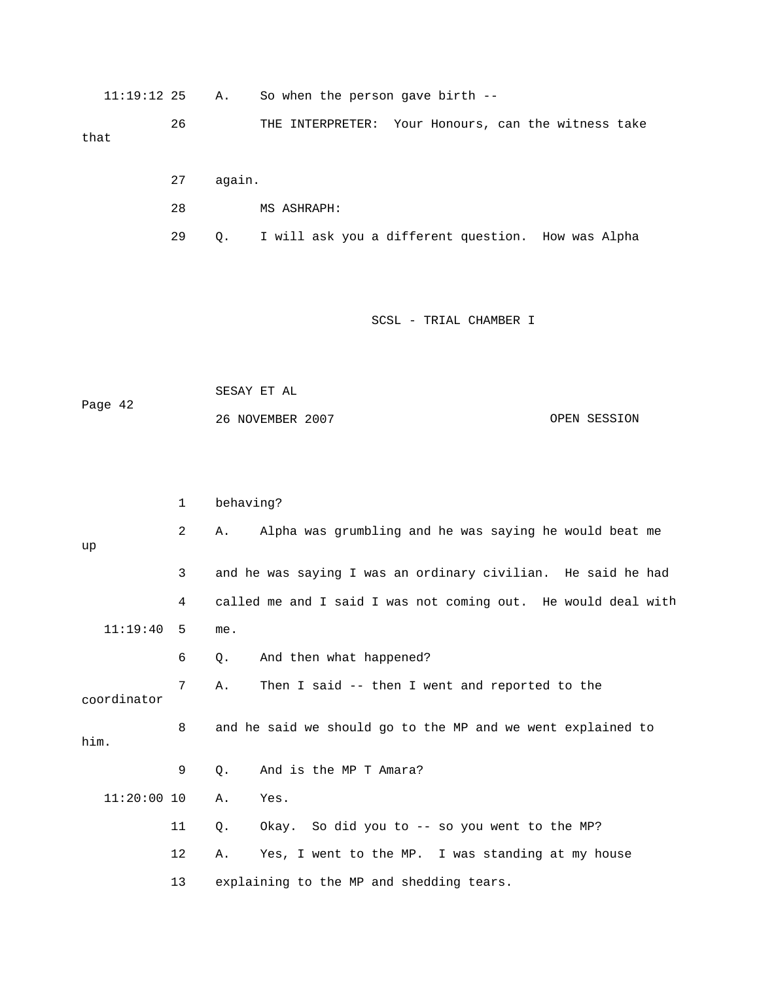11:19:12 25 A. So when the person gave birth --

 26 THE INTERPRETER: Your Honours, can the witness take that

- 27 again.
- 28 MS ASHRAPH:
- 29 Q. I will ask you a different question. How was Alpha

## SCSL - TRIAL CHAMBER I

SESAY ET AL OPEN SESSION Page 42 26 NOVEMBER 2007

|               | $\mathbf{1}$   | behaving?                                                     |
|---------------|----------------|---------------------------------------------------------------|
| up            | $\overline{2}$ | Alpha was grumbling and he was saying he would beat me<br>Α.  |
|               | 3              | and he was saying I was an ordinary civilian. He said he had  |
|               | 4              | called me and I said I was not coming out. He would deal with |
| 11:19:40      | - 5            | me.                                                           |
|               | 6              | And then what happened?<br>Ο.                                 |
| coordinator   | 7              | Then I said -- then I went and reported to the<br>Α.          |
| him.          | 8              | and he said we should go to the MP and we went explained to   |
|               | 9              | And is the MP T Amara?<br>$\circ$ .                           |
| $11:20:00$ 10 |                | Yes.<br>Α.                                                    |
|               | 11             | Okay. So did you to -- so you went to the MP?<br>$Q$ .        |
|               | 12             | Yes, I went to the MP. I was standing at my house<br>Α.       |
|               | 13             | explaining to the MP and shedding tears.                      |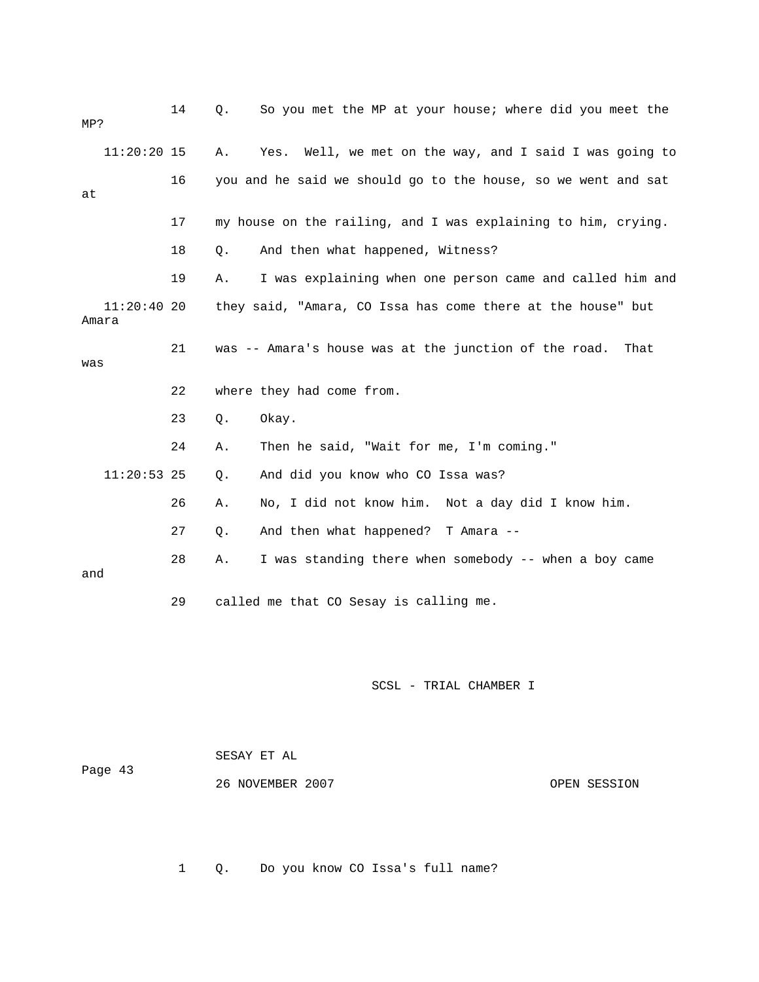| MP?                 | 14 | So you met the MP at your house; where did you meet the<br>$Q$ . |
|---------------------|----|------------------------------------------------------------------|
| $11:20:20$ 15       |    | Yes. Well, we met on the way, and I said I was going to<br>Α.    |
| at                  | 16 | you and he said we should go to the house, so we went and sat    |
|                     | 17 | my house on the railing, and I was explaining to him, crying.    |
|                     | 18 | And then what happened, Witness?<br>Q.                           |
|                     | 19 | I was explaining when one person came and called him and<br>Α.   |
| 11:20:4020<br>Amara |    | they said, "Amara, CO Issa has come there at the house" but      |
| was                 | 21 | was -- Amara's house was at the junction of the road.<br>That    |
|                     | 22 | where they had come from.                                        |
|                     | 23 | $Q$ .<br>Okay.                                                   |
|                     | 24 | Then he said, "Wait for me, I'm coming."<br>Α.                   |
| $11:20:53$ 25       |    | And did you know who CO Issa was?<br>Q.                          |
|                     | 26 | No, I did not know him. Not a day did I know him.<br>Α.          |
|                     | 27 | And then what happened? T Amara --<br>Q.                         |
| and                 | 28 | I was standing there when somebody -- when a boy came<br>Α.      |
|                     |    |                                                                  |

| Page 43 | SESAY ET AL      |              |  |
|---------|------------------|--------------|--|
|         | 26 NOVEMBER 2007 | OPEN SESSION |  |

1 Q. Do you know CO Issa's full name?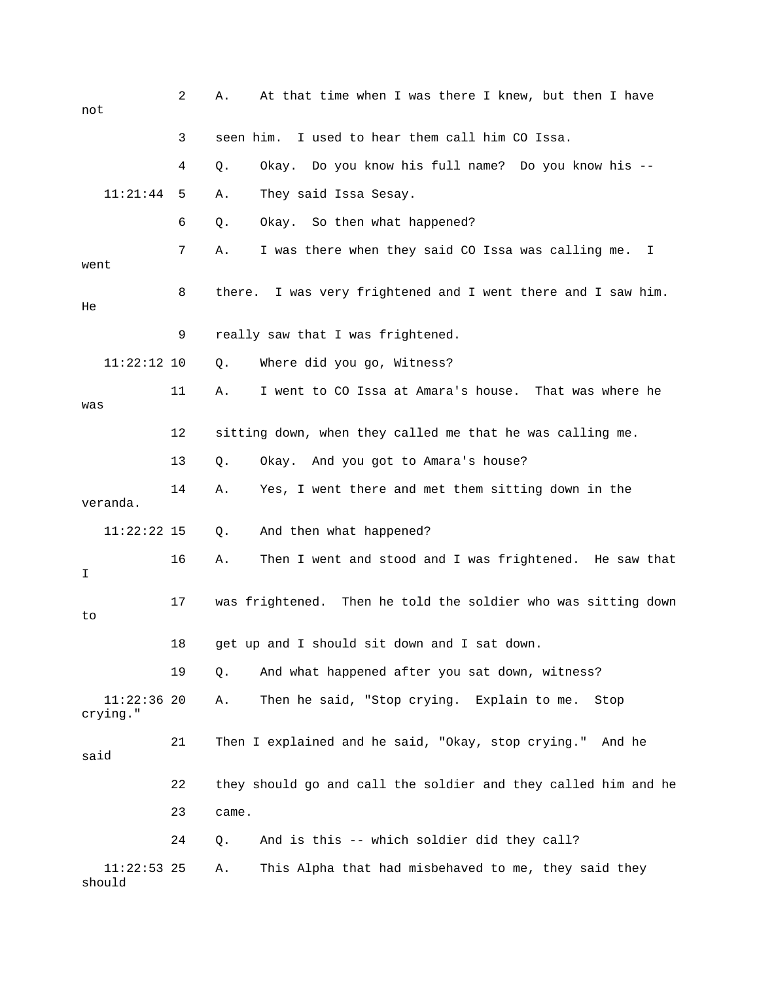| not                       | 2  | At that time when I was there I knew, but then I have<br>Α.      |
|---------------------------|----|------------------------------------------------------------------|
|                           | 3  | I used to hear them call him CO Issa.<br>seen him.               |
|                           | 4  | Okay. Do you know his full name? Do you know his --<br>Q.        |
| 11:21:44                  | 5  | They said Issa Sesay.<br>Α.                                      |
|                           | 6  | Okay. So then what happened?<br>Q.                               |
| went                      | 7  | I was there when they said CO Issa was calling me.<br>Α.<br>I    |
| He                        | 8  | I was very frightened and I went there and I saw him.<br>there.  |
|                           | 9  | really saw that I was frightened.                                |
| $11:22:12$ 10             |    | Where did you go, Witness?<br>$Q$ .                              |
| was                       | 11 | I went to CO Issa at Amara's house. That was where he<br>Α.      |
|                           | 12 | sitting down, when they called me that he was calling me.        |
|                           | 13 | Okay. And you got to Amara's house?<br>Q.                        |
| veranda.                  | 14 | Yes, I went there and met them sitting down in the<br>Α.         |
| $11:22:22$ 15             |    | And then what happened?<br>Q.                                    |
| I                         | 16 | Then I went and stood and I was frightened.<br>He saw that<br>Α. |
| to                        | 17 | was frightened. Then he told the soldier who was sitting down    |
|                           | 18 | get up and I should sit down and I sat down                      |
|                           | 19 | And what happened after you sat down, witness?<br>Q.             |
| $11:22:36$ 20<br>crying." |    | Then he said, "Stop crying. Explain to me.<br>Α.<br>Stop         |
| said                      | 21 | Then I explained and he said, "Okay, stop crying." And he        |
|                           | 22 | they should go and call the soldier and they called him and he   |
|                           | 23 | came.                                                            |
|                           | 24 | And is this -- which soldier did they call?<br>Q.                |
| $11:22:53$ 25<br>should   |    | This Alpha that had misbehaved to me, they said they<br>Α.       |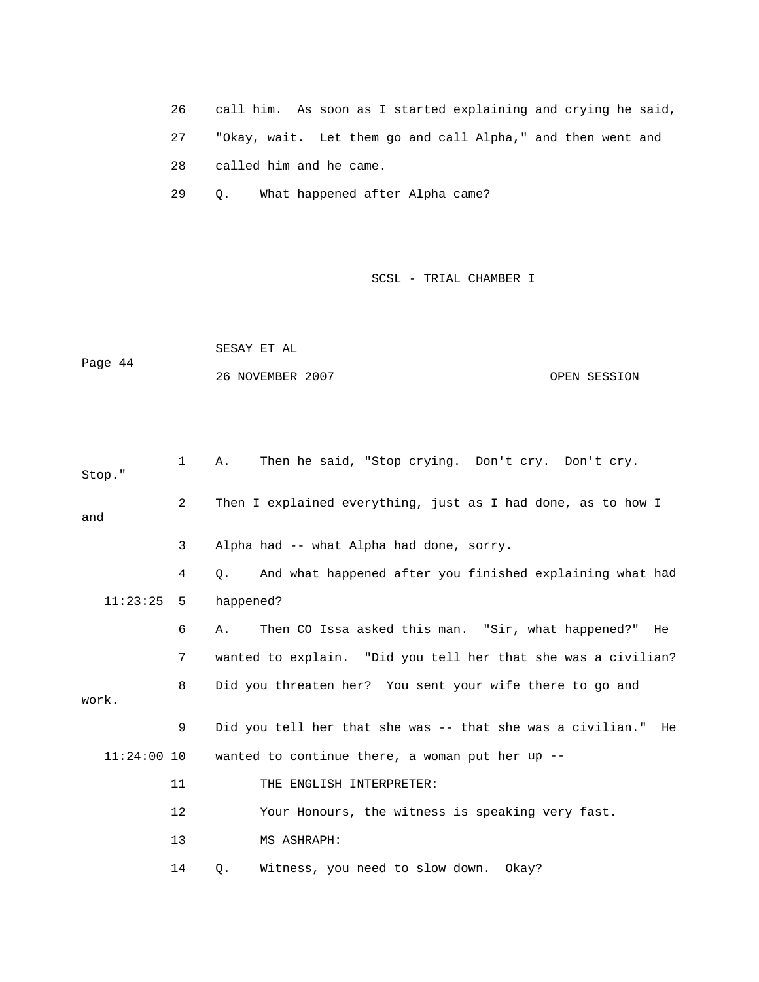26 call him. As soon as I started explaining and crying he said, 27 "Okay, wait. Let them go and call Alpha," and then went and 28 called him and he came.

29 Q. What happened after Alpha came?

|         | SESAY ET AL      |              |
|---------|------------------|--------------|
| Page 44 |                  |              |
|         | 26 NOVEMBER 2007 | OPEN SESSION |

| Stop."        | 1  | Then he said, "Stop crying. Don't cry. Don't cry.<br>Α.          |
|---------------|----|------------------------------------------------------------------|
| and           | 2  | Then I explained everything, just as I had done, as to how I     |
|               | 3  | Alpha had -- what Alpha had done, sorry.                         |
|               | 4  | And what happened after you finished explaining what had<br>О.   |
| 11:23:25      | 5  | happened?                                                        |
|               | 6  | Then CO Issa asked this man. "Sir, what happened?" He<br>Α.      |
|               | 7  | wanted to explain. "Did you tell her that she was a civilian?    |
| work.         | 8  | Did you threaten her? You sent your wife there to go and         |
|               | 9  | Did you tell her that she was -- that she was a civilian."<br>He |
| $11:24:00$ 10 |    | wanted to continue there, a woman put her up $-$ -               |
|               | 11 | THE ENGLISH INTERPRETER:                                         |
|               | 12 | Your Honours, the witness is speaking very fast.                 |
|               | 13 | MS ASHRAPH:                                                      |
|               | 14 | Witness, you need to slow down. Okay?<br>Q.                      |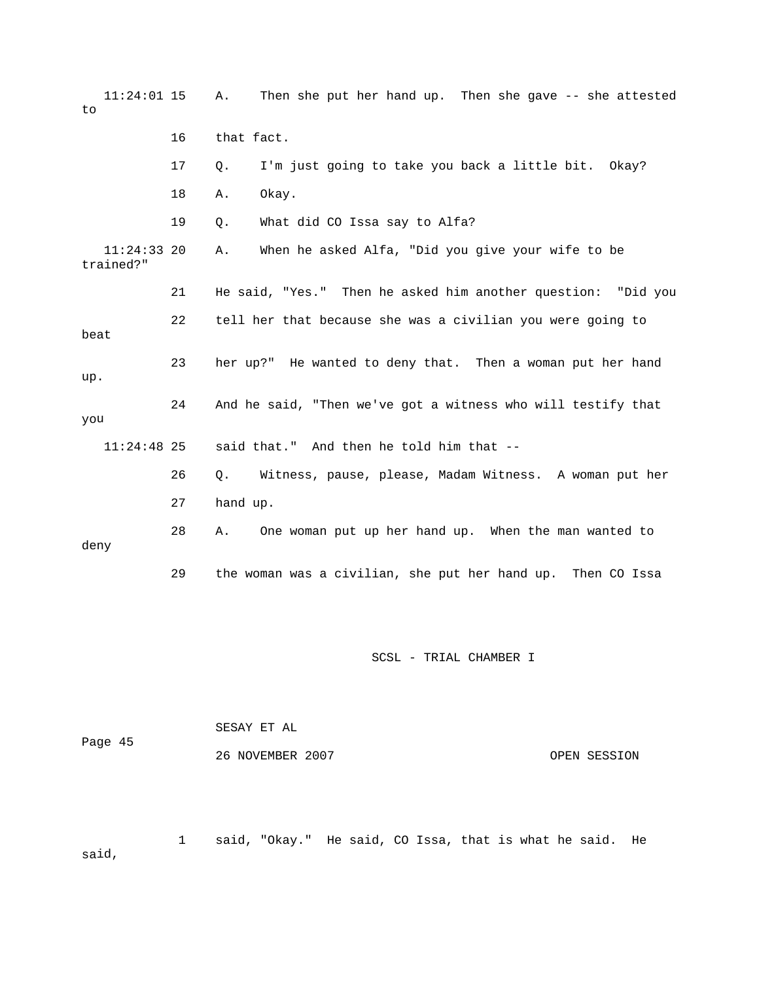| $11:24:01$ 15<br>to        |    | Then she put her hand up. Then she gave -- she attested<br>Α. |
|----------------------------|----|---------------------------------------------------------------|
|                            | 16 | that fact.                                                    |
|                            | 17 | I'm just going to take you back a little bit. Okay?<br>Q.     |
|                            | 18 | Okay.<br>Α.                                                   |
|                            | 19 | What did CO Issa say to Alfa?<br>Q.                           |
| $11:24:33$ 20<br>trained?" |    | When he asked Alfa, "Did you give your wife to be<br>Α.       |
|                            | 21 | He said, "Yes." Then he asked him another question: "Did you  |
| beat                       | 22 | tell her that because she was a civilian you were going to    |
| up.                        | 23 | her up?" He wanted to deny that. Then a woman put her hand    |
| you                        | 24 | And he said, "Then we've got a witness who will testify that  |
| $11:24:48$ 25              |    | said that." And then he told him that --                      |
|                            | 26 | Witness, pause, please, Madam Witness. A woman put her<br>Q.  |
|                            | 27 | hand up.                                                      |
| deny                       | 28 | One woman put up her hand up. When the man wanted to<br>Α.    |
|                            | 29 | the woman was a civilian, she put her hand up. Then CO Issa   |
|                            |    | SCSL - TRIAL CHAMBER I                                        |

 SESAY ET AL 26 NOVEMBER 2007 CPEN SESSION Page 45

 1 said, "Okay." He said, CO Issa, that is what he said. He id, sa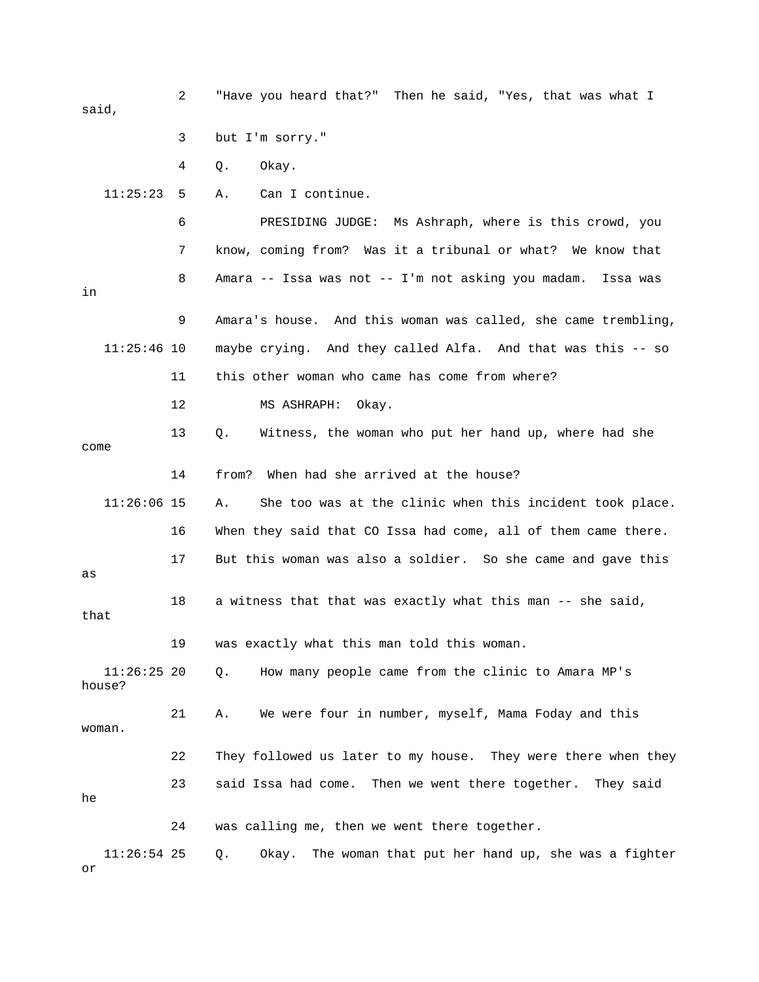2 "Have you heard that?" Then he said, "Yes, that was what I said, 11:25:23 5 A. Can I continue. 6 PRESIDING JUDGE: Ms Ashraph, where is this crowd, you And this woman was called, she came trembling, 9 Amara's house. 11:25:46 10 maybe crying. And they called Alfa. And that was this -- so 11 this other woman who came has come from where? 13 Q. Witness, the woman who put her hand up, where had she 11:26:06 15 A. She too was at the clinic when this incident took place. 17 But this woman was also a soldier. So she came and gave this 18 a witness that that was exactly what this man -- she said, 19 was exactly what this man told this woman.  $11:26:25$  20  $Q$ . How many people came from the clinic to Amara MP's house? 21 A. We were four in number, myself, Mama Foday and this 23 said Issa had come. Then we went there together. They said 24 was calling me, then we went there together. 11:26:54 25 Q. Okay. The woman that put her hand up, she was a fighter 3 but I'm sorry." 4 Q. Okay. 7 know, coming from? Was it a tribunal or what? We know that 8 Amara -- Issa was not -- I'm not asking you madam. Issa was in 12 MS ASHRAPH: Okay. come 14 from? When had she arrived at the house? 16 When they said that CO Issa had come, all of them came there. as that woman. 22 They followed us later to my house. They were there when they he or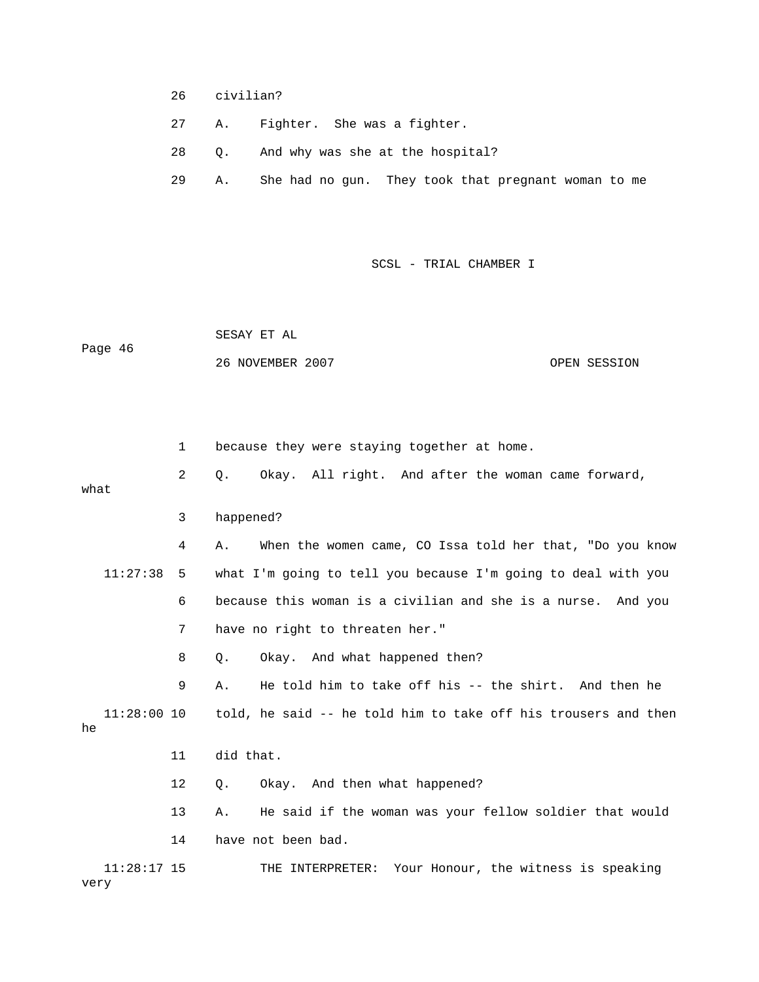- 26 civilian?
- 27 A. Fighter. She was a fighter.
- 28 Q. And why was she at the hospital?
- 29 A. She had no gun. They took that pregnant woman to me

 SESAY ET AL Page 46 26 NOVEMBER 2007 OPEN SESSION

 2 Q. Okay. All right. And after the woman came forward, what 3 happened? 4 A. When the women came, CO Issa told her that, "Do you know 11:27:38 5 what I'm going to tell you because I'm going to deal with you 6 because this woman is a civilian and she is a nurse. And you 7 have no right to threaten her." 9 A. He told him to take off his -- the shirt. And then he  $11:28:00$  10 told, he said -- he told him to take off his trousers and then 11 did that. 13 A. He said if the woman was your fellow soldier that would 11:28:17 15 THE INTERPRETER: Your Honour, the witness is speaking 1 because they were staying together at home. 8 Q. Okay. And what happened then? he 12 Q. Okay. And then what happened? 14 have not been bad. very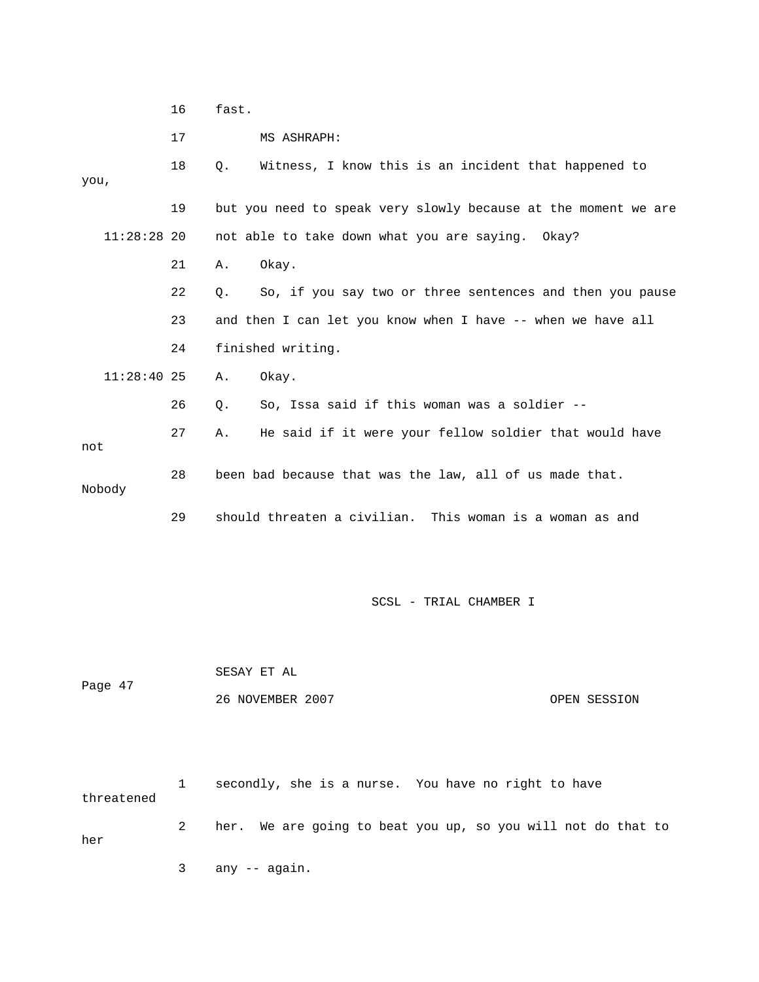|               | 16 | fast.                                                          |  |  |  |  |  |
|---------------|----|----------------------------------------------------------------|--|--|--|--|--|
|               | 17 | MS ASHRAPH:                                                    |  |  |  |  |  |
| you,          | 18 | Witness, I know this is an incident that happened to<br>О.     |  |  |  |  |  |
|               | 19 | but you need to speak very slowly because at the moment we are |  |  |  |  |  |
| $11:28:28$ 20 |    | not able to take down what you are saying. Okay?               |  |  |  |  |  |
|               | 21 | Okay.<br>Α.                                                    |  |  |  |  |  |
|               | 22 | So, if you say two or three sentences and then you pause<br>О. |  |  |  |  |  |
|               | 23 | and then I can let you know when I have -- when we have all    |  |  |  |  |  |
|               | 24 | finished writing.                                              |  |  |  |  |  |
| $11:28:40$ 25 |    | Okay.<br>Α.                                                    |  |  |  |  |  |
|               | 26 | So, Issa said if this woman was a soldier --<br>Q.             |  |  |  |  |  |
| not           | 27 | He said if it were your fellow soldier that would have<br>Α.   |  |  |  |  |  |
| Nobody        | 28 | been bad because that was the law, all of us made that.        |  |  |  |  |  |
|               | 29 | should threaten a civilian.<br>This woman is a woman as and    |  |  |  |  |  |

 26 NOVEMBER 2007 OPEN SESSION SESAY ET AL Page 47

 1 secondly, she is a nurse. You have no right to have 2 her. We are going to beat you up, so you will not do that to r threatened he 3 any -- again.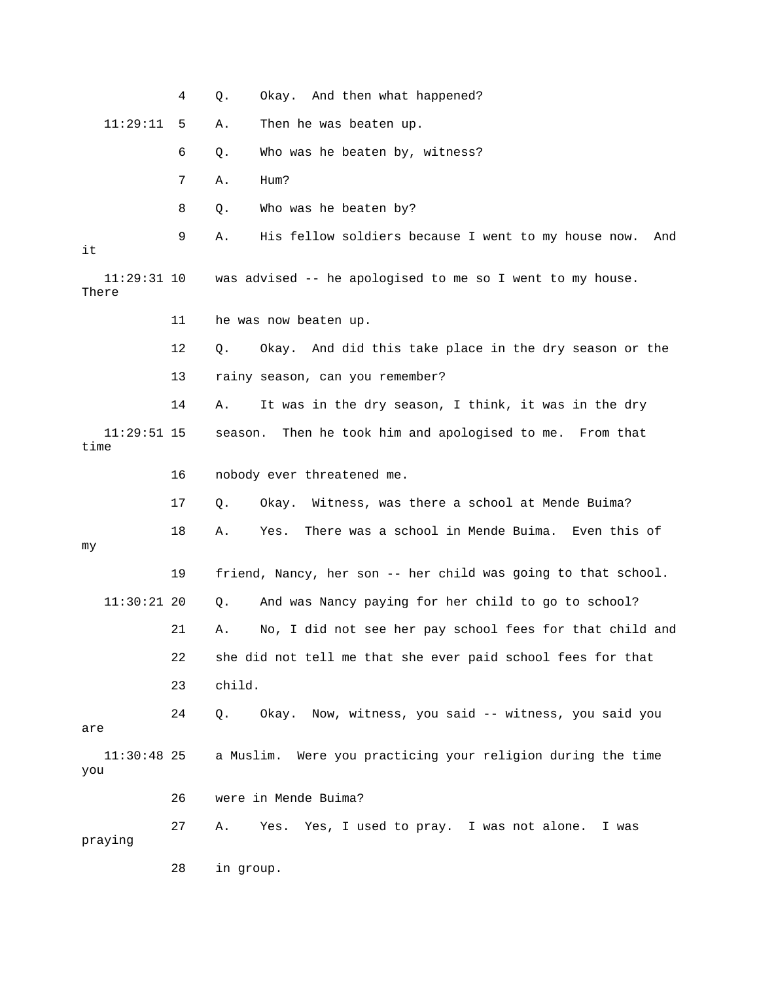|                        | 4  | Okay. And then what happened?<br>Q.                              |
|------------------------|----|------------------------------------------------------------------|
| 11:29:11               | 5  | Then he was beaten up.<br>Α.                                     |
|                        | 6  | Who was he beaten by, witness?<br>Q.                             |
|                        | 7  | Hum?<br>Α.                                                       |
|                        | 8  | Who was he beaten by?<br>Q.                                      |
| it                     | 9  | His fellow soldiers because I went to my house now.<br>Α.<br>And |
| $11:29:31$ 10<br>There |    | was advised -- he apologised to me so I went to my house.        |
|                        | 11 | he was now beaten up.                                            |
|                        | 12 | Okay. And did this take place in the dry season or the<br>Q.     |
|                        | 13 | rainy season, can you remember?                                  |
|                        | 14 | It was in the dry season, I think, it was in the dry<br>Α.       |
| $11:29:51$ 15<br>time  |    | Then he took him and apologised to me. From that<br>season.      |
|                        | 16 | nobody ever threatened me.                                       |
|                        | 17 | Okay. Witness, was there a school at Mende Buima?<br>Q.          |
| my                     | 18 | There was a school in Mende Buima. Even this of<br>Α.<br>Yes.    |
|                        | 19 | friend, Nancy, her son -- her child was going to that school.    |
| $11:30:21$ 20          |    | And was Nancy paying for her child to go to school?<br>Q.        |
|                        | 21 | No, I did not see her pay school fees for that child and<br>Α.   |
|                        | 22 | she did not tell me that she ever paid school fees for that      |
|                        | 23 | child.                                                           |
| are                    | 24 | Okay. Now, witness, you said -- witness, you said you<br>Q.      |
| $11:30:48$ 25<br>you   |    | a Muslim. Were you practicing your religion during the time      |
|                        | 26 | were in Mende Buima?                                             |
| praying                | 27 | Yes. Yes, I used to pray. I was not alone.<br>Α.<br>I was        |
|                        | 28 | in group.                                                        |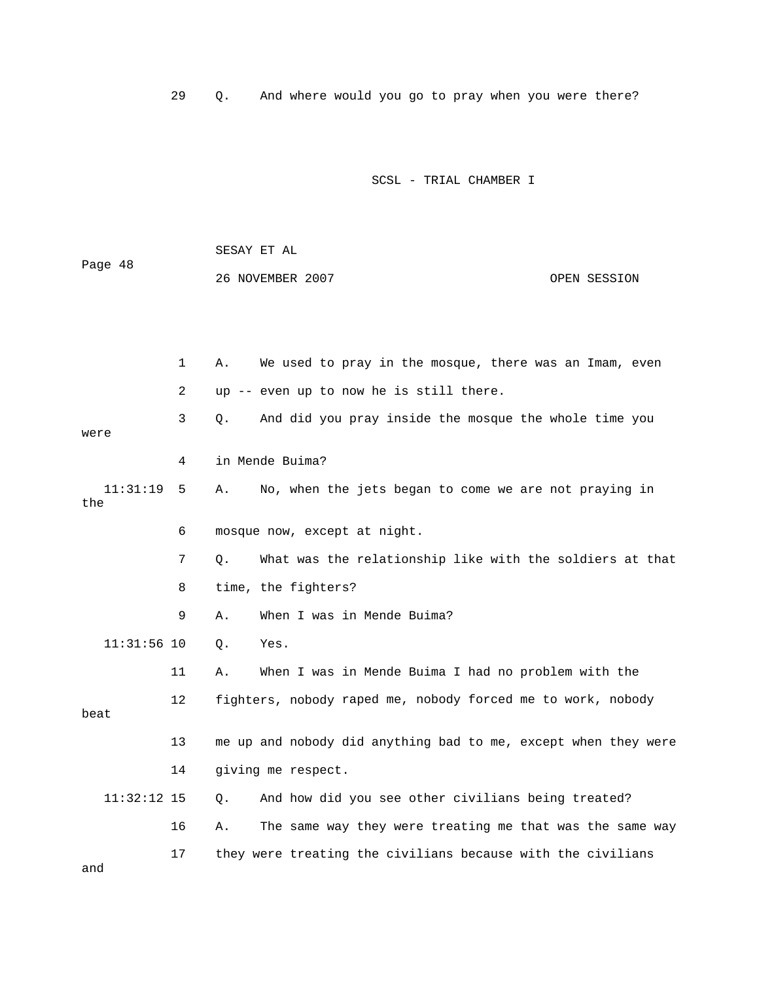29 Q. And where would you go to pray when you were there?

| Page 48         |              | SESAY ET AL                                                    |              |
|-----------------|--------------|----------------------------------------------------------------|--------------|
|                 |              | 26 NOVEMBER 2007                                               | OPEN SESSION |
|                 |              |                                                                |              |
|                 |              |                                                                |              |
|                 | $\mathbf{1}$ | Α.<br>We used to pray in the mosque, there was an Imam, even   |              |
|                 | 2            | up -- even up to now he is still there.                        |              |
| were            | 3            | $Q$ .<br>And did you pray inside the mosque the whole time you |              |
|                 | 4            | in Mende Buima?                                                |              |
| 11:31:19<br>the | 5            | No, when the jets began to come we are not praying in<br>Α.    |              |
|                 | 6            | mosque now, except at night.                                   |              |
|                 | 7            | What was the relationship like with the soldiers at that<br>О. |              |
|                 | 8            | time, the fighters?                                            |              |
|                 | 9            | When I was in Mende Buima?<br>Α.                               |              |
| $11:31:56$ 10   |              | Q.<br>Yes.                                                     |              |
|                 | 11           | When I was in Mende Buima I had no problem with the<br>Α.      |              |
| beat            | 12           | fighters, nobody raped me, nobody forced me to work, nobody    |              |
|                 | 13           | me up and nobody did anything bad to me, except when they were |              |
|                 | 14           | giving me respect.                                             |              |
| $11:32:12$ 15   |              | And how did you see other civilians being treated?<br>О.       |              |
|                 | 16           | The same way they were treating me that was the same way<br>Α. |              |
| and             | 17           | they were treating the civilians because with the civilians    |              |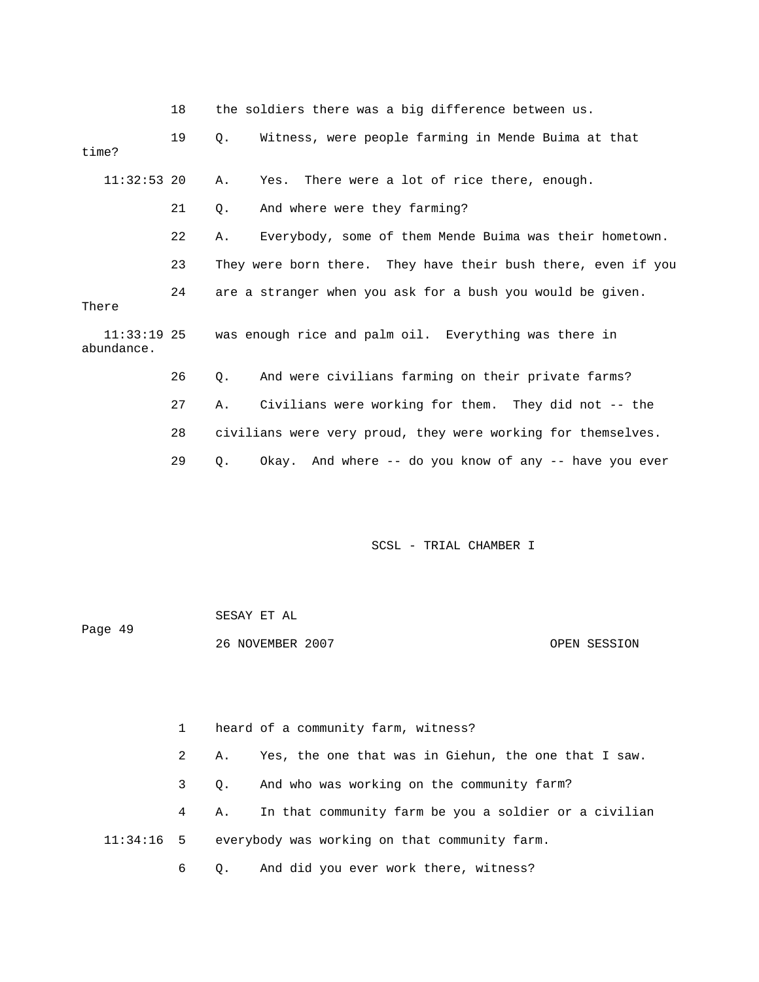|  |  |  |  |  |  | the soldiers there was a big difference between us. |  |
|--|--|--|--|--|--|-----------------------------------------------------|--|
|--|--|--|--|--|--|-----------------------------------------------------|--|

| time?         | 19 | $\circ$ . | Witness, were people farming in Mende Buima at that               |
|---------------|----|-----------|-------------------------------------------------------------------|
| $11:32:53$ 20 |    | Α.        | Yes. There were a lot of rice there, enough.                      |
|               | 21 | Q.        | And where were they farming?                                      |
|               | 22 | Α.        | Everybody, some of them Mende Buima was their hometown.           |
|               | 23 |           | They were born there. They have their bush there, even if you     |
| There         | 24 |           | are a stranger when you ask for a bush you would be given.        |
| abundance.    |    |           | 11:33:19 25 was enough rice and palm oil. Everything was there in |
|               | 26 | О.        | And were civilians farming on their private farms?                |
|               | 27 | Α.        | Civilians were working for them. They did not -- the              |
|               | 28 |           | civilians were very proud, they were working for themselves.      |
|               | 29 | $\circ$ . | Okay. And where -- do you know of any -- have you ever            |

| Page 49 | SESAY ET AL      |              |
|---------|------------------|--------------|
|         | 26 NOVEMBER 2007 | OPEN SESSION |

|  |             |           | heard of a community farm, witness?                        |  |
|--|-------------|-----------|------------------------------------------------------------|--|
|  | $2^{\circ}$ | Α.        | Yes, the one that was in Giehun, the one that I saw.       |  |
|  | $3 \sim$    | $\circ$ . | And who was working on the community farm?                 |  |
|  | $4\degree$  | Α.        | In that community farm be you a soldier or a civilian      |  |
|  |             |           | $11:34:16$ 5 everybody was working on that community farm. |  |
|  | 6 —         |           | Q. And did you ever work there, witness?                   |  |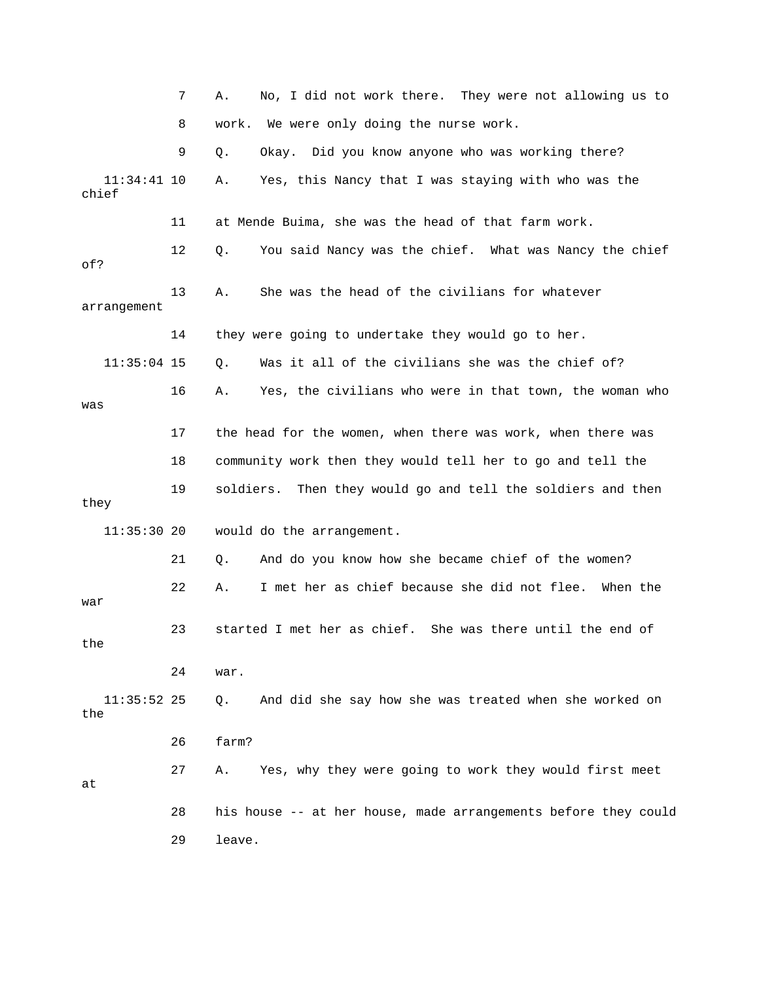7 A. No, I did not work there. They were not allowing us to 8 work. We were only doing the nurse work. 9 Q. Okay. Did you know anyone who was working there? 11 at Mende Buima, she was the head of that farm work. 12 Q. You said Nancy was the chief. What was Nancy the chief 13 A. She was the head of the civilians for whatever arrangement 14 they were going to undertake they would go to her. 16 A. Yes, the civilians who were in that town, the woman who 17 the head for the women, when there was work, when there was 18 community work then they would tell her to go and tell the they 21 Q. And do you know how she became chief of the women? 22 A. I met her as chief because she did not flee. When the war 23 started I met her as chief. She was there until the end of the 24 war. 11:35:52 25 Q. And did she say how she was treated when she worked on 26 farm? 27 A. Yes, why they were going to work they would first meet 11:34:41 10 A. Yes, this Nancy that I was staying with who was the chief of? 11:35:04 15 Q. Was it all of the civilians she was the chief of? was 19 soldiers. Then they would go and tell the soldiers and then 11:35:30 20 would do the arrangement. the at 28 his house -- at her house, made arrangements before they could 29 leave.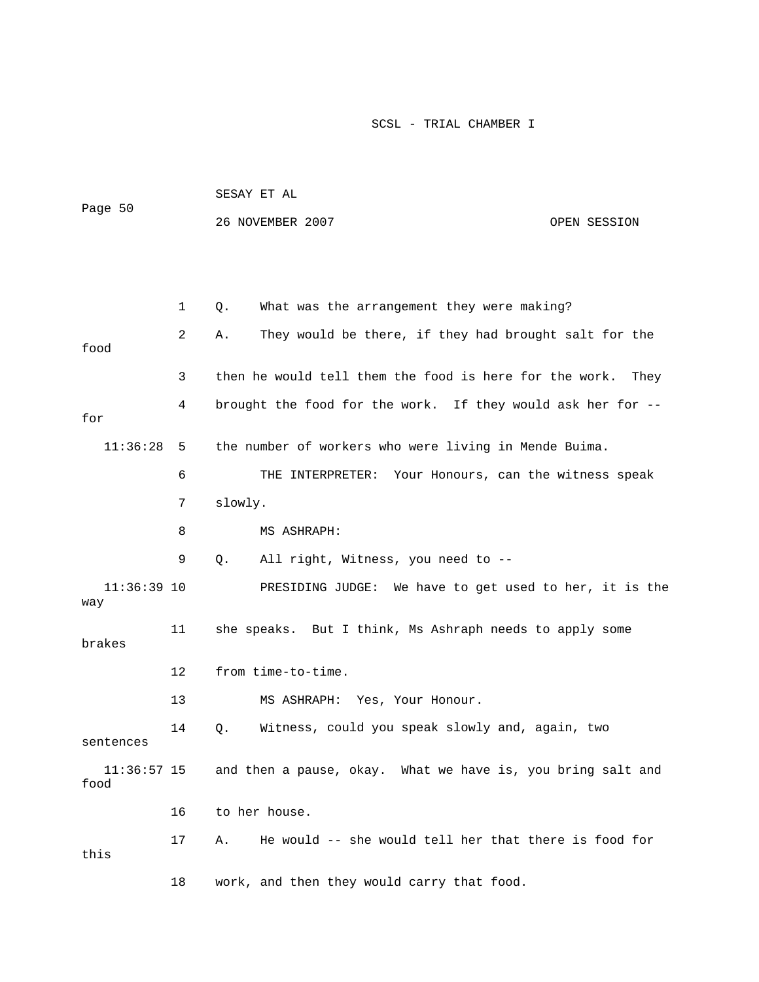|                       |                                                                  | SESAY ET AL                                                 |              |  |  |
|-----------------------|------------------------------------------------------------------|-------------------------------------------------------------|--------------|--|--|
| Page 50               |                                                                  | 26 NOVEMBER 2007                                            | OPEN SESSION |  |  |
|                       |                                                                  |                                                             |              |  |  |
|                       |                                                                  |                                                             |              |  |  |
|                       | $\mathbf{1}$                                                     | What was the arrangement they were making?<br>Q.            |              |  |  |
| food                  | 2                                                                | They would be there, if they had brought salt for the<br>Α. |              |  |  |
|                       | 3                                                                | then he would tell them the food is here for the work.      | They         |  |  |
| for                   | brought the food for the work. If they would ask her for --<br>4 |                                                             |              |  |  |
| 11:36:28              | 5                                                                | the number of workers who were living in Mende Buima.       |              |  |  |
|                       | 6                                                                | Your Honours, can the witness speak<br>THE INTERPRETER:     |              |  |  |
|                       | 7                                                                | slowly.                                                     |              |  |  |
|                       | 8                                                                | MS ASHRAPH:                                                 |              |  |  |
|                       | 9                                                                | All right, Witness, you need to --<br>Q.                    |              |  |  |
| $11:36:39$ 10<br>way  |                                                                  | PRESIDING JUDGE: We have to get used to her, it is the      |              |  |  |
| 11<br>brakes          |                                                                  | she speaks. But I think, Ms Ashraph needs to apply some     |              |  |  |
|                       | 12                                                               | from time-to-time.                                          |              |  |  |
|                       | 13                                                               | MS ASHRAPH: Yes, Your Honour.                               |              |  |  |
| sentences             | 14                                                               | Witness, could you speak slowly and, again, two<br>Q.       |              |  |  |
| $11:36:57$ 15<br>food |                                                                  | and then a pause, okay. What we have is, you bring salt and |              |  |  |
|                       | 16                                                               | to her house.                                               |              |  |  |
| this                  | 17                                                               | He would -- she would tell her that there is food for<br>Α. |              |  |  |
|                       | 18                                                               | work, and then they would carry that food.                  |              |  |  |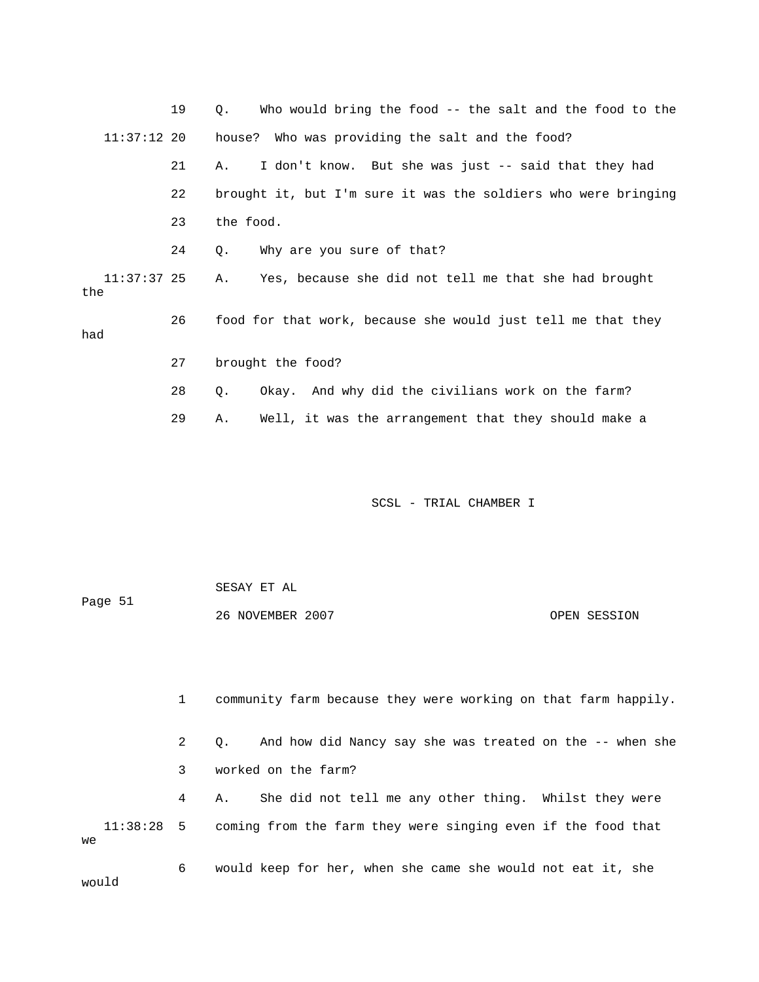|                      | 19 | Who would bring the food -- the salt and the food to the<br>Q. |
|----------------------|----|----------------------------------------------------------------|
| $11:37:12$ 20        |    | house? Who was providing the salt and the food?                |
|                      | 21 | I don't know. But she was just -- said that they had<br>Α.     |
|                      | 22 | brought it, but I'm sure it was the soldiers who were bringing |
|                      | 23 | the food.                                                      |
|                      | 24 | Why are you sure of that?<br>Q.                                |
| $11:37:37$ 25<br>the |    | Yes, because she did not tell me that she had brought<br>Α.    |
| had                  | 26 | food for that work, because she would just tell me that they   |
|                      | 27 | brought the food?                                              |
|                      | 28 | Okay. And why did the civilians work on the farm?<br>Q.        |
|                      | 29 | Well, it was the arrangement that they should make a<br>Α.     |
|                      |    |                                                                |
|                      |    |                                                                |
|                      |    | SCSL - TRIAL CHAMBER I                                         |

|         | SESAY ET AL      |              |
|---------|------------------|--------------|
| Page 51 |                  |              |
|         | 26 NOVEMBER 2007 | OPEN SESSION |

|    |              | community farm because they were working on that farm happily.            |
|----|--------------|---------------------------------------------------------------------------|
|    | $\mathbf{2}$ | And how did Nancy say she was treated on the -- when she<br>$\circ$ .     |
|    | 3            | worked on the farm?                                                       |
|    | 4            | She did not tell me any other thing. Whilst they were<br>А.               |
| we |              | $11:38:28$ 5 coming from the farm they were singing even if the food that |
|    | 6            | would keep for her, when she came she would not eat it, she               |

uld

wo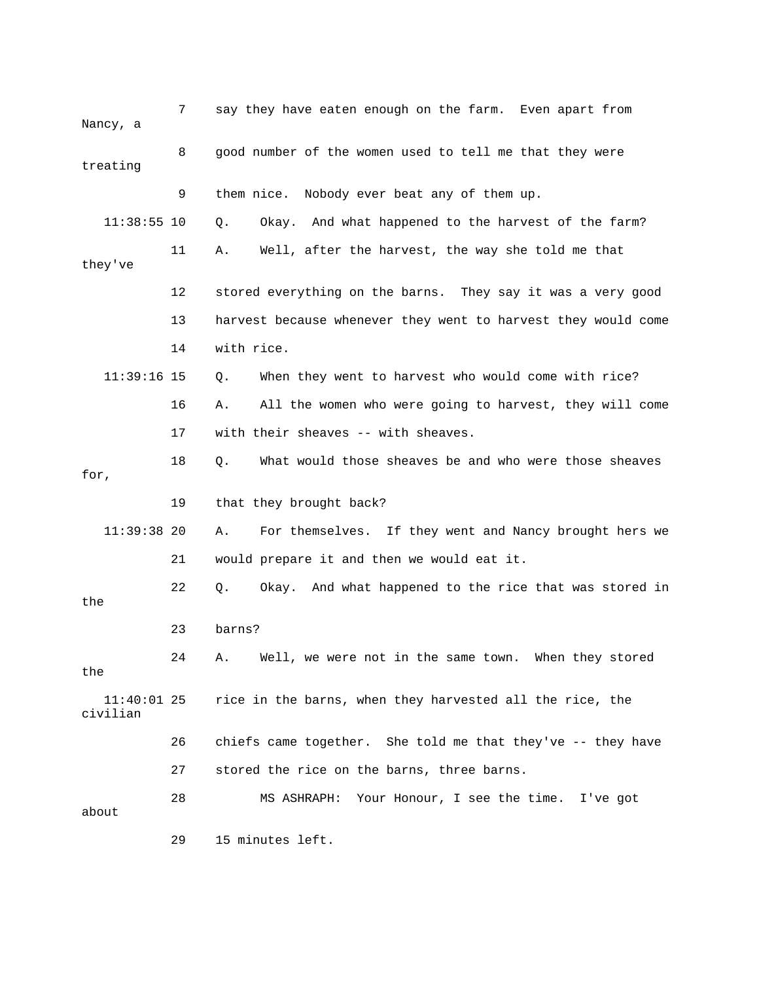| Nancy, a                  | 7  | say they have eaten enough on the farm. Even apart from       |
|---------------------------|----|---------------------------------------------------------------|
| treating                  | 8  | good number of the women used to tell me that they were       |
|                           | 9  | them nice. Nobody ever beat any of them up.                   |
| $11:38:55$ 10             |    | Okay. And what happened to the harvest of the farm?<br>Q.     |
| they've                   | 11 | Well, after the harvest, the way she told me that<br>Α.       |
|                           | 12 | stored everything on the barns. They say it was a very good   |
|                           | 13 | harvest because whenever they went to harvest they would come |
|                           | 14 | with rice.                                                    |
| $11:39:16$ 15             |    | When they went to harvest who would come with rice?<br>Q.     |
|                           | 16 | All the women who were going to harvest, they will come<br>Α. |
|                           | 17 | with their sheaves -- with sheaves.                           |
| for,                      | 18 | What would those sheaves be and who were those sheaves<br>О.  |
|                           | 19 | that they brought back?                                       |
| $11:39:38$ 20             |    | For themselves. If they went and Nancy brought hers we<br>Α.  |
|                           | 21 | would prepare it and then we would eat it.                    |
| the                       | 22 | Okay. And what happened to the rice that was stored in<br>О.  |
|                           | 23 | barns?                                                        |
| the                       | 24 | Well, we were not in the same town. When they stored<br>Α.    |
| $11:40:01$ 25<br>civilian |    | rice in the barns, when they harvested all the rice, the      |
|                           | 26 | chiefs came together. She told me that they've -- they have   |
|                           | 27 | stored the rice on the barns, three barns.                    |
| about                     | 28 | MS ASHRAPH: Your Honour, I see the time. I've got             |
|                           | 29 | 15 minutes left.                                              |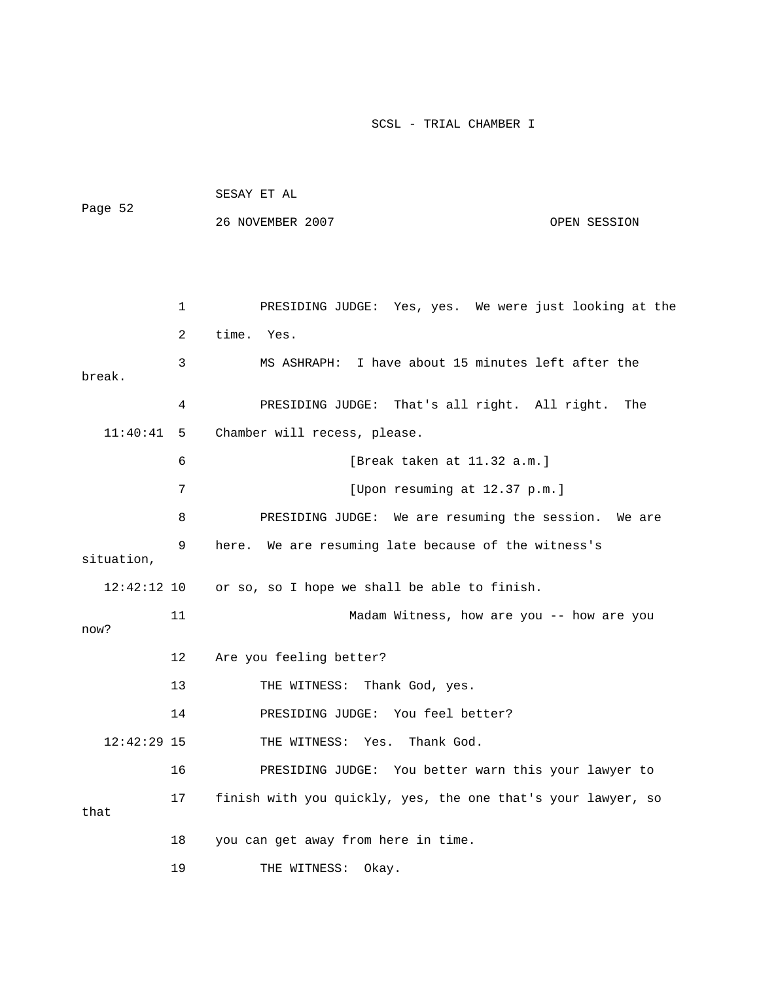| Page 52       |    | SESAY ET AL                                                  |              |
|---------------|----|--------------------------------------------------------------|--------------|
|               |    | 26 NOVEMBER 2007                                             | OPEN SESSION |
|               |    |                                                              |              |
|               |    |                                                              |              |
|               | 1  | PRESIDING JUDGE: Yes, yes. We were just looking at the       |              |
|               | 2  | time.<br>Yes.                                                |              |
| break.        | 3  | MS ASHRAPH: I have about 15 minutes left after the           |              |
|               | 4  | PRESIDING JUDGE: That's all right. All right.                | The          |
| 11:40:41      | 5  | Chamber will recess, please.                                 |              |
|               | 6  | [Break taken at $11.32$ a.m.]                                |              |
|               | 7  | [Upon resuming at 12.37 p.m.]                                |              |
|               | 8  | PRESIDING JUDGE: We are resuming the session. We are         |              |
| situation,    | 9  | here. We are resuming late because of the witness's          |              |
|               |    | 12:42:12 10 or so, so I hope we shall be able to finish.     |              |
| now?          | 11 | Madam Witness, how are you -- how are you                    |              |
|               | 12 | Are you feeling better?                                      |              |
|               | 13 | THE WITNESS:<br>Thank God, yes.                              |              |
|               | 14 | PRESIDING JUDGE: You feel better?                            |              |
| $12:42:29$ 15 |    | THE WITNESS: Yes. Thank God.                                 |              |
|               | 16 | PRESIDING JUDGE: You better warn this your lawyer to         |              |
|               | 17 | finish with you quickly, yes, the one that's your lawyer, so |              |
| that          |    |                                                              |              |
|               | 18 | you can get away from here in time.                          |              |
|               | 19 | THE WITNESS:<br>Okay.                                        |              |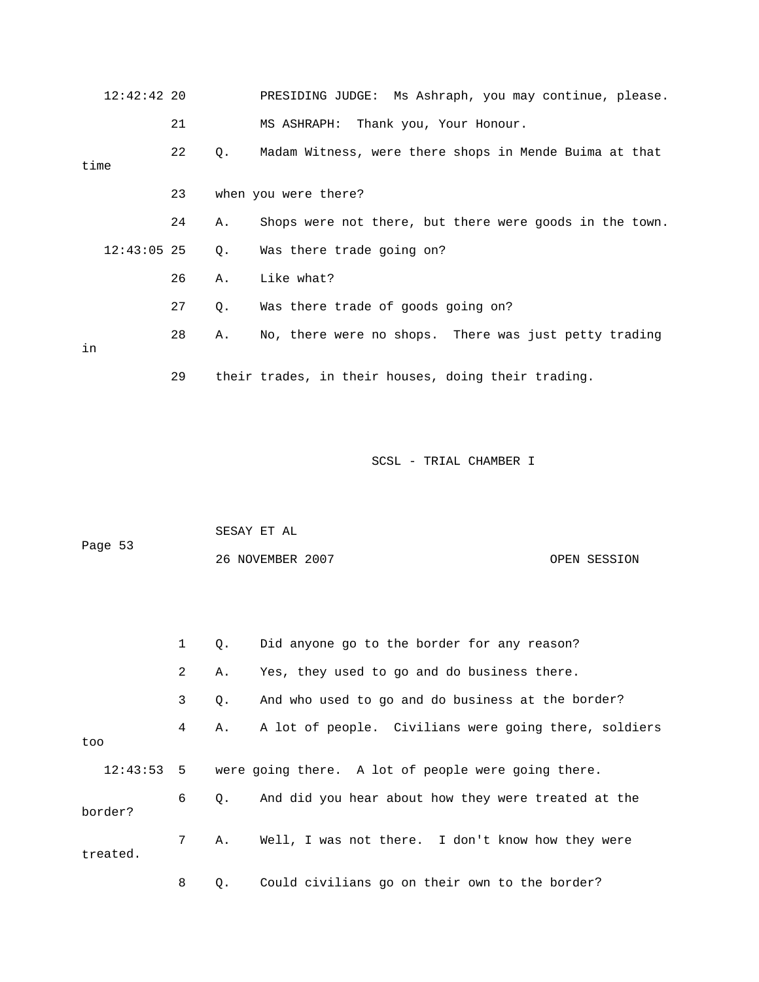| $12:42:42$ 20 |    |    | PRESIDING JUDGE: Ms Ashraph, you may continue, please.  |
|---------------|----|----|---------------------------------------------------------|
|               | 21 |    | MS ASHRAPH: Thank you, Your Honour.                     |
| time          | 22 | Q. | Madam Witness, were there shops in Mende Buima at that  |
|               | 23 |    | when you were there?                                    |
|               | 24 | Α. | Shops were not there, but there were goods in the town. |
| $12:43:05$ 25 |    | Q. | Was there trade going on?                               |
|               | 26 | Α. | Like what?                                              |
|               | 27 | Q. | Was there trade of goods going on?                      |
| in            | 28 | Α. | No, there were no shops. There was just petty trading   |
|               | 29 |    | their trades, in their houses, doing their trading.     |

| Page 53 | SESAY ET AL      |              |
|---------|------------------|--------------|
|         | 26 NOVEMBER 2007 | OPEN SESSION |

|          | $1 \quad$      |           | Q. Did anyone go to the border for any reason?                 |
|----------|----------------|-----------|----------------------------------------------------------------|
|          | $\overline{2}$ | Α.        | Yes, they used to go and do business there.                    |
|          | $\mathbf{3}$   | Q.        | And who used to go and do business at the border?              |
| too      | 4              | Α.        | A lot of people. Civilians were going there, soldiers          |
|          |                |           | 12:43:53 5 were going there. A lot of people were going there. |
| border?  | 6              | $\circ$ . | And did you hear about how they were treated at the            |
| treated. | $7^{\circ}$    | Α.        | Well, I was not there. I don't know how they were              |
|          | 8              | Q.        | Could civilians go on their own to the border?                 |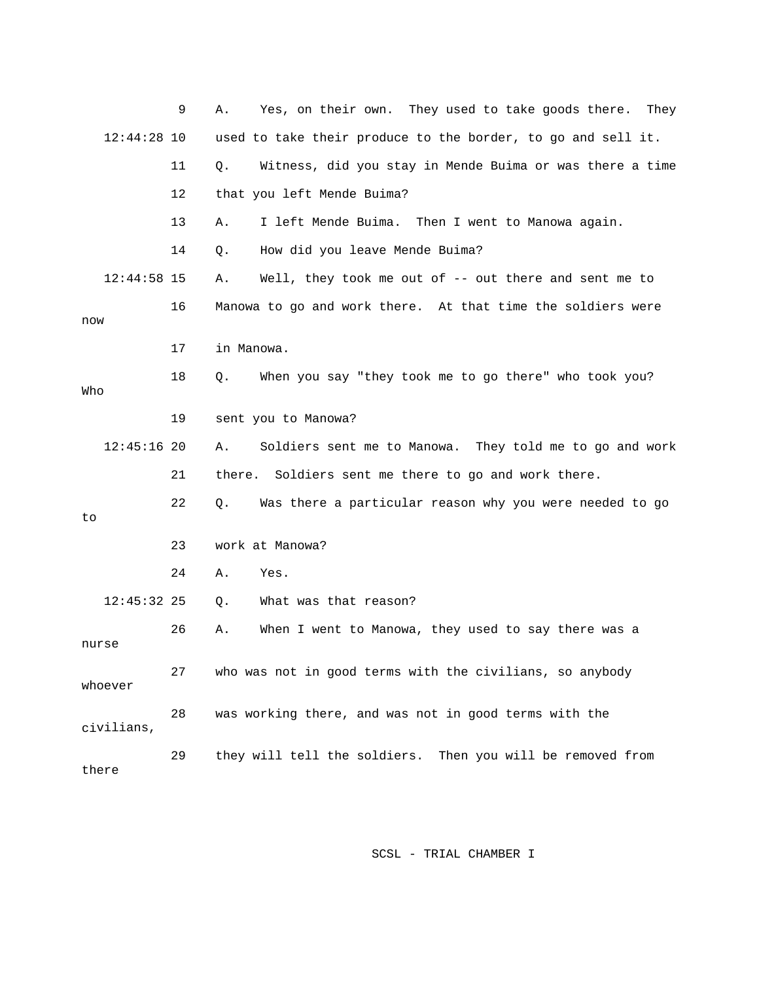|               | 9  | Yes, on their own. They used to take goods there. They<br>Α.   |
|---------------|----|----------------------------------------------------------------|
| $12:44:28$ 10 |    | used to take their produce to the border, to go and sell it.   |
|               | 11 | Witness, did you stay in Mende Buima or was there a time<br>Q. |
|               | 12 | that you left Mende Buima?                                     |
|               | 13 | I left Mende Buima. Then I went to Manowa again.<br>Α.         |
|               | 14 | How did you leave Mende Buima?<br>Q.                           |
| $12:44:58$ 15 |    | Well, they took me out of $-$ out there and sent me to<br>Α.   |
| now           | 16 | Manowa to go and work there. At that time the soldiers were    |
|               | 17 | in Manowa.                                                     |
| Who           | 18 | When you say "they took me to go there" who took you?<br>Q.    |
|               | 19 | sent you to Manowa?                                            |
| $12:45:16$ 20 |    | Soldiers sent me to Manowa. They told me to go and work<br>Α.  |
|               | 21 | there.<br>Soldiers sent me there to go and work there.         |
| to            | 22 | Was there a particular reason why you were needed to go<br>Q.  |
|               | 23 | work at Manowa?                                                |
|               | 24 | Α.<br>Yes.                                                     |
| $12:45:32$ 25 |    | What was that reason?<br>Q.                                    |
| nurse         | 26 | When I went to Manowa, they used to say there was a<br>Α.      |
| whoever       | 27 | who was not in good terms with the civilians, so anybody       |
| civilians,    | 28 | was working there, and was not in good terms with the          |
| there         | 29 | they will tell the soldiers. Then you will be removed from     |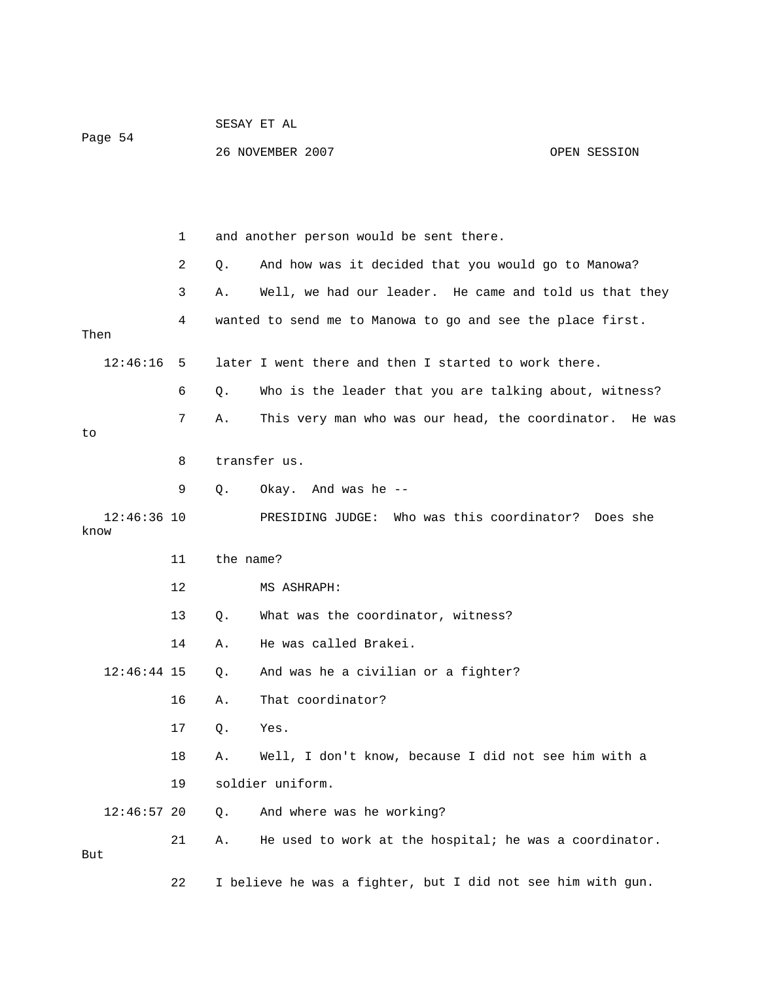|                       |    | SESAY ET AL |                                                             |              |  |
|-----------------------|----|-------------|-------------------------------------------------------------|--------------|--|
| Page 54               |    |             | 26 NOVEMBER 2007                                            | OPEN SESSION |  |
|                       |    |             |                                                             |              |  |
|                       |    |             |                                                             |              |  |
|                       | 1  |             | and another person would be sent there.                     |              |  |
|                       | 2  | Q.          | And how was it decided that you would go to Manowa?         |              |  |
|                       | 3  | Α.          | Well, we had our leader. He came and told us that they      |              |  |
|                       | 4  |             | wanted to send me to Manowa to go and see the place first.  |              |  |
| Then                  |    |             |                                                             |              |  |
| 12:46:16              | 5  |             | later I went there and then I started to work there.        |              |  |
|                       | 6  | Q.          | Who is the leader that you are talking about, witness?      |              |  |
| to                    | 7  | Α.          | This very man who was our head, the coordinator. He was     |              |  |
|                       | 8  |             | transfer us.                                                |              |  |
|                       | 9  | Q.          | Okay. And was he --                                         |              |  |
| $12:46:36$ 10<br>know |    |             | PRESIDING JUDGE: Who was this coordinator? Does she         |              |  |
|                       | 11 | the name?   |                                                             |              |  |
|                       | 12 |             | MS ASHRAPH:                                                 |              |  |
|                       | 13 | Q.          | What was the coordinator, witness?                          |              |  |
|                       | 14 | Α.          | He was called Brakei.                                       |              |  |
| $12:46:44$ 15         |    | Q.          | And was he a civilian or a fighter?                         |              |  |
|                       | 16 | Α.          | That coordinator?                                           |              |  |
|                       | 17 | Q.          | Yes.                                                        |              |  |
|                       | 18 | Α.          | Well, I don't know, because I did not see him with a        |              |  |
|                       | 19 |             | soldier uniform.                                            |              |  |
| $12:46:57$ 20         |    | Q.          | And where was he working?                                   |              |  |
| But                   | 21 | Α.          | He used to work at the hospital; he was a coordinator.      |              |  |
|                       | 22 |             | I believe he was a fighter, but I did not see him with gun. |              |  |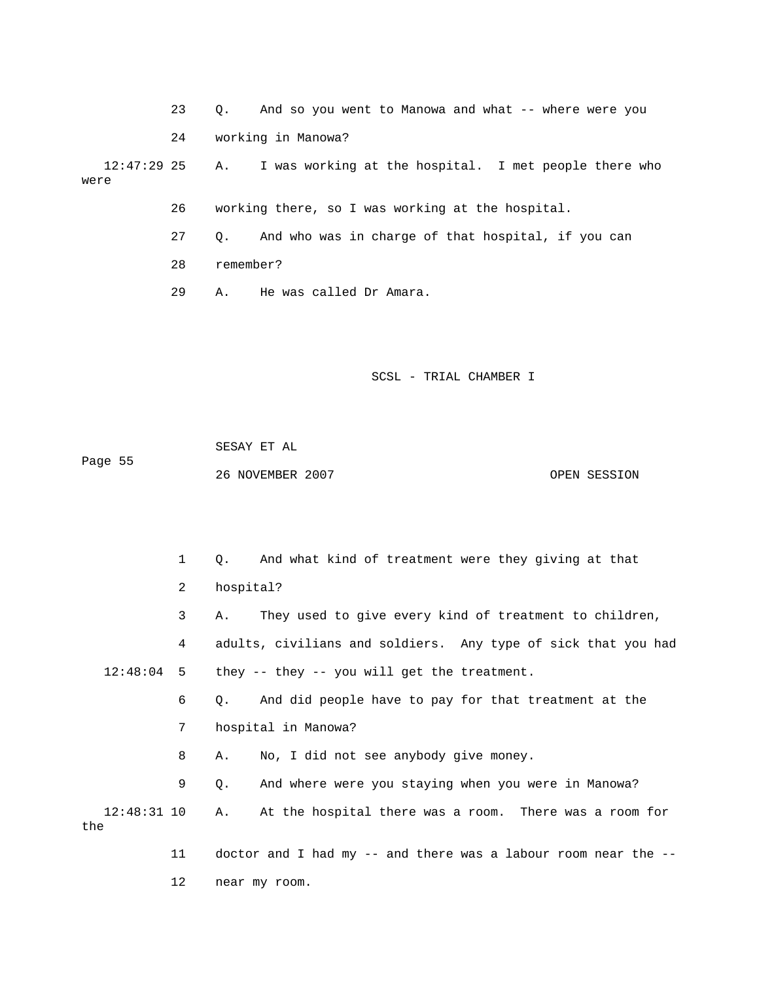23 Q. And so you went to Manowa and what -- where were you

24 working in Manowa?

I was working at the hospital. I met people there who were  $12:47:29$  25 A.

26 working there, so I was working at the hospital.

27 Q. And who was in charge of that hospital, if you can

28 remember?

12 near my room.

29 A. He was called Dr Amara.

SCSL - TRIAL CHAMBER I

Page 55 SESAY ET AL 26 NOVEMBER 2007 OPEN SESSION

 1 Q. And what kind of treatment were they giving at that 2 hospital? 3 A. They used to give every kind of treatment to children, 4 adults, civilians and soldiers. Any type of sick that you had 12:48:04 5 they -- they -- you will get the treatment. 7 hospital in Manowa? 8 A. No, I did not see anybody give money. 9 Q. And where were you staying when you were in Manowa? 12:48:31 10 A. At the hospital there was a room. There was a room for 11 doctor and I had my -- and there was a labour room near the -- 6 Q. And did people have to pay for that treatment at the the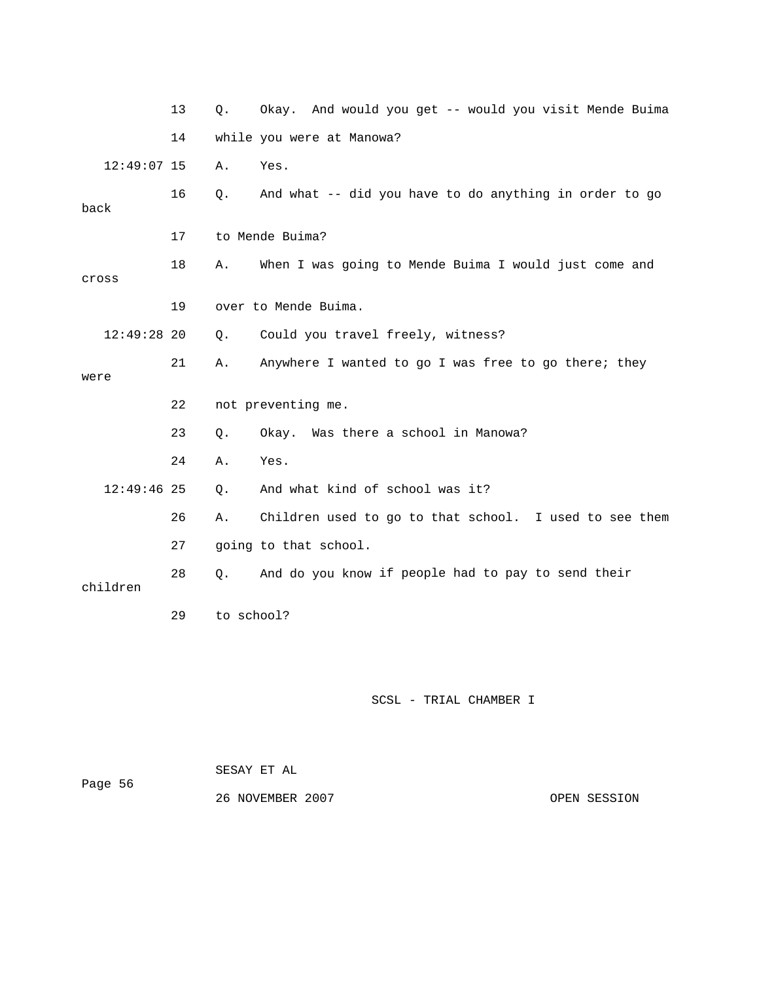|               | 13 | Q.         | Okay. And would you get -- would you visit Mende Buima |
|---------------|----|------------|--------------------------------------------------------|
|               | 14 |            | while you were at Manowa?                              |
| $12:49:07$ 15 |    | Α.         | Yes.                                                   |
| back          | 16 | Q.         | And what -- did you have to do anything in order to go |
|               | 17 |            | to Mende Buima?                                        |
| cross         | 18 | Α.         | When I was going to Mende Buima I would just come and  |
|               | 19 |            | over to Mende Buima.                                   |
| $12:49:28$ 20 |    | Q.         | Could you travel freely, witness?                      |
| were          | 21 | Α.         | Anywhere I wanted to go I was free to go there; they   |
|               | 22 |            | not preventing me.                                     |
|               | 23 | Q.         | Okay. Was there a school in Manowa?                    |
|               | 24 | Α.         | Yes.                                                   |
| $12:49:46$ 25 |    | Q.         | And what kind of school was it?                        |
|               | 26 | Α.         | Children used to go to that school. I used to see them |
|               | 27 |            | going to that school.                                  |
| children      | 28 | Q.         | And do you know if people had to pay to send their     |
|               | 29 | to school? |                                                        |
|               |    |            |                                                        |
|               |    |            | SCSL - TRIAL CHAMBER I                                 |

|         | SESAY ET AL      |  |
|---------|------------------|--|
| Page 56 |                  |  |
|         | 26 NOVEMBER 2007 |  |

OPEN SESSION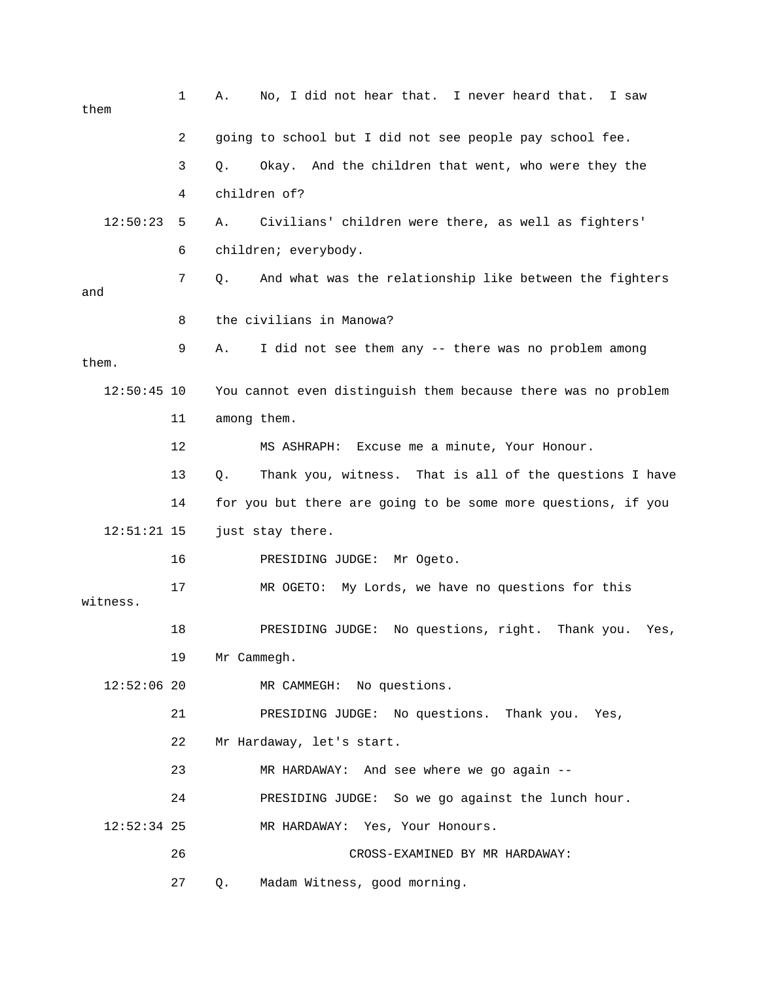| them          | 1  | No, I did not hear that. I never heard that.<br>I saw<br>Α.   |
|---------------|----|---------------------------------------------------------------|
|               | 2  | going to school but I did not see people pay school fee.      |
|               | 3  | Okay. And the children that went, who were they the<br>Q.     |
|               | 4  | children of?                                                  |
| 12:50:23      | 5  | Civilians' children were there, as well as fighters'<br>Α.    |
|               | 6  | children; everybody.                                          |
| and           | 7  | And what was the relationship like between the fighters<br>Q. |
|               | 8  | the civilians in Manowa?                                      |
| them.         | 9  | I did not see them any -- there was no problem among<br>Α.    |
| $12:50:45$ 10 |    | You cannot even distinguish them because there was no problem |
|               | 11 | among them.                                                   |
|               | 12 | Excuse me a minute, Your Honour.<br>MS ASHRAPH:               |
|               | 13 | Thank you, witness. That is all of the questions I have<br>Q. |
|               | 14 | for you but there are going to be some more questions, if you |
| $12:51:21$ 15 |    | just stay there.                                              |
|               | 16 | PRESIDING JUDGE: Mr Ogeto.                                    |
| witness.      | 17 | My Lords, we have no questions for this<br>MR OGETO:          |
|               | 18 | No questions, right. Thank you.<br>PRESIDING JUDGE:<br>Yes,   |
|               | 19 | Mr Cammegh.                                                   |
| $12:52:06$ 20 |    | MR CAMMEGH: No questions.                                     |
|               | 21 | PRESIDING JUDGE: No questions. Thank you. Yes,                |
|               | 22 | Mr Hardaway, let's start.                                     |
|               | 23 | MR HARDAWAY: And see where we go again --                     |
|               | 24 | PRESIDING JUDGE: So we go against the lunch hour.             |
| $12:52:34$ 25 |    | MR HARDAWAY: Yes, Your Honours.                               |
|               | 26 | CROSS-EXAMINED BY MR HARDAWAY:                                |
|               | 27 | Madam Witness, good morning.<br>Q.                            |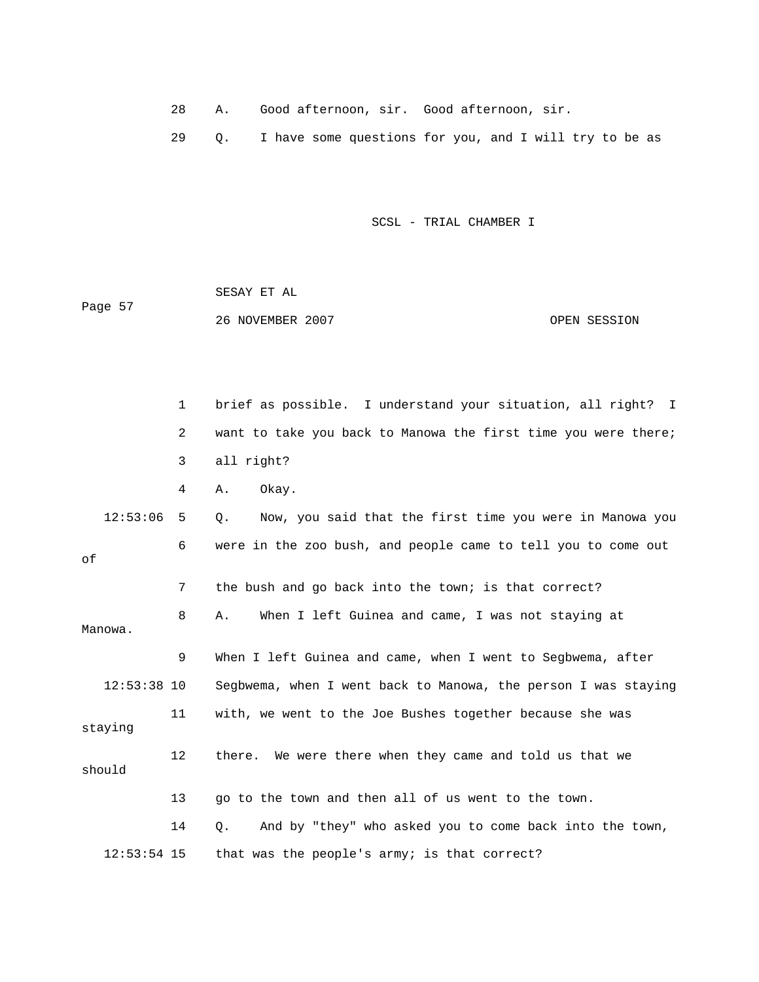- 28 A. Good afternoon, sir. Good afternoon, sir.
- 29 Q. I have some questions for you, and I will try to be as

 SESAY ET AL OPEN SESSION Page 57 26 NOVEMBER 2007

 1 brief as possible. I understand your situation, all right? I 2 want to take you back to Manowa the first time you were there; 3 all right? 12:53:06 5 Q. Now, you said that the first time you were in Manowa you 7 the bush and go back into the town; is that correct? 8 A. When I left Guinea and came, I was not staying at Manowa. 11 with, we went to the Joe Bushes together because she was staying 12 there. We were there when they came and told us that we 14 Q. And by "they" who asked you to come back into the town, 12:53:54 15 that was the people's army; is that correct? 4 A. Okay. 6 were in the zoo bush, and people came to tell you to come out of 9 When I left Guinea and came, when I went to Segbwema, after 12:53:38 10 Segbwema, when I went back to Manowa, the person I was staying should 13 go to the town and then all of us went to the town.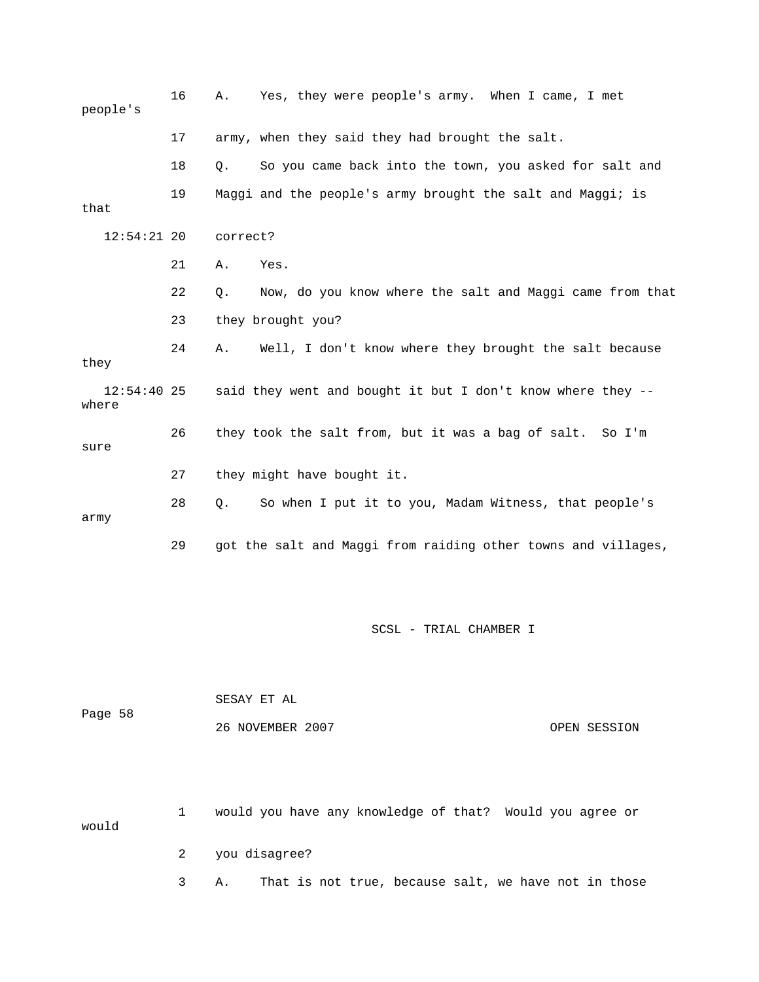| people's               | 16 | Α.                         | Yes, they were people's army. When I came, I met              |  |
|------------------------|----|----------------------------|---------------------------------------------------------------|--|
|                        | 17 |                            | army, when they said they had brought the salt.               |  |
|                        | 18 | Q.                         | So you came back into the town, you asked for salt and        |  |
| that                   | 19 |                            | Maggi and the people's army brought the salt and Maggi; is    |  |
| $12:54:21$ 20          |    | correct?                   |                                                               |  |
|                        | 21 | Yes.<br>Α.                 |                                                               |  |
|                        | 22 | $Q$ .                      | Now, do you know where the salt and Maggi came from that      |  |
|                        | 23 | they brought you?          |                                                               |  |
| they                   | 24 | Α.                         | Well, I don't know where they brought the salt because        |  |
| $12:54:40$ 25<br>where |    |                            | said they went and bought it but I don't know where they --   |  |
| sure                   | 26 |                            | they took the salt from, but it was a bag of salt. So I'm     |  |
|                        | 27 | they might have bought it. |                                                               |  |
| army                   | 28 | Ο.                         | So when I put it to you, Madam Witness, that people's         |  |
|                        | 29 |                            | got the salt and Maggi from raiding other towns and villages, |  |

|         | SESAY ET AL      |              |
|---------|------------------|--------------|
| Page 58 | 26 NOVEMBER 2007 | OPEN SESSION |
|         |                  |              |
|         |                  |              |

 1 would you have any knowledge of that? Would you agree or uld 2 you disagree? wo

3 A. That is not true, because salt, we have not in those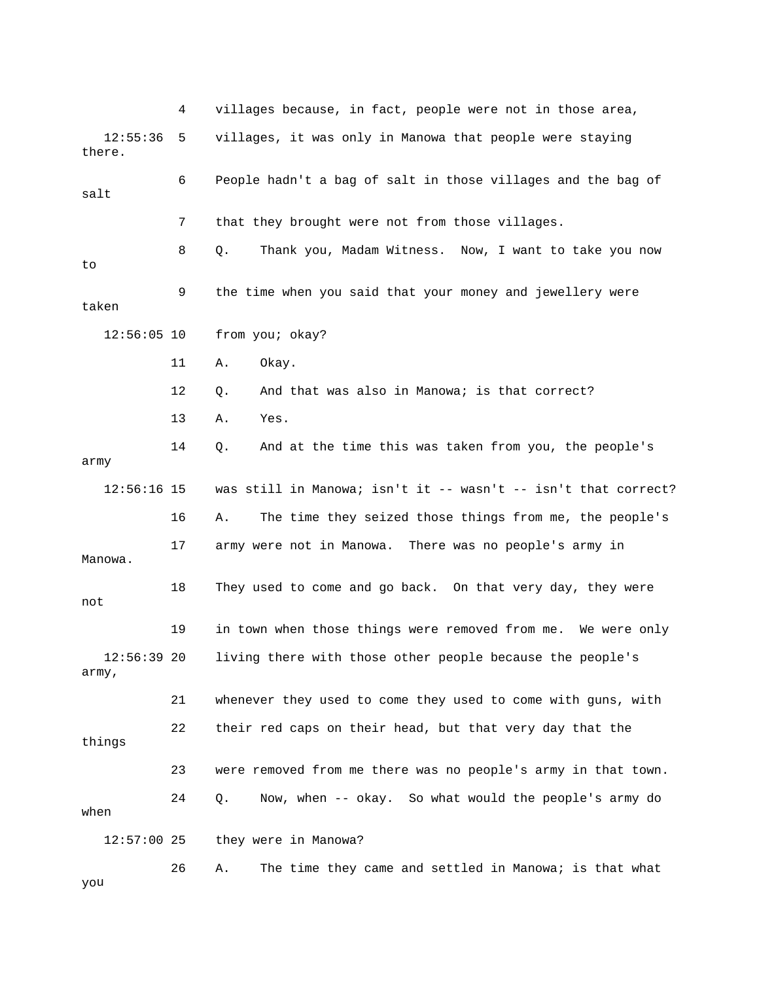4 villages because, in fact, people were not in those area, 6 People hadn't a bag of salt in those villages and the bag of salt 7 that they brought were not from those villages. 8 Q. Thank you, Madam Witness. Now, I want to take you now 9 the time when you said that your money and jewellery were taken 12:56:05 10 from you; okay? 12 Q. And that was also in Manowa; is that correct? 14 Q. And at the time this was taken from you, the people's 16 A. The time they seized those things from me, the people's 17 army were not in Manowa. There was no people's army in Manowa. 18 They used to come and go back. On that very day, they were 19 in town when those things were removed from me. We were only 12:56:39 20 living there with those other people because the people's army, 23 were removed from me there was no people's army in that town. 24 Q. Now, when -- okay. So what would the people's army do when they were in Manowa? you 12:55:36 5 villages, it was only in Manowa that people were staying there. to 11 A. Okay. 13 A. Yes. army 12:56:16 15 was still in Manowa; isn't it -- wasn't -- isn't that correct? not 21 whenever they used to come they used to come with guns, with 22 their red caps on their head, but that very day that the things  $12:57:00$  25 26 A. The time they came and settled in Manowa; is that what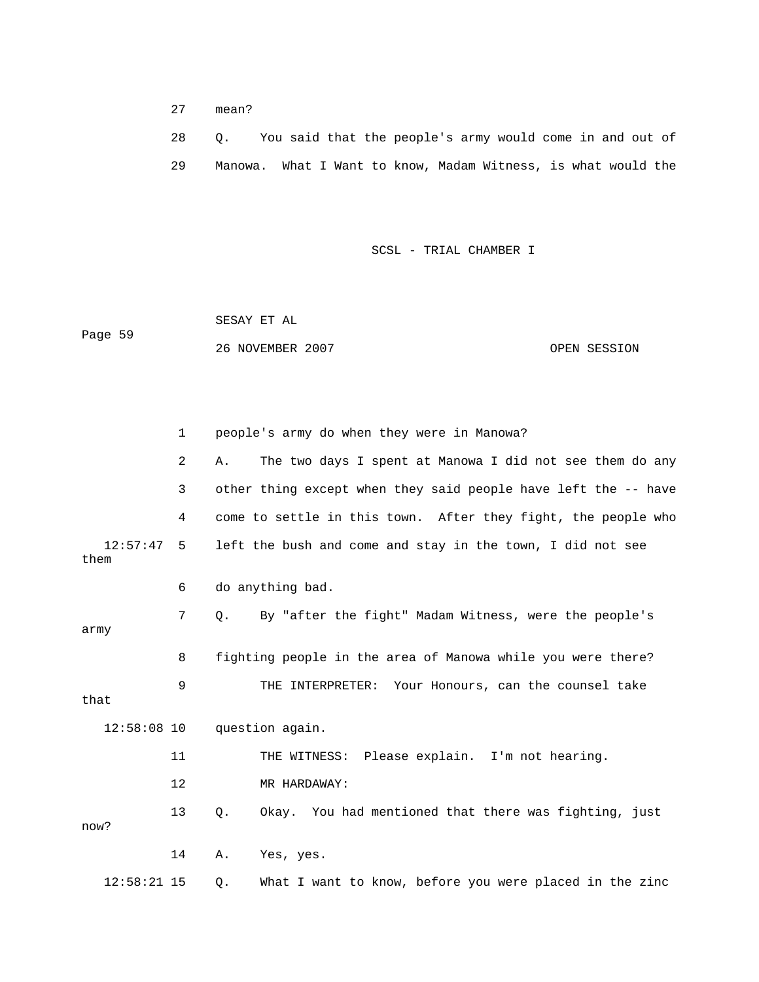27 mean?

|  |  |  | You said that the people's army would come in and out of      |  |  |  |  |
|--|--|--|---------------------------------------------------------------|--|--|--|--|
|  |  |  | Manowa. What I Want to know, Madam Witness, is what would the |  |  |  |  |

SCSL - TRIAL CHAMBER I

 SESAY ET AL ge 59 OPEN SESSION Pa 26 NOVEMBER 2007

|      |               | $\mathbf{1}$   |       | people's army do when they were in Manowa?                     |
|------|---------------|----------------|-------|----------------------------------------------------------------|
|      |               | $\overline{a}$ | Α.    | The two days I spent at Manowa I did not see them do any       |
|      |               | 3              |       | other thing except when they said people have left the -- have |
|      |               | 4              |       | come to settle in this town. After they fight, the people who  |
| them | 12:57:47      | 5              |       | left the bush and come and stay in the town, I did not see     |
|      |               | 6              |       | do anything bad.                                               |
| army |               | 7              | О.    | By "after the fight" Madam Witness, were the people's          |
|      |               | 8              |       | fighting people in the area of Manowa while you were there?    |
| that |               | 9              |       | THE INTERPRETER: Your Honours, can the counsel take            |
|      | $12:58:08$ 10 |                |       | question again.                                                |
|      |               | 11             |       | THE WITNESS: Please explain. I'm not hearing.                  |
|      |               | 12             |       | MR HARDAWAY:                                                   |
| now? |               | 13             | $Q$ . | Okay. You had mentioned that there was fighting, just          |
|      |               | 14             | Α.    | Yes, yes.                                                      |
|      | $12:58:21$ 15 |                | Q.    | What I want to know, before you were placed in the zinc        |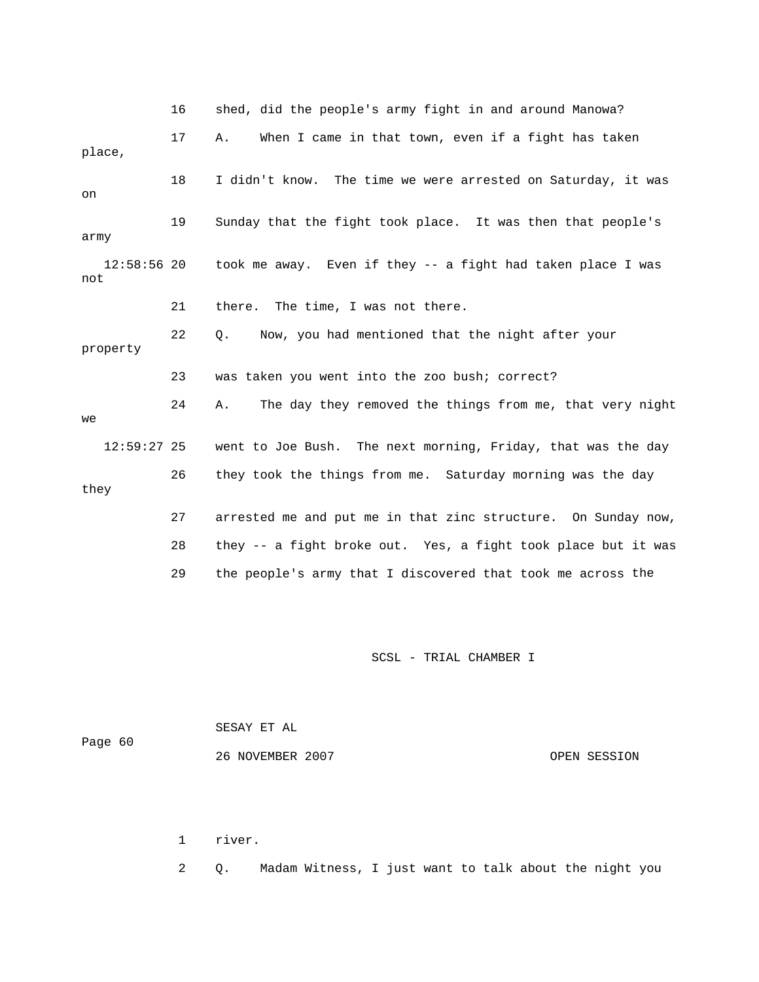|                      | 16 | shed, did the people's army fight in and around Manowa?        |
|----------------------|----|----------------------------------------------------------------|
| place,               | 17 | When I came in that town, even if a fight has taken<br>Α.      |
| on                   | 18 | I didn't know. The time we were arrested on Saturday, it was   |
| army                 | 19 | Sunday that the fight took place. It was then that people's    |
| $12:58:56$ 20<br>not |    | took me away. Even if they -- a fight had taken place I was    |
|                      | 21 | there. The time, I was not there.                              |
| property             | 22 | Now, you had mentioned that the night after your<br>О.         |
|                      | 23 | was taken you went into the zoo bush; correct?                 |
| we                   | 24 | The day they removed the things from me, that very night<br>Α. |
| $12:59:27$ 25        |    | went to Joe Bush. The next morning, Friday, that was the day   |
| they                 | 26 | they took the things from me. Saturday morning was the day     |
|                      | 27 | arrested me and put me in that zinc structure. On Sunday now,  |
|                      | 28 | they -- a fight broke out. Yes, a fight took place but it was  |
|                      | 29 | the people's army that I discovered that took me across the    |

 SESAY ET AL 60 Page 26 NOVEMBER 2007 OPEN SESSION

1 river.

2 Q. Madam Witness, I just want to talk about the night you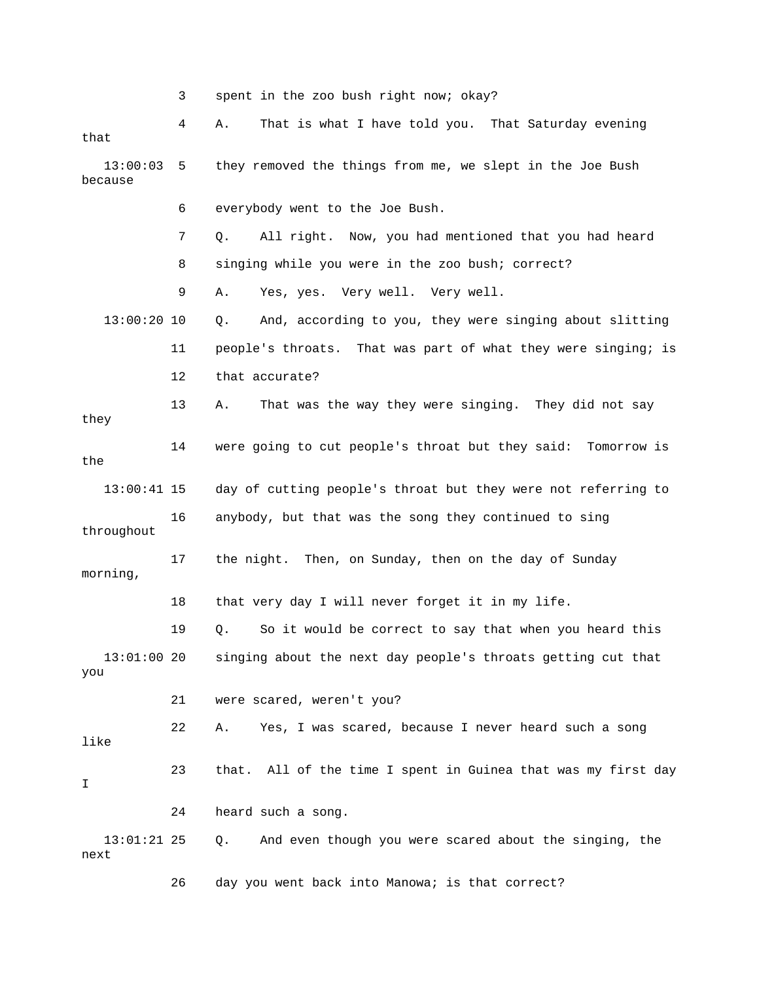3 spent in the zoo bush right now; okay? 4 A. That is what I have told you. That Saturday evening that 13:00:03 5 they removed the things from me, we slept in the Joe Bush 7 Q. All right. Now, you had mentioned that you had heard 8 singing while you were in the zoo bush; correct? Yes, yes. Very well. Very well. 11 people's throats. That was part of what they were singing; is 13 A. That was the way they were singing. They did not say 14 were going to cut people's throat but they said: Tomorrow is 16 anybody, but that was the song they continued to sing 17 the night. Then, on Sunday, then on the day of Sunday 19 Q. So it would be correct to say that when you heard this 22 A. Yes, I was scared, because I never heard such a song 23 that. All of the time I spent in Guinea that was my first day 13:01:21 25 Q. And even though you were scared about the singing, the because 6 everybody went to the Joe Bush. 9 A. Ye 13:00:20 10 Q. And, according to you, they were singing about slitting 12 that accurate? they the 13:00:41 15 day of cutting people's throat but they were not referring to throughout morning, 18 that very day I will never forget it in my life. 13:01:00 20 singing about the next day people's throats getting cut that you 21 were scared, weren't you? like I 24 heard such a song. next

26 day you went back into Manowa; is that correct?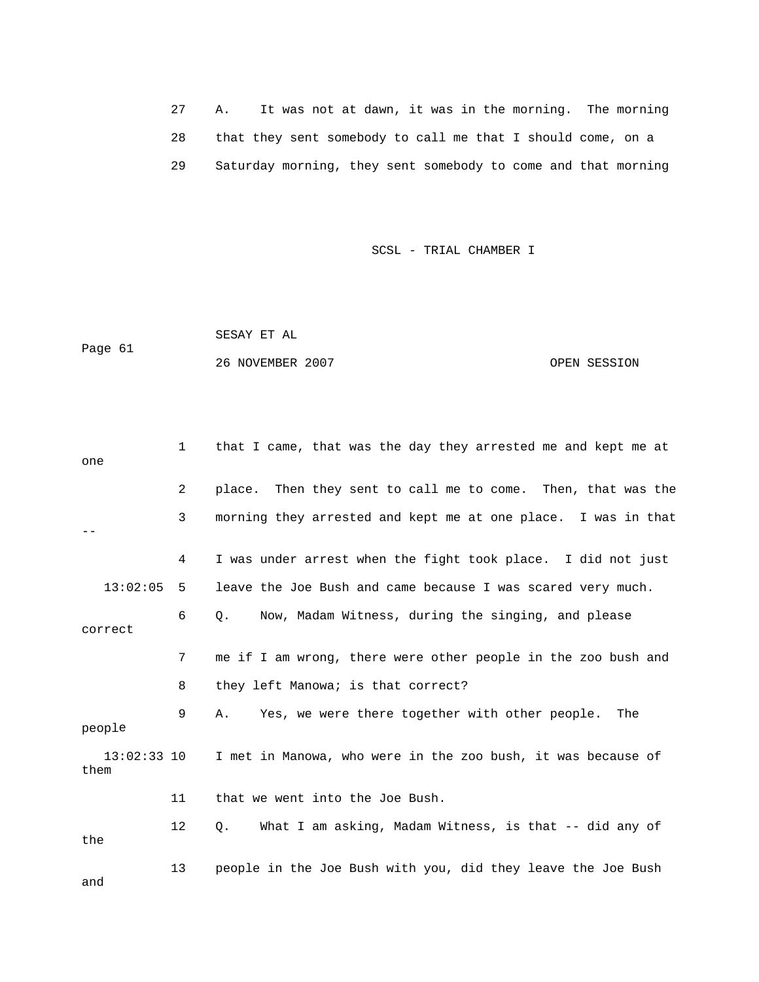27 A. It was not at dawn, it was in the morning. The morning 28 that they sent somebody to call me that I should come, on a 29 Saturday morning, they sent somebody to come and that morning

SCSL - TRIAL CHAMBER I

Page 61 SESAY ET AL 26 NOVEMBER 2007 OPEN SESSION

| one                 | $\mathbf{1}$ | that I came, that was the day they arrested me and kept me at   |
|---------------------|--------------|-----------------------------------------------------------------|
|                     | 2            | Then they sent to call me to come. Then, that was the<br>place. |
|                     | 3            | morning they arrested and kept me at one place. I was in that   |
|                     | 4            | I was under arrest when the fight took place. I did not just    |
| 13:02:05            | 5            | leave the Joe Bush and came because I was scared very much.     |
| correct             | 6            | Now, Madam Witness, during the singing, and please<br>$\circ$ . |
|                     | 7            | me if I am wrong, there were other people in the zoo bush and   |
|                     | 8            | they left Manowa; is that correct?                              |
| people              | 9            | Yes, we were there together with other people.<br>Α.<br>The     |
| 13:02:33 10<br>them |              | I met in Manowa, who were in the zoo bush, it was because of    |
|                     | 11           | that we went into the Joe Bush.                                 |
| the                 | 12           | What I am asking, Madam Witness, is that -- did any of<br>Q.    |
| and                 | 13           | people in the Joe Bush with you, did they leave the Joe Bush    |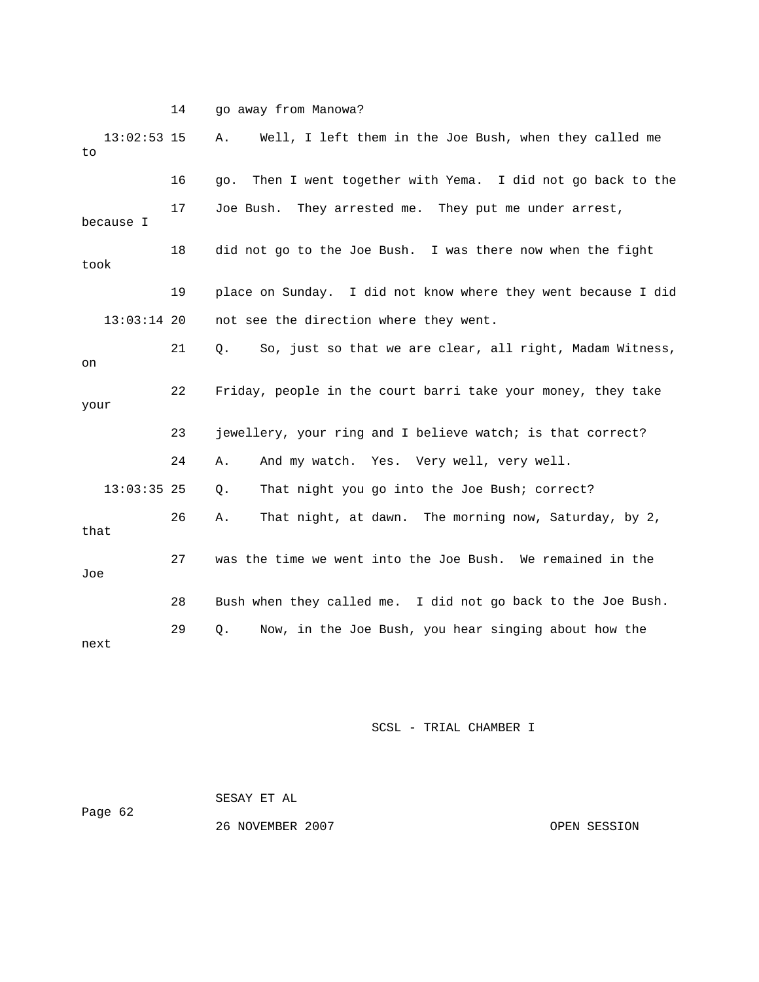14 go away from Manowa?

| $13:02:53$ 15<br>to |    | Well, I left them in the Joe Bush, when they called me<br>Α.    |
|---------------------|----|-----------------------------------------------------------------|
|                     | 16 | Then I went together with Yema. I did not go back to the<br>qo. |
| because I           | 17 | Joe Bush. They arrested me. They put me under arrest,           |
| took                | 18 | did not go to the Joe Bush. I was there now when the fight      |
|                     | 19 | place on Sunday. I did not know where they went because I did   |
| $13:03:14$ 20       |    | not see the direction where they went.                          |
| on                  | 21 | So, just so that we are clear, all right, Madam Witness,<br>Q.  |
| your                | 22 | Friday, people in the court barri take your money, they take    |
|                     | 23 | jewellery, your ring and I believe watch; is that correct?      |
|                     | 24 | And my watch. Yes. Very well, very well.<br>Α.                  |
| $13:03:35$ 25       |    | That night you go into the Joe Bush; correct?<br>Q.             |
| that                | 26 | That night, at dawn. The morning now, Saturday, by 2,<br>Α.     |
| Joe                 | 27 | was the time we went into the Joe Bush. We remained in the      |
|                     | 28 | Bush when they called me. I did not go back to the Joe Bush.    |
| next                | 29 | Now, in the Joe Bush, you hear singing about how the<br>Q.      |

| Page 62 | SESAY ET AL      |              |
|---------|------------------|--------------|
|         | 26 NOVEMBER 2007 | OPEN SESSION |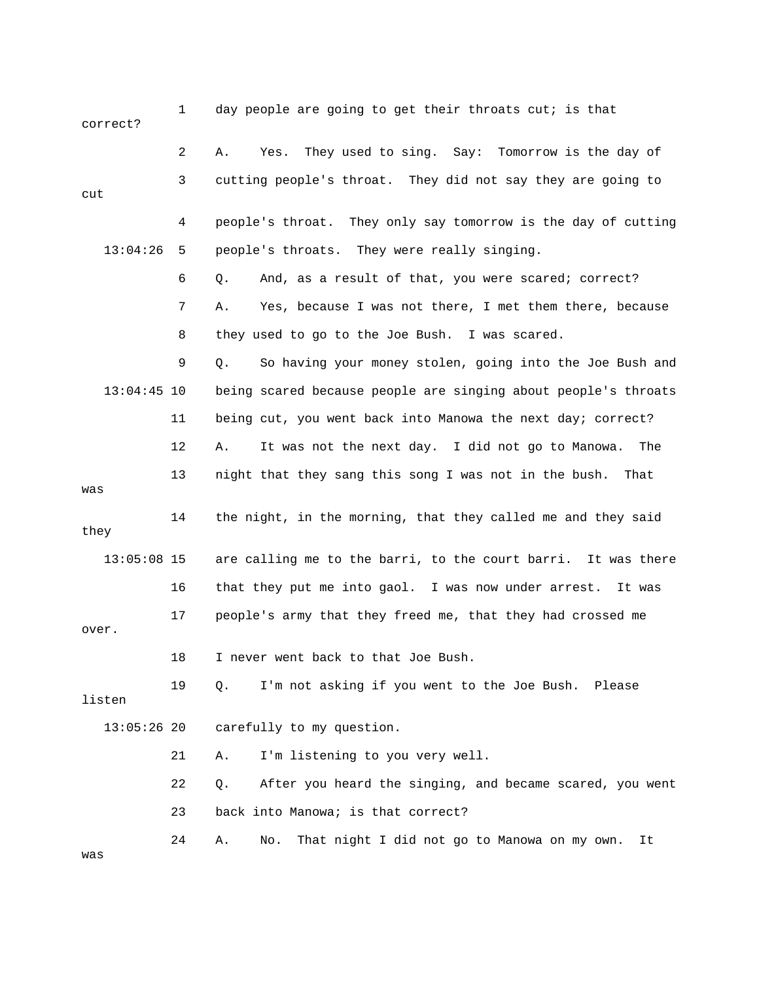| correct?      | $\mathbf{1}$ | day people are going to get their throats cut; is that            |
|---------------|--------------|-------------------------------------------------------------------|
|               | 2            | They used to sing. Say: Tomorrow is the day of<br>Α.<br>Yes.      |
| cut           | 3            | cutting people's throat. They did not say they are going to       |
|               | 4            | people's throat. They only say tomorrow is the day of cutting     |
| 13:04:26      | 5            | people's throats. They were really singing.                       |
|               | 6            | And, as a result of that, you were scared; correct?<br>Q.         |
|               | 7            | Yes, because I was not there, I met them there, because<br>Α.     |
|               | 8            | they used to go to the Joe Bush. I was scared.                    |
|               | 9            | Q.<br>So having your money stolen, going into the Joe Bush and    |
| $13:04:45$ 10 |              | being scared because people are singing about people's throats    |
|               | 11           | being cut, you went back into Manowa the next day; correct?       |
|               | 12           | It was not the next day. I did not go to Manowa.<br>Α.<br>The     |
| was           | 13           | night that they sang this song I was not in the bush.<br>That     |
| they          | 14           | the night, in the morning, that they called me and they said      |
| $13:05:08$ 15 |              | are calling me to the barri, to the court barri. It was there     |
|               | 16           | that they put me into gaol. I was now under arrest.<br>It was     |
| over.         | 17           | people's army that they freed me, that they had crossed me        |
|               | 18           | I never went back to that Joe Bush                                |
| listen        | 19           | I'm not asking if you went to the Joe Bush. Please<br>Q.          |
| $13:05:26$ 20 |              | carefully to my question.                                         |
|               | 21           | I'm listening to you very well.<br>Α.                             |
|               | 22           | After you heard the singing, and became scared, you went<br>$Q$ . |
|               | 23           | back into Manowa; is that correct?                                |
| was           | 24           | That night I did not go to Manowa on my own.<br>Α.<br>No.<br>It   |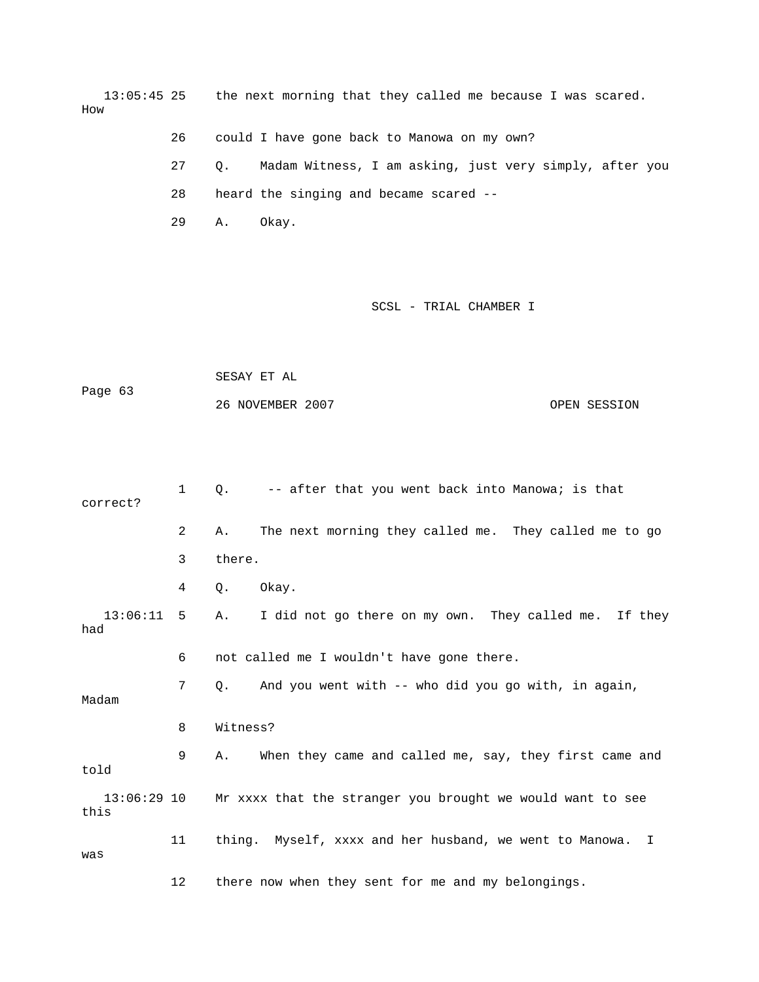13:05:45 25 the next morning that they called me because I was scared. How

26 could I have gone back to Manowa on my own?

 27 Q. Madam Witness, I am asking, just very simply, after you 28 heard the singing and became scared --

29 A. Okay.

#### SCSL - TRIAL CHAMBER I

Page 63 OPEN SESSION SESAY ET AL 26 NOVEMBER 2007

1 Q. -- after that you went back into Manowa; is that 2 A. The next morning they called me. They called me to go 3 there. 13:06:11 5 A. I did not go there on my own. They called me. If they had 8 Witness? 9 A. When they came and called me, say, they first came and 13:06:29 10 Mr xxxx that the stranger you brought we would want to see Myself, xxxx and her husband, we went to Manowa. I 11 thing. was 12 there now when they sent for me and my belongings. correct? 4 Q. Okay. 6 not called me I wouldn't have gone there. 7 Q. And you went with -- who did you go with, in again, Madam told this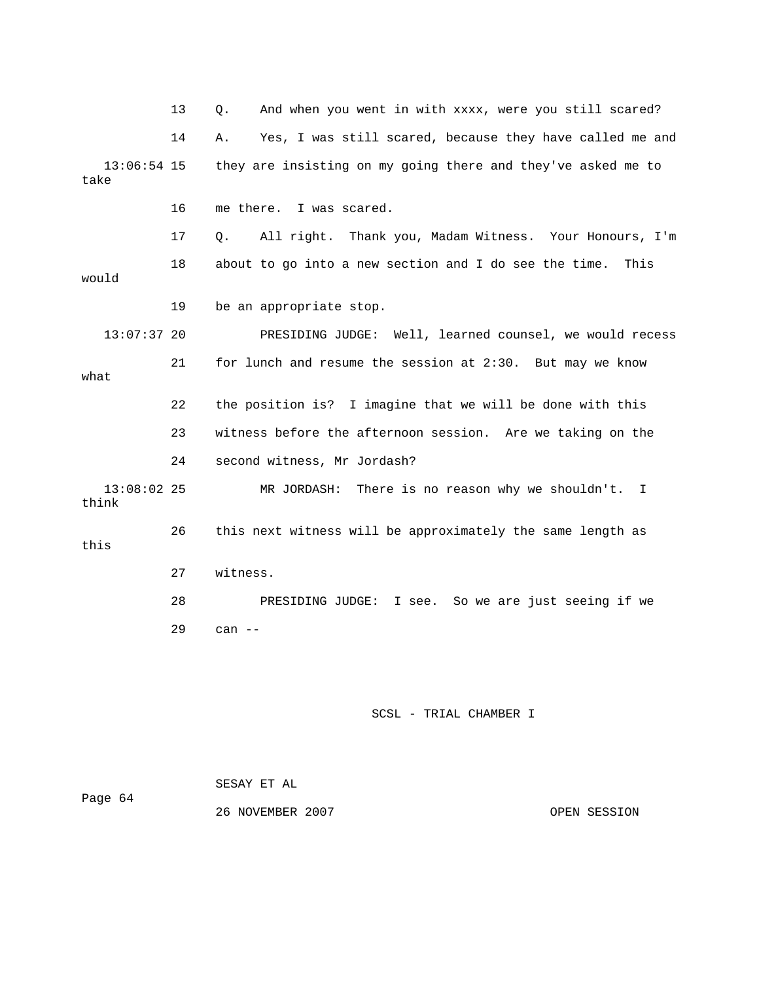13 Q. And when you went in with xxxx, were you still scared? 14 A. Yes, I was still scared, because they have called me and 13:06:54 15 they are insisting on my going there and they've asked me to 16 me there. I was scared. 18 about to go into a new section and I do see the time. This 19 be an appropriate stop. PRESIDING JUDGE: Well, learned counsel, we would recess 21 for lunch and resume the session at 2:30. But may we know what 23 witness before the afternoon session. Are we taking on the 24 second witness, Mr Jordash? 13:08:02 25 MR JORDASH: There is no reason why we shouldn't. I think 27 witness. 28 PRESIDING JUDGE: I see. So we are just seeing if we 29 can - take 17 Q. All right. Thank you, Madam Witness. Your Honours, I'm would  $13:07:37$  20 22 the position is? I imagine that we will be done with this 26 this next witness will be approximately the same length as this

### SCSL - TRIAL CHAMBER I

Page 64 SESAY ET AL 26 NOVEMBER 2007 OPEN SESSION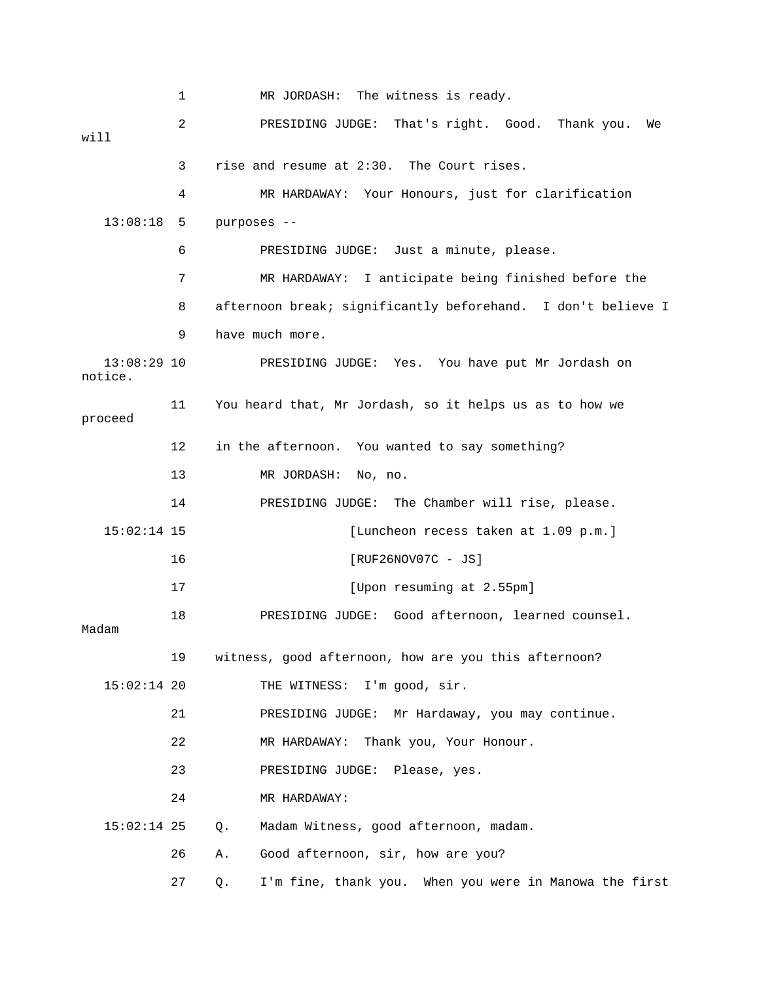1 MR JORDASH: The witness is ready. 2 PRESIDING JUDGE: That's right. Good. Thank you. We will 3 rise and resume at 2:30. The Court rises. 4 MR HARDAWAY: Your Honours, just for clarification 13:08:18 5 purposes -- 6 PRESIDING JUDGE: Just a minute, please. 8 afternoon break; significantly beforehand. I don't believe I 9 have much more. 13:08:29 10 PRESIDING JUDGE: Yes. You have put Mr Jordash on proceed 12 in the afternoon. You wanted to say something? 14 PRESIDING JUDGE: The Chamber will rise, please. 15:02:14 15 [Luncheon recess taken at 1.09 p.m.] 18 PRESIDING JUDGE: Good afternoon, learned counsel. Madam 21 PRESIDING JUDGE: Mr Hardaway, you may continue. 23 PRESIDING JUDGE: Please, yes. 24 MR HARDAWAY: 26 A. Good afternoon, sir, how are you? 27 Q. I'm fine, thank you. When you were in Manowa the first 7 MR HARDAWAY: I anticipate being finished before the notice. 11 You heard that, Mr Jordash, so it helps us as to how we 13 MR JORDASH: No, no. 16 [RUF26NOV07C - JS] 17 [Upon resuming at 2.55pm] 19 witness, good afternoon, how are you this afternoon? 15:02:14 20 THE WITNESS: I'm good, sir. 22 MR HARDAWAY: Thank you, Your Honour. 15:02:14 25 Q. Madam Witness, good afternoon, madam.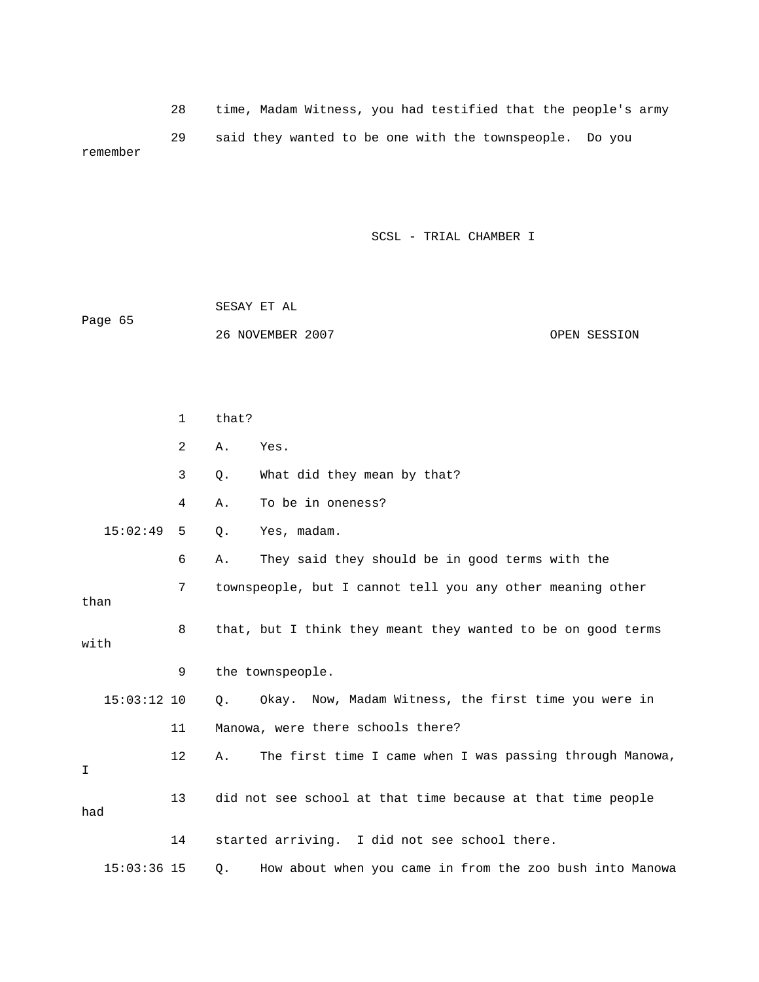28 time, Madam Witness, you had testified that the people's army 29 said they wanted to be one with the townspeople. Do you remember

| Page 65 | SESAY ET AL      |              |
|---------|------------------|--------------|
|         | 26 NOVEMBER 2007 | OPEN SESSION |

|      |               | $\mathbf{1}$ | that? |                                                              |
|------|---------------|--------------|-------|--------------------------------------------------------------|
|      |               | 2            | Α.    | Yes.                                                         |
|      |               | 3            | Q.    | What did they mean by that?                                  |
|      |               | 4            | Α.    | To be in oneness?                                            |
|      | 15:02:49      | 5            | Q.    | Yes, madam.                                                  |
|      |               | 6            | Α.    | They said they should be in good terms with the              |
| than |               | 7            |       | townspeople, but I cannot tell you any other meaning other   |
| with |               | 8            |       | that, but I think they meant they wanted to be on good terms |
|      |               | 9            |       | the townspeople.                                             |
|      | $15:03:12$ 10 |              | Q.    | Okay. Now, Madam Witness, the first time you were in         |
|      |               | 11           |       | Manowa, were there schools there?                            |
| I    |               | 12           | Α.    | The first time I came when I was passing through Manowa,     |
| had  |               | 13           |       | did not see school at that time because at that time people  |
|      |               | 14           |       | started arriving. I did not see school there.                |
|      | $15:03:36$ 15 |              | Q.    | How about when you came in from the zoo bush into Manowa     |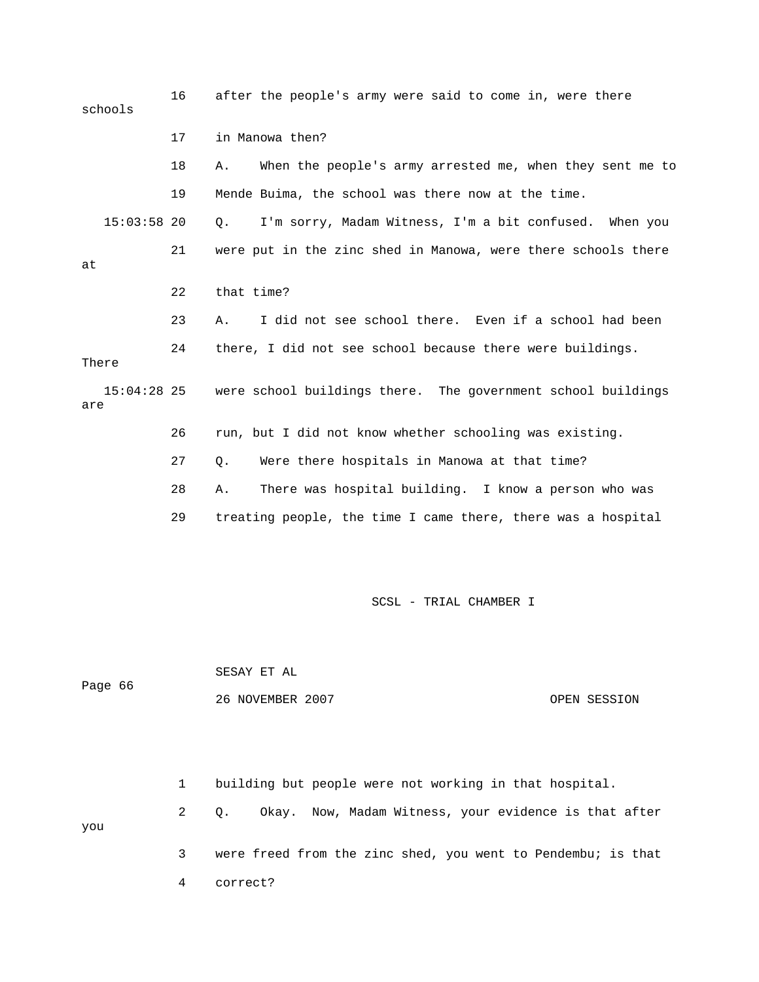16 after the people's army were said to come in, were there 17 in Manowa then? 18 A. When the people's army arrested me, when they sent me to 19 Mende Buima, the school was there now at the time. 15:03:58 20 Q. I'm sorry, Madam Witness, I'm a bit confused. When you 21 were put in the zinc shed in Manowa, were there schools there 22 that time? 23 A. I did not see school there. Even if a school had been were school buildings there. The government school buildings 26 run, but I did not know whether schooling was existing. 27 Q. Were there hospitals in Manowa at that time? 28 A. There was hospital building. I know a person who was 29 treating people, the time I came there, there was a hospital schools at 24 there, I did not see school because there were buildings. There 15:04: are

SCSL - TRIAL CHAMBER I

66 Page 26 NOVEMBER 2007 OPEN SESSION SESAY ET AL

 2 Q. Okay. Now, Madam Witness, your evidence is that after you 3 were freed from the zinc shed, you went to Pendembu; is that 1 building but people were not working in that hospital.

4 correct?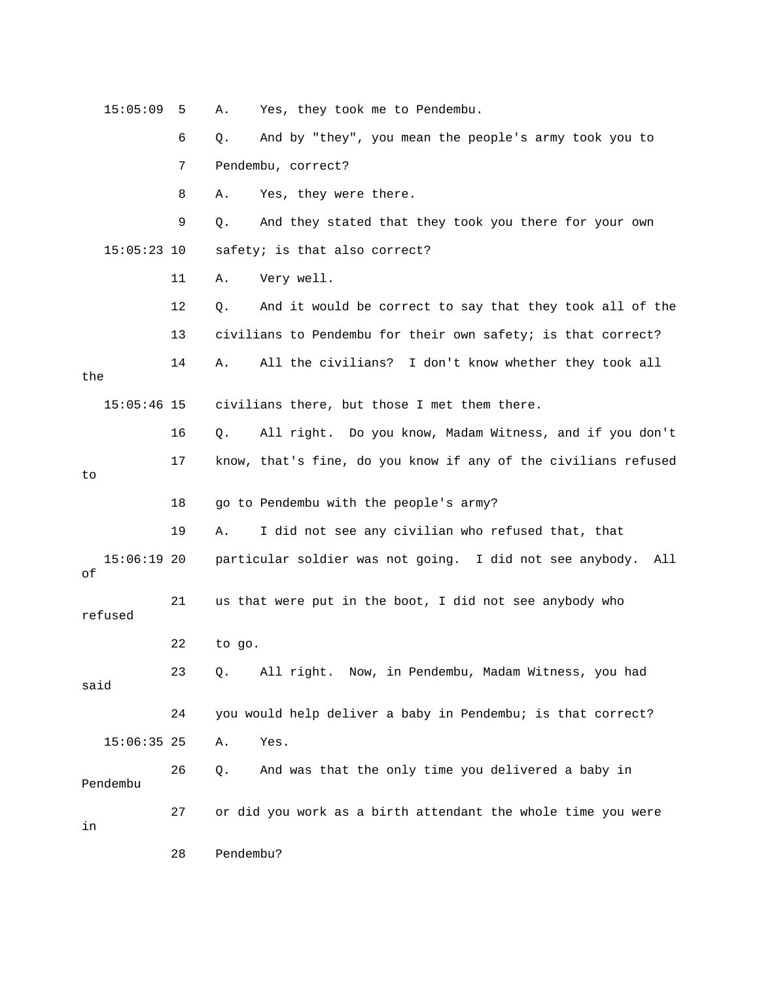| 15:05:09            | 5  | Yes, they took me to Pendembu.<br>Α.                            |
|---------------------|----|-----------------------------------------------------------------|
|                     | 6  | And by "they", you mean the people's army took you to<br>Q.     |
|                     | 7  | Pendembu, correct?                                              |
|                     | 8  | Yes, they were there.<br>Α.                                     |
|                     | 9  | And they stated that they took you there for your own<br>Q.     |
| $15:05:23$ 10       |    | safety; is that also correct?                                   |
|                     | 11 | Very well.<br>Α.                                                |
|                     | 12 | And it would be correct to say that they took all of the<br>Q.  |
|                     | 13 | civilians to Pendembu for their own safety; is that correct?    |
| the                 | 14 | All the civilians? I don't know whether they took all<br>Α.     |
| $15:05:46$ 15       |    | civilians there, but those I met them there.                    |
|                     | 16 | All right. Do you know, Madam Witness, and if you don't<br>Q.   |
| to                  | 17 | know, that's fine, do you know if any of the civilians refused  |
|                     | 18 | go to Pendembu with the people's army?                          |
|                     | 19 | I did not see any civilian who refused that, that<br>Α.         |
| $15:06:19$ 20<br>оf |    | particular soldier was not going. I did not see anybody.<br>All |
| refused             | 21 | us that were put in the boot, I did not see anybody who         |
|                     | 22 | to go.                                                          |
| said                | 23 | $Q$ .<br>All right. Now, in Pendembu, Madam Witness, you had    |
|                     | 24 | you would help deliver a baby in Pendembu; is that correct?     |
| $15:06:35$ 25       |    | Yes.<br>Α.                                                      |
| Pendembu            | 26 | And was that the only time you delivered a baby in<br>Q.        |
| in                  | 27 | or did you work as a birth attendant the whole time you were    |
|                     | 28 | Pendembu?                                                       |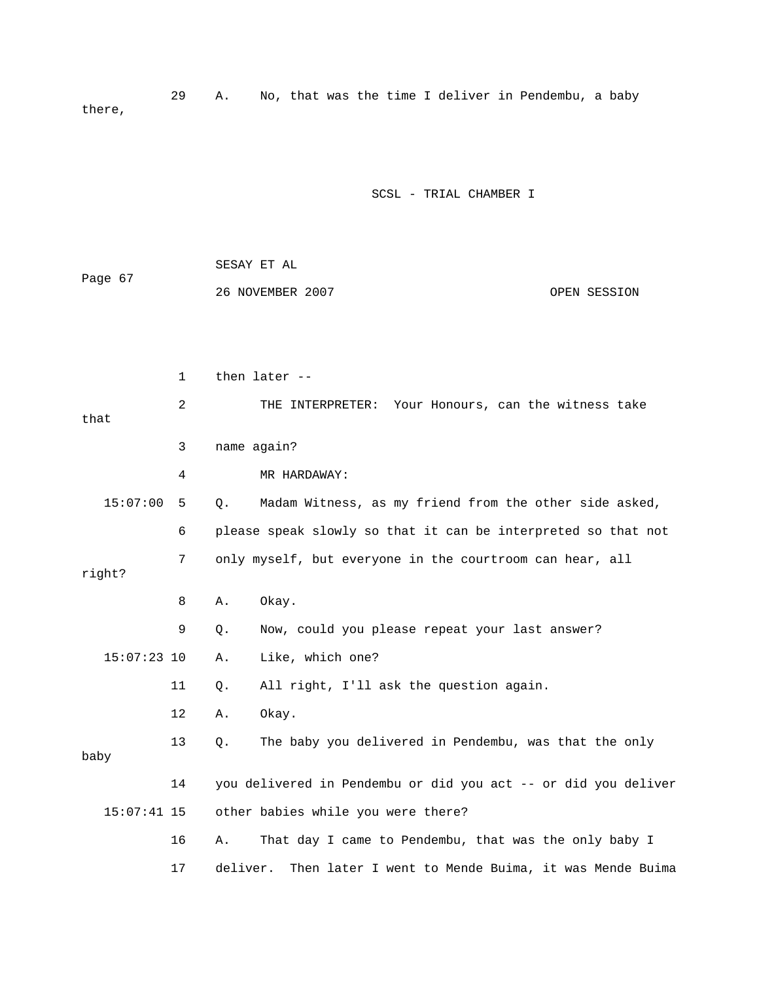29 A. No, that was the time I deliver in Pendembu, a baby there,

| Page 67 | SESAY ET AL      |              |  |
|---------|------------------|--------------|--|
|         | 26 NOVEMBER 2007 | OPEN SESSION |  |

|        |               | $\mathbf{1}$ |          | then later --                                                  |
|--------|---------------|--------------|----------|----------------------------------------------------------------|
| that   |               | 2            |          | THE INTERPRETER: Your Honours, can the witness take            |
|        |               | 3            |          | name again?                                                    |
|        |               | 4            |          | MR HARDAWAY:                                                   |
|        | 15:07:00      | 5            | Q.       | Madam Witness, as my friend from the other side asked,         |
|        |               | 6            |          | please speak slowly so that it can be interpreted so that not  |
| right? |               | 7            |          | only myself, but everyone in the courtroom can hear, all       |
|        |               | 8            | Α.       | Okay.                                                          |
|        |               | 9            | $Q$ .    | Now, could you please repeat your last answer?                 |
|        | $15:07:23$ 10 |              | Α.       | Like, which one?                                               |
|        |               | 11           | Q.       | All right, I'll ask the question again.                        |
|        |               | 12           | Α.       | Okay.                                                          |
| baby   |               | 13           | Q.       | The baby you delivered in Pendembu, was that the only          |
|        |               | 14           |          | you delivered in Pendembu or did you act -- or did you deliver |
|        | $15:07:41$ 15 |              |          | other babies while you were there?                             |
|        |               | 16           | Α.       | That day I came to Pendembu, that was the only baby I          |
|        |               | 17           | deliver. | Then later I went to Mende Buima, it was Mende Buima           |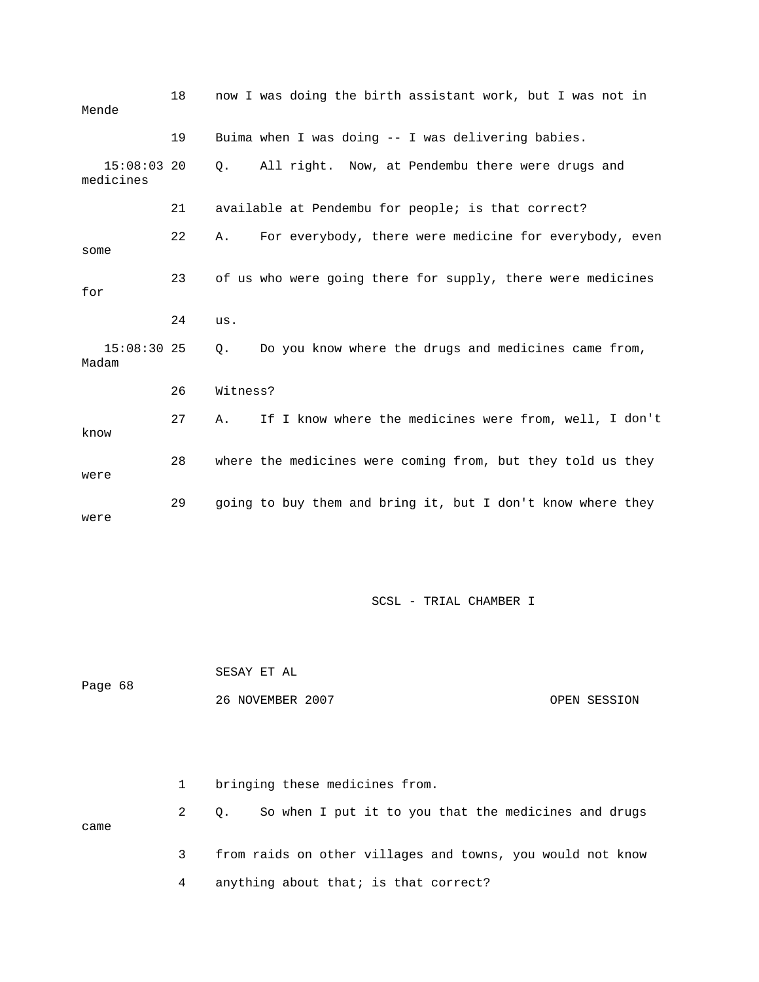| Mende                      | 18 |          | now I was doing the birth assistant work, but I was not in  |
|----------------------------|----|----------|-------------------------------------------------------------|
|                            | 19 |          | Buima when I was doing -- I was delivering babies.          |
| $15:08:03$ 20<br>medicines |    |          | Q. All right. Now, at Pendembu there were drugs and         |
|                            | 21 |          | available at Pendembu for people; is that correct?          |
| some                       | 22 | Α.       | For everybody, there were medicine for everybody, even      |
| for                        | 23 |          | of us who were going there for supply, there were medicines |
|                            | 24 | us.      |                                                             |
| $15:08:30$ 25<br>Madam     |    | Q.       | Do you know where the drugs and medicines came from,        |
|                            | 26 | Witness? |                                                             |
| know                       | 27 | Α.       | If I know where the medicines were from, well, I don't      |
| were                       | 28 |          | where the medicines were coming from, but they told us they |
| were                       | 29 |          | going to buy them and bring it, but I don't know where they |

| Page 68 | SESAY ET AL      |              |
|---------|------------------|--------------|
|         | 26 NOVEMBER 2007 | OPEN SESSION |

|      | bringing these medicines from. |                                                            |  |  |  |  |
|------|--------------------------------|------------------------------------------------------------|--|--|--|--|
| came |                                | Q. So when I put it to you that the medicines and drugs    |  |  |  |  |
|      |                                | from raids on other villages and towns, you would not know |  |  |  |  |
|      |                                | anything about that; is that correct?                      |  |  |  |  |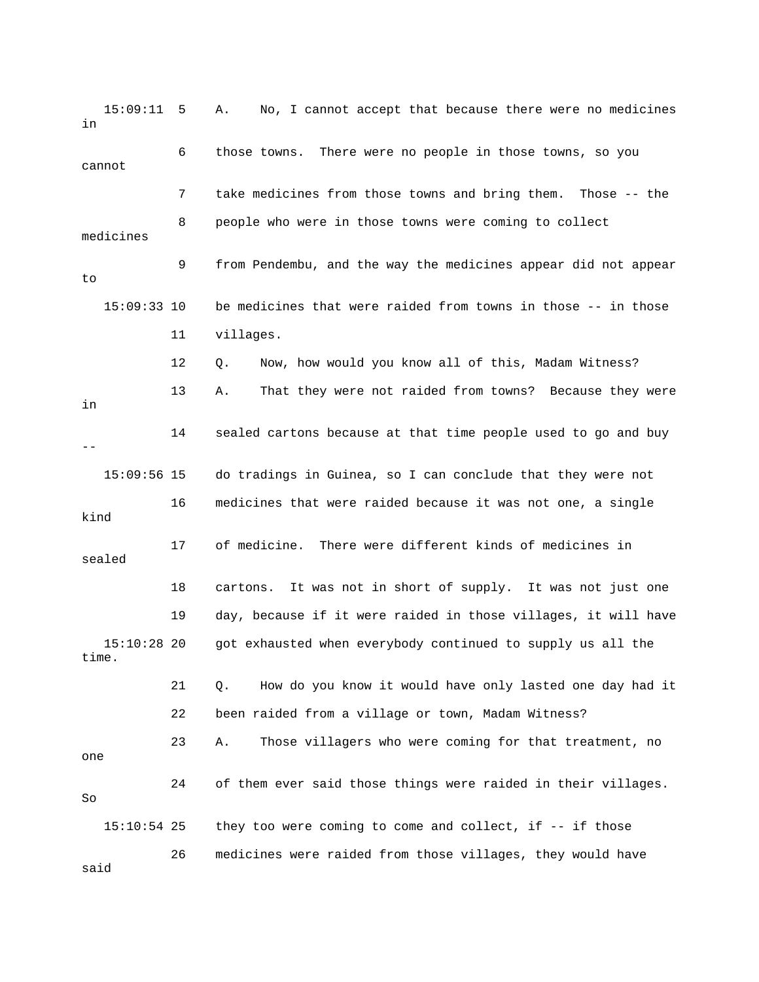| 15:09:11<br>in         | - 5 | No, I cannot accept that because there were no medicines<br>Α.   |
|------------------------|-----|------------------------------------------------------------------|
| cannot                 | 6   | There were no people in those towns, so you<br>those towns.      |
|                        | 7   | take medicines from those towns and bring them.<br>Those $-$ the |
| medicines              | 8   | people who were in those towns were coming to collect            |
| to                     | 9   | from Pendembu, and the way the medicines appear did not appear   |
| $15:09:33$ 10          |     | be medicines that were raided from towns in those -- in those    |
|                        | 11  | villages.                                                        |
|                        | 12  | Now, how would you know all of this, Madam Witness?<br>Q.        |
| in                     | 13  | That they were not raided from towns? Because they were<br>Α.    |
|                        | 14  | sealed cartons because at that time people used to go and buy    |
| $15:09:56$ 15          |     | do tradings in Guinea, so I can conclude that they were not      |
| kind                   | 16  | medicines that were raided because it was not one, a single      |
| sealed                 | 17  | There were different kinds of medicines in<br>of medicine.       |
|                        | 18  | It was not in short of supply. It was not just one<br>cartons.   |
|                        | 19  | day, because if it were raided in those villages, it will have   |
| $15:10:28$ 20<br>time. |     | got exhausted when everybody continued to supply us all the      |
|                        | 21  | How do you know it would have only lasted one day had it<br>Q.   |
|                        | 22  | been raided from a village or town, Madam Witness?               |
| one                    | 23  | Those villagers who were coming for that treatment, no<br>Α.     |
| So                     | 24  | of them ever said those things were raided in their villages.    |
| $15:10:54$ 25          |     | they too were coming to come and collect, if -- if those         |
| said                   | 26  | medicines were raided from those villages, they would have       |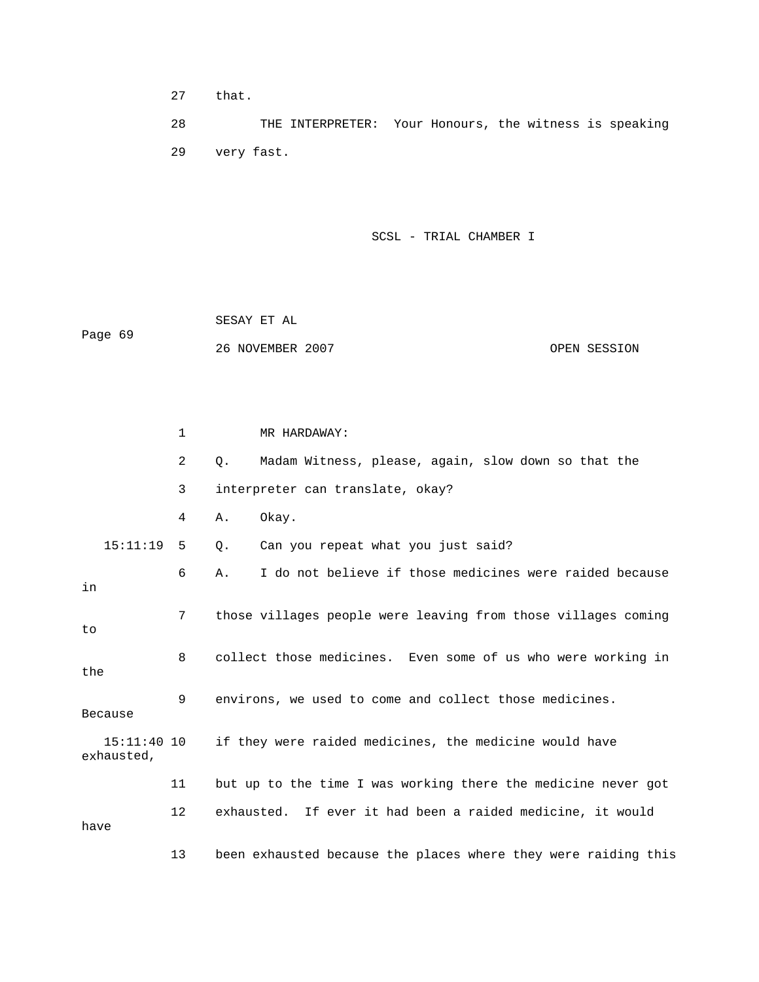27 that.

 28 THE INTERPRETER: Your Honours, the witness is speaking 29 very fast.

SCSL - TRIAL CHAMBER I

 26 NOVEMBER 2007 OPEN SESSION SESAY ET AL Page 69

1 MR HARDAWAY: 2 Q. Madam Witness, please, again, slow down so that the 3 interpreter can translate, okay? 15:11:19 5 Q. Can you repeat what you just said? 6 A. I do not believe if those medicines were raided because g 7 those villages people were leaving from those villages comin 8 collect those medicines. Even some of us who were working in the 9 environs, we used to come and collect those medicines. exhausted, 11 but up to the time I was working there the medicine never got 12 exhausted. If ever it had been a raided medicine, it would 4 A. Okay. in to Because 15:11:40 10 if they were raided medicines, the medicine would have have 13 been exhausted because the places where they were raiding this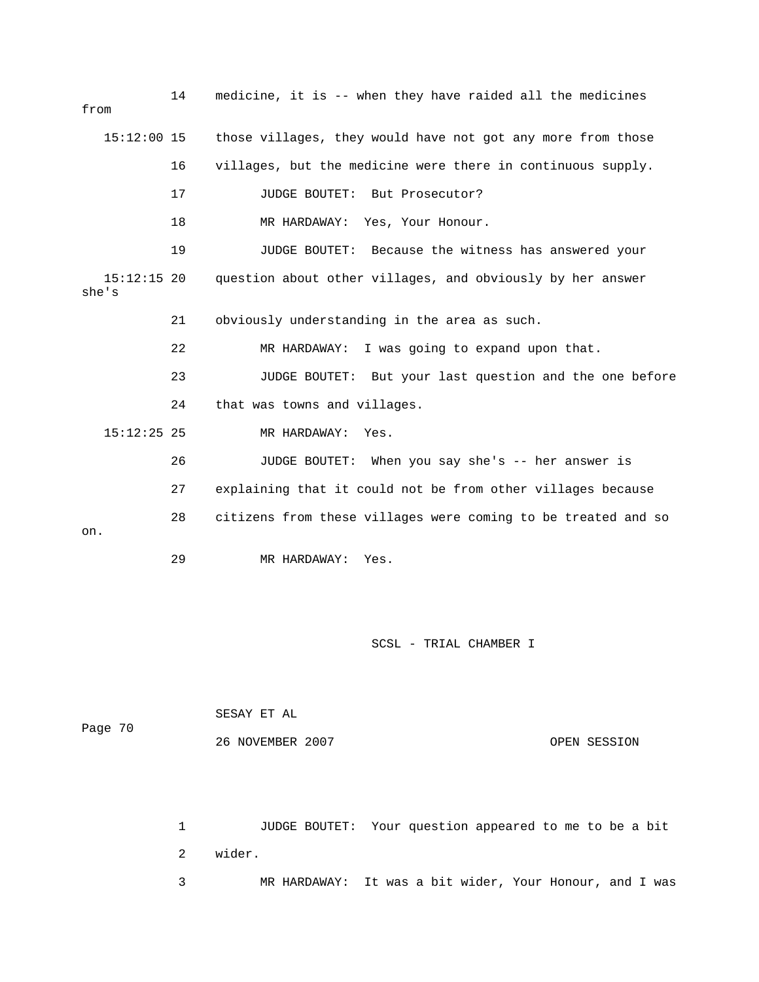14 medicine, it is -- when they have raided all the medicines from 16 villages, but the medicine were there in continuous supply. 17 JUDGE BOUTET: But Prosecutor? 19 JUDGE BOUTET: Because the witness has answered your 22 MR HARDAWAY: I was going to expand upon that. 23 JUDGE BOUTET: But your last question and the one before 26 JUDGE BOUTET: When you say she's -- her answer is 27 explaining that it could not be from other villages because 28 citizens from these villages were coming to be treated and so 29 MR HARDAWAY: Yes. 15:12:00 15 those villages, they would have not got any more from those 18 MR HARDAWAY: Yes, Your Honour. 15:12:15 20 question about other villages, and obviously by her answer she's 21 obviously understanding in the area as such. 24 that was towns and villages. 15:12:25 25 MR HARDAWAY: Yes. on.

SCSL - TRIAL CHAMBER I

|         | SESAY ET AL      |              |
|---------|------------------|--------------|
| Page 70 |                  |              |
|         | 26 NOVEMBER 2007 | OPEN SESSION |

1 JUDGE BOUTET: Your question appeared to me to be a bit 2 wider. 3 MR HARDAWAY: It was a bit wider, Your Honour, and I was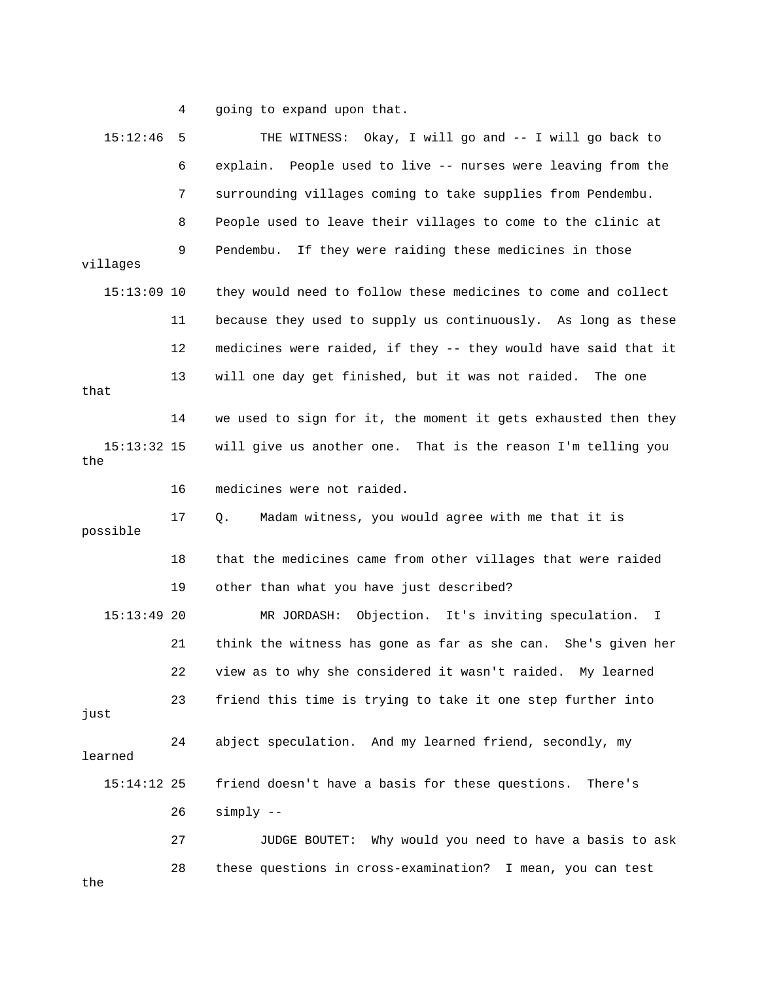4 going to expand upon that.

| 15:12:46             | 5  | THE WITNESS: Okay, I will go and -- I will go back to                |
|----------------------|----|----------------------------------------------------------------------|
|                      | 6  | People used to live -- nurses were leaving from the<br>explain.      |
|                      | 7  | surrounding villages coming to take supplies from Pendembu.          |
|                      | 8  | People used to leave their villages to come to the clinic at         |
| villages             | 9  | Pendembu.<br>If they were raiding these medicines in those           |
| $15:13:09$ 10        |    | they would need to follow these medicines to come and collect        |
|                      | 11 | because they used to supply us continuously. As long as these        |
|                      | 12 | medicines were raided, if they -- they would have said that it       |
| that                 | 13 | will one day get finished, but it was not raided.<br>The one         |
|                      | 14 | we used to sign for it, the moment it gets exhausted then they       |
| $15:13:32$ 15<br>the |    | will give us another one. That is the reason I'm telling you         |
|                      | 16 | medicines were not raided.                                           |
| possible             | 17 | Madam witness, you would agree with me that it is<br>Q.              |
|                      | 18 | that the medicines came from other villages that were raided         |
|                      | 19 | other than what you have just described?                             |
| $15:13:49$ 20        |    | Objection. It's inviting speculation.<br>MR JORDASH:<br>$\mathbb{I}$ |
|                      | 21 | think the witness has gone as far as she can. She's given her        |
|                      | 22 | view as to why she considered it wasn't raided. My learned           |
| just                 | 23 | friend this time is trying to take it one step further into          |
| learned              | 24 | abject speculation. And my learned friend, secondly, my              |
| $15:14:12$ 25        |    | friend doesn't have a basis for these questions.<br>There's          |
|                      | 26 | $simply$ --                                                          |
|                      | 27 | JUDGE BOUTET: Why would you need to have a basis to ask              |
|                      | 28 | these questions in cross-examination? I mean, you can test           |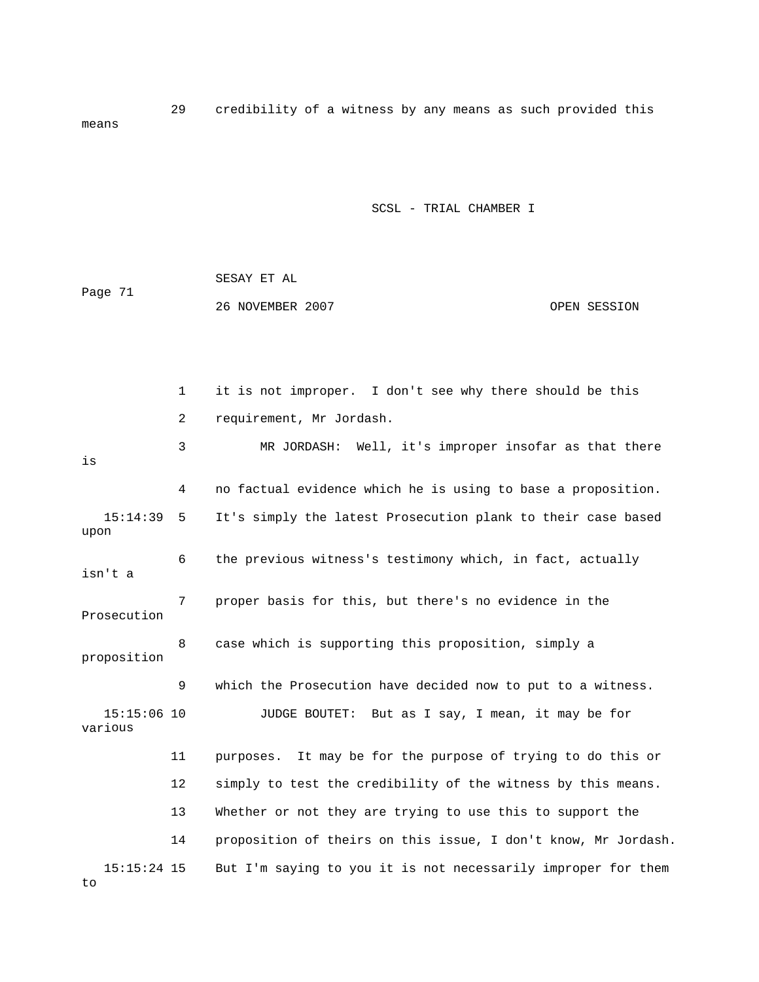29 credibility of a witness by any means as such provided this means

SCSL - TRIAL CHAMBER I

|         | SESAY ET AL      |              |
|---------|------------------|--------------|
| Page 71 |                  |              |
|         | 26 NOVEMBER 2007 | OPEN SESSION |

 1 it is not improper. I don't see why there should be this 2 requirement, Mr Jordash. 3 MR JORDASH: Well, it's improper insofar as that there 4 on factual evidence which he is using to base a proposition. 15:14:39 5 It's simply the latest Prosecution plank to their case based upon 6 the previous witness's testimony which, in fact, actually 7 proper basis for this, but there's no evidence in the Prosecution 8 case which is supporting this proposition, simply a 9 which the Prosecution have decided now to put to a witness. various 13 Whether or not they are trying to use this to support the 14 proposition of theirs on this issue, I don't know, Mr Jordash. 15:15:24 15 But I'm saying to you it is not necessarily improper for them is isn't a proposition 15:15:06 10 JUDGE BOUTET: But as I say, I mean, it may be for 11 purposes. It may be for the purpose of trying to do this or 12 simply to test the credibility of the witness by this means. to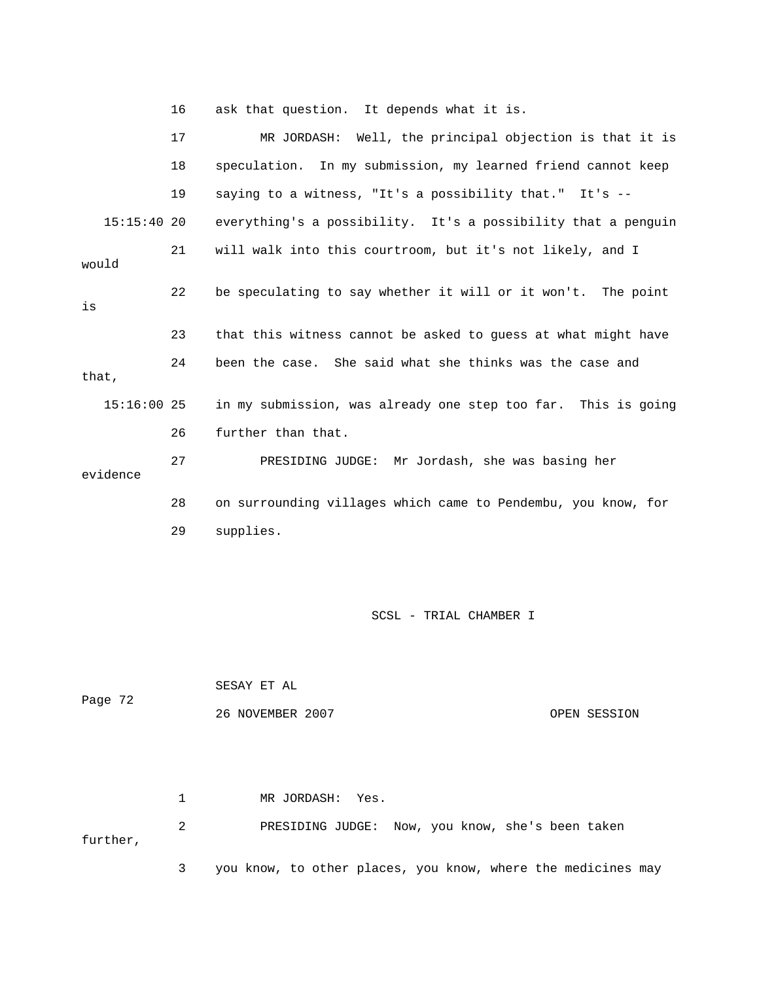16 ask that question. It depends what it is.

|               | 17 | MR JORDASH: Well, the principal objection is that it is       |
|---------------|----|---------------------------------------------------------------|
|               | 18 | speculation. In my submission, my learned friend cannot keep  |
|               | 19 | saying to a witness, "It's a possibility that." It's --       |
| $15:15:40$ 20 |    | everything's a possibility. It's a possibility that a penguin |
| would         | 21 | will walk into this courtroom, but it's not likely, and I     |
| is            | 22 | be speculating to say whether it will or it won't. The point  |
|               | 23 | that this witness cannot be asked to guess at what might have |
| that,         | 24 | been the case. She said what she thinks was the case and      |
| $15:16:00$ 25 |    | in my submission, was already one step too far. This is going |
|               | 26 | further than that.                                            |
| evidence      | 27 | PRESIDING JUDGE: Mr Jordash, she was basing her               |
|               | 28 | on surrounding villages which came to Pendembu, you know, for |
|               | 29 | supplies.                                                     |

SCSL - TRIAL CHAMBER I

 SESAY ET AL 26 NOVEMBER 2007 CPEN SESSION Page 72

MR JORDASH: Yes. 2 PRESIDING JUDGE: Now, you know, she's been taken rther, 3 you know, to other places, you know, where the medicines may  $1$  MR  $\sim$ fu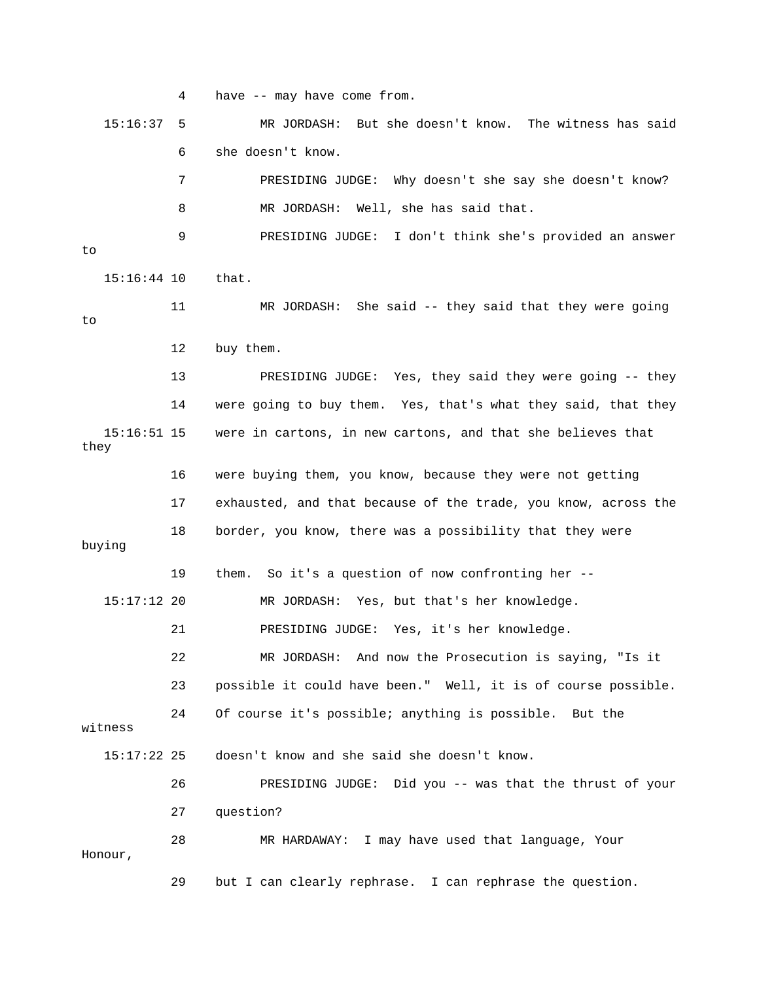4 have -- may have come from. 15:16:37 5 MR JORDASH: But she doesn't know. The witness has said w? 7 PRESIDING JUDGE: Why doesn't she say she doesn't kno 8 MR JORDASH: Well, she has said that. 9 PRESIDING JUDGE: I don't think she's provided an answer 11 MR JORDASH: She said -- they said that they were going 12 buy them. 13 PRESIDING JUDGE: Yes, they said they were going -- they 14 were going to buy them. Yes, that's what they said, that they 15:16:51 15 were in cartons, in new cartons, and that she believes that 16 were buying them, you know, because they were not getting 18 border, you know, there was a possibility that they were 15:17:12 20 MR JORDASH: Yes, but that's her knowledge. 21 PRESIDING JUDGE: Yes, it's her knowledge. 23 possible it could have been." Well, it is of course possible. 24 Of course it's possible; anything is possible. But the witness 15:17:22 25 doesn't know and she said she doesn't know. 27 question? 28 MR HARDAWAY: I may have used that language, Your Honour, 29 but I can clearly rephrase. I can rephrase the question. 6 she doesn't know. to 15:16:44 10 that. to they 17 exhausted, and that because of the trade, you know, across the buying 19 them. So it's a question of now confronting her -- 22 MR JORDASH: And now the Prosecution is saying, "Is it 26 PRESIDING JUDGE: Did you -- was that the thrust of your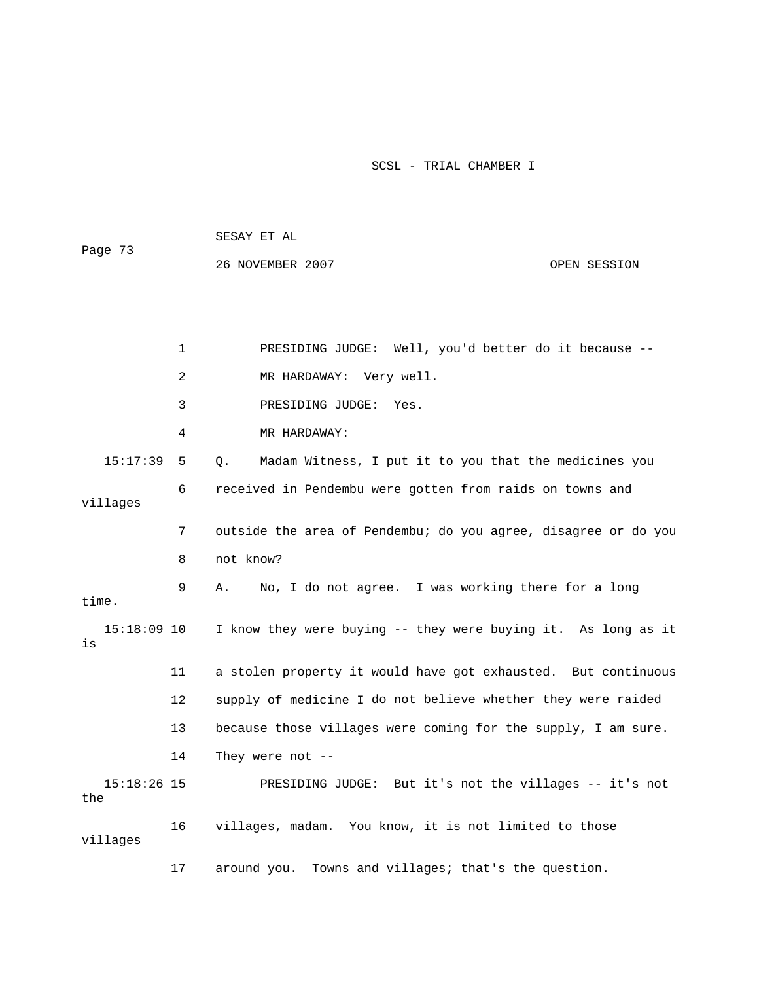|         | SESAY ET AL |  |  |  |
|---------|-------------|--|--|--|
| Page 73 |             |  |  |  |

26 NOVEMBER 2007 CPEN SESSION

|                      | 1  | PRESIDING JUDGE: Well, you'd better do it because --           |
|----------------------|----|----------------------------------------------------------------|
|                      | 2  | MR HARDAWAY: Very well.                                        |
|                      | 3  | PRESIDING JUDGE:<br>Yes.                                       |
|                      | 4  | MR HARDAWAY:                                                   |
| 15:17:39             | 5  | Madam Witness, I put it to you that the medicines you<br>$Q$ . |
| villages             | 6  | received in Pendembu were gotten from raids on towns and       |
|                      | 7  | outside the area of Pendembu; do you agree, disagree or do you |
|                      | 8  | not know?                                                      |
| time.                | 9  | No, I do not agree. I was working there for a long<br>Α.       |
| $15:18:09$ 10<br>is  |    | I know they were buying -- they were buying it. As long as it  |
|                      | 11 | a stolen property it would have got exhausted. But continuous  |
|                      | 12 | supply of medicine I do not believe whether they were raided   |
|                      | 13 | because those villages were coming for the supply, I am sure.  |
|                      | 14 | They were not $-$ -                                            |
| $15:18:26$ 15<br>the |    | PRESIDING JUDGE: But it's not the villages -- it's not         |
| villages             | 16 | villages, madam. You know, it is not limited to those          |
|                      | 17 | around you. Towns and villages; that's the question.           |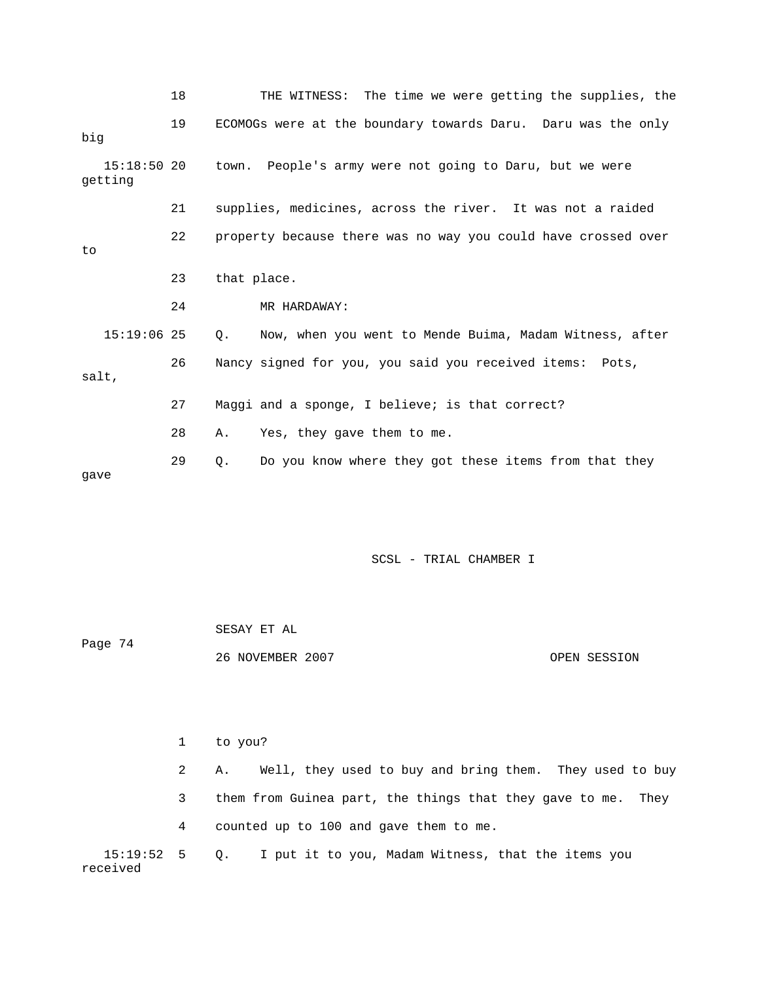|                          | 18 | THE WITNESS: The time we were getting the supplies, the       |
|--------------------------|----|---------------------------------------------------------------|
| big                      | 19 | ECOMOGs were at the boundary towards Daru. Daru was the only  |
| $15:18:50$ 20<br>qetting |    | town. People's army were not going to Daru, but we were       |
|                          | 21 | supplies, medicines, across the river. It was not a raided    |
| to                       | 22 | property because there was no way you could have crossed over |
|                          | 23 | that place.                                                   |
|                          | 24 | MR HARDAWAY:                                                  |
| $15:19:06$ 25            |    | Now, when you went to Mende Buima, Madam Witness, after<br>О. |
| salt,                    | 26 | Nancy signed for you, you said you received items: Pots,      |
|                          | 27 | Maggi and a sponge, I believe; is that correct?               |
|                          | 28 | Yes, they gave them to me.<br>Α.                              |
| qave                     | 29 | Do you know where they got these items from that they<br>Q.   |

| Page 74 | SESAY ET AL      |              |
|---------|------------------|--------------|
|         | 26 NOVEMBER 2007 | OPEN SESSION |

|                             | $\mathbf{1}$ | to you?                                                       |
|-----------------------------|--------------|---------------------------------------------------------------|
|                             |              | Well, they used to buy and bring them. They used to buy<br>А. |
|                             | 3            | them from Guinea part, the things that they gave to me. They  |
|                             | 4            | counted up to 100 and gave them to me.                        |
| $15:19:52$ 5 Q.<br>received |              | I put it to you, Madam Witness, that the items you            |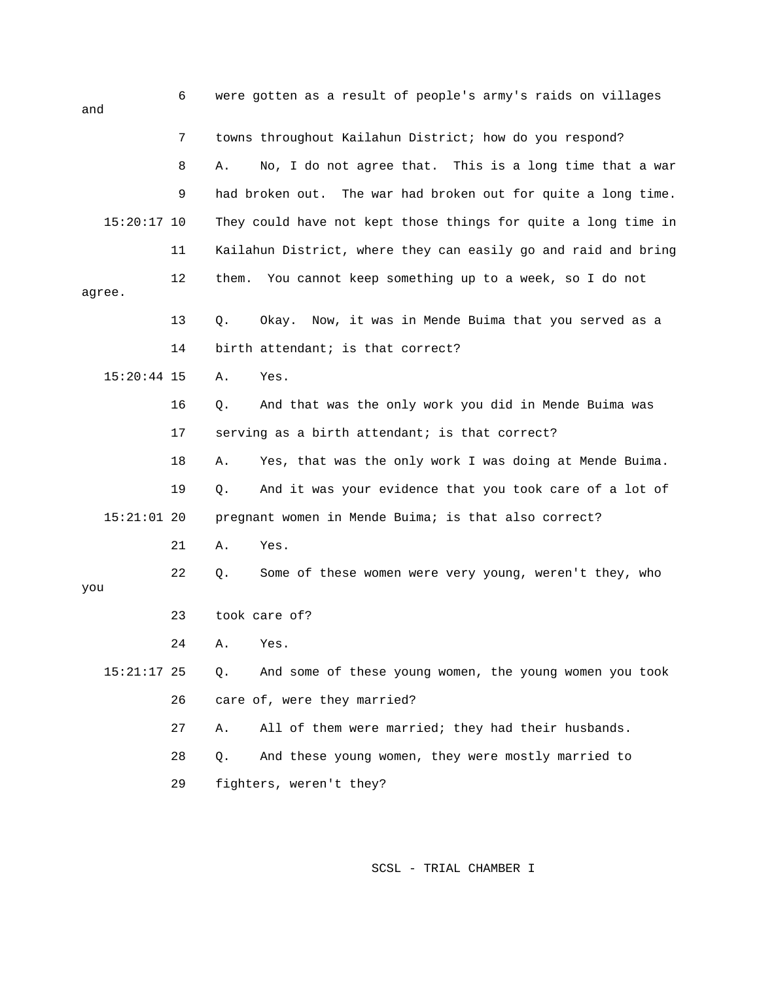| and |               | 6  | were gotten as a result of people's army's raids on villages   |
|-----|---------------|----|----------------------------------------------------------------|
|     |               | 7  | towns throughout Kailahun District; how do you respond?        |
|     |               | 8  | No, I do not agree that. This is a long time that a war<br>Α.  |
|     |               | 9  | had broken out. The war had broken out for quite a long time.  |
|     | $15:20:17$ 10 |    | They could have not kept those things for quite a long time in |
|     |               | 11 | Kailahun District, where they can easily go and raid and bring |
|     | agree.        | 12 | You cannot keep something up to a week, so I do not<br>them.   |
|     |               | 13 | Okay. Now, it was in Mende Buima that you served as a<br>Q.    |
|     |               | 14 | birth attendant; is that correct?                              |
|     | $15:20:44$ 15 |    | Yes.<br>Α.                                                     |
|     |               | 16 | And that was the only work you did in Mende Buima was<br>$Q$ . |
|     |               | 17 | serving as a birth attendant; is that correct?                 |
|     |               | 18 | Yes, that was the only work I was doing at Mende Buima.<br>Α.  |
|     |               | 19 | And it was your evidence that you took care of a lot of<br>Q.  |
|     | $15:21:01$ 20 |    | pregnant women in Mende Buima; is that also correct?           |
|     |               | 21 | Yes.<br>Α.                                                     |
| you |               | 22 | Some of these women were very young, weren't they, who<br>Q.   |
|     |               | 23 | took care of?                                                  |
|     |               | 24 | A. Yes.                                                        |
|     | $15:21:17$ 25 |    | And some of these young women, the young women you took<br>Q.  |
|     |               | 26 | care of, were they married?                                    |
|     |               | 27 | All of them were married; they had their husbands.<br>Α.       |
|     |               | 28 | And these young women, they were mostly married to<br>$Q$ .    |
|     |               | 29 | fighters, weren't they?                                        |
|     |               |    |                                                                |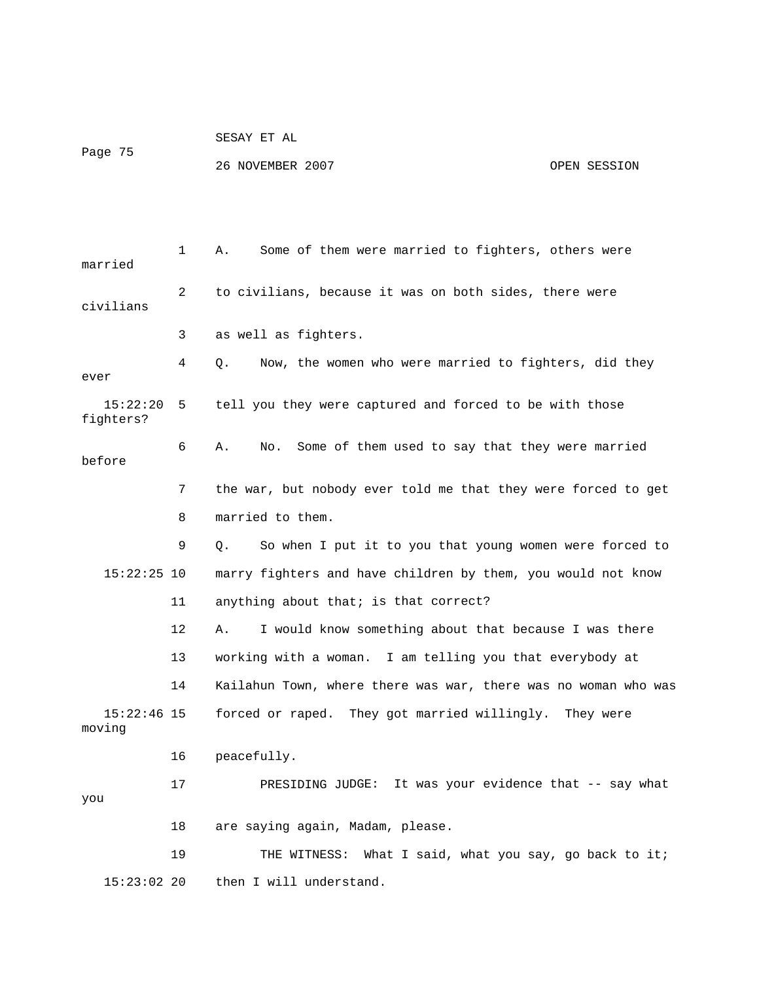|         |  |  | SESAY ET AL |  |
|---------|--|--|-------------|--|
| Page 75 |  |  |             |  |

26 NOVEMBER 2007 CPEN SESSION

| married                 | 1              | Some of them were married to fighters, others were<br>Α.       |
|-------------------------|----------------|----------------------------------------------------------------|
| civilians               | $\overline{2}$ | to civilians, because it was on both sides, there were         |
|                         | 3              | as well as fighters.                                           |
| ever                    | 4              | Now, the women who were married to fighters, did they<br>Q.    |
| 15:22:20<br>fighters?   | 5              | tell you they were captured and forced to be with those        |
| before                  | 6              | Some of them used to say that they were married<br>Α.<br>No.   |
|                         | 7              | the war, but nobody ever told me that they were forced to get  |
|                         | 8              | married to them.                                               |
|                         | 9              | So when I put it to you that young women were forced to<br>О.  |
| $15:22:25$ 10           |                | marry fighters and have children by them, you would not know   |
|                         | 11             | anything about that; is that correct?                          |
|                         | $12 \,$        | Α.<br>I would know something about that because I was there    |
|                         | 13             | working with a woman. I am telling you that everybody at       |
|                         | 14             | Kailahun Town, where there was war, there was no woman who was |
| $15:22:46$ 15<br>moving |                | forced or raped. They got married willingly.<br>They were      |
|                         | 16             | peacefully.                                                    |
| you                     | 17             | PRESIDING JUDGE: It was your evidence that -- say what         |
|                         | 18             | are saying again, Madam, please.                               |
|                         | 19             | THE WITNESS: What I said, what you say, go back to it;         |
| $15:23:02$ 20           |                | then I will understand.                                        |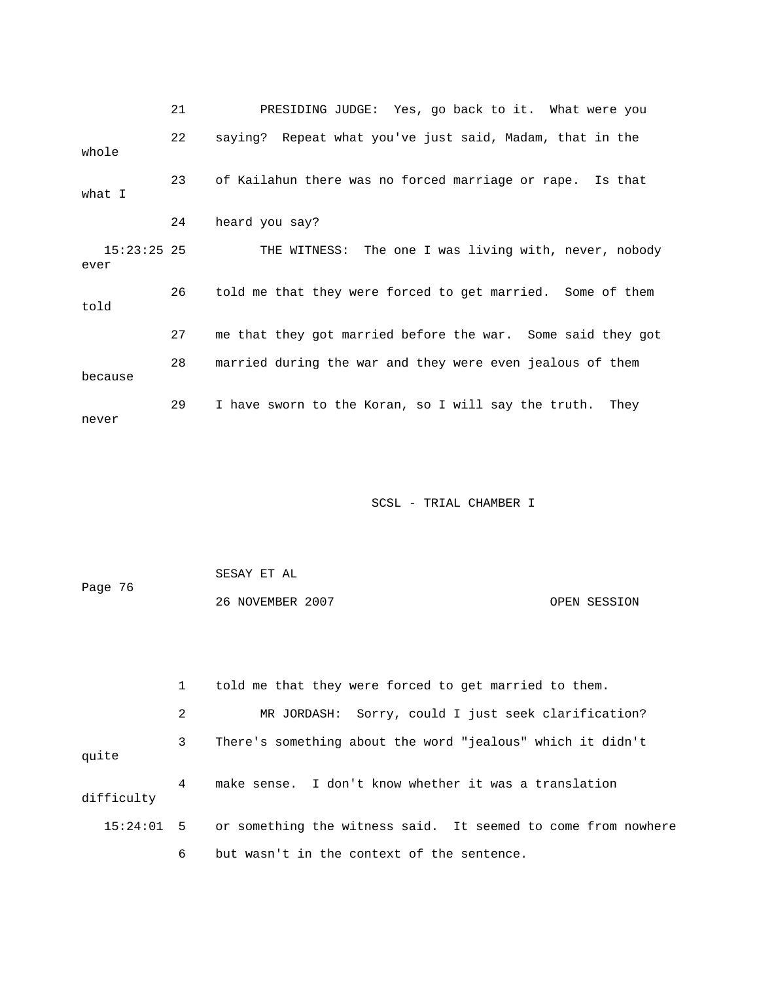21 PRESIDING JUDGE: Yes, go back to it. What were you 22 saying? Repeat what you've just said, Madam, that in the 24 heard you say? 26 told me that they were forced to get married. Some of them told 27 me that they got married before the war. Some said they got whole 23 of Kailahun there was no forced marriage or rape. Is that what I 15:23:25 25 THE WITNESS: The one I was living with, never, nobody ever 28 married during the war and they were even jealous of them because 29 I have sworn to the Koran, so I will say the truth. They never

SCSL - TRIAL CHAMBER I

|         | SESAY ET AL      |              |
|---------|------------------|--------------|
| Page 76 |                  |              |
|         | 26 NOVEMBER 2007 | OPEN SESSION |

 1 told me that they were forced to get married to them. 2 MR JORDASH: Sorry, could I just seek clarification? 3 There's something about the word "jealous" which it didn't quite 4 make sense. I don't know whether it was a translation difficulty 15:24:01 5 or something the witness said. It seemed to come from nowhere 6 but wasn't in the context of the sentence.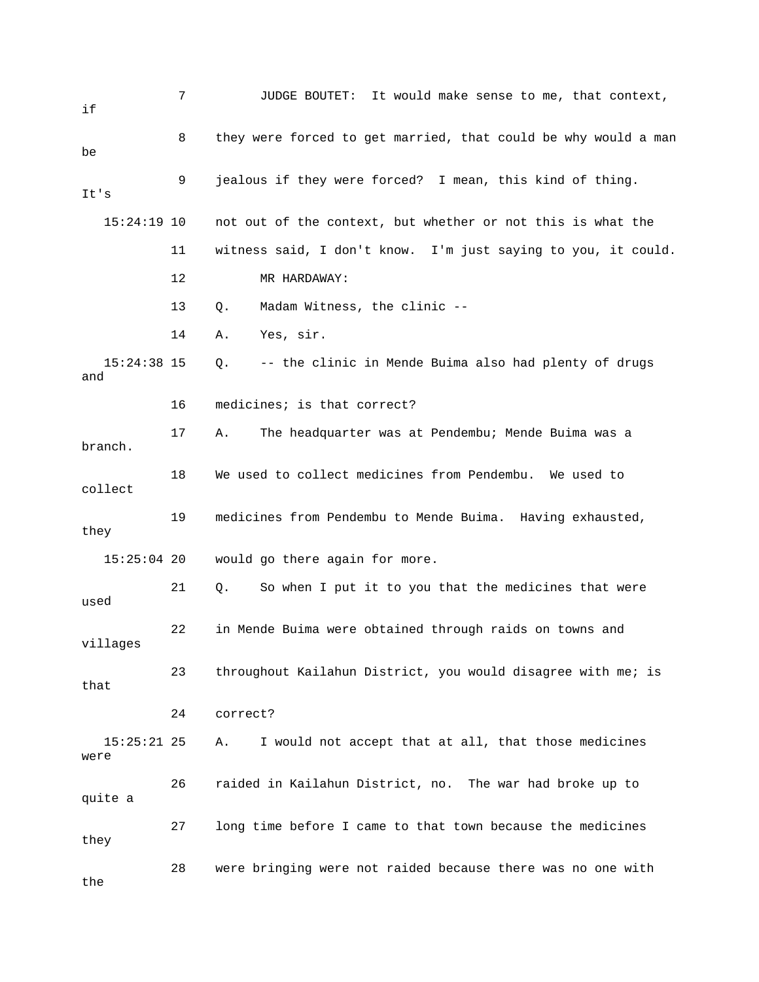| if                    | 7  | JUDGE BOUTET: It would make sense to me, that context,         |
|-----------------------|----|----------------------------------------------------------------|
| be                    | 8  | they were forced to get married, that could be why would a man |
| It's                  | 9  | jealous if they were forced? I mean, this kind of thing.       |
| $15:24:19$ 10         |    | not out of the context, but whether or not this is what the    |
|                       | 11 | witness said, I don't know. I'm just saying to you, it could.  |
|                       | 12 | MR HARDAWAY:                                                   |
|                       | 13 | Madam Witness, the clinic --<br>Q.                             |
|                       | 14 | Yes, sir.<br>Α.                                                |
| $15:24:38$ 15<br>and  |    | -- the clinic in Mende Buima also had plenty of drugs<br>Q.    |
|                       | 16 | medicines; is that correct?                                    |
| branch.               | 17 | Α.<br>The headquarter was at Pendembu; Mende Buima was a       |
| collect               | 18 | We used to collect medicines from Pendembu. We used to         |
| they                  | 19 | medicines from Pendembu to Mende Buima. Having exhausted,      |
| $15:25:04$ 20         |    | would go there again for more.                                 |
| used                  | 21 | So when I put it to you that the medicines that were<br>Q.     |
| villages              | 22 | in Mende Buima were obtained through raids on towns and        |
| that                  | 23 | throughout Kailahun District, you would disagree with me; is   |
|                       | 24 | correct?                                                       |
| $15:25:21$ 25<br>were |    | I would not accept that at all, that those medicines<br>Α.     |
| quite a               | 26 | raided in Kailahun District, no. The war had broke up to       |
| they                  | 27 | long time before I came to that town because the medicines     |
| the                   | 28 | were bringing were not raided because there was no one with    |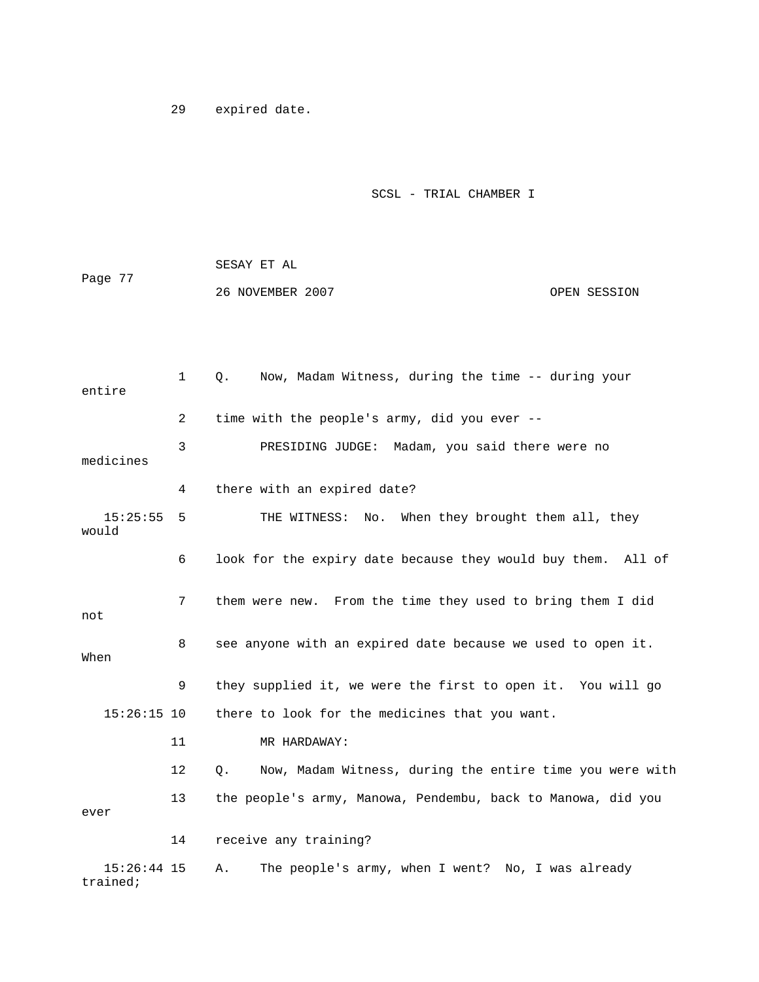29 expired date.

trained;

## SCSL - TRIAL CHAMBER I

|         | SESAY ET AL      |              |
|---------|------------------|--------------|
| Page 77 |                  |              |
|         | 26 NOVEMBER 2007 | OPEN SESSION |

| entire |               | $\mathbf{1}$ | Now, Madam Witness, during the time -- during your<br>Q.       |
|--------|---------------|--------------|----------------------------------------------------------------|
|        |               | 2            | time with the people's army, did you ever --                   |
|        | medicines     | 3            | PRESIDING JUDGE: Madam, you said there were no                 |
|        |               | 4            | there with an expired date?                                    |
| would  | 15:25:55      | 5            | THE WITNESS: No. When they brought them all, they              |
|        |               | 6            | look for the expiry date because they would buy them. All of   |
| not    |               | 7            | them were new. From the time they used to bring them I did     |
| When   |               | 8            | see anyone with an expired date because we used to open it.    |
|        |               | 9            | they supplied it, we were the first to open it. You will go    |
|        | $15:26:15$ 10 |              | there to look for the medicines that you want.                 |
|        |               | 11           | MR HARDAWAY:                                                   |
|        |               | 12           | Now, Madam Witness, during the entire time you were with<br>Q. |
| ever   |               | 13           | the people's army, Manowa, Pendembu, back to Manowa, did you   |
|        |               | 14           | receive any training?                                          |
|        | $15:26:44$ 15 |              | The people's army, when I went? No, I was already<br>Α.        |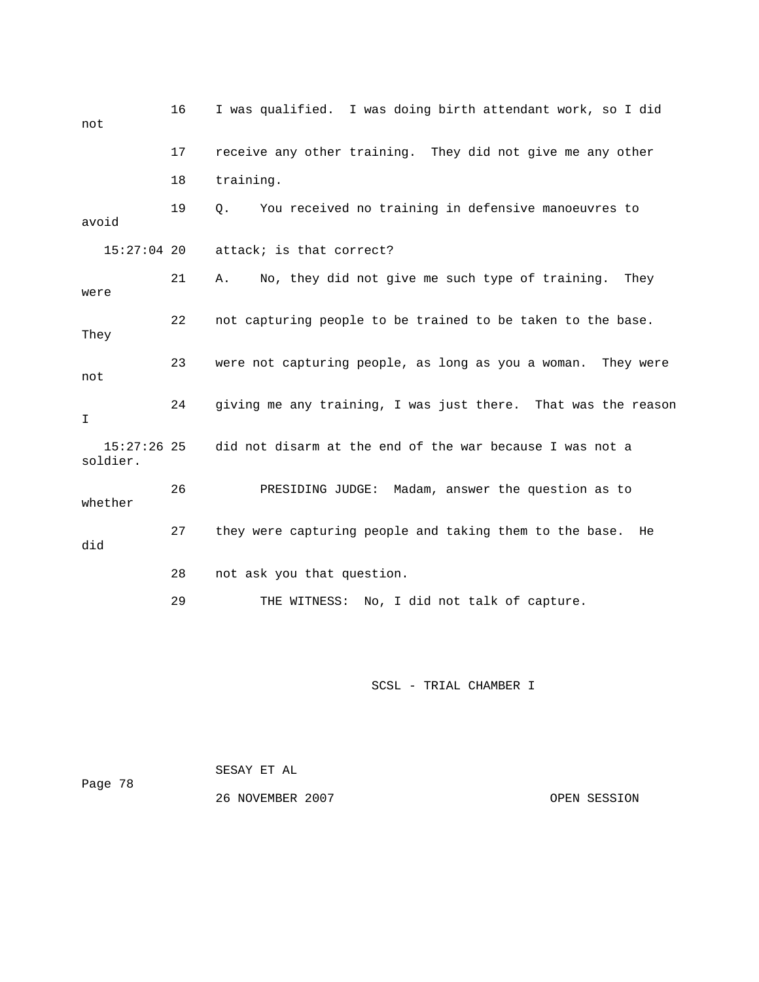| not                       | 16 | I was qualified. I was doing birth attendant work, so I did   |
|---------------------------|----|---------------------------------------------------------------|
|                           | 17 | receive any other training. They did not give me any other    |
|                           | 18 | training.                                                     |
| avoid                     | 19 | You received no training in defensive manoeuvres to<br>О.     |
| $15:27:04$ 20             |    | attack; is that correct?                                      |
| were                      | 21 | No, they did not give me such type of training.<br>They<br>Α. |
| They                      | 22 | not capturing people to be trained to be taken to the base.   |
| not                       | 23 | were not capturing people, as long as you a woman. They were  |
| I.                        | 24 | giving me any training, I was just there. That was the reason |
| $15:27:26$ 25<br>soldier. |    | did not disarm at the end of the war because I was not a      |
| whether                   | 26 | PRESIDING JUDGE: Madam, answer the question as to             |
| did                       | 27 | they were capturing people and taking them to the base.<br>He |
|                           | 28 | not ask you that question.                                    |
|                           | 29 | THE WITNESS:<br>No, I did not talk of capture.                |

SCSL - TRIAL CHAMBER I

|         | SESAY ET AL      |              |
|---------|------------------|--------------|
| Page 78 |                  |              |
|         | 26 NOVEMBER 2007 | OPEN SESSION |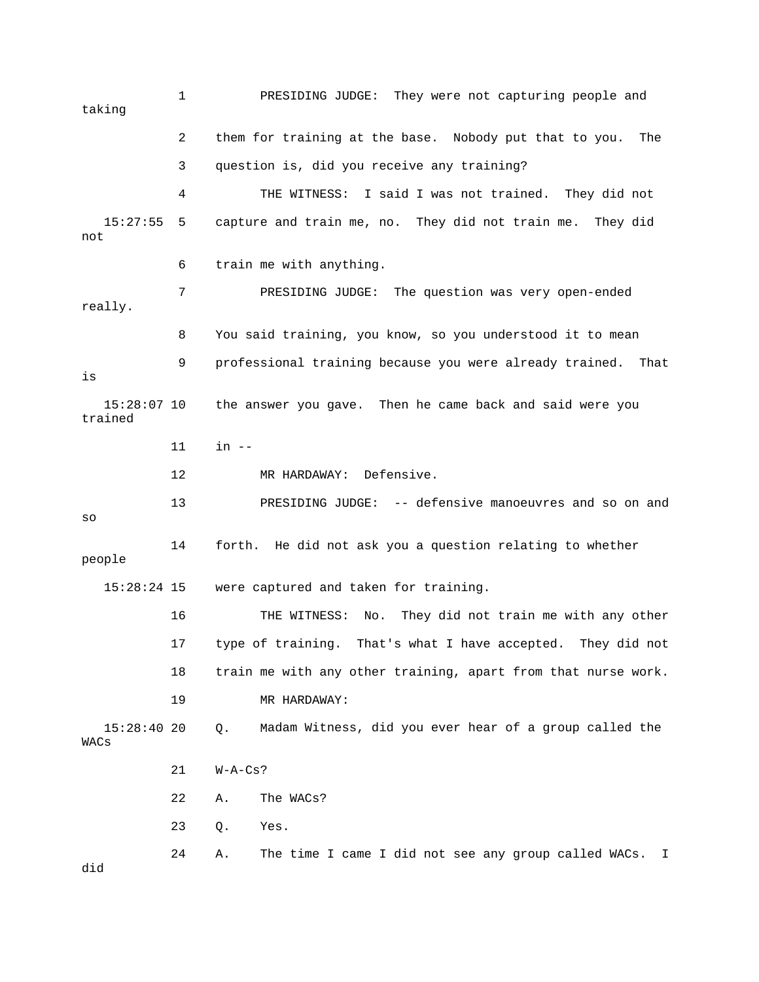1 PRESIDING JUDGE: They were not capturing people and taking 2 them for training at the base. Nobody put that to you. The 3 question is, did you receive any training? 4 THE WITNESS: I said I was not trained. They did not 15:27:55 5 capture and train me, no. They did not train me. They did not really. 8 You said training, you know, so you understood it to mean 9 professional training because you were already trained. That 14 forth. He did not ask you a question relating to whether people were captured and taken for training. 16 THE WITNESS: No. They did not train me with any other 18 train me with any other training, apart from that nurse work. Madam Witness, did you ever hear of a group called the 21 W-A-Cs? 22 A. The WACs? 24 A. The time I came I did not see any group called WACs. I 6 train me with anything. 7 PRESIDING JUDGE: The question was very open-ended is 15:28:07 10 the answer you gave. Then he came back and said were you trained 11 in -- 12 MR HARDAWAY: Defensive. 13 PRESIDING JUDGE: -- defensive manoeuvres and so on and so 15:28: 17 type of training. That's what I have accepted. They did not 19 MR HARDAWAY: 15:28:40 20 Q. M WACs 23 Q. Yes. did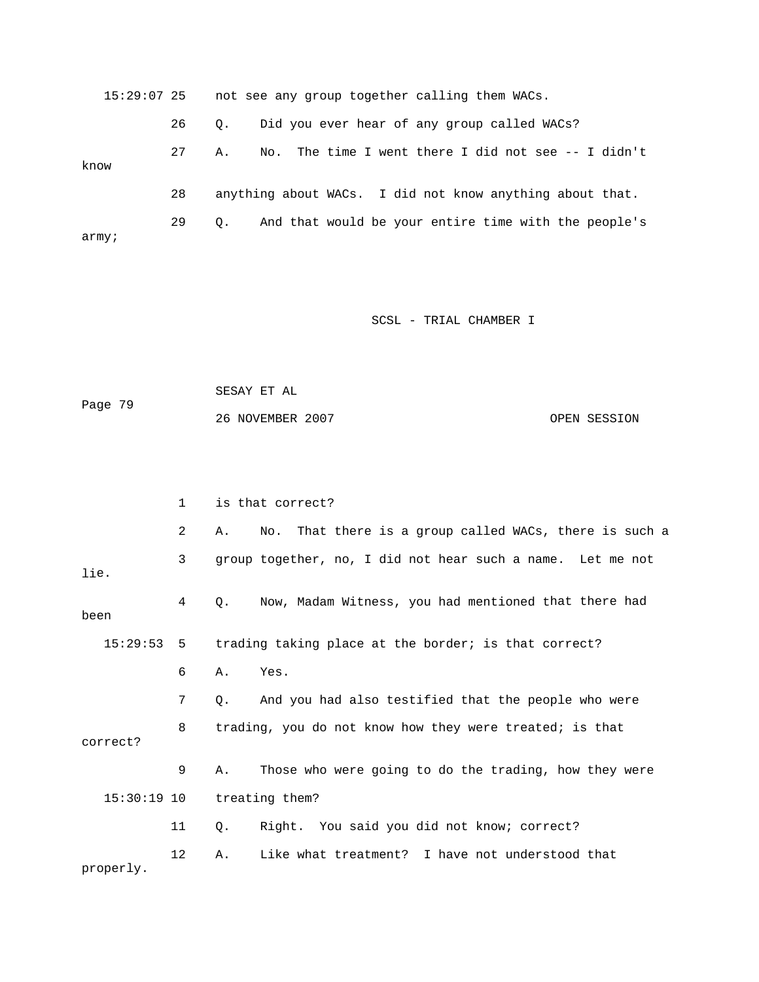15:29:07 25 not see any group together calling them WACs. 26 Q. Did you ever hear of any group called WACs? 27 A. No. The time I went there I did not see -- I didn't know 29 Q. And that would be your entire time with the people's 28 anything about WACs. I did not know anything about that. army;

SCSL - TRIAL CHAMBER I

```
 SESAY ET AL 
             26 NOVEMBER 2007 OPEN SESSION 
Page 79
```

|               | $\mathbf{1}$ |    | is that correct?                                           |
|---------------|--------------|----|------------------------------------------------------------|
|               | 2            | Α. | No. That there is a group called WACs, there is such a     |
| lie.          | 3            |    | group together, no, I did not hear such a name. Let me not |
| been          | 4            | 0. | Now, Madam Witness, you had mentioned that there had       |
| 15:29:53      | 5            |    | trading taking place at the border; is that correct?       |
|               | 6            | Α. | Yes.                                                       |
|               | 7            | Q. | And you had also testified that the people who were        |
| correct?      | 8            |    | trading, you do not know how they were treated; is that    |
|               | 9            | Α. | Those who were going to do the trading, how they were      |
| $15:30:19$ 10 |              |    | treating them?                                             |
|               | 11           | Q. | Right. You said you did not know; correct?                 |
| properly.     | 12           | Α. | Like what treatment? I have not understood that            |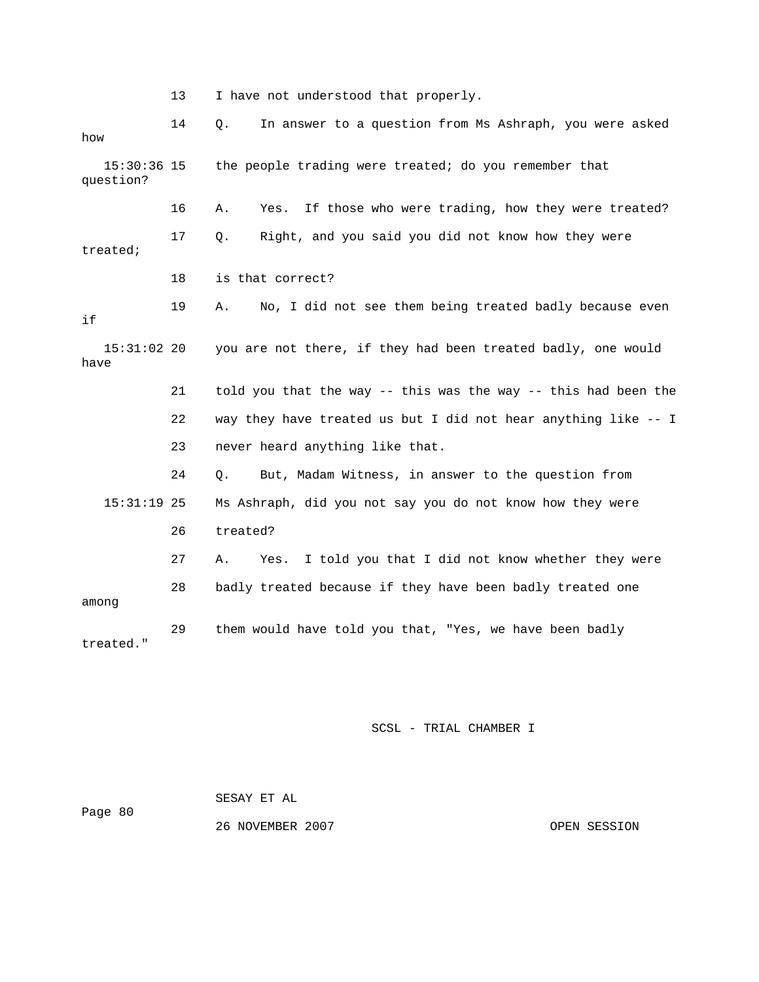13 I have not understood that properly.

 14 Q. In answer to a question from Ms Ashraph, you were asked  $15:30:36$  15 the people trading were treated; do you remember that question? 16 A. Yes. If those who were trading, how they were treated? 17 Q. Right, and you said you did not know how they were treated; 18 is that correct? 19 A. No, I did not see them being treated badly because even  $15:31:02$  20 you are not there, if they had been treated badly, one would 21 told you that the way -- this was the way -- this had been the 24 Q. But, Madam Witness, in answer to the question from 27 A. Yes. I told you that I did not know whether they were 28 badly treated because if they have been badly treated one 29 them would have told you that, "Yes, we have been badly how if have 22 way they have treated us but I did not hear anything like -- I 23 never heard anything like that. 15:31:19 25 Ms Ashraph, did you not say you do not know how they were 26 treated? among treated."

SCSL - TRIAL CHAMBER I

|         | SESAY ET AL      |              |
|---------|------------------|--------------|
| Page 80 |                  |              |
|         | 26 NOVEMBER 2007 | OPEN SESSION |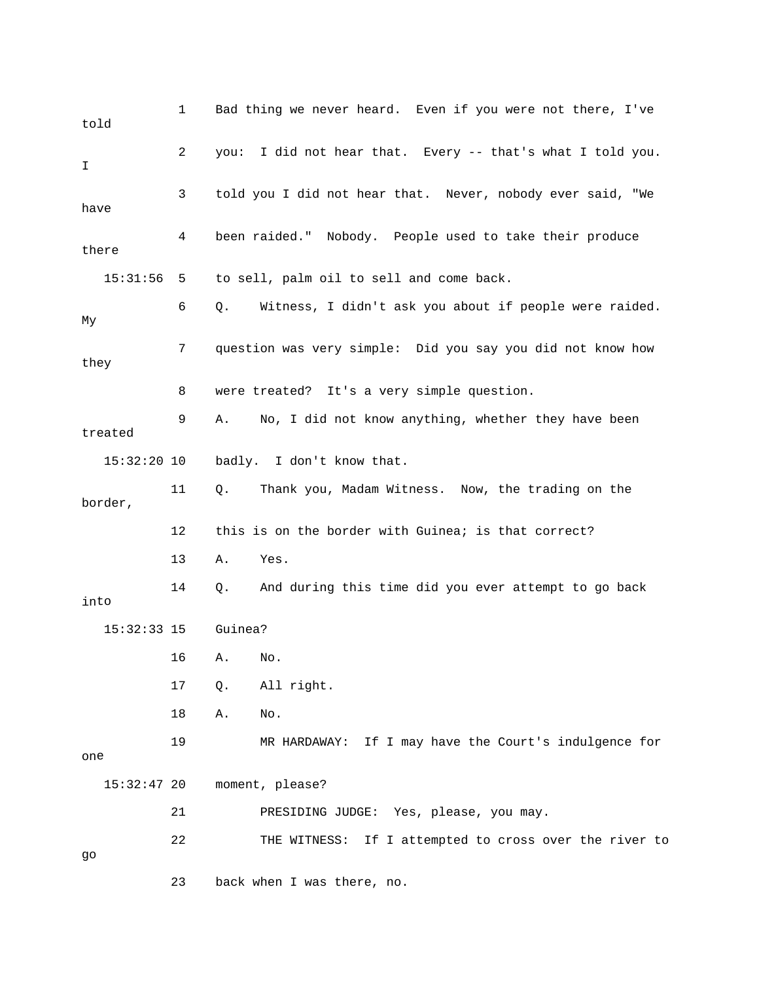| told          | 1  | Bad thing we never heard. Even if you were not there, I've   |
|---------------|----|--------------------------------------------------------------|
| I             | 2  | you: I did not hear that. Every -- that's what I told you.   |
| have          | 3  | told you I did not hear that. Never, nobody ever said, "We   |
| there         | 4  | been raided." Nobody. People used to take their produce      |
| 15:31:56      | 5  | to sell, palm oil to sell and come back.                     |
| My            | 6  | Witness, I didn't ask you about if people were raided.<br>Q. |
| they          | 7  | question was very simple: Did you say you did not know how   |
|               | 8  | were treated? It's a very simple question.                   |
| treated       | 9  | No, I did not know anything, whether they have been<br>Α.    |
| $15:32:20$ 10 |    | badly. I don't know that.                                    |
| border,       | 11 | Thank you, Madam Witness. Now, the trading on the<br>Q.      |
|               | 12 | this is on the border with Guinea; is that correct?          |
|               | 13 | Yes.<br>Α.                                                   |
| into          | 14 | And during this time did you ever attempt to go back<br>Q.   |
| $15:32:33$ 15 |    | Guinea?                                                      |
|               | 16 | No.<br>A.                                                    |
|               | 17 | All right.<br>$Q$ .                                          |
|               | 18 | Α.<br>No.                                                    |
| one           | 19 | MR HARDAWAY: If I may have the Court's indulgence for        |
| $15:32:47$ 20 |    | moment, please?                                              |
|               | 21 | PRESIDING JUDGE: Yes, please, you may.                       |
| go            | 22 | If I attempted to cross over the river to<br>THE WITNESS:    |
|               | 23 | back when I was there, no.                                   |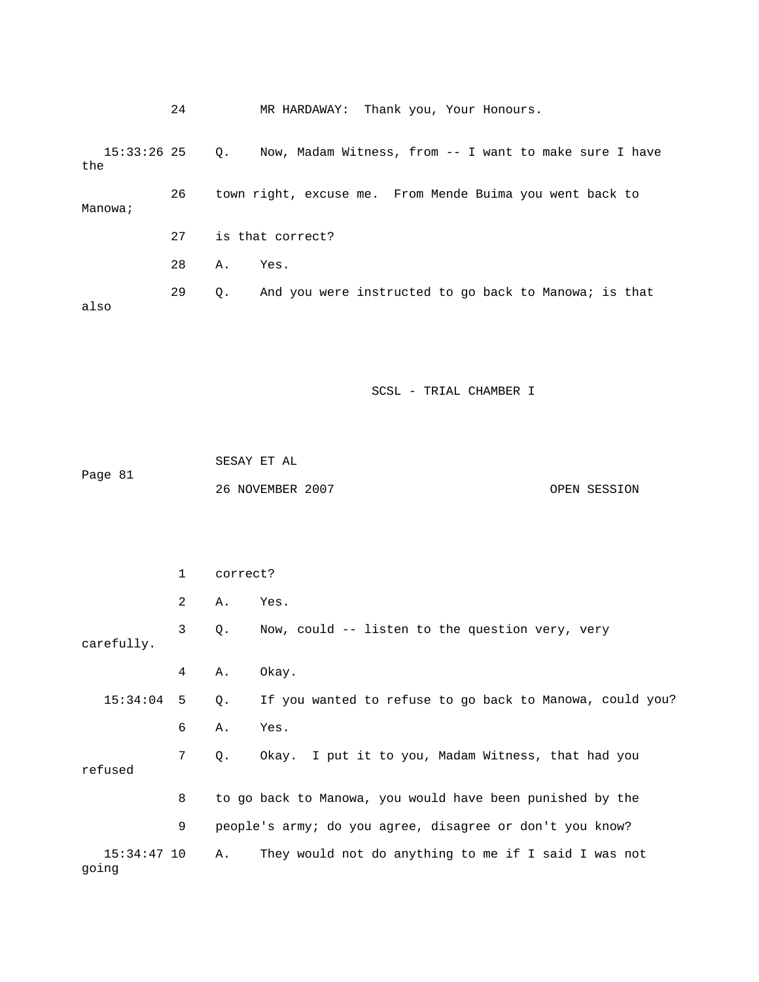|      |               | 24           |          |                  | MR HARDAWAY: Thank you, Your Honours.                    |              |
|------|---------------|--------------|----------|------------------|----------------------------------------------------------|--------------|
| the  | $15:33:26$ 25 |              | Q.       |                  | Now, Madam Witness, from -- I want to make sure I have   |              |
|      | Manowa;       | 26           |          |                  | town right, excuse me. From Mende Buima you went back to |              |
|      |               | 27           |          | is that correct? |                                                          |              |
|      |               | 28           | Α.       | Yes.             |                                                          |              |
| also |               | 29           | Q.       |                  | And you were instructed to go back to Manowa; is that    |              |
|      |               |              |          |                  |                                                          |              |
|      |               |              |          |                  |                                                          |              |
|      |               |              |          |                  | SCSL - TRIAL CHAMBER I                                   |              |
|      |               |              |          |                  |                                                          |              |
|      |               |              |          | SESAY ET AL      |                                                          |              |
|      | Page 81       |              |          | 26 NOVEMBER 2007 |                                                          | OPEN SESSION |
|      |               |              |          |                  |                                                          |              |
|      |               |              |          |                  |                                                          |              |
|      |               | $\mathbf{1}$ | correct? |                  |                                                          |              |

|                        | 2 | Α. | Yes.                                                                   |
|------------------------|---|----|------------------------------------------------------------------------|
| carefully.             | 3 | Q. | Now, could -- listen to the question very, very                        |
|                        | 4 | Α. | Okay.                                                                  |
|                        |   |    | 15:34:04 5 Q. If you wanted to refuse to go back to Manowa, could you? |
|                        | 6 | Α. | Yes.                                                                   |
| refused                | 7 | Q. | Okay. I put it to you, Madam Witness, that had you                     |
|                        | 8 |    | to go back to Manowa, you would have been punished by the              |
|                        | 9 |    | people's army; do you agree, disagree or don't you know?               |
| $15:34:47$ 10<br>qoinq |   | Α. | They would not do anything to me if I said I was not                   |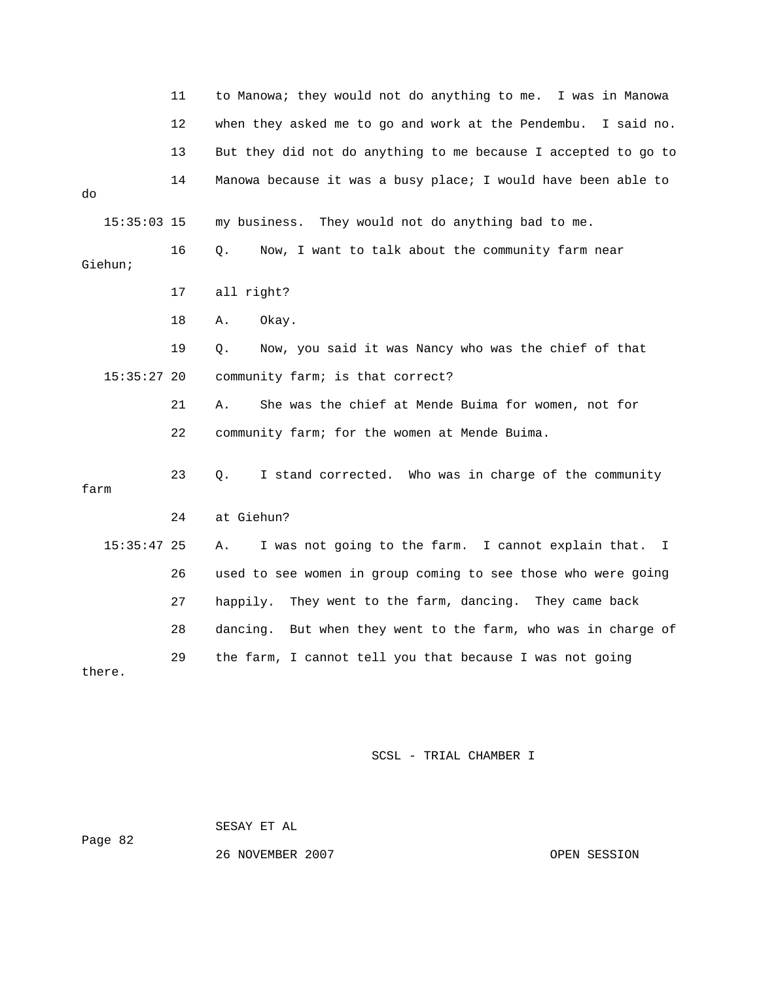|               | 11 | to Manowa; they would not do anything to me. I was in Manowa     |
|---------------|----|------------------------------------------------------------------|
|               | 12 | when they asked me to go and work at the Pendembu. I said no.    |
|               | 13 | But they did not do anything to me because I accepted to go to   |
| do            | 14 | Manowa because it was a busy place; I would have been able to    |
| $15:35:03$ 15 |    | my business. They would not do anything bad to me.               |
| Giehun;       | 16 | Now, I want to talk about the community farm near<br>Q.          |
|               | 17 | all right?                                                       |
|               | 18 | Okay.<br>Α.                                                      |
|               | 19 | Now, you said it was Nancy who was the chief of that<br>Q.       |
| 15:35:27 20   |    | community farm; is that correct?                                 |
|               | 21 | Α.<br>She was the chief at Mende Buima for women, not for        |
|               | 22 | community farm; for the women at Mende Buima.                    |
| farm          | 23 | I stand corrected. Who was in charge of the community<br>О.      |
|               | 24 | at Giehun?                                                       |
| $15:35:47$ 25 |    | I was not going to the farm. I cannot explain that.<br>Α.<br>I   |
|               | 26 | used to see women in group coming to see those who were going    |
|               | 27 | They went to the farm, dancing. They came back<br>happily.       |
|               | 28 | But when they went to the farm, who was in charge of<br>dancing. |
| there.        | 29 | the farm, I cannot tell you that because I was not going         |

SCSL - TRIAL CHAMBER I

Page 82

26 NOVEMBER 2007 OPEN SESSION

SESAY ET AL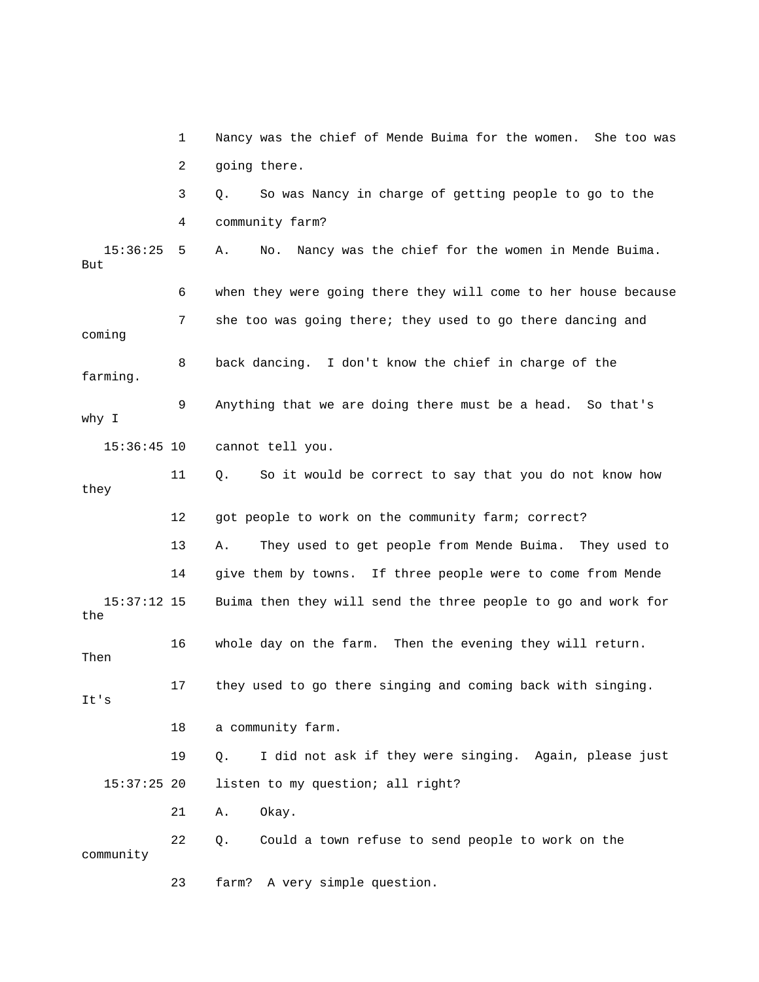1 Nancy was the chief of Mende Buima for the women. She too was 2 going there. 3 Q. So was Nancy in charge of getting people to go to the 4 community farm? 15:36:25 5 A. No. Nancy was the chief for the women in Mende Buima. 6 when they were going there they will come to her house because farming. 9 Anything that we are doing there must be a head. So that's y I wh 11 Q. So it would be correct to say that you do not know how 12 got people to work on the community farm; correct? 13 A. They used to get people from Mende Buima. They used to 16 whole day on the farm. Then the evening they will return. 17 they used to go there singing and coming back with singing. 18 a community farm. 19 Q. I did not ask if they were singing. Again, please just 21 A. Okay. But 7 she too was going there; they used to go there dancing and coming 8 back dancing. I don't know the chief in charge of the 15:36:45 10 cannot tell you. they 14 give them by towns. If three people were to come from Mende 15:37:12 15 Buima then they will send the three people to go and work for the Then It's 15:37:25 20 listen to my question; all right? 22 Q. Could a town refuse to send people to work on the community 23 farm? A very simple question.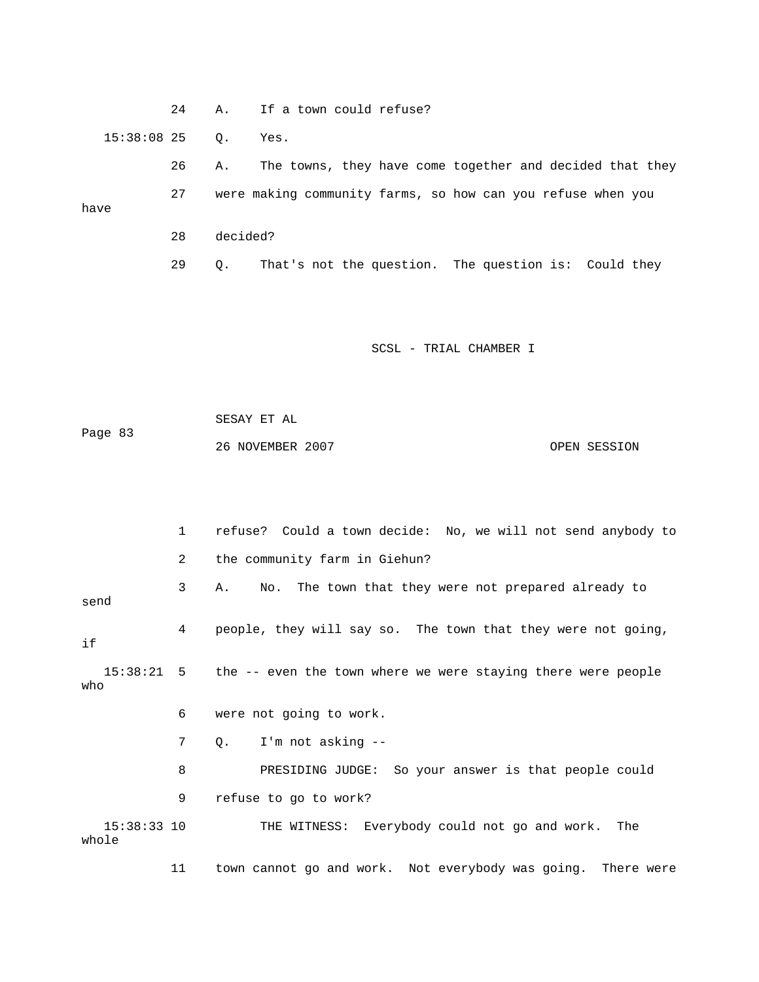24 A. If a town could refuse? 15:38:08 25 Q. Yes. 26 A. The towns, they have come together and decided that they Page 83 OPEN SESSION 1 refuse? Could a town decide: No, we will not send anybody to 2 the community farm in Giehun? 3 A. No. The town that they were not prepared already to send 4 people, they will say so. The town that they were not going, 15:38:21 5 the -- even the town where we were staying there were people o wh 6 were not going to work. 8 PRESIDING JUDGE: So your answer is that people could 9 refuse to go to work? 15:38:33 10 THE WITNESS: Everybody could not go and work. The 11 town cannot go and work. Not everybody was going. There were 27 were making community farms, so how can you refuse when you have 28 decided? 29 Q. That's not the question. The question is: Could they SCSL - TRIAL CHAMBER I SESAY ET AL 26 NOVEMBER if 7 Q. I'm not asking - whole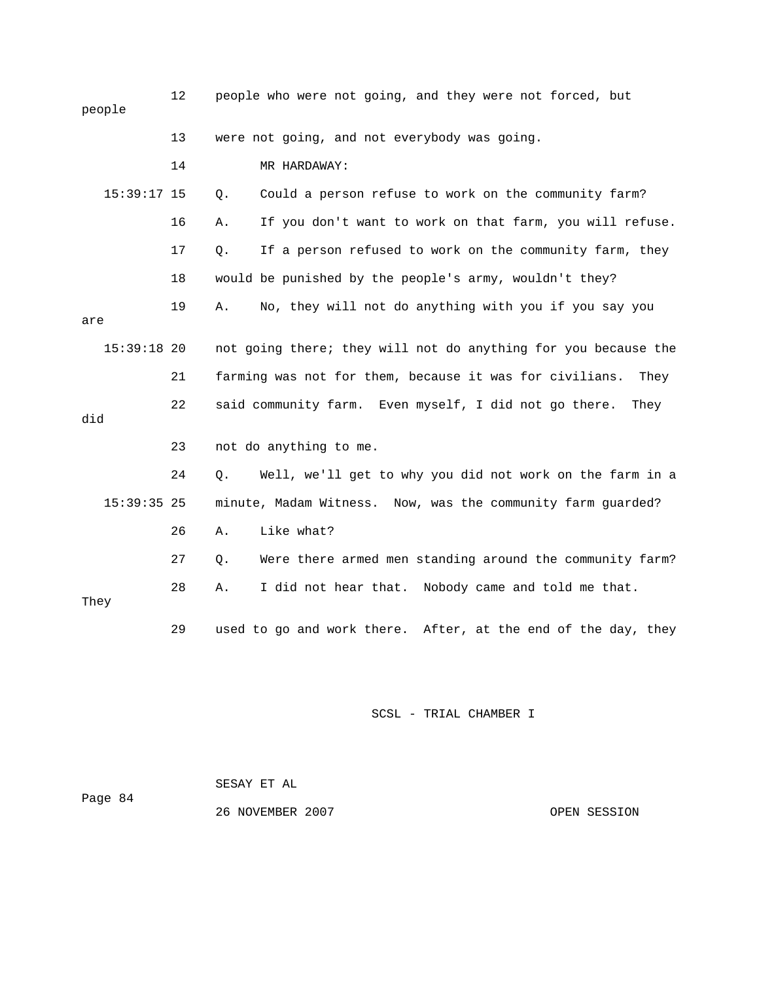| people        | 12 | people who were not going, and they were not forced, but        |
|---------------|----|-----------------------------------------------------------------|
|               | 13 | were not going, and not everybody was going.                    |
|               | 14 | MR HARDAWAY:                                                    |
| $15:39:17$ 15 |    | Could a person refuse to work on the community farm?<br>Q.      |
|               | 16 | If you don't want to work on that farm, you will refuse.<br>Α.  |
|               | 17 | If a person refused to work on the community farm, they<br>Q.   |
|               | 18 | would be punished by the people's army, wouldn't they?          |
| are           | 19 | No, they will not do anything with you if you say you<br>Α.     |
| $15:39:18$ 20 |    | not going there; they will not do anything for you because the  |
|               | 21 | farming was not for them, because it was for civilians.<br>They |
| did           | 22 | said community farm. Even myself, I did not go there.<br>They   |
|               | 23 | not do anything to me.                                          |
|               | 24 | Well, we'll get to why you did not work on the farm in a<br>Q.  |
| $15:39:35$ 25 |    | minute, Madam Witness. Now, was the community farm guarded?     |
|               | 26 | Like what?<br>Α.                                                |
|               | 27 | Were there armed men standing around the community farm?<br>Q.  |
| They          | 28 | I did not hear that. Nobody came and told me that.<br>Α.        |
|               | 29 | used to go and work there. After, at the end of the day, they   |

SCSL - TRIAL CHAMBER I

Page 84 SESAY ET AL 26 NOVEMBER 2007 COPEN SESSION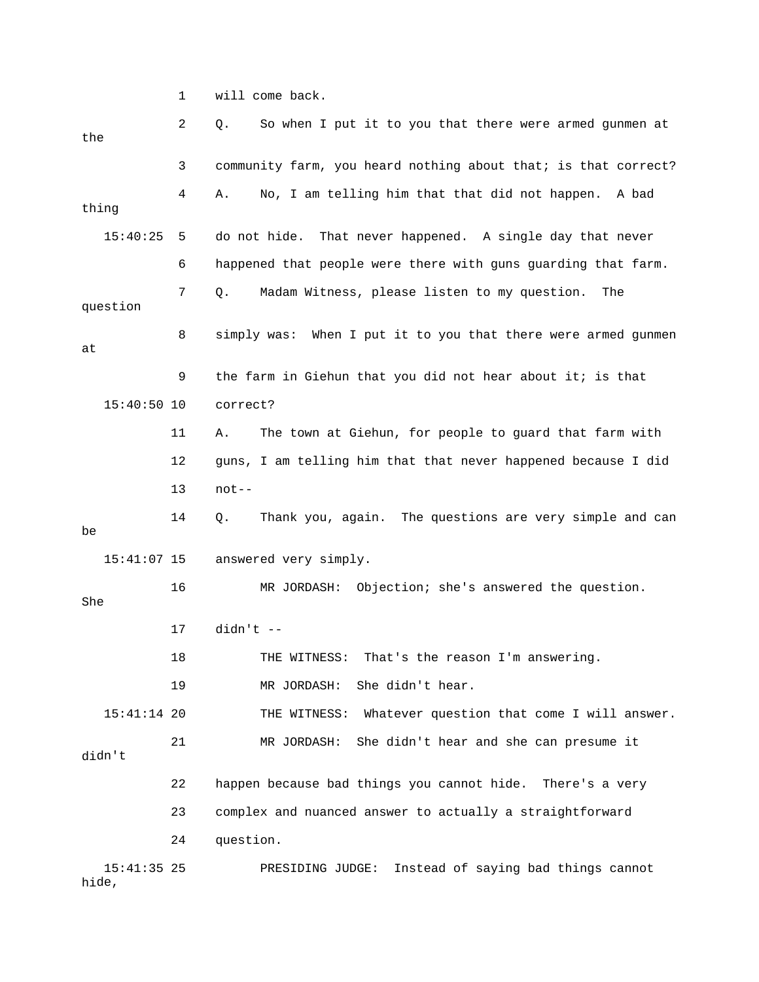1 will come back.

| the           | 2  | So when I put it to you that there were armed gunmen at<br>Q.  |
|---------------|----|----------------------------------------------------------------|
|               | 3  | community farm, you heard nothing about that; is that correct? |
| thing         | 4  | No, I am telling him that that did not happen. A bad<br>Α.     |
| 15:40:25      | 5  | do not hide.<br>That never happened. A single day that never   |
|               | 6  | happened that people were there with guns guarding that farm.  |
| question      | 7  | Madam Witness, please listen to my question.<br>Q.<br>The      |
| at            | 8  | simply was: When I put it to you that there were armed gunmen  |
|               | 9  | the farm in Giehun that you did not hear about it; is that     |
| $15:40:50$ 10 |    | correct?                                                       |
|               | 11 | The town at Giehun, for people to guard that farm with<br>Α.   |
|               | 12 | guns, I am telling him that that never happened because I did  |
|               | 13 | $not--$                                                        |
|               | 14 | Thank you, again. The questions are very simple and can<br>Q.  |
| be            |    |                                                                |
| $15:41:07$ 15 |    | answered very simply.                                          |
| She           | 16 | Objection; she's answered the question.<br>MR JORDASH:         |
|               | 17 | $d$ idn't --                                                   |
|               | 18 | That's the reason I'm answering.<br>THE WITNESS:               |
|               | 19 | She didn't hear.<br>MR JORDASH:                                |
| $15:41:14$ 20 |    | Whatever question that come I will answer.<br>THE WITNESS:     |
| didn't        | 21 | She didn't hear and she can presume it<br>MR JORDASH:          |
|               | 22 | happen because bad things you cannot hide. There's a very      |
|               | 23 | complex and nuanced answer to actually a straightforward       |
|               | 24 | question.                                                      |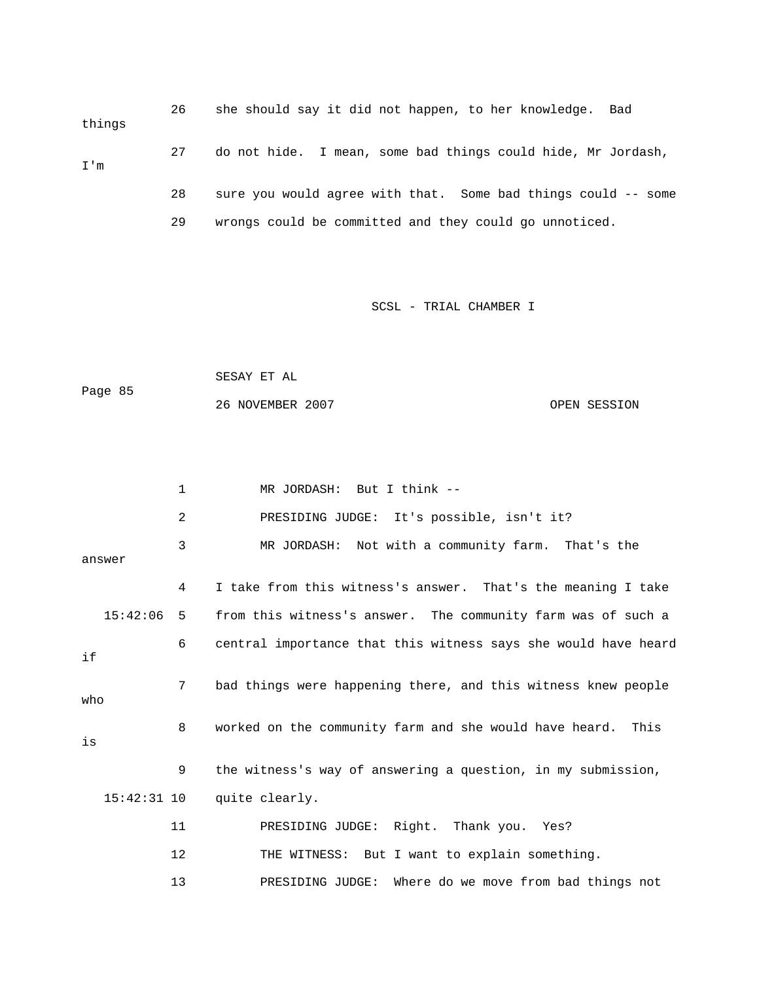26 she should say it did not happen, to her knowledge. Bad things 27 do not hide. I mean, some bad things could hide, Mr Jordash, 28 sure you would agree with that. Some bad things could -- some I'm 29 wrongs could be committed and they could go unnoticed.

SCSL - TRIAL CHAMBER I

 SESAY ET AL Page 85 26 NOVEMBER 2007 OPEN SESSION

|        | 1              | MR JORDASH: But I think --                                     |
|--------|----------------|----------------------------------------------------------------|
|        | $\overline{2}$ | PRESIDING JUDGE: It's possible, isn't it?                      |
| answer | 3              | MR JORDASH: Not with a community farm. That's the              |
|        | 4              | I take from this witness's answer. That's the meaning I take   |
|        | 15:42:06<br>5  | from this witness's answer. The community farm was of such a   |
| if     | 6              | central importance that this witness says she would have heard |
| who    | 7              | bad things were happening there, and this witness knew people  |
| is     | 8              | worked on the community farm and she would have heard. This    |
|        | 9              | the witness's way of answering a question, in my submission,   |
|        | $15:42:31$ 10  | quite clearly.                                                 |
|        | 11             | PRESIDING JUDGE: Right. Thank you. Yes?                        |
|        | 12             | THE WITNESS: But I want to explain something.                  |
|        | 13             | Where do we move from bad things not<br>PRESIDING JUDGE:       |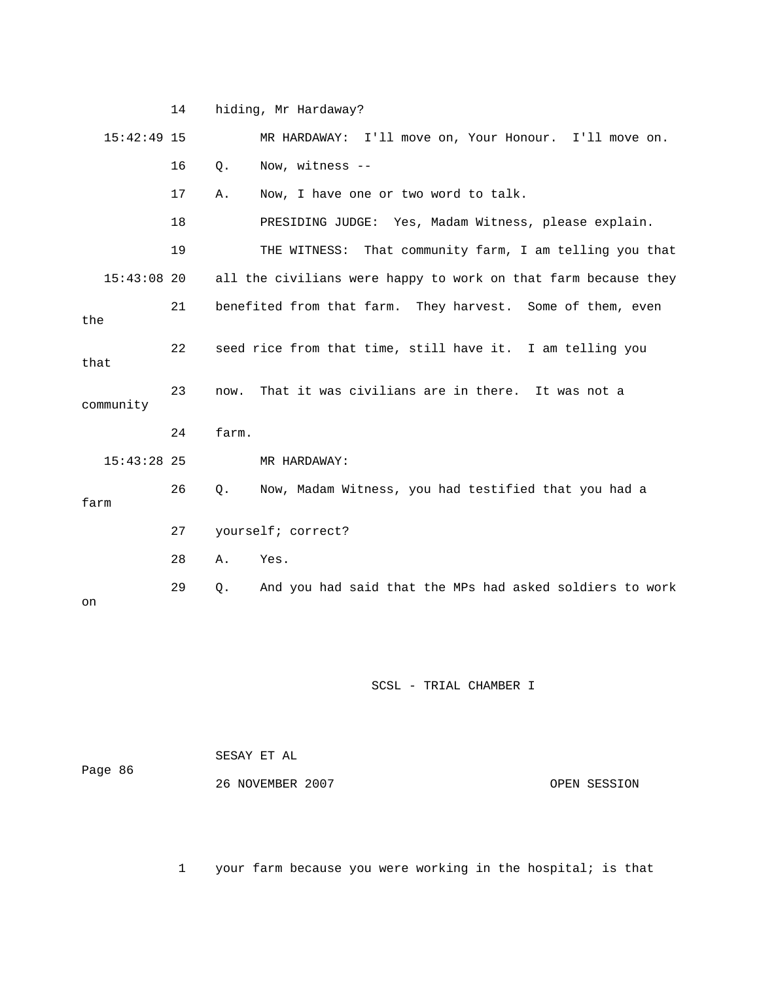14 hiding, Mr Hardaway? 15:42:49 15 MR HARDAWAY: I'll move on, Your Honour. I'll move on. 16 Q. Now, witness -- 18 PRESIDING JUDGE: Yes, Madam Witness, please explain. 19 THE WITNESS: That community farm, I am telling you that 21 benefited from that farm. They harvest. Some of them, even 22 seed rice from that time, still have it. I am telling you 24 farm. 15:43:28 25 MR HARDAWAY: 26 Q. Now, Madam Witness, you had testified that you had a 17 A. Now, I have one or two word to talk. 15:43:08 20 all the civilians were happy to work on that farm because they the that 23 now. That it was civilians are in there. It was not a community farm 27 yourself; correct? 28 A. Yes. 29 Q. And you had said that the MPs had asked soldiers to work on

## SCSL - TRIAL CHAMBER I

| Page 86 | SESAY ET AL      |              |
|---------|------------------|--------------|
|         | 26 NOVEMBER 2007 | OPEN SESSION |

1 your farm because you were working in the hospital; is that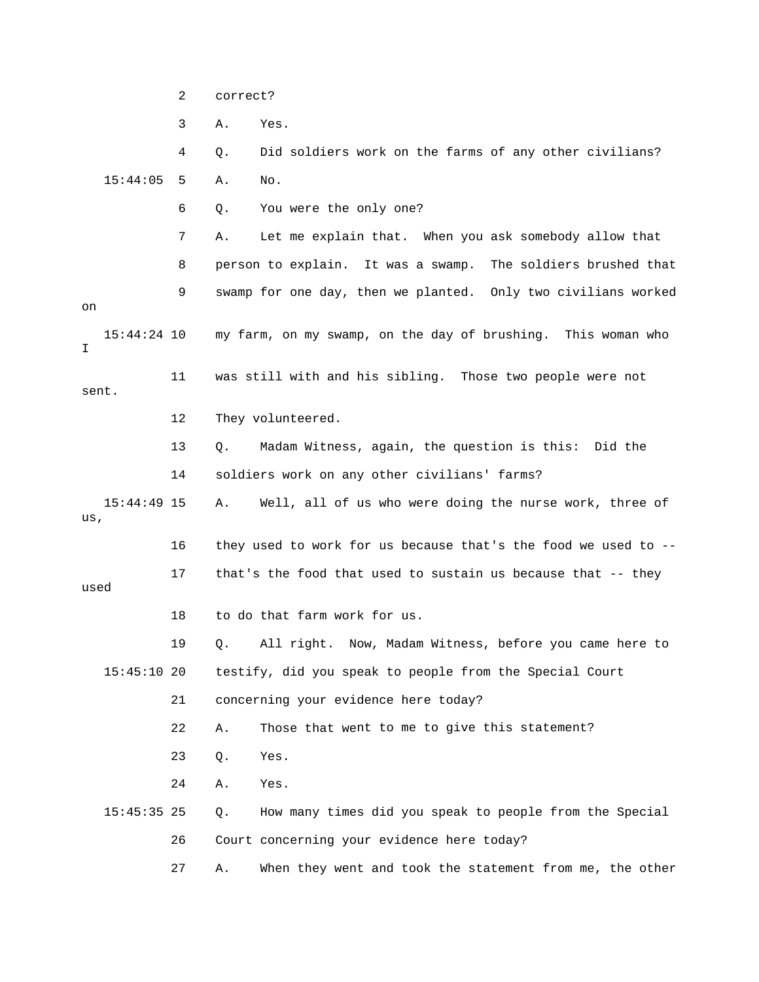2 correct?

3 A. Yes.

 4 Q. Did soldiers work on the farms of any other civilians? 15:44:05 5 A. No. 6 Q. You were the only one? 7 A. Let me explain that. When you ask somebody allow that 8 person to explain. It was a swamp. The soldiers brushed that 9 swamp for one day, then we planted. Only two civilians worked 15:44:24 10 my farm, on my swamp, on the day of brushing. This woman who sent. 12 They volunteered. 14 soldiers work on any other civilians' farms? 15:44:49 15 A. Well, all of us who were doing the nurse work, three of used 15:45:10 20 testify, did you speak to people from the Special Court 22 A. Those that went to me to give this statement? on I 11 was still with and his sibling. Those two people were not 13 Q. Madam Witness, again, the question is this: Did the us, 16 they used to work for us because that's the food we used to -- 17 that's the food that used to sustain us because that -- they 18 to do that farm work for us. 19 Q. All right. Now, Madam Witness, before you came here to 21 concerning your evidence here today? 23 Q. Yes. 24 A. Yes. 15:45:35 25 Q. How many times did you speak to people from the Special 26 Court concerning your evidence here today? 27 A. When they went and took the statement from me, the other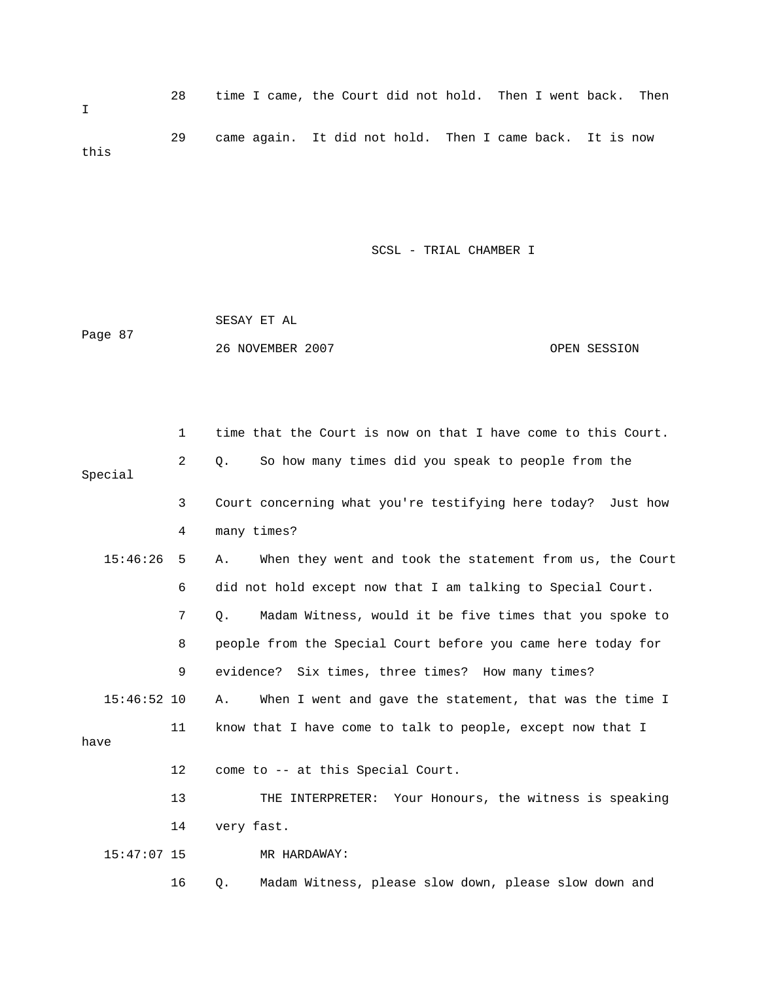28 time I came, the Court did not hold. Then I went back. Then I 29 came again. It did not hold. Then I came back. It is now this

SCSL - TRIAL CHAMBER I

|         | SESAY ET AL      |              |
|---------|------------------|--------------|
| Page 87 |                  |              |
|         | 26 NOVEMBER 2007 | OPEN SESSION |

|               | $\mathbf{1}$ | time that the Court is now on that I have come to this Court.  |
|---------------|--------------|----------------------------------------------------------------|
| Special       | 2            | So how many times did you speak to people from the<br>О.       |
|               | 3            | Court concerning what you're testifying here today? Just how   |
|               | 4            | many times?                                                    |
| 15:46:26      | 5            | When they went and took the statement from us, the Court<br>Α. |
|               | 6            | did not hold except now that I am talking to Special Court.    |
|               | 7            | Madam Witness, would it be five times that you spoke to<br>Q.  |
|               | 8            | people from the Special Court before you came here today for   |
|               | 9            | evidence? Six times, three times? How many times?              |
| $15:46:52$ 10 |              | When I went and gave the statement, that was the time I<br>Α.  |
| have          | 11           | know that I have come to talk to people, except now that I     |
|               | 12           | come to -- at this Special Court.                              |
|               | 13           | THE INTERPRETER: Your Honours, the witness is speaking         |
|               | 14           | very fast.                                                     |
| $15:47:07$ 15 |              | MR HARDAWAY:                                                   |
|               | 16           | Madam Witness, please slow down, please slow down and<br>Q.    |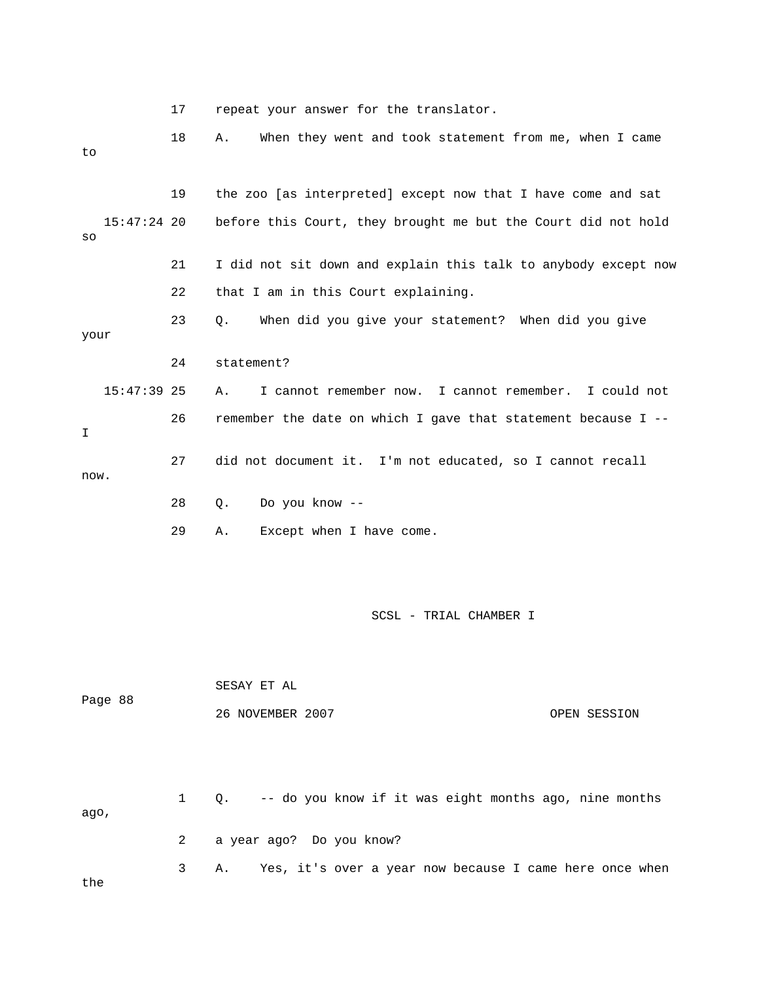17 repeat your answer for the translator.

 18 A. When they went and took statement from me, when I came to 19 the zoo [as interpreted] except now that I have come and sat 21 I did not sit down and explain this talk to anybody except now your 15:47:39 25 A. I cannot remember now. I cannot remember. I could not 26 remember the date on which I gave that statement because I -- 28 Q. Do you know -- 15:47:24 20 before this Court, they brought me but the Court did not hold so 22 that I am in this Court explaining. 23 Q. When did you give your statement? When did you give 24 statement? I 27 did not document it. I'm not educated, so I cannot recall now. 29 A. Except when I have come.

SCSL - TRIAL CHAMBER I

| Page 88 |  |                | SESAY ET AL                                                   |              |
|---------|--|----------------|---------------------------------------------------------------|--------------|
|         |  |                | 26 NOVEMBER 2007                                              | OPEN SESSION |
| aqo,    |  | $1 \quad$      | Q. -- do you know if it was eight months ago, nine months     |              |
|         |  | $\overline{a}$ | a year ago? Do you know?                                      |              |
|         |  | 3              | Yes, it's over a year now because I came here once when<br>Α. |              |

the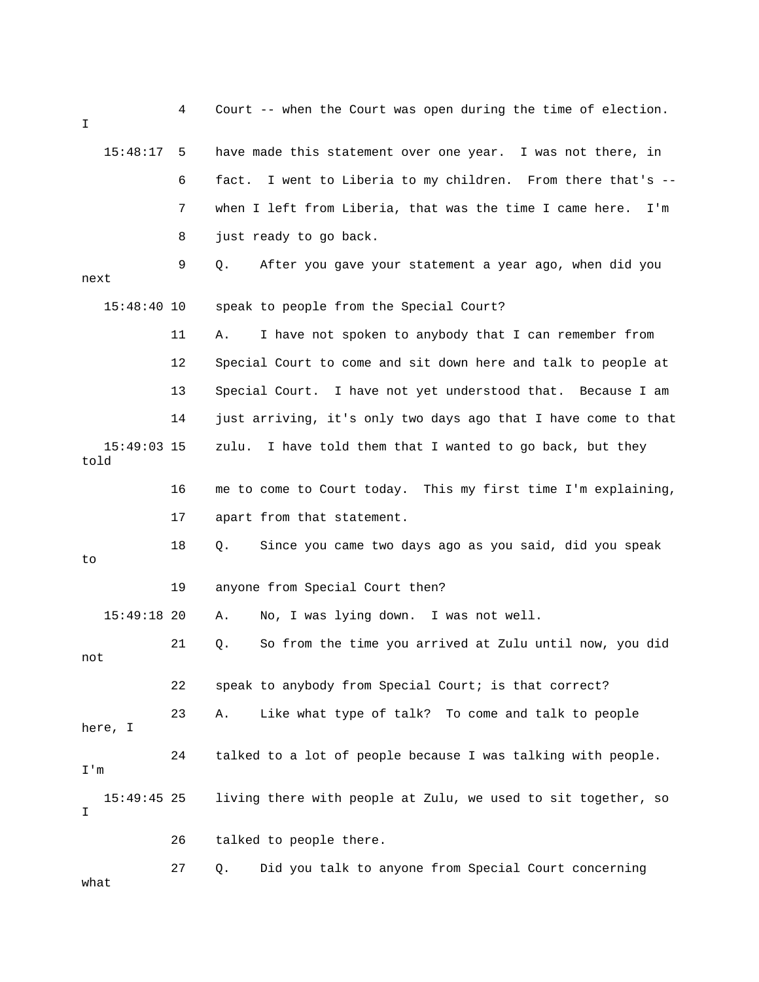| I                     | 4  | Court -- when the Court was open during the time of election.   |
|-----------------------|----|-----------------------------------------------------------------|
| 15:48:17              | -5 | have made this statement over one year. I was not there, in     |
|                       | 6  | I went to Liberia to my children. From there that's --<br>fact. |
|                       | 7  | when I left from Liberia, that was the time I came here.<br>I'm |
|                       | 8  | just ready to go back.                                          |
| next                  | 9  | After you gave your statement a year ago, when did you<br>Q.    |
| 15:48:40 10           |    | speak to people from the Special Court?                         |
|                       | 11 | I have not spoken to anybody that I can remember from<br>Α.     |
|                       | 12 | Special Court to come and sit down here and talk to people at   |
|                       | 13 | I have not yet understood that. Because I am<br>Special Court.  |
|                       | 14 | just arriving, it's only two days ago that I have come to that  |
| $15:49:03$ 15<br>told |    | I have told them that I wanted to go back, but they<br>zulu.    |
|                       | 16 | me to come to Court today. This my first time I'm explaining,   |
|                       | 17 | apart from that statement.                                      |
| to                    | 18 | Since you came two days ago as you said, did you speak<br>Q.    |
|                       | 19 | anyone from Special Court then?                                 |
| 15:49:18 20           |    | No, I was lying down.<br>I was not well.<br>Α.                  |
| not                   | 21 | So from the time you arrived at Zulu until now, you did<br>Q.   |
|                       | 22 | speak to anybody from Special Court; is that correct?           |
| here, I               | 23 | Like what type of talk? To come and talk to people<br>Α.        |
| I'm                   | 24 | talked to a lot of people because I was talking with people.    |
| $15:49:45$ 25<br>I    |    | living there with people at Zulu, we used to sit together, so   |
|                       | 26 | talked to people there.                                         |
| what                  | 27 | Did you talk to anyone from Special Court concerning<br>Q.      |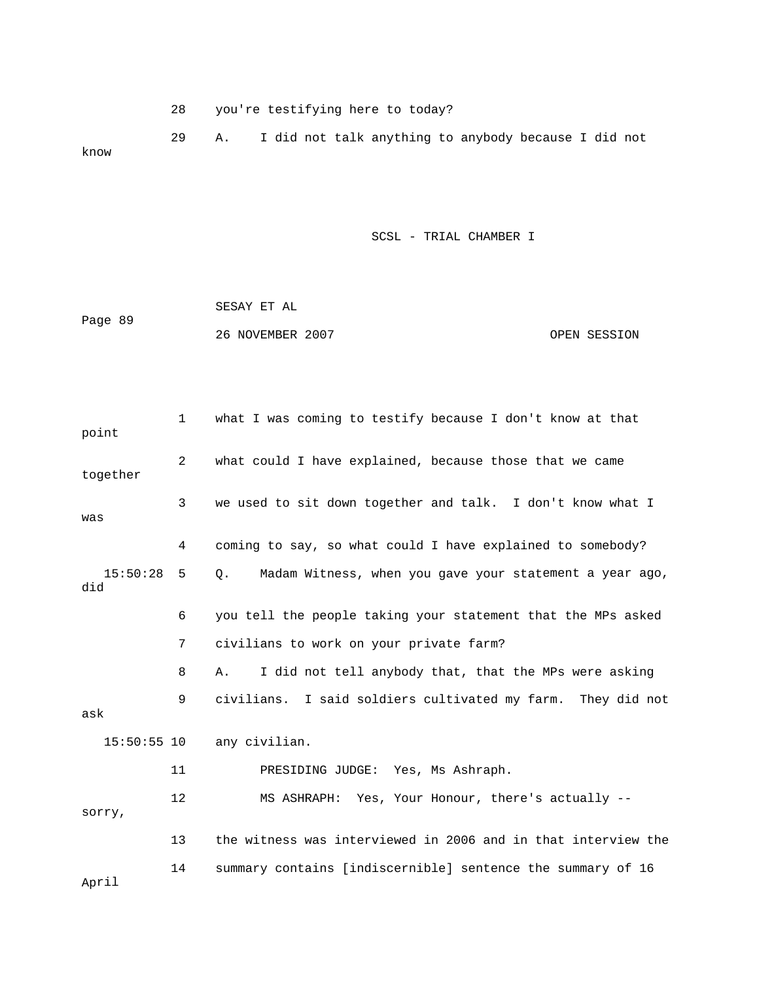28 you're testifying here to today?

 29 A. I did not talk anything to anybody because I did not know

SCSL - TRIAL CHAMBER I

| Page 89 | SESAY ET AL      |              |
|---------|------------------|--------------|
|         | 26 NOVEMBER 2007 | OPEN SESSION |

| point           | $\mathbf 1$    | what I was coming to testify because I don't know at that     |
|-----------------|----------------|---------------------------------------------------------------|
| together        | $\overline{2}$ | what could I have explained, because those that we came       |
| was             | $\overline{3}$ | we used to sit down together and talk. I don't know what I    |
|                 | 4              | coming to say, so what could I have explained to somebody?    |
| 15:50:28<br>did | 5              | Madam Witness, when you gave your statement a year ago,<br>Q. |
|                 | 6              | you tell the people taking your statement that the MPs asked  |
|                 | 7              | civilians to work on your private farm?                       |
|                 | 8              | I did not tell anybody that, that the MPs were asking<br>Α.   |
| ask             | 9              | civilians. I said soldiers cultivated my farm. They did not   |
| $15:50:55$ 10   |                | any civilian.                                                 |
|                 | 11             | PRESIDING JUDGE: Yes, Ms Ashraph.                             |
| sorry,          | 12             | MS ASHRAPH: Yes, Your Honour, there's actually --             |
|                 | 13             | the witness was interviewed in 2006 and in that interview the |
| April           | 14             | summary contains [indiscernible] sentence the summary of 16   |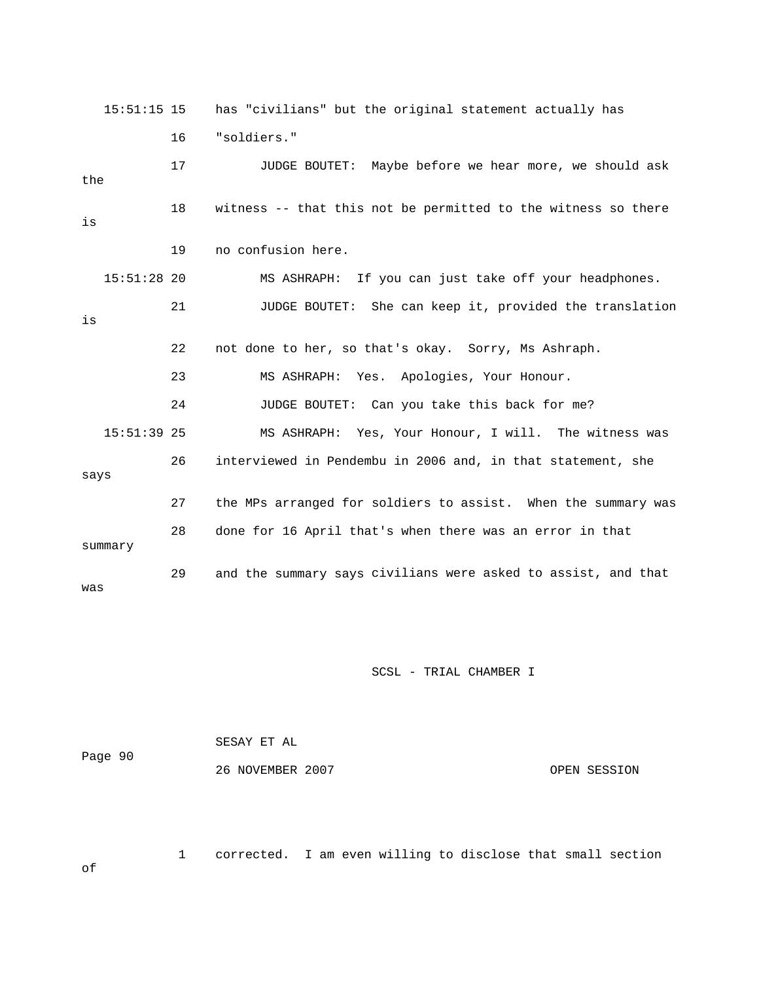15:51:15 15 has "civilians" but the original statement actually has 17 JUDGE BOUTET: Maybe before we hear more, we should ask the 18 witness -- that this not be permitted to the witness so there 19 no confusion here. 15:51:28 20 MS ASHRAPH: If you can just take off your headphones. 21 JUDGE BOUTET: She can keep it, provided the translation 22 not done to her, so that's okay. Sorry, Ms Ashraph. 23 MS ASHRAPH: Yes. Apologies, Your Honour. 24 JUDGE BOUTET: Can you take this back for me? 15:51:39 25 MS ASHRAPH: Yes, Your Honour, I will. The witness was 26 interviewed in Pendembu in 2006 and, in that statement, she says 27 the MPs arranged for soldiers to assist. When the summary was summary 29 and the summary says civilians were asked to assist, and that was 16 "soldiers." is is 28 done for 16 April that's when there was an error in that

SCSL - TRIAL CHAMBER I

|         | SESAY ET AL      |              |  |
|---------|------------------|--------------|--|
| Page 90 |                  |              |  |
|         | 26 NOVEMBER 2007 | OPEN SESSION |  |

1 corrected. I am even willing to disclose that small section

of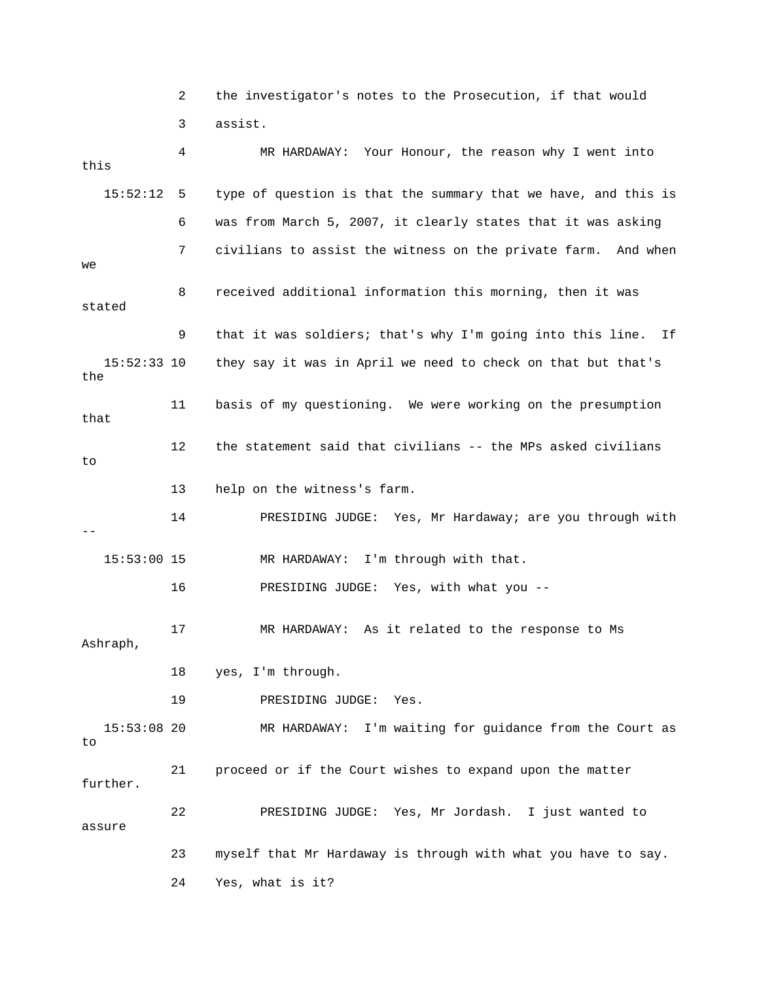|                      | 2  | the investigator's notes to the Prosecution, if that would       |
|----------------------|----|------------------------------------------------------------------|
|                      | 3  | assist.                                                          |
| this                 | 4  | MR HARDAWAY: Your Honour, the reason why I went into             |
| 15:52:12             | 5  | type of question is that the summary that we have, and this is   |
|                      | 6  | was from March 5, 2007, it clearly states that it was asking     |
| we                   | 7  | civilians to assist the witness on the private farm. And when    |
| stated               | 8  | received additional information this morning, then it was        |
|                      | 9  | that it was soldiers; that's why I'm going into this line.<br>Ιf |
| $15:52:33$ 10<br>the |    | they say it was in April we need to check on that but that's     |
| that                 | 11 | basis of my questioning. We were working on the presumption      |
| to                   | 12 | the statement said that civilians -- the MPs asked civilians     |
|                      | 13 | help on the witness's farm.                                      |
|                      | 14 | PRESIDING JUDGE: Yes, Mr Hardaway; are you through with          |
| $15:53:00$ 15        |    | I'm through with that.<br>MR HARDAWAY:                           |
|                      | 16 | PRESIDING JUDGE: Yes, with what you --                           |
| Ashraph,             | 17 | MR HARDAWAY: As it related to the response to Ms                 |
|                      | 18 | yes, I'm through.                                                |
|                      | 19 | PRESIDING JUDGE:<br>Yes.                                         |
| $15:53:08$ 20<br>to  |    | I'm waiting for guidance from the Court as<br>MR HARDAWAY:       |
| further.             | 21 | proceed or if the Court wishes to expand upon the matter         |
| assure               | 22 | PRESIDING JUDGE: Yes, Mr Jordash.<br>I just wanted to            |
|                      | 23 | myself that Mr Hardaway is through with what you have to say.    |
|                      | 24 | Yes, what is it?                                                 |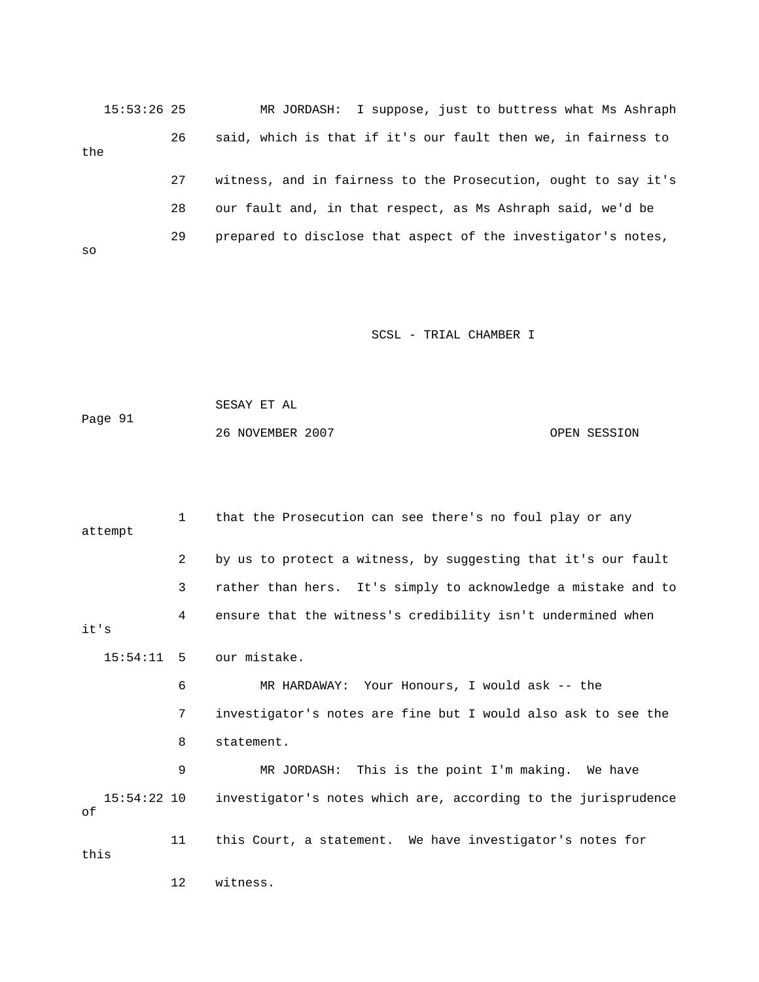15:53:26 25 MR JORDASH: I suppose, just to buttress what Ms Ashraph 26 said, which is that if it's our fault then we, in fairness to 27 witness, and in fairness to the Prosecution, ought to say it's 28 our fault and, in that respect, as Ms Ashraph said, we'd be the 29 prepared to disclose that aspect of the investigator's notes, so

SCSL - TRIAL CHAMBER I

| Page 91 | SESAY ET AL      |              |
|---------|------------------|--------------|
|         | 26 NOVEMBER 2007 | OPEN SESSION |

 1 that the Prosecution can see there's no foul play or any 3 rather than hers. It's simply to acknowledge a mistake and to 4 ensure that the witness's credibility isn't undermined when it's 6 MR HARDAWAY: Your Honours, I would ask -- the 7 investigator's notes are fine but I would also ask to see the 9 MR JORDASH: This is the point I'm making. We have 15:54:22 10 investigator's notes which are, according to the jurisprudence attempt 2 by us to protect a witness, by suggesting that it's our fault 15:54:11 5 our mistake. 8 statement. of 11 this Court, a statement. We have investigator's notes for this 12 witness.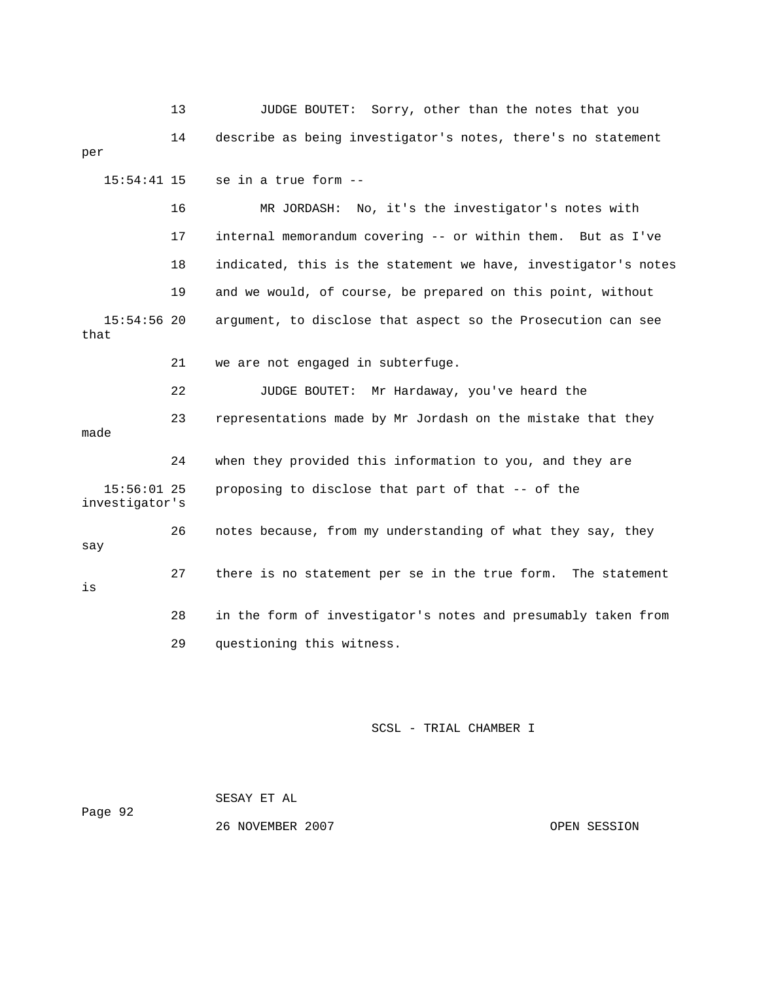13 JUDGE BOUTET: Sorry, other than the notes that you 14 describe as being investigator's notes, there's no statement per 15:54:41 15 se in a true form -- 16 MR JORDASH: No, it's the investigator's notes with 18 indicated, this is the statement we have, investigator's notes 22 JUDGE BOUTET: Mr Hardaway, you've heard the 23 representations made by Mr Jordash on the mistake that they proposing to disclose that part of that -- of the  $\operatorname*{say}% \operatorname*{supp}\left( X_{0},\mathcal{U}\right) =\operatorname*{supp}\left( X_{0},\mathcal{U}\right)$  17 internal memorandum covering -- or within them. But as I've 19 and we would, of course, be prepared on this point, without 15:54:56 20 argument, to disclose that aspect so the Prosecution can see that 21 we are not engaged in subterfuge. made 24 when they provided this information to you, and they are  $15:56:01$  25 investigator's 26 notes because, from my understanding of what they say, they 27 there is no statement per se in the true form. The statement is 28 in the form of investigator's notes and presumably taken from 29 questioning this witness.

## SCSL - TRIAL CHAMBER I

|         | SESAY ET AL      |
|---------|------------------|
| Page 92 |                  |
|         | 26 NOVEMBER 2007 |

OPEN SESSION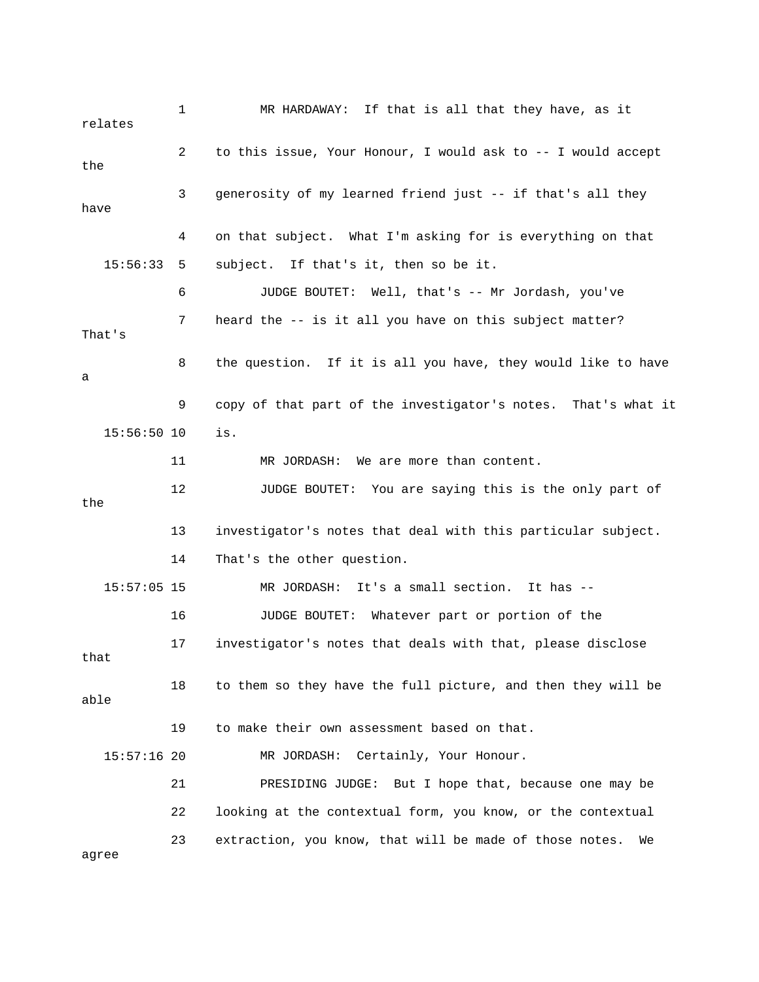1 MR HARDAWAY: If that is all that they have, as it relates 2 to this issue, Your Honour, I would ask to -- I would accept 3 generosity of my learned friend just -- if that's all they have 4 on that subject. What I'm asking for is everything on that 15:56:33 5 subject. If that's it, then so be it. 6 JUDGE BOUTET: Well, that's -- Mr Jordash, you've 8 the question. If it is all you have, they would like to have 9 copy of that part of the investigator's notes. That's what it 11 MR JORDASH: We are more than content. the . 13 investigator's notes that deal with this particular subject 15:57:05 15 MR JORDASH: It's a small section. It has -- MR JORDASH: Certainly, Your Honour. 21 PRESIDING JUDGE: But I hope that, because one may be the 7 heard the -- is it all you have on this subject matter? That's a 15:56:50 10 is. 12 JUDGE BOUTET: You are saying this is the only part of 14 That's the other question. 16 JUDGE BOUTET: Whatever part or portion of the 17 investigator's notes that deals with that, please disclose that 18 to them so they have the full picture, and then they will be able 19 to make their own assessment based on that. 15:57:16 20 22 looking at the contextual form, you know, or the contextual 23 extraction, you know, that will be made of those notes. We agree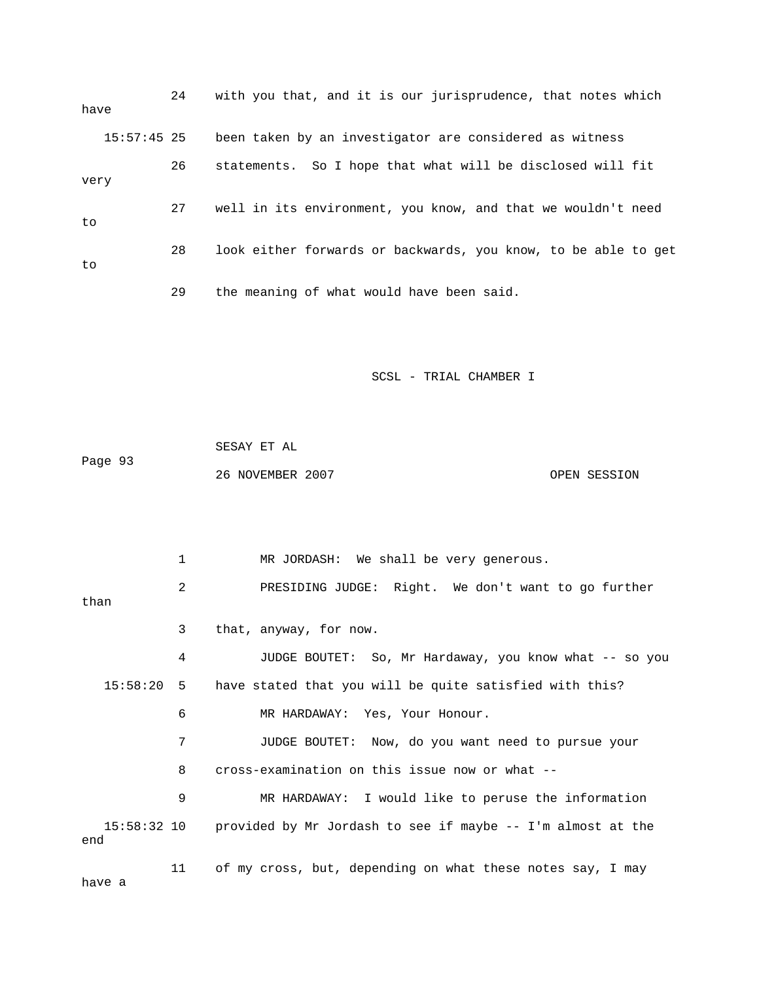| have |               | 24 | with you that, and it is our jurisprudence, that notes which   |
|------|---------------|----|----------------------------------------------------------------|
|      | $15:57:45$ 25 |    | been taken by an investigator are considered as witness        |
| very |               | 26 | statements. So I hope that what will be disclosed will fit     |
| to   |               | 27 | well in its environment, you know, and that we wouldn't need   |
| to   |               | 28 | look either forwards or backwards, you know, to be able to get |
|      |               | 29 | the meaning of what would have been said.                      |

SCSL - TRIAL CHAMBER I

Page 93 SESAY ET AL 26 NOVEMBER 2007 OPEN SESSION

 2 PRESIDING JUDGE: Right. We don't want to go further 3 that, anyway, for now. 4 JUDGE BOUTET: So, Mr Hardaway, you know what -- so you 15:58:20 5 have stated that you will be quite satisfied with this? 6 MR HARDAWAY: Yes, Your Honour. 7 JUDGE BOUTET: Now, do you want need to pursue your 8 cross-examination on this issue now or what -- 9 MR HARDAWAY: I would like to peruse the information 15:58:32 10 provided by Mr Jordash to see if maybe -- I'm almost at the end 11 of my cross, but, depending on what these notes say, I may 1 MR JORDASH: We shall be very generous. than

have a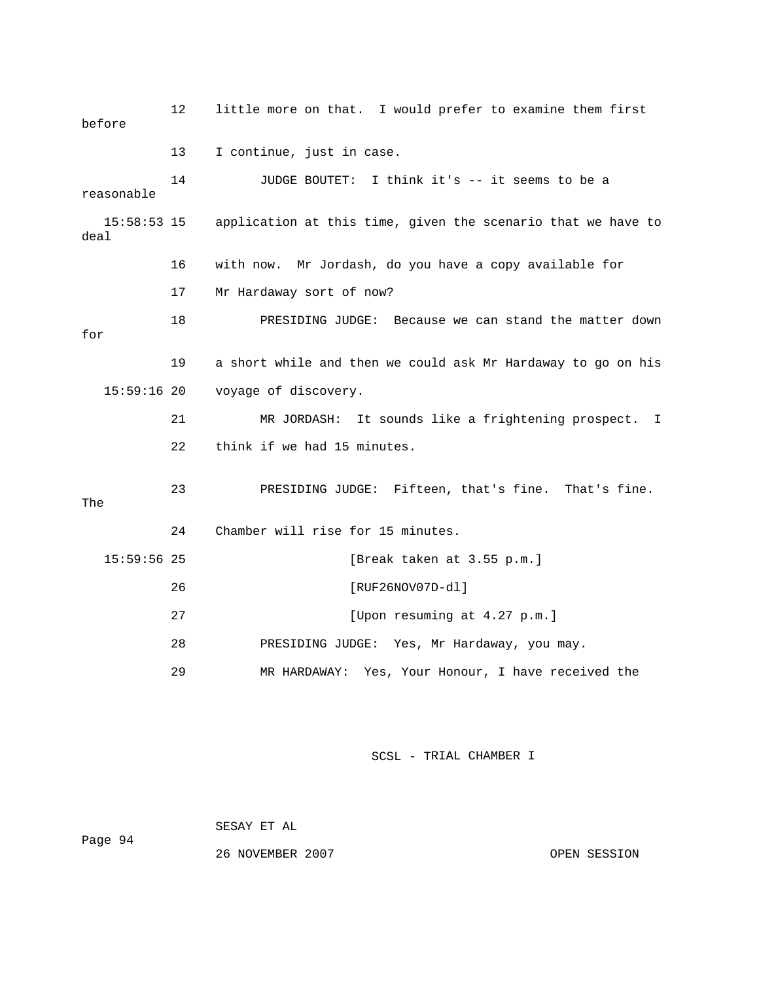| before              | 12 | little more on that. I would prefer to examine them first    |  |  |
|---------------------|----|--------------------------------------------------------------|--|--|
|                     | 13 | I continue, just in case.                                    |  |  |
| reasonable          | 14 | JUDGE BOUTET: I think it's -- it seems to be a               |  |  |
| 15:58:53 15<br>deal |    | application at this time, given the scenario that we have to |  |  |
|                     | 16 | with now. Mr Jordash, do you have a copy available for       |  |  |
|                     | 17 | Mr Hardaway sort of now?                                     |  |  |
| for                 | 18 | PRESIDING JUDGE: Because we can stand the matter down        |  |  |
|                     | 19 | a short while and then we could ask Mr Hardaway to go on his |  |  |
| $15:59:16$ 20       |    | voyage of discovery.                                         |  |  |
|                     | 21 | MR JORDASH: It sounds like a frightening prospect. I         |  |  |
|                     | 22 | think if we had 15 minutes.                                  |  |  |
| The                 | 23 | PRESIDING JUDGE: Fifteen, that's fine. That's fine.          |  |  |
|                     | 24 | Chamber will rise for 15 minutes.                            |  |  |
| $15:59:56$ 25       |    | [Break taken at 3.55 p.m.]                                   |  |  |
|                     | 26 | [RUF26NOV07D-dl]                                             |  |  |
|                     | 27 | [Upon resuming at 4.27 p.m.]                                 |  |  |
|                     | 28 | PRESIDING JUDGE: Yes, Mr Hardaway, you may.                  |  |  |
|                     | 29 | MR HARDAWAY: Yes, Your Honour, I have received the           |  |  |

SCSL - TRIAL CHAMBER I

Page 94

SESAY ET AL

26 NOVEMBER 2007 OPEN SESSION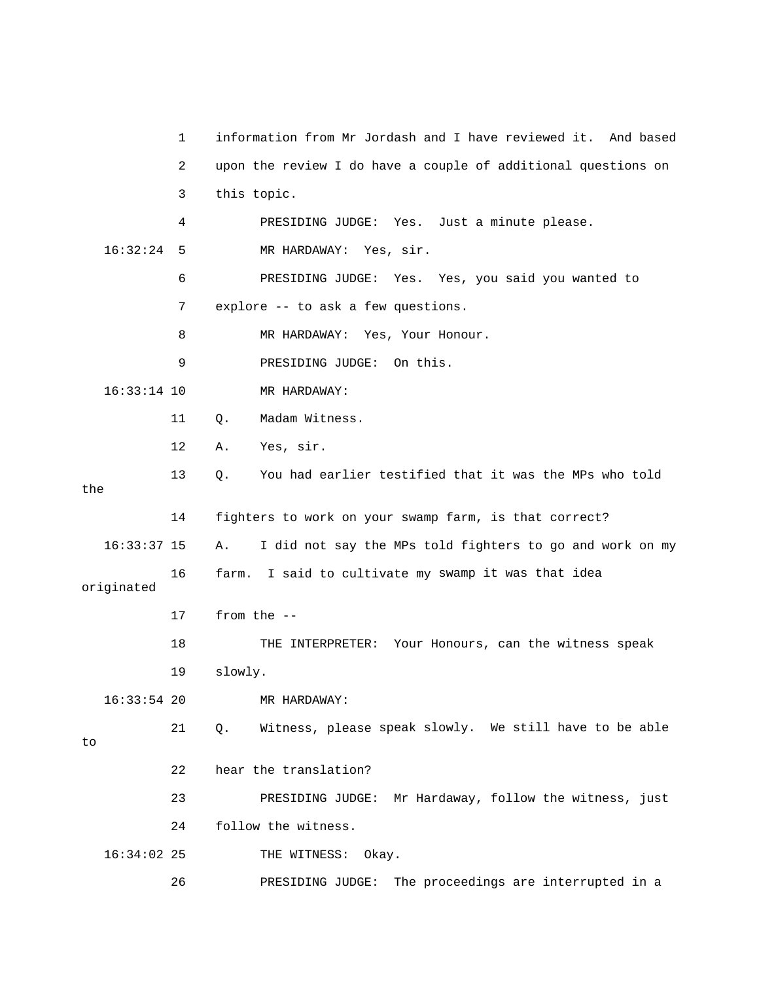1 information from Mr Jordash and I have reviewed it. And based 2 upon the review I do have a couple of additional questions on 3 this topic. 4 PRESIDING JUDGE: Yes. Just a minute please. 16:32:24 5 MR HARDAWAY: Yes, sir. 6 PRESIDING JUDGE: Yes. Yes, you said you wanted to 7 explore -- to ask a few questions. 16:33:14 10 MR HARDAWAY: 11 Q. Madam Witness. 14 fighters to work on your swamp farm, is that correct? 16:33:37 15 A. I did not say the MPs told fighters to go and work on my 16 farm. I said to cultivate my swamp it was that idea 18 THE INTERPRETER: Your Honours, can the witness speak 21 Q. Witness, please speak slowly. We still have to be able 22 hear the translation? 23 PRESIDING JUDGE: Mr Hardaway, follow the witness, just 26 PRESIDING JUDGE: The proceedings are interrupted in a 8 MR HARDAWAY: Yes, Your Honour. 9 PRESIDING JUDGE: On this. 12 A. Yes, sir. 13 Q. You had earlier testified that it was the MPs who told the originated 17 from the -- 19 slowly. 16:33:54 20 MR HARDAWAY: to 24 follow the witness. 16:34:02 25 THE WITNESS: Okay.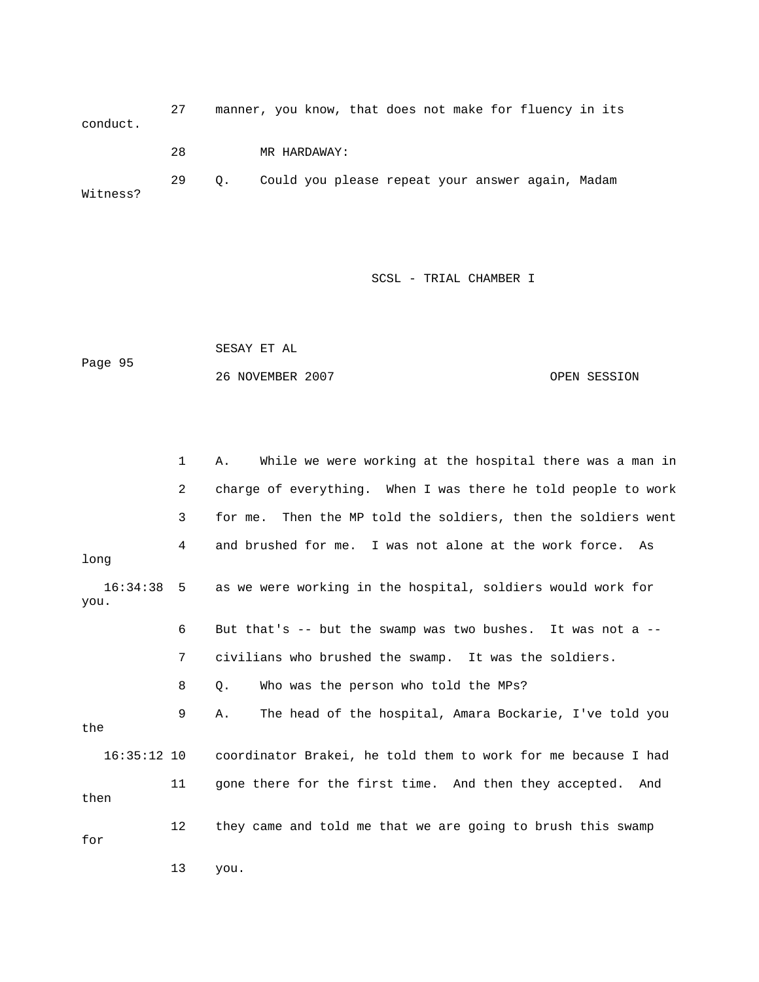27 manner, you know, that does not make for fluency in its conduct. 29 Q. Could you please repeat your answer again, Madam 28 MR HARDAWAY: Witness?

SCSL - TRIAL CHAMBER I S

 OPEN SESSION SESAY ET AL Page 95 26 NOVEMBER 2007

 1 A. While we were working at the hospital there was a man in g. When I was there he told people to work 2 charge of everythin 3 for me. Then the MP told the soldiers, then the soldiers went 4 and brushed for me. I was not alone at the work force. As long 16:34:38 5 as we were working in the hospital, soldiers would work for 6 But that's -- but the swamp was two bushes. It was not a -- 7 civilians who brushed the swamp. It was the soldiers. 8 Q. Who was the person who told the MPs? 9 A. The head of the hospital, Amara Bockarie, I've told you the 16:35:12 10 coordinator Brakei, he told them to work for me because I had then you. 11 gone there for the first time. And then they accepted. And 12 they came and told me that we are going to brush this swamp for

13 you.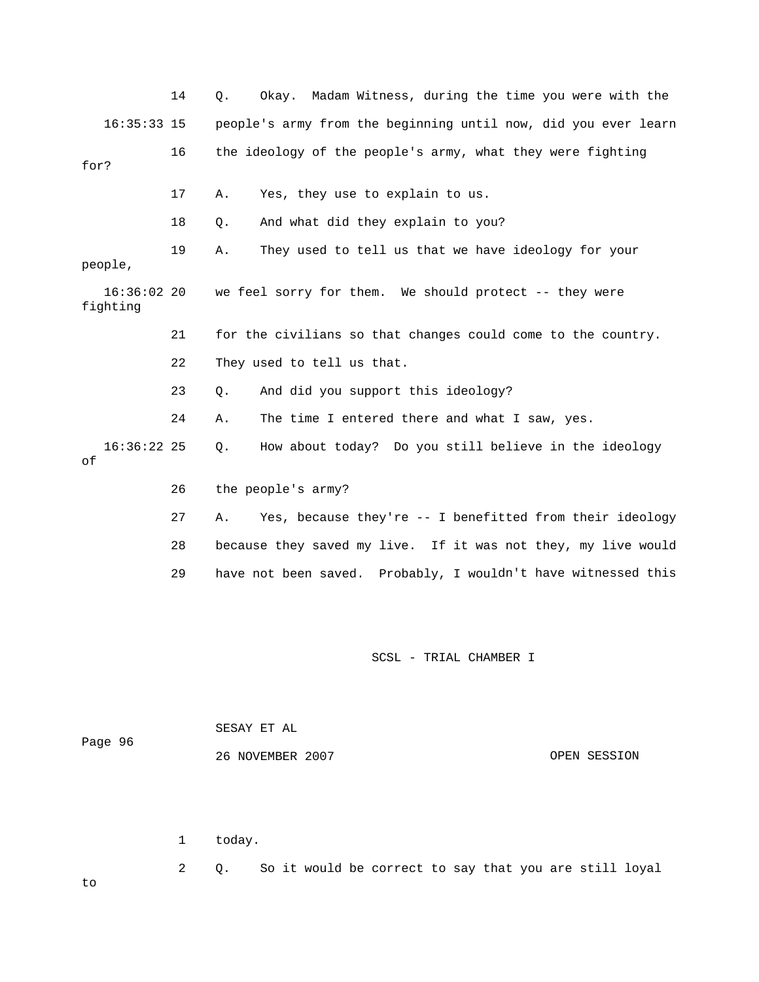|                           | 14 | Madam Witness, during the time you were with the<br>Q.<br>Okay. |
|---------------------------|----|-----------------------------------------------------------------|
| $16:35:33$ 15             |    | people's army from the beginning until now, did you ever learn  |
| for?                      | 16 | the ideology of the people's army, what they were fighting      |
|                           | 17 | Yes, they use to explain to us.<br>Α.                           |
|                           | 18 | And what did they explain to you?<br>Q.                         |
| people,                   | 19 | They used to tell us that we have ideology for your<br>Α.       |
| $16:36:02$ 20<br>fighting |    | we feel sorry for them. We should protect -- they were          |
|                           | 21 | for the civilians so that changes could come to the country.    |
|                           | 22 | They used to tell us that.                                      |
|                           | 23 | And did you support this ideology?<br>Q.                        |
|                           | 24 | The time I entered there and what I saw, yes.<br>Α.             |
| $16:36:22$ 25<br>оf       |    | How about today? Do you still believe in the ideology<br>О.     |
|                           | 26 | the people's army?                                              |
|                           | 27 | Yes, because they're -- I benefitted from their ideology<br>Α.  |
|                           | 28 | because they saved my live. If it was not they, my live would   |
|                           | 29 | have not been saved. Probably, I wouldn't have witnessed this   |
|                           |    |                                                                 |
|                           |    | SCSL - TRIAL CHAMBER I                                          |
|                           |    |                                                                 |

Page 96

SESAY ET AL

26 NOVEMBER 2007

OPEN SESSION

1 today.

2 Q. So it would be correct to say that you are still loyal

to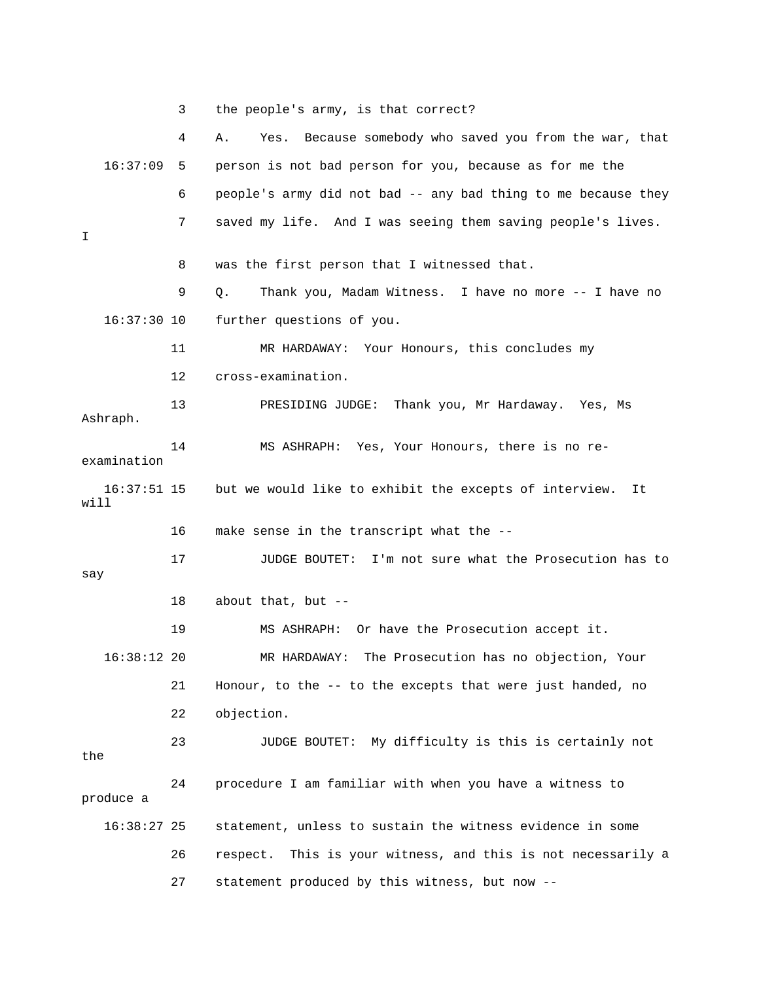3 the people's army, is that correct?

|                       | 4  | Because somebody who saved you from the war, that<br>Yes.<br>Α. |
|-----------------------|----|-----------------------------------------------------------------|
| 16:37:09              | 5  | person is not bad person for you, because as for me the         |
|                       | 6  | people's army did not bad -- any bad thing to me because they   |
| I                     | 7  | saved my life. And I was seeing them saving people's lives.     |
|                       | 8  | was the first person that I witnessed that.                     |
|                       | 9  | Thank you, Madam Witness. I have no more -- I have no<br>Q.     |
| $16:37:30$ 10         |    | further questions of you.                                       |
|                       | 11 | MR HARDAWAY: Your Honours, this concludes my                    |
|                       | 12 | cross-examination.                                              |
| Ashraph.              | 13 | Thank you, Mr Hardaway. Yes, Ms<br>PRESIDING JUDGE:             |
| examination           | 14 | MS ASHRAPH: Yes, Your Honours, there is no re-                  |
| $16:37:51$ 15<br>will |    | but we would like to exhibit the excepts of interview.<br>It    |
|                       | 16 | make sense in the transcript what the --                        |
| say                   | 17 | JUDGE BOUTET: I'm not sure what the Prosecution has to          |
|                       | 18 | about that, but --                                              |
|                       | 19 | Or have the Prosecution accept it.<br>MS ASHRAPH:               |
| $16:38:12$ 20         |    | The Prosecution has no objection, Your<br>MR HARDAWAY:          |
|                       | 21 | Honour, to the -- to the excepts that were just handed, no      |
|                       | 22 | objection.                                                      |
| the                   | 23 | JUDGE BOUTET: My difficulty is this is certainly not            |
| produce a             | 24 | procedure I am familiar with when you have a witness to         |
| $16:38:27$ 25         |    | statement, unless to sustain the witness evidence in some       |
|                       | 26 | respect. This is your witness, and this is not necessarily a    |
|                       | 27 | statement produced by this witness, but now --                  |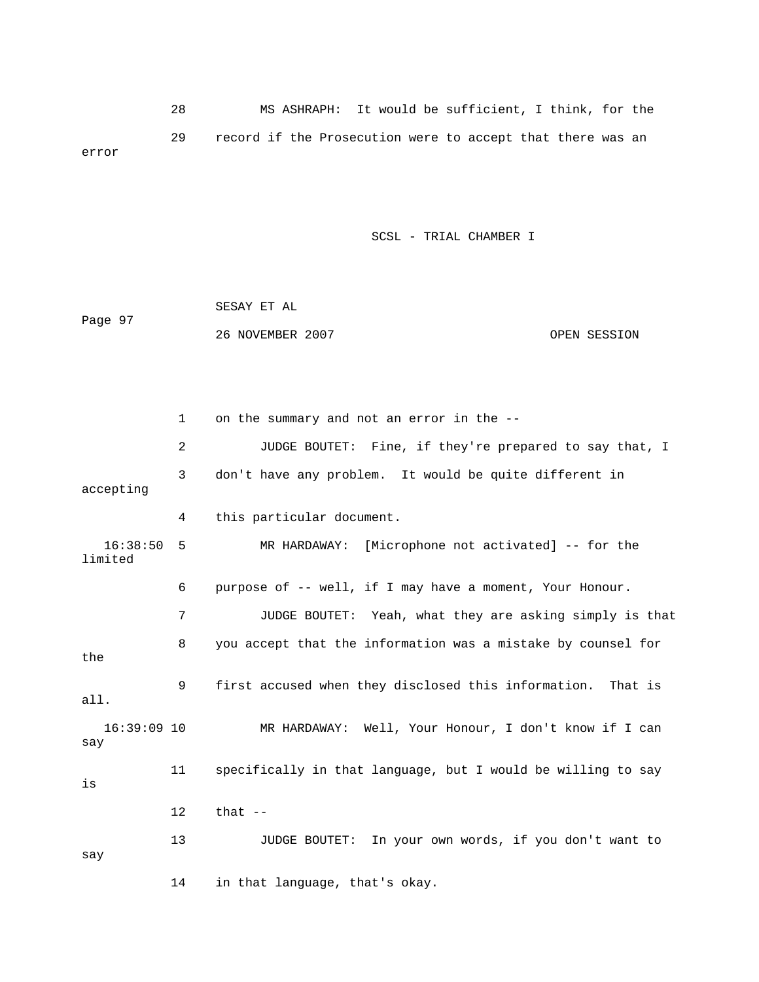28 MS ASHRAPH: It would be sufficient, I think, for the 29 record if the Prosecution were to accept that there was an error

SCSL - TRIAL CHAMBER I

|         | SESAY ET AL      |              |
|---------|------------------|--------------|
| Page 97 |                  |              |
|         | 26 NOVEMBER 2007 | OPEN SESSION |

2 JUDGE BOUTET: Fine, if they're prepared to say that, I 4 this particular document. 16:38:50 5 MR HARDAWAY: [Microphone not activated] -- for the limited 6 purpose of -- well, if I may have a moment, Your Honour. 7 JUDGE BOUTET: Yeah, what they are asking simply is that 8 you accept that the information was a mistake by counsel for the 9 first accused when they disclosed this information. That is 16:39:09 10 MR HARDAWAY: Well, Your Honour, I don't know if I can  $\mathop{\rm say}\nolimits$  11 specifically in that language, but I would be willing to say 13 JUDGE BOUTET: In your own words, if you don't want to 14 in that language, that's okay. 1 on the summary and not an error in the -- 3 don't have any problem. It would be quite different in accepting all. is 12 that - say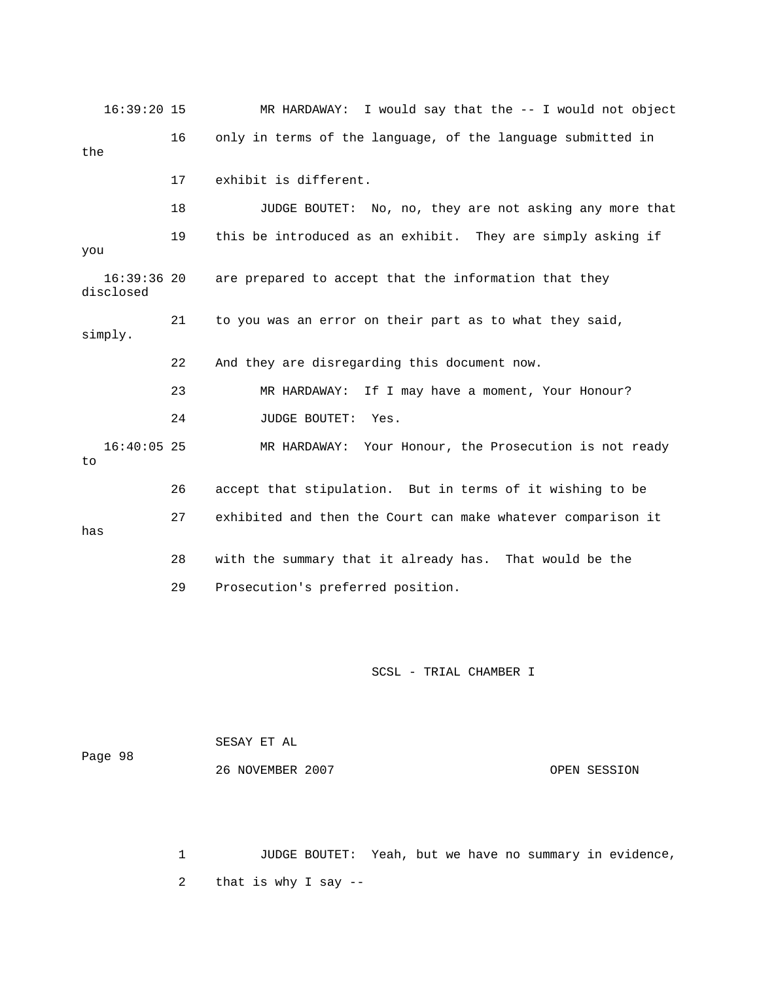16:39:20 15 MR HARDAWAY: I would say that the -- I would not obj ect 16 only in terms of the language, of the language submitted in 22 And they are disregarding this document now. 23 MR HARDAWAY: If I may have a moment, Your Honour? 24 JUDGE BOUTET: Yes. 16:40:05 25 MR HARDAWAY: Your Honour, the Prosecution is not ready 27 exhibited and then the Court can make whatever comparison it 28 with the summary that it already has. That would be the 29 Prosecution's preferred position. the 17 exhibit is different. 18 JUDGE BOUTET: No, no, they are not asking any more that 19 this be introduced as an exhibit. They are simply asking if you 16:39:36 20 are prepared to accept that the information that they disclosed 21 to you was an error on their part as to what they said, simply. to 26 accept that stipulation. But in terms of it wishing to be has

SCSL - TRIAL CHAMBER I

 26 NOVEMBER 2007 OPEN SESSION SESAY ET AL Page 98

1 JUDGE BOUTET: Yeah, but we have no summary in evidence, 2 that is why I say --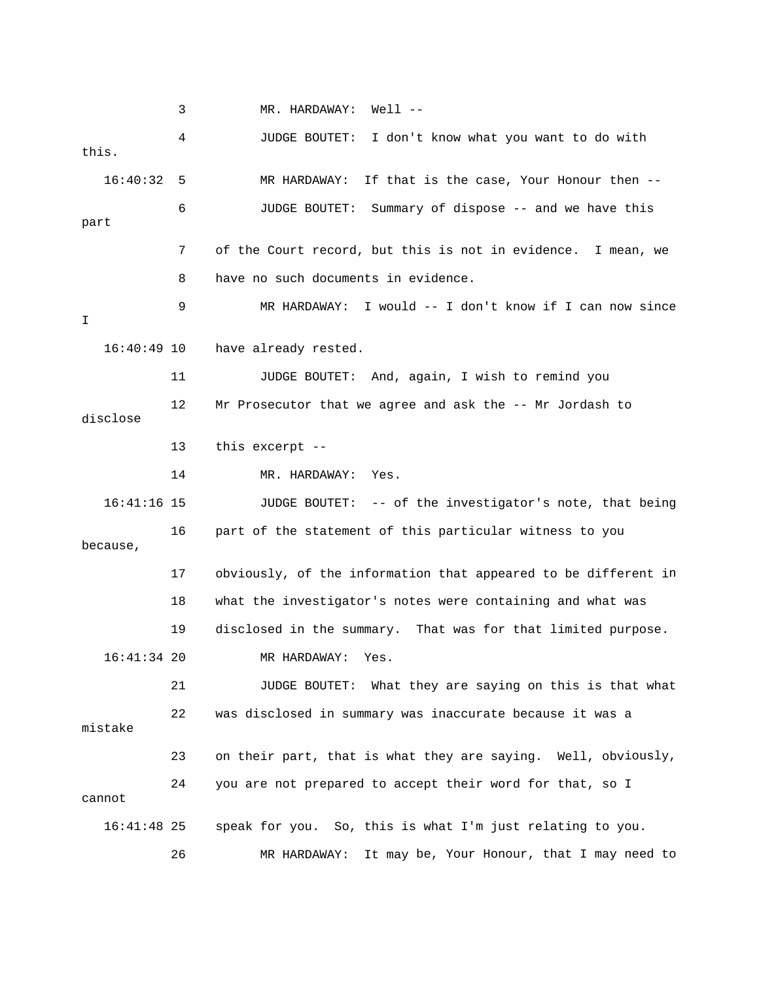3 MR. HARDAWAY: Well -- 16:40:32 5 MR HARDAWAY: If that is the case, Your Honour then -- 6 JUDGE BOUTET: Summary of dispose -- and we have this part 7 of the Court record, but this is not in evidence. I mean, we 8 have no such documents in evidence. 9 MR HARDAWAY: I would -- I don't know if I can now since 11 JUDGE BOUTET: And, again, I wish to remind you 12 Mr Prosecutor that we agree and ask the -- Mr Jordash to disclose 14 MR. HARDAWAY: Yes. 16:41:16 15 JUDGE BOUTET: -- of the investigator's note, that being because, 17 obviously, of the information that appeared to be different in 18 what the investigator's notes were containing and what was 22 was disclosed in summary was inaccurate because it was a 23 on their part, that is what they are saying. Well, obviously, 16:41:48 25 speak for you. So, this is what I'm just relating to you. 26 MR HARDAWAY: It may be, Your Honour, that I may need to 4 JUDGE BOUTET: I don't know what you want to do with this. I 16:40:49 10 have already rested. 13 this excerpt -- 16 part of the statement of this particular witness to you 19 disclosed in the summary. That was for that limited purpose. 16:41:34 20 MR HARDAWAY: Yes. 21 JUDGE BOUTET: What they are saying on this is that what mistake 24 you are not prepared to accept their word for that, so I cannot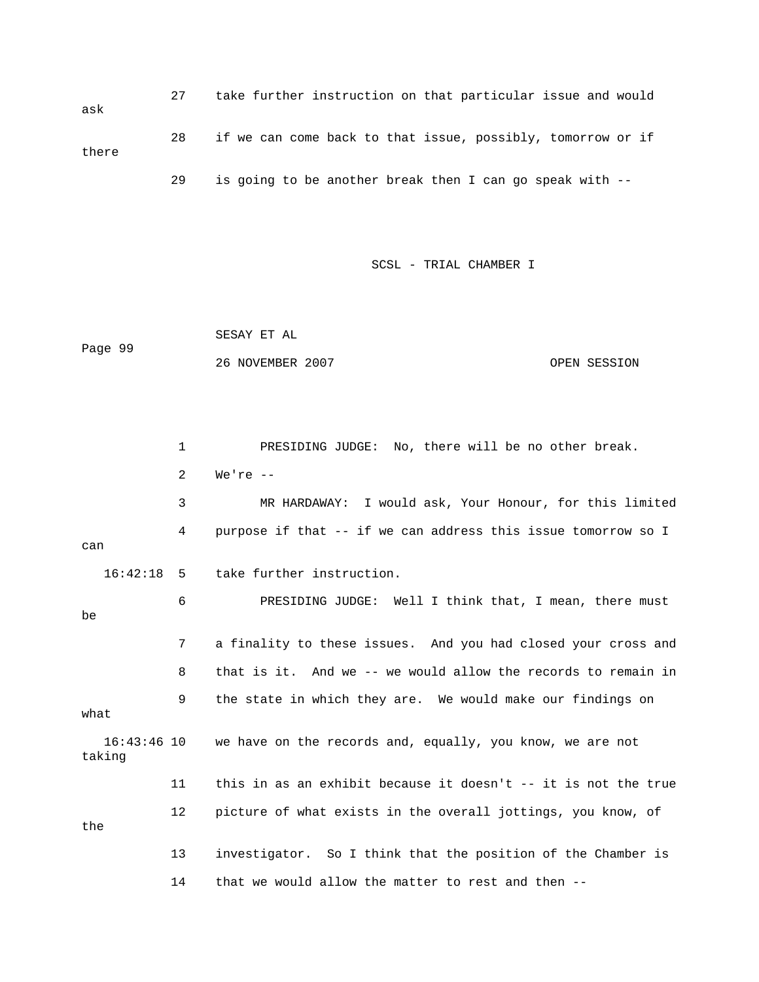27 take further instruction on that particular issue and would 28 if we can come back to that issue, possibly, tomorrow or if ask there 29 is going to be another break then I can go speak with --

SCSL - TRIAL CHAMBER I

Page 99 SESAY ET AL 26 NOVEMBER 2007 OPEN SESSION

 1 PRESIDING JUDGE: No, there will be no other break. 3 MR HARDAWAY: I would ask, Your Honour, for this limited 4 purpose if that -- if we can address this issue tomorrow so I can 6 PRESIDING JUDGE: Well I think that, I mean, there must 7 a finality to these issues. And you had closed your cross and 8 that is it. And we -- we would allow the records to remain in 9 the state in which they are. We would make our findings on what 11 this in as an exhibit because it doesn't -- it is not the true 12 picture of what exists in the overall jottings, you know, of the 13 investigator. So I think that the position of the Chamber is 14 that we would allow the matter to rest and then -- 2 We're -- 16:42:18 5 take further instruction. be 16:43:46 10 we have on the records and, equally, you know, we are not taking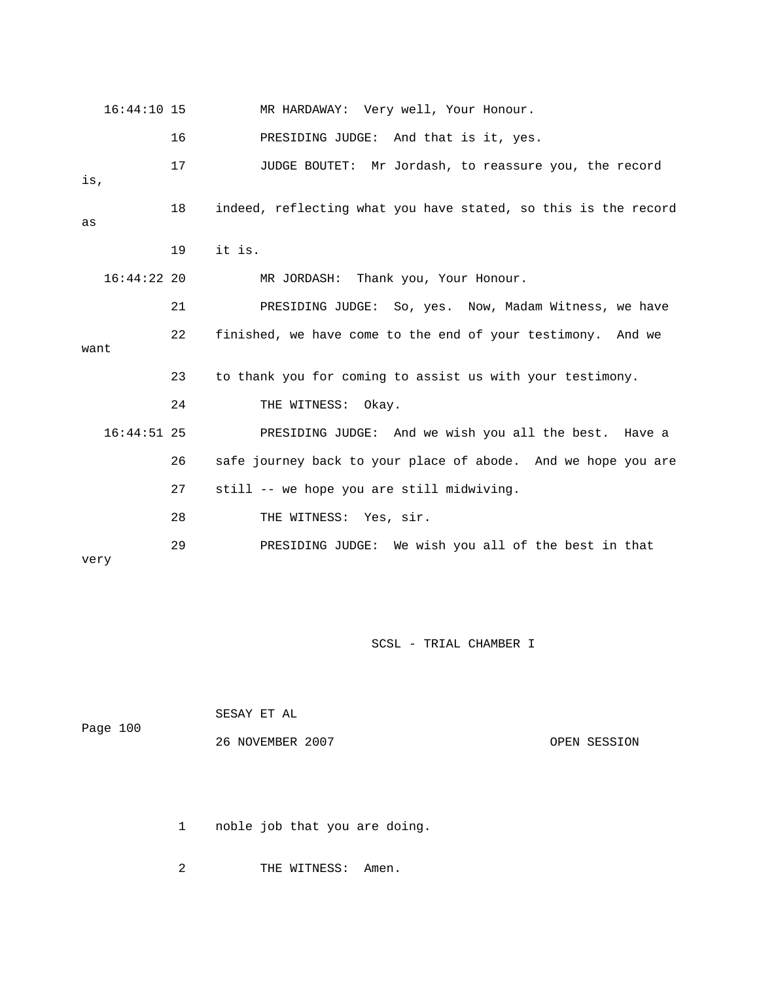|      | $16:44:10$ 15 |    | MR HARDAWAY: Very well, Your Honour.                           |
|------|---------------|----|----------------------------------------------------------------|
|      |               | 16 | PRESIDING JUDGE: And that is it, yes.                          |
| is,  |               | 17 | JUDGE BOUTET: Mr Jordash, to reassure you, the record          |
| as   |               | 18 | indeed, reflecting what you have stated, so this is the record |
|      |               | 19 | it is.                                                         |
|      | $16:44:22$ 20 |    | MR JORDASH: Thank you, Your Honour.                            |
|      |               | 21 | PRESIDING JUDGE: So, yes. Now, Madam Witness, we have          |
| want |               | 22 | finished, we have come to the end of your testimony. And we    |
|      |               | 23 | to thank you for coming to assist us with your testimony.      |
|      |               | 24 | THE WITNESS: Okay.                                             |
|      | $16:44:51$ 25 |    | PRESIDING JUDGE: And we wish you all the best. Have a          |
|      |               | 26 | safe journey back to your place of abode. And we hope you are  |
|      |               | 27 | still -- we hope you are still midwiving.                      |
|      |               | 28 | THE WITNESS: Yes, sir.                                         |
| very |               | 29 | PRESIDING JUDGE: We wish you all of the best in that           |

|          | SESAY ET AL      |              |
|----------|------------------|--------------|
| Page 100 |                  |              |
|          | 26 NOVEMBER 2007 | OPEN SESSION |

1 noble job that you are doing.

2 THE WITNESS: Amen.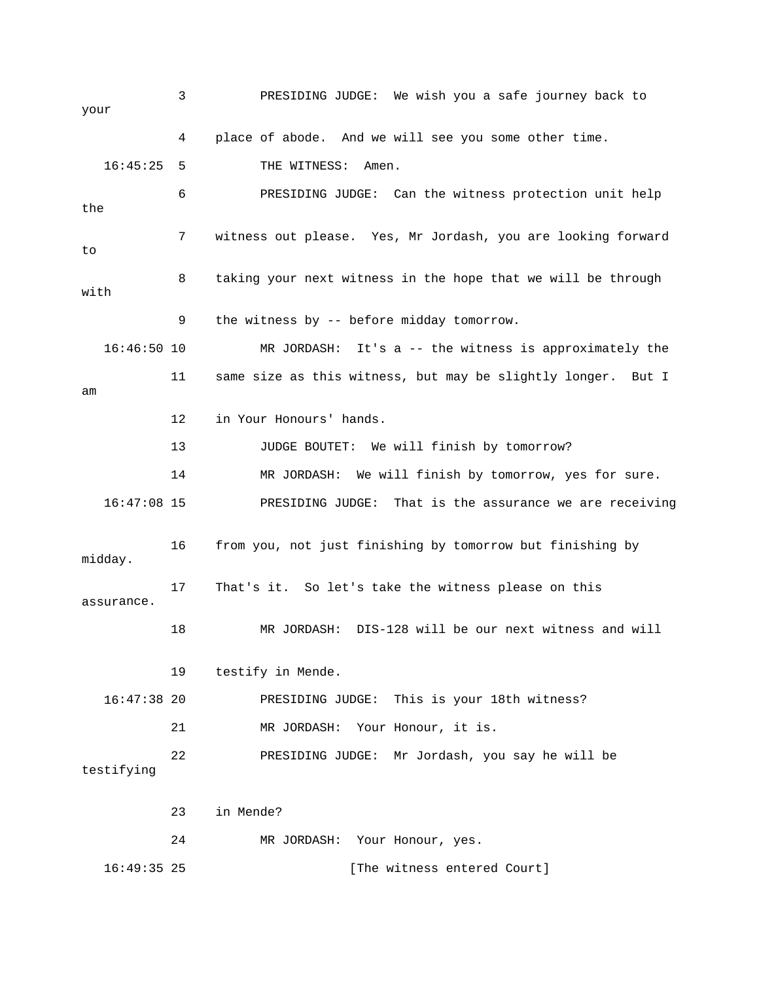3 PRESIDING JUDGE: We wish you a safe journey back to 16:45:25 5 THE WITNESS: Amen. 6 PRESIDING JUDGE: Can the witness protection unit help the 7 witness out please. Yes, Mr Jordash, you are looking forward 8 taking your next witness in the hope that we will be through with 16:46:50 10 MR JORDASH: It's a -- the witness is approximately the 11 same size as this witness, but may be slightly longer. But I 13 JUDGE BOUTET: We will finish by tomorrow? 14 MR JORDASH: We will finish by tomorrow, yes for sure. PRESIDING JUDGE: That is the assurance we are receiving 16 from you, not just finishing by tomorrow but finishing by assurance. PRESIDING JUDGE: This is your 18th witness? 21 MR JORDASH: Your Honour, it is. 22 PRESIDING JUDGE: Mr Jordash, you say he will be your 4 place of abode. And we will see you some other time. to 9 the witness by -- before midday tomorrow. am 12 in Your Honours' hands.  $16:47:08$  15 midday. 17 That's it. So let's take the witness please on this 18 MR JORDASH: DIS-128 will be our next witness and will 19 testify in Mende.  $16:47:38$  20 testifying 23 in Mende? 24 MR JORDASH: Your Honour, yes. 16:49:35 25 [The witness entered Court]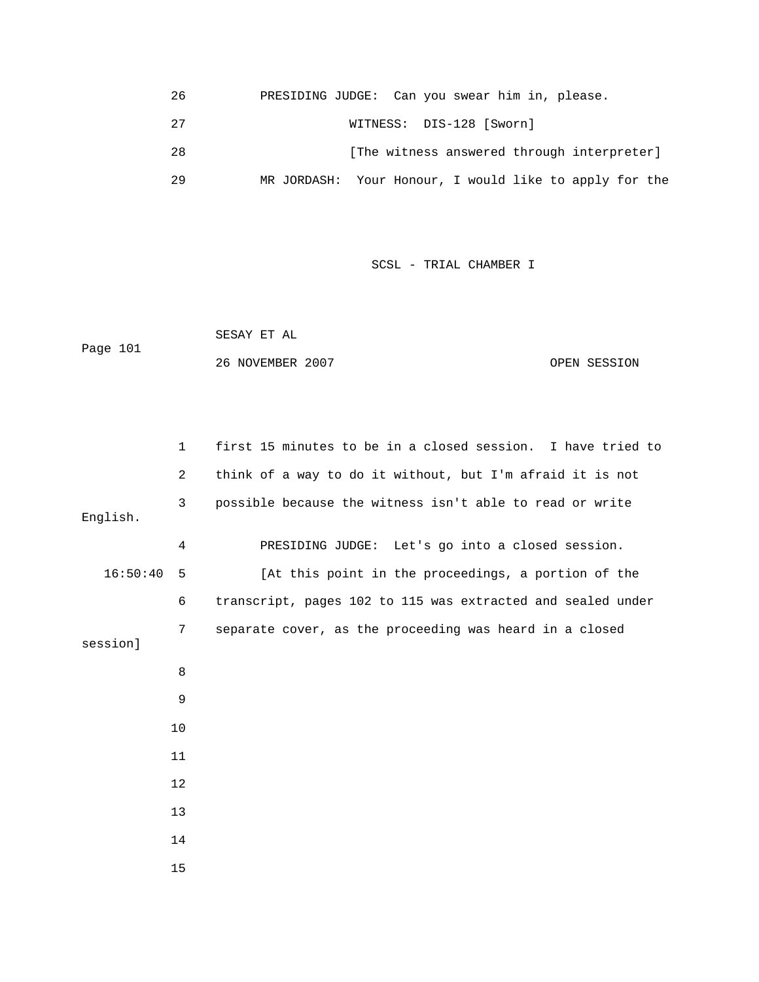| 26 | PRESIDING JUDGE: Can you swear him in, please.         |
|----|--------------------------------------------------------|
| 27 | WITNESS: DIS-128 [Sworn]                               |
| 28 | [The witness answered through interpreter]             |
| 29 | MR JORDASH: Your Honour, I would like to apply for the |

 SESAY ET AL 26 NOVEMBER 2007 CONSERVATION COPEN SESSION Page 101

|          | $\mathbf{1}$   | first 15 minutes to be in a closed session. I have tried to |
|----------|----------------|-------------------------------------------------------------|
|          | 2              | think of a way to do it without, but I'm afraid it is not   |
| English. | 3              | possible because the witness isn't able to read or write    |
|          | $\overline{4}$ | PRESIDING JUDGE: Let's go into a closed session.            |
| 16:50:40 | - 5            | [At this point in the proceedings, a portion of the         |
|          | 6              | transcript, pages 102 to 115 was extracted and sealed under |
| sessionl | 7              | separate cover, as the proceeding was heard in a closed     |
|          | 8              |                                                             |
|          | 9              |                                                             |
|          | 10             |                                                             |
|          | 11             |                                                             |
|          | 12             |                                                             |
|          | 13             |                                                             |
|          | 14             |                                                             |
|          | 15             |                                                             |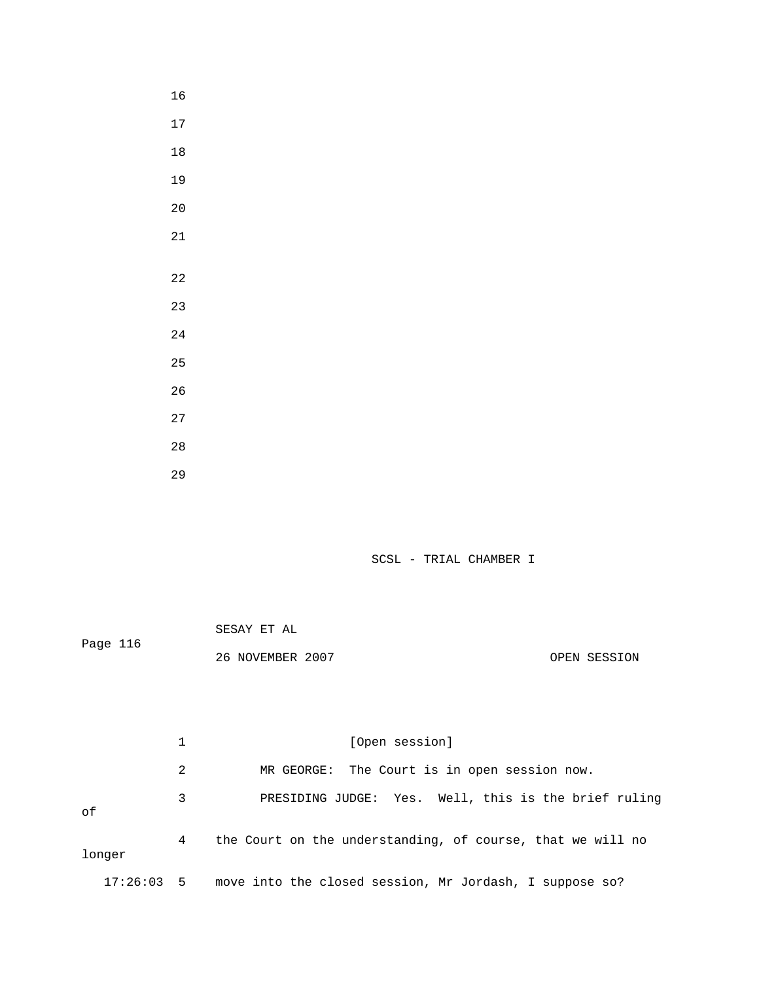|          | SESAY ET AL      |              |
|----------|------------------|--------------|
| Page 116 |                  |              |
|          | 26 NOVEMBER 2007 | OPEN SESSION |

|        |   | [Open session]<br>MR GEORGE: The Court is in open session now.     |  |  |  |
|--------|---|--------------------------------------------------------------------|--|--|--|
|        | 2 |                                                                    |  |  |  |
| оf     | 3 | PRESIDING JUDGE: Yes. Well, this is the brief ruling               |  |  |  |
| longer | 4 | the Court on the understanding, of course, that we will no         |  |  |  |
|        |   | 17:26:03 5 move into the closed session, Mr Jordash, I suppose so? |  |  |  |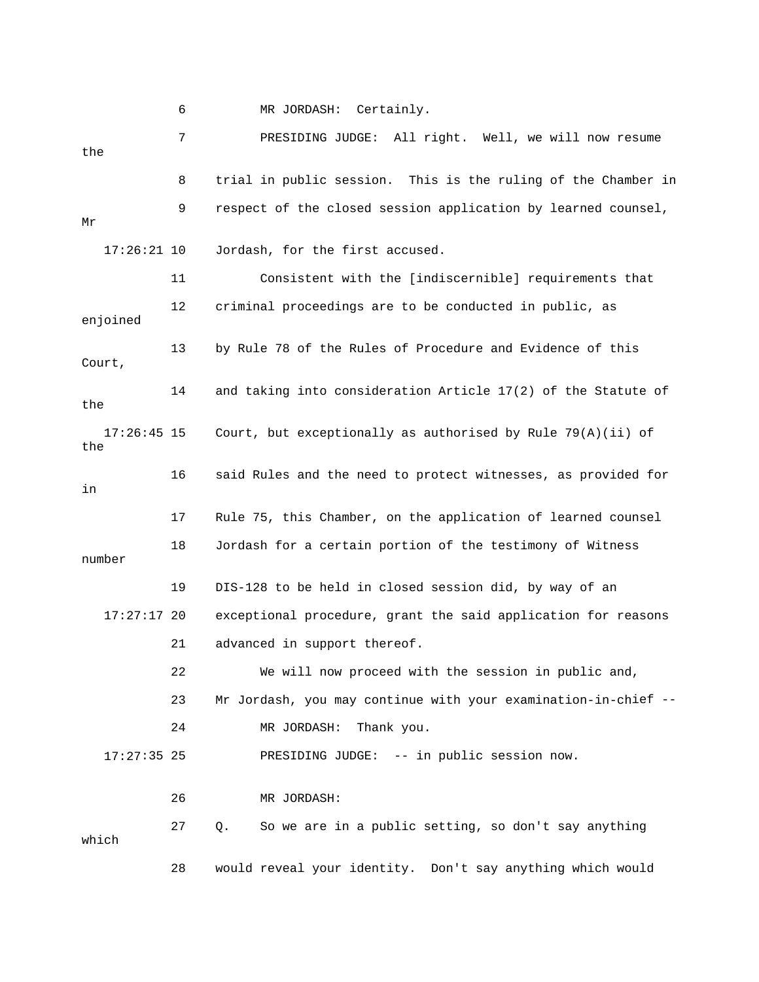6 MR JORDASH: Certainly.

 7 PRESIDING JUDGE: All right. Well, we will now resume 8 trial in public session. This is the ruling of the Chamber in 9 respect of the closed session application by learned counsel, 11 Consistent with the [indiscernible] requirements that 12 criminal proceedings are to be conducted in public, as 13 by Rule 78 of the Rules of Procedure and Evidence of this 16 said Rules and the need to protect witnesses, as provided for 17 Rule 75, this Chamber, on the application of learned counsel 18 Jordash for a certain portion of the testimony of Witness number 19 DIS-128 to be held in closed session did, by way of an 23 Mr Jordash, you may continue with your examination-in-chief -- 24 MR JORDASH: Thank you. PRESIDING JUDGE: -- in public session now. 26 MR JORDASH: the Mr 17:26:21 10 Jordash, for the first accused. enjoined Court, 14 and taking into consideration Article 17(2) of the Statute of the 17:26:45 15 Court, but exceptionally as authorised by Rule 79(A)(ii) of the in 17:27:17 20 exceptional procedure, grant the said application for reasons 21 advanced in support thereof. 22 We will now proceed with the session in public and,  $17:27:35$  25 27 Q. So we are in a public setting, so don't say anything which 28 would reveal your identity. Don't say anything which would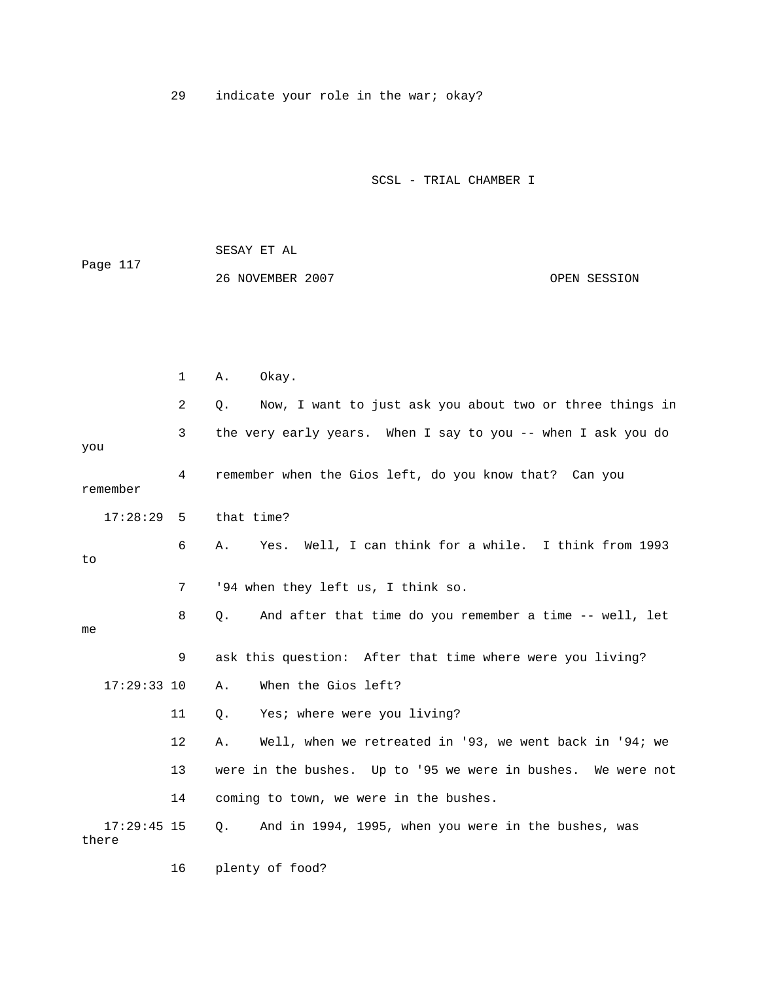29 indicate your role in the war; okay?

SCSL - TRIAL CHAMBER I

 SESAY ET AL Page 117 26 NOVEMBER 2007 OPEN SESSION

 1 A. Okay. 2 Q. Now, I want to just ask you about two or three things in 3 the very early years. When I say to you -- when I ask you do 4 remember when the Gios left, do you know that? Can you 17:28:29 5 that time? 6 A. Yes. Well, I can think for a while. I think from 1993 7 '94 when they left us, I think so. 8 Q. And after that time do you remember a time -- well, let 17:29:33 10 A. When the Gios left? 11 Q. Yes; where were you living? 12 A. Well, when we retreated in '93, we went back in '94; we 13 were in the bushes. Up to '95 we were in bushes. We were not you remember to me 9 ask this question: After that time where were you living? 14 coming to town, we were in the bushes. 17:29:45 15 Q. And in 1994, 1995, when you were in the bushes, was there

16 plenty of food?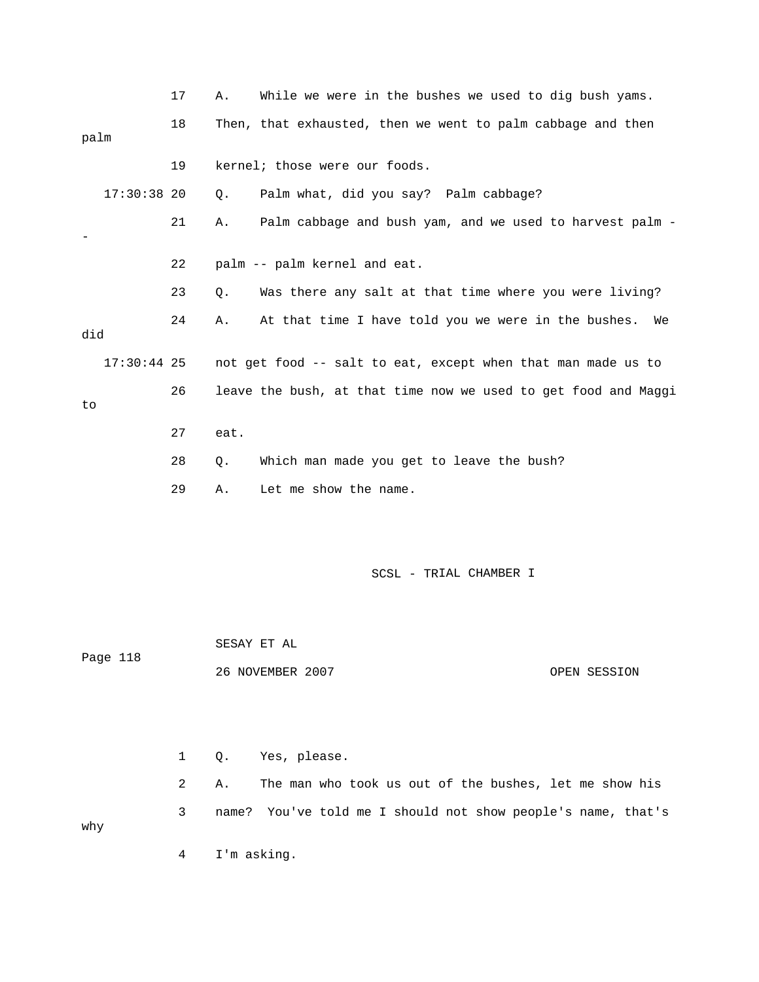|               | 17           | Α.    | While we were in the bushes we used to dig bush yams.          |
|---------------|--------------|-------|----------------------------------------------------------------|
|               | 18           |       | Then, that exhausted, then we went to palm cabbage and then    |
| palm          |              |       |                                                                |
|               | 19           |       | kernel; those were our foods.                                  |
| 17:30:38 20   |              | Q.    | Palm what, did you say? Palm cabbage?                          |
|               | 21           | Α.    | Palm cabbage and bush yam, and we used to harvest palm -       |
|               | 22           |       | palm -- palm kernel and eat.                                   |
|               | 23           | Q.    | Was there any salt at that time where you were living?         |
| did           | 24           | Α.    | At that time I have told you we were in the bushes.<br>We      |
| $17:30:44$ 25 |              |       | not get food -- salt to eat, except when that man made us to   |
| to            | 26           |       | leave the bush, at that time now we used to get food and Maggi |
|               | 27           | eat.  |                                                                |
|               | 28           | Q.    | Which man made you get to leave the bush?                      |
|               | 29           | Α.    | Let me show the name.                                          |
|               |              |       |                                                                |
|               |              |       | SCSL - TRIAL CHAMBER I                                         |
|               |              |       |                                                                |
|               |              |       | SESAY ET AL                                                    |
| Page 118      |              |       | 26 NOVEMBER 2007<br>OPEN SESSION                               |
|               |              |       |                                                                |
|               |              |       |                                                                |
|               | $\mathbf{1}$ | Q.    | Yes, please.                                                   |
|               | 2            | Α.    | The man who took us out of the bushes, let me show his         |
| why           | 3            | name? | You've told me I should not show people's name, that's         |
|               | 4            |       | I'm asking.                                                    |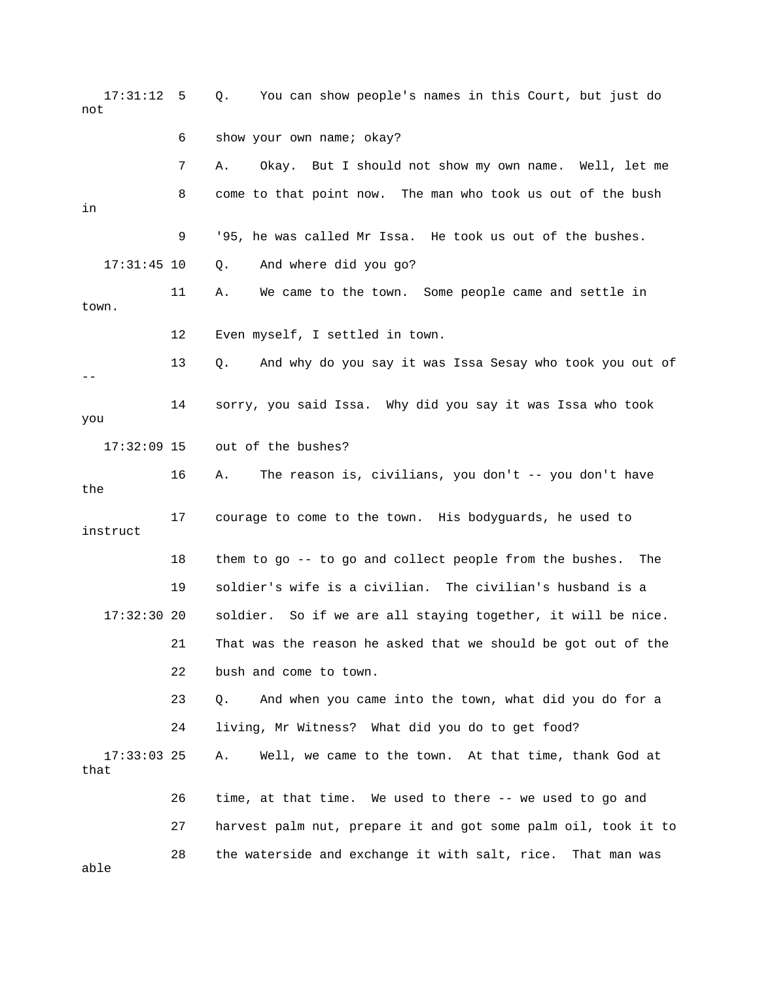17:31:12 5 Q. You can show people's names in this Court, but just do not 6 show your own name; okay? 7 A. Okay. But I should not show my own name. Well, let me 8 come to that point now. The man who took us out of the bush 11 A. We came to the town. Some people came and settle in town. 12 Even myself, I settled in town. 13 Q. And why do you say it was Issa Sesay who took you out of 17:32:09 15 out of the bushes? 17 courage to come to the town. His bodyguards, he used to 18 them to go -- to go and collect people from the bushes. The 19 soldier's wife is a civilian. The civilian's husband is a . 17:32:30 20 soldier. So if we are all staying together, it will be nice 21 That was the reason he asked that we should be got out of the 23 Q. And when you came into the town, what did you do for a 24 living, Mr Witness? What did you do to get food? A. Well, we came to the town. At that time, thank God at that 26 time, at that time. We used to there -- we used to go and 27 harvest palm nut, prepare it and got some palm oil, took it to in 9 '95, he was called Mr Issa. He took us out of the bushes. 17:31:45 10 Q. And where did you go? -- 14 sorry, you said Issa. Why did you say it was Issa who took you 16 A. The reason is, civilians, you don't -- you don't have the instruct 22 bush and come to town.  $17:33:03$  25 28 the waterside and exchange it with salt, rice. That man was

able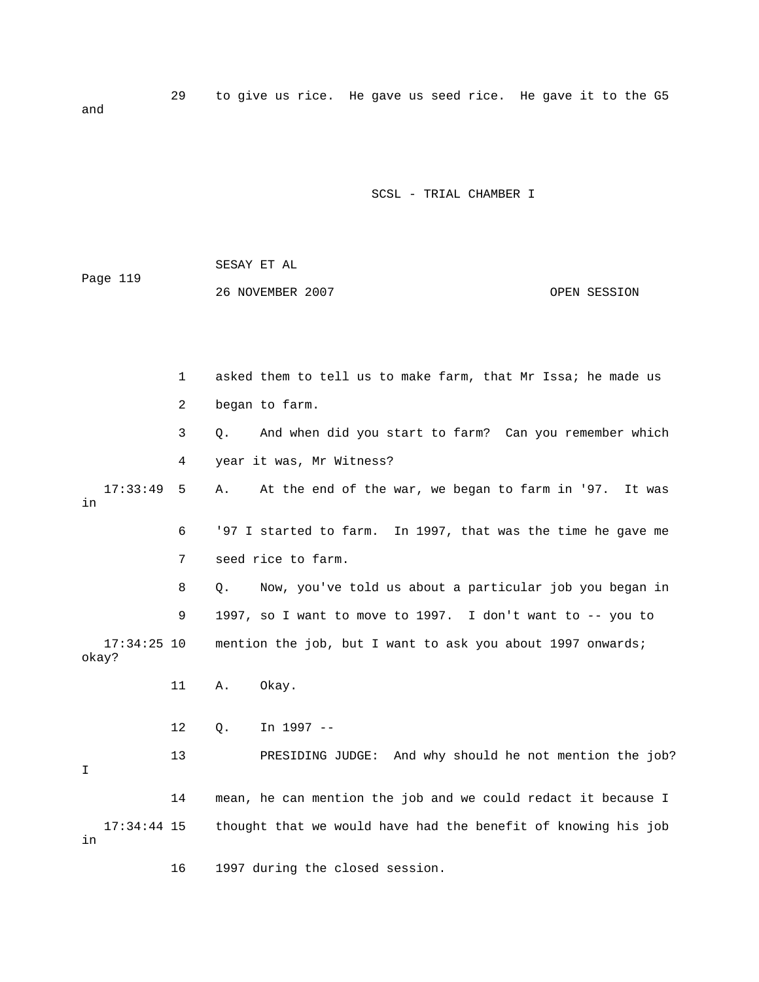29 to give us rice. He gave us seed rice. He gave it to the G5 and

SCSL - TRIAL CHAMBER I

 SESAY ET AL 26 NOVEMBER 2007 OPEN SESSION Page 119

 4 year it was, Mr Witness? 6 '97 I started to farm. In 1997, that was the time he gave me 7 seed rice to farm. 8 Q. Now, you've told us about a particular job you began in 9 1997, so I want to move to 1997. I don't want to -- you to 17:34:25 10 mention the job, but I want to ask you about 1997 onwards; 12 Q. In 1997 -- 13 PRESIDING JUDGE: And why should he not mention the job? 14 mean, he can mention the job and we could redact it because I 17:34:44 15 thought that we would have had the benefit of knowing his job 16 1997 during the closed session. 1 asked them to tell us to make farm, that Mr Issa; he made us 2 began to farm. 3 Q. And when did you start to farm? Can you remember which 17:33:49 5 A. At the end of the war, we began to farm in '97. It was in okay? 11 A. Okay. I in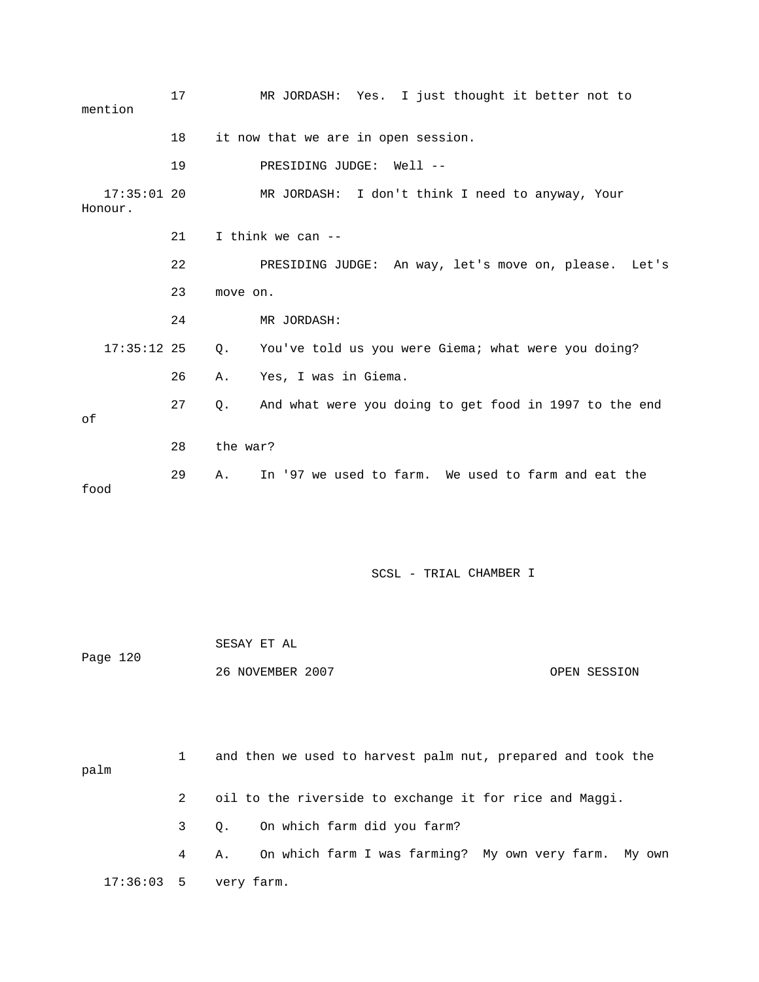| mention                  | 17 |          | MR JORDASH: Yes. I just thought it better not to       |
|--------------------------|----|----------|--------------------------------------------------------|
|                          | 18 |          | it now that we are in open session.                    |
|                          | 19 |          | PRESIDING JUDGE:<br>$Well1$ --                         |
| $17:35:01$ 20<br>Honour. |    |          | MR JORDASH: I don't think I need to anyway, Your       |
|                          | 21 |          | I think we can --                                      |
|                          | 22 |          | PRESIDING JUDGE: An way, let's move on, please. Let's  |
|                          | 23 | move on. |                                                        |
|                          | 24 |          | MR JORDASH:                                            |
| $17:35:12$ 25            |    | Q.       | You've told us you were Giema; what were you doing?    |
|                          | 26 | Α.       | Yes, I was in Giema.                                   |
| оf                       | 27 | Q.       | And what were you doing to get food in 1997 to the end |
|                          | 28 | the war? |                                                        |
| food                     | 29 | A.       | In '97 we used to farm. We used to farm and eat the    |
|                          |    |          |                                                        |
|                          |    |          | SCSL - TRIAL CHAMBER I                                 |
| Page 120                 |    |          | SESAY ET AL                                            |

| 26 NOVEMBER 2007 |  | OPEN SESSION |
|------------------|--|--------------|
|                  |  |              |

| palm         |            | and then we used to harvest palm nut, prepared and took the |
|--------------|------------|-------------------------------------------------------------|
|              |            | oil to the riverside to exchange it for rice and Maggi.     |
|              |            | 3 Q. On which farm did you farm?                            |
|              | $4\degree$ | On which farm I was farming? My own very farm. My own<br>А. |
| $17:36:03$ 5 |            | very farm.                                                  |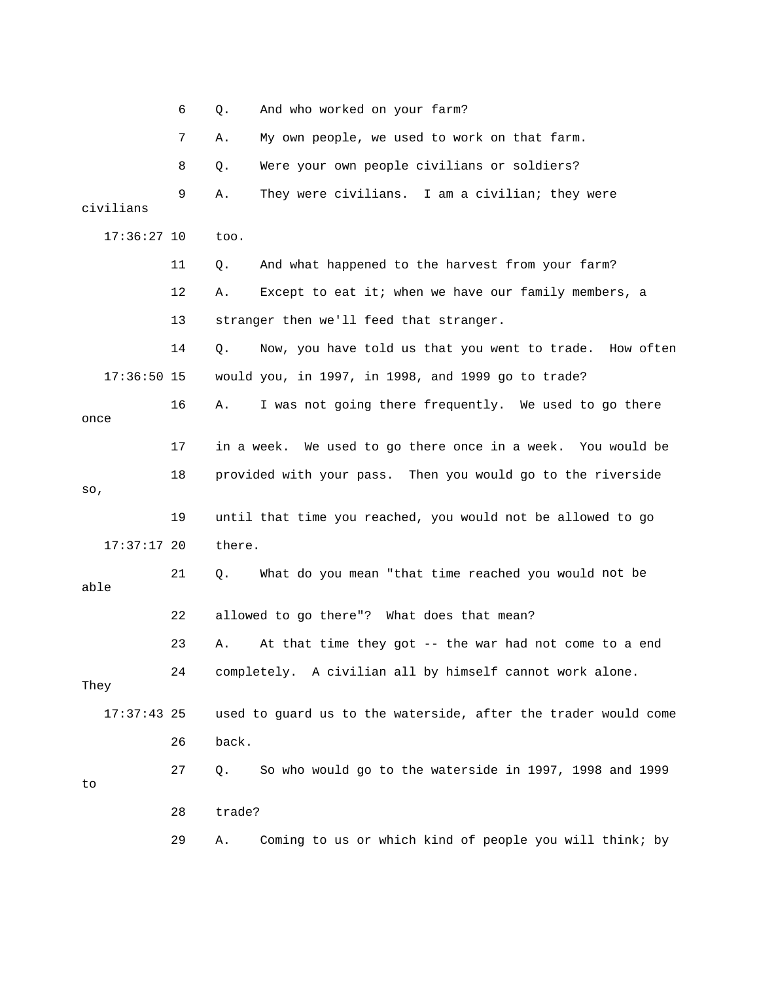|               | 6  | And who worked on your farm?<br>Q.                             |
|---------------|----|----------------------------------------------------------------|
|               | 7  | My own people, we used to work on that farm.<br>Α.             |
|               | 8  | Were your own people civilians or soldiers?<br>Q.              |
| civilians     | 9  | They were civilians. I am a civilian; they were<br>Α.          |
| $17:36:27$ 10 |    | too.                                                           |
|               | 11 | And what happened to the harvest from your farm?<br>Q.         |
|               | 12 | Except to eat it; when we have our family members, a<br>Α.     |
|               | 13 | stranger then we'll feed that stranger.                        |
|               | 14 | Now, you have told us that you went to trade. How often<br>Q.  |
| $17:36:50$ 15 |    | would you, in 1997, in 1998, and 1999 go to trade?             |
| once          | 16 | I was not going there frequently. We used to go there<br>Α.    |
|               | 17 | in a week. We used to go there once in a week. You would be    |
| SO,           | 18 | provided with your pass. Then you would go to the riverside    |
|               | 19 | until that time you reached, you would not be allowed to go    |
| $17:37:17$ 20 |    | there.                                                         |
| able          | 21 | Q.<br>What do you mean "that time reached you would not be     |
|               | 22 | allowed to go there"? What does that mean?                     |
|               | 23 | At that time they got -- the war had not come to a end<br>Α.   |
| They          | 24 | completely. A civilian all by himself cannot work alone.       |
| $17:37:43$ 25 |    | used to guard us to the waterside, after the trader would come |
|               | 26 | back.                                                          |
| to            | 27 | So who would go to the waterside in 1997, 1998 and 1999<br>Q.  |
|               | 28 | trade?                                                         |
|               | 29 | Coming to us or which kind of people you will think; by<br>Α.  |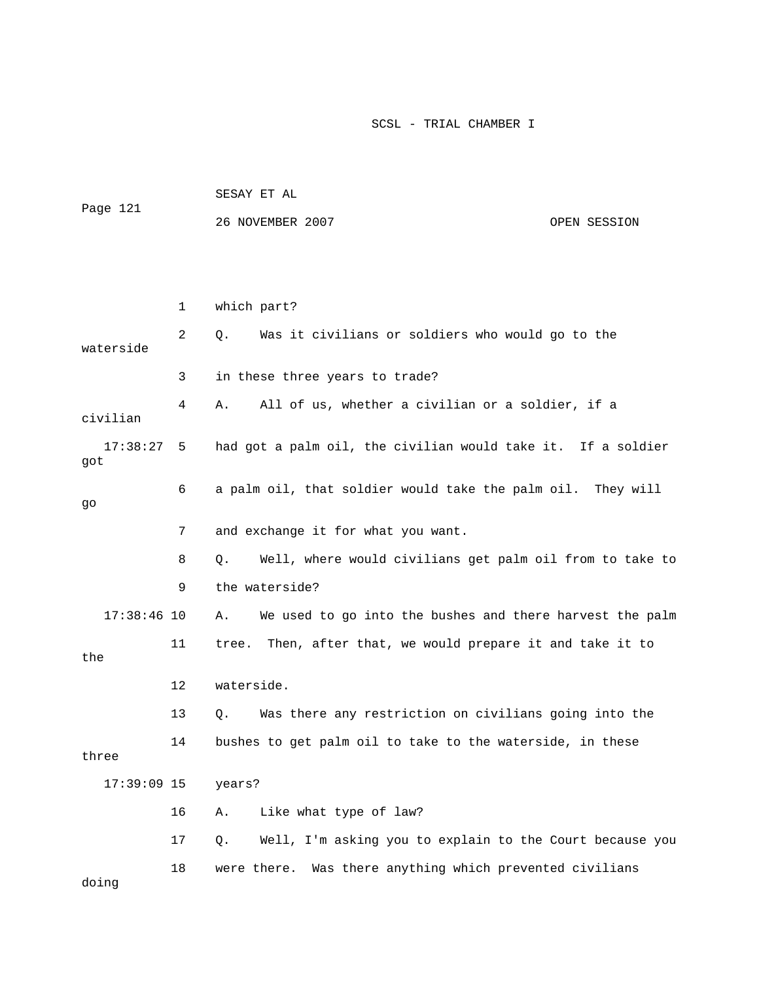| Page 121        |    | SESAY ET AL                                                    |              |  |
|-----------------|----|----------------------------------------------------------------|--------------|--|
|                 |    | 26 NOVEMBER 2007                                               | OPEN SESSION |  |
|                 |    |                                                                |              |  |
|                 |    |                                                                |              |  |
|                 | 1  | which part?                                                    |              |  |
| waterside       | 2  | Was it civilians or soldiers who would go to the<br>Q.         |              |  |
|                 | 3  | in these three years to trade?                                 |              |  |
| civilian        | 4  | All of us, whether a civilian or a soldier, if a<br>Α.         |              |  |
| 17:38:27<br>got | 5  | had got a palm oil, the civilian would take it. If a soldier   |              |  |
| go              | 6  | a palm oil, that soldier would take the palm oil. They will    |              |  |
|                 | 7  | and exchange it for what you want.                             |              |  |
|                 | 8  | Well, where would civilians get palm oil from to take to<br>Q. |              |  |
|                 | 9  | the waterside?                                                 |              |  |
| $17:38:46$ 10   |    | We used to go into the bushes and there harvest the palm<br>Α. |              |  |
| the             | 11 | Then, after that, we would prepare it and take it to<br>tree.  |              |  |
|                 | 12 | waterside.                                                     |              |  |
|                 | 13 | Was there any restriction on civilians going into the<br>Q.    |              |  |
| three           | 14 | bushes to get palm oil to take to the waterside, in these      |              |  |
| $17:39:09$ 15   |    | years?                                                         |              |  |
|                 | 16 | Like what type of law?<br>Α.                                   |              |  |
|                 | 17 | Well, I'm asking you to explain to the Court because you<br>Q. |              |  |
| doing           | 18 | Was there anything which prevented civilians<br>were there.    |              |  |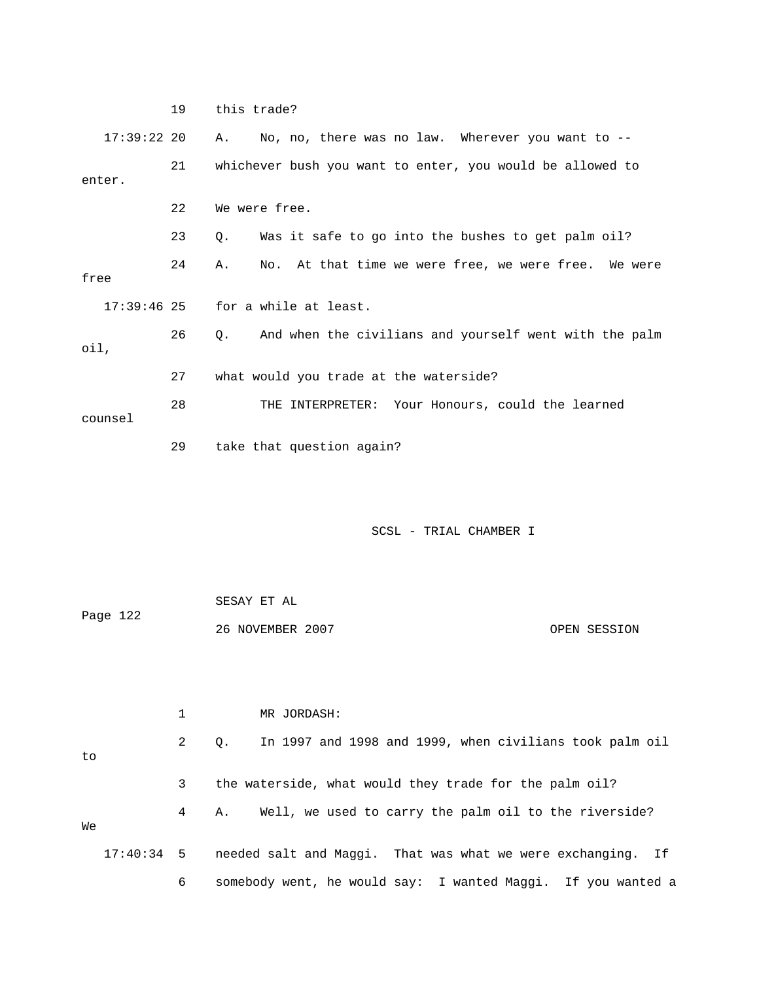19 this trade? 17:39:22 20 A. No, no, there was no law. Wherever you want to -- 21 whichever bush you want to enter, you would be allowed to  $17:39:46$   $25$  for a while at least. oil, 27 what would you trade at the waterside? THE INTERPRETER: Your Honours, could the learned counsel enter. 22 We were free. 23 Q. Was it safe to go into the bushes to get palm oil? 24 A. No. At that time we were free, we were free. We were free 26 Q. And when the civilians and yourself went with the palm 28 TH 29 take that question again?

| Page 122 | SESAY ET AL      |              |
|----------|------------------|--------------|
|          | 26 NOVEMBER 2007 | OPEN SESSION |

|              |              | MR JORDASH:                                                          |
|--------------|--------------|----------------------------------------------------------------------|
| to           | $\mathbf{2}$ | In 1997 and 1998 and 1999, when civilians took palm oil<br>$\circ$ . |
|              | 3            | the waterside, what would they trade for the palm oil?               |
| We           | $4\degree$   | Well, we used to carry the palm oil to the riverside?<br>Α.          |
| $17:40:34$ 5 |              | needed salt and Maggi. That was what we were exchanging. If          |
|              | 6            | somebody went, he would say: I wanted Maqqi. If you wanted a         |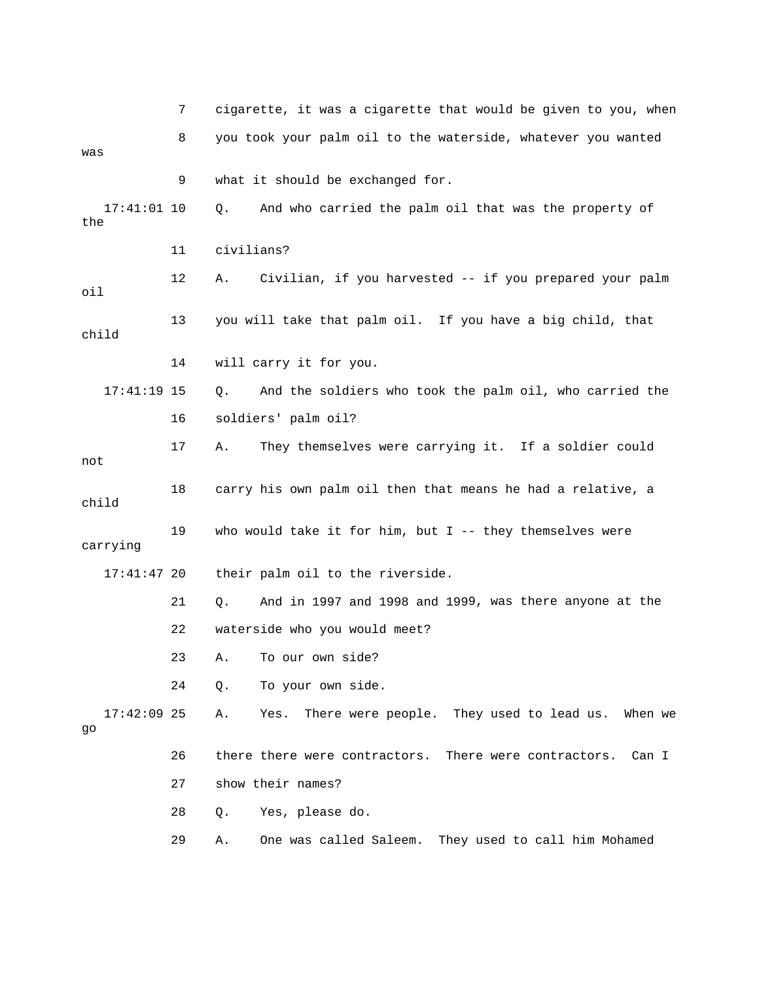|                      | 7  | cigarette, it was a cigarette that would be given to you, when    |
|----------------------|----|-------------------------------------------------------------------|
| was                  | 8  | you took your palm oil to the waterside, whatever you wanted      |
|                      | 9  | what it should be exchanged for.                                  |
| $17:41:01$ 10<br>the |    | And who carried the palm oil that was the property of<br>Q.       |
|                      | 11 | civilians?                                                        |
| oil                  | 12 | Civilian, if you harvested -- if you prepared your palm<br>Α.     |
| child                | 13 | you will take that palm oil. If you have a big child, that        |
|                      | 14 | will carry it for you.                                            |
| $17:41:19$ 15        |    | And the soldiers who took the palm oil, who carried the<br>Q.     |
|                      | 16 | soldiers' palm oil?                                               |
| not                  | 17 | They themselves were carrying it. If a soldier could<br>Α.        |
| child                | 18 | carry his own palm oil then that means he had a relative, a       |
| carrying             | 19 | who would take it for him, but $I$ -- they themselves were        |
| $17:41:47$ 20        |    | their palm oil to the riverside.                                  |
|                      | 21 | And in 1997 and 1998 and 1999, was there anyone at the<br>Q.      |
|                      | 22 | waterside who you would meet?                                     |
|                      | 23 | A. To our own side?                                               |
|                      | 24 | To your own side.<br>Q.                                           |
| $17:42:09$ 25<br>go  |    | There were people. They used to lead us.<br>Α.<br>Yes.<br>When we |
|                      | 26 | there there were contractors. There were contractors.<br>Can I    |
|                      | 27 | show their names?                                                 |
|                      | 28 | Q. Yes, please do.                                                |

29 A. One was called Saleem. They used to call him Mohamed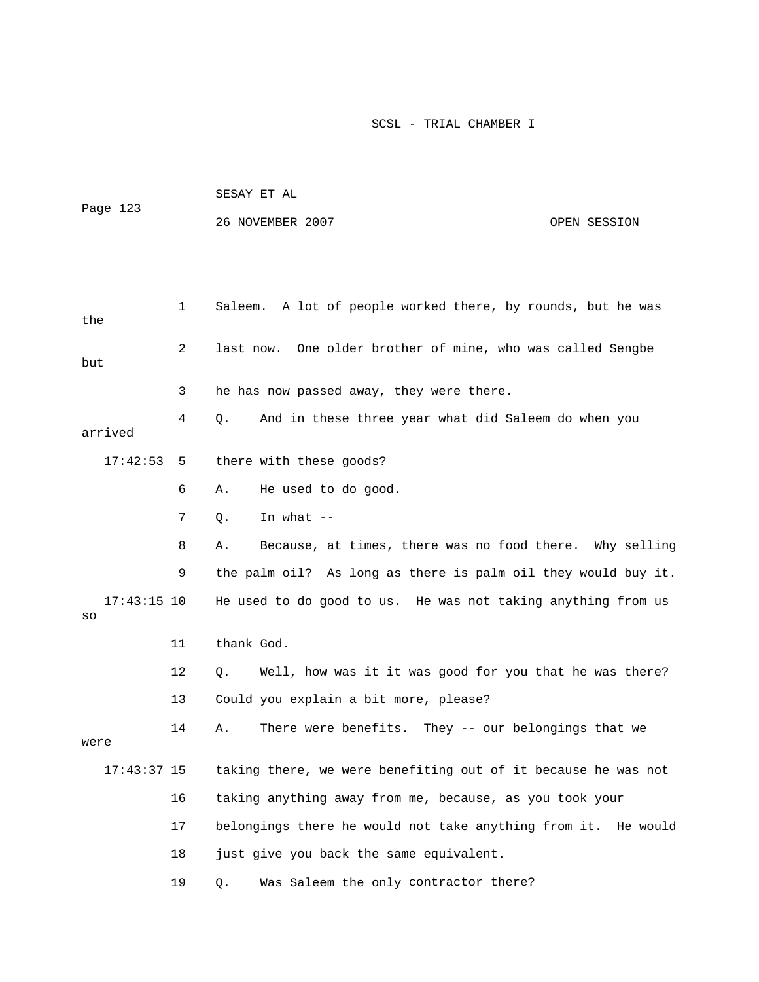| Page 123 | SESAY ET AL      |              |
|----------|------------------|--------------|
|          | 26 NOVEMBER 2007 | OPEN SESSION |

| the                 | 1  | Saleem. A lot of people worked there, by rounds, but he was   |
|---------------------|----|---------------------------------------------------------------|
| but                 | 2  | One older brother of mine, who was called Sengbe<br>last now. |
|                     | 3  | he has now passed away, they were there.                      |
| arrived             | 4  | And in these three year what did Saleem do when you<br>Q.     |
| 17:42:53            | 5  | there with these goods?                                       |
|                     | 6  | He used to do good.<br>Α.                                     |
|                     | 7  | In what $--$<br>Q.                                            |
|                     | 8  | Because, at times, there was no food there. Why selling<br>Α. |
|                     | 9  | the palm oil? As long as there is palm oil they would buy it. |
| $17:43:15$ 10<br>SO |    | He used to do good to us. He was not taking anything from us  |
|                     | 11 | thank God.                                                    |
|                     | 12 | Well, how was it it was good for you that he was there?<br>Q. |
|                     | 13 | Could you explain a bit more, please?                         |
| were                | 14 | There were benefits. They -- our belongings that we<br>Α.     |
| $17:43:37$ 15       |    | taking there, we were benefiting out of it because he was not |
|                     | 16 | taking anything away from me, because, as you took your       |
|                     | 17 | belongings there he would not take anything from it. He would |
|                     | 18 | just give you back the same equivalent.                       |
|                     | 19 | Was Saleem the only contractor there?<br>Q.                   |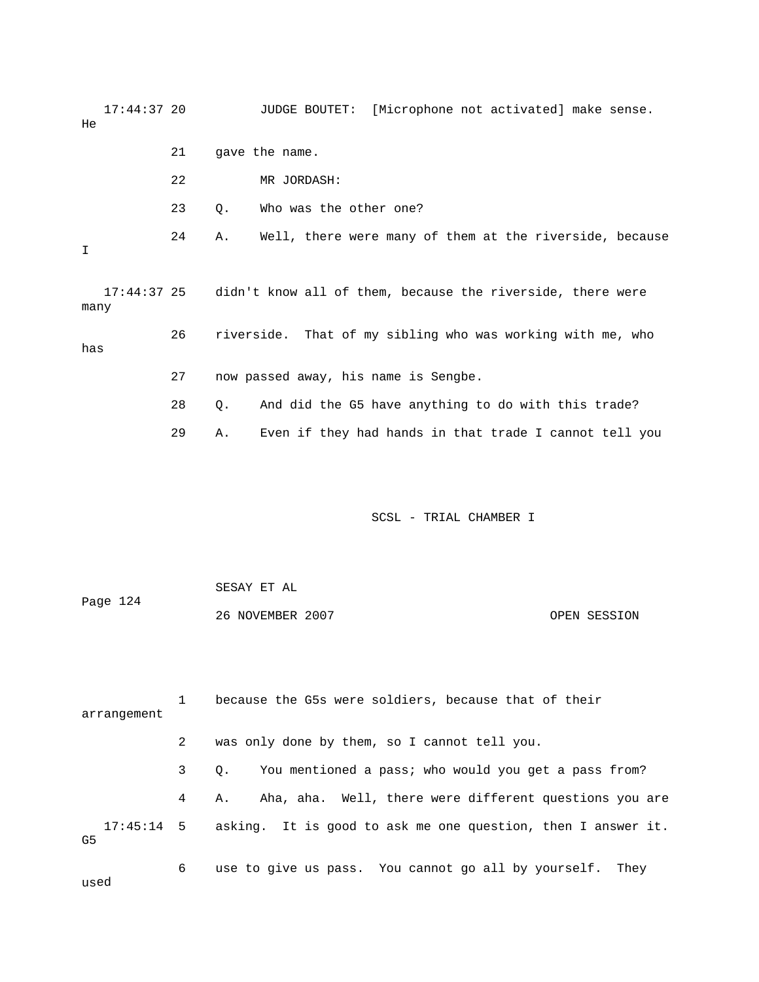17:44:37 20 JUDGE BOUTET: [Microphone not activated] make sense. 22 MR JORDASH: 23 Q. Who was the other one? 24 A. Well, there were many of them at the riverside, because many 26 riverside. That of my sibling who was working with me, who 27 now passed away, his name is Sengbe. 29 A. Even if they had hands in that trade I cannot tell you He 21 gave the name. I 17:44:37 25 didn't know all of them, because the riverside, there were has 28 Q. And did the G5 have anything to do with this trade?

SCSL - TRIAL CHAMBER I

Page 124 OPEN SESSION SESAY ET AL 26 NOVEMBER 2007

 1 because the G5s were soldiers, because that of their arrangement 4 A. Aha, aha. Well, there were different questions you are 17:45:14 5 asking. It is good to ask me one question, then I answer it. 2 was only done by them, so I cannot tell you. 3 Q. You mentioned a pass; who would you get a pass from? G5 6 use to give us pass. You cannot go all by yourself. They

used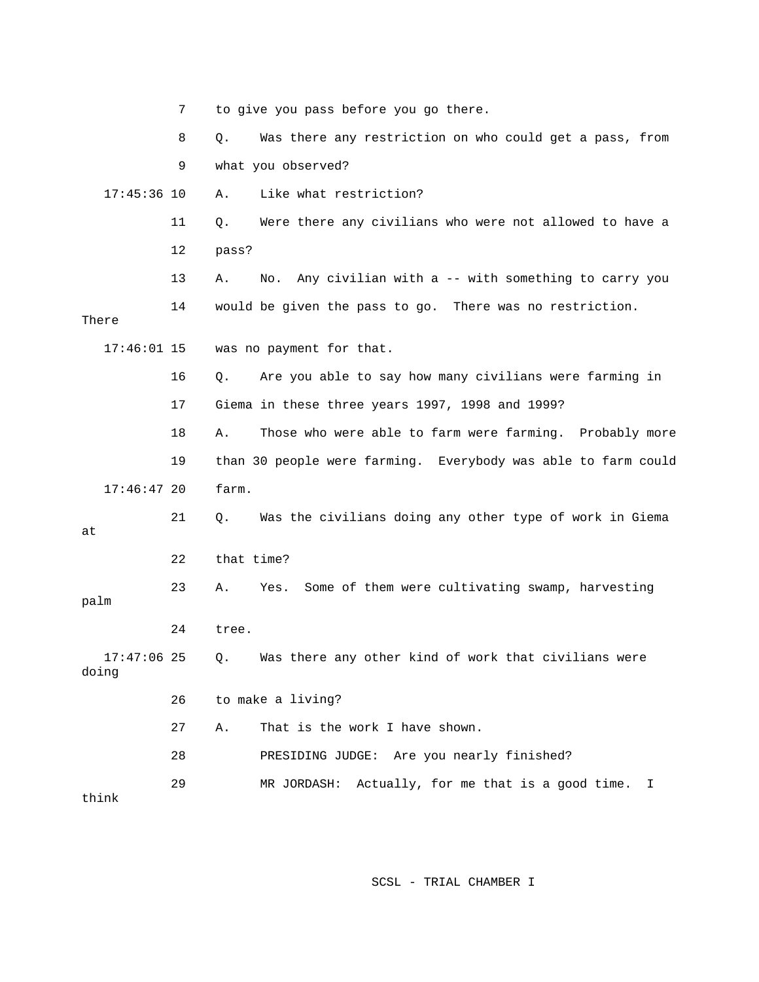|                        | 7  |            | to give you pass before you go there.                         |
|------------------------|----|------------|---------------------------------------------------------------|
|                        | 8  | $Q$ .      | Was there any restriction on who could get a pass, from       |
|                        | 9  |            | what you observed?                                            |
| $17:45:36$ 10          |    | Α.         | Like what restriction?                                        |
|                        | 11 | Q.         | Were there any civilians who were not allowed to have a       |
|                        | 12 | pass?      |                                                               |
|                        | 13 | Α.         | No. Any civilian with a -- with something to carry you        |
| There                  | 14 |            | would be given the pass to go. There was no restriction.      |
| $17:46:01$ 15          |    |            | was no payment for that.                                      |
|                        | 16 | Q.         | Are you able to say how many civilians were farming in        |
|                        | 17 |            | Giema in these three years 1997, 1998 and 1999?               |
|                        | 18 | Α.         | Those who were able to farm were farming. Probably more       |
|                        | 19 |            | than 30 people were farming. Everybody was able to farm could |
| $17:46:47$ 20          |    | farm.      |                                                               |
| at                     | 21 | Q.         | Was the civilians doing any other type of work in Giema       |
|                        | 22 | that time? |                                                               |
| palm                   | 23 | Α.         | Some of them were cultivating swamp, harvesting<br>Yes.       |
|                        | 24 | tree.      |                                                               |
| $17:47:06$ 25<br>doing |    |            | Q. Was there any other kind of work that civilians were       |
|                        | 26 |            | to make a living?                                             |
|                        | 27 | Α.         | That is the work I have shown.                                |
|                        | 28 |            | PRESIDING JUDGE: Are you nearly finished?                     |
| think                  | 29 |            | MR JORDASH: Actually, for me that is a good time.<br>I        |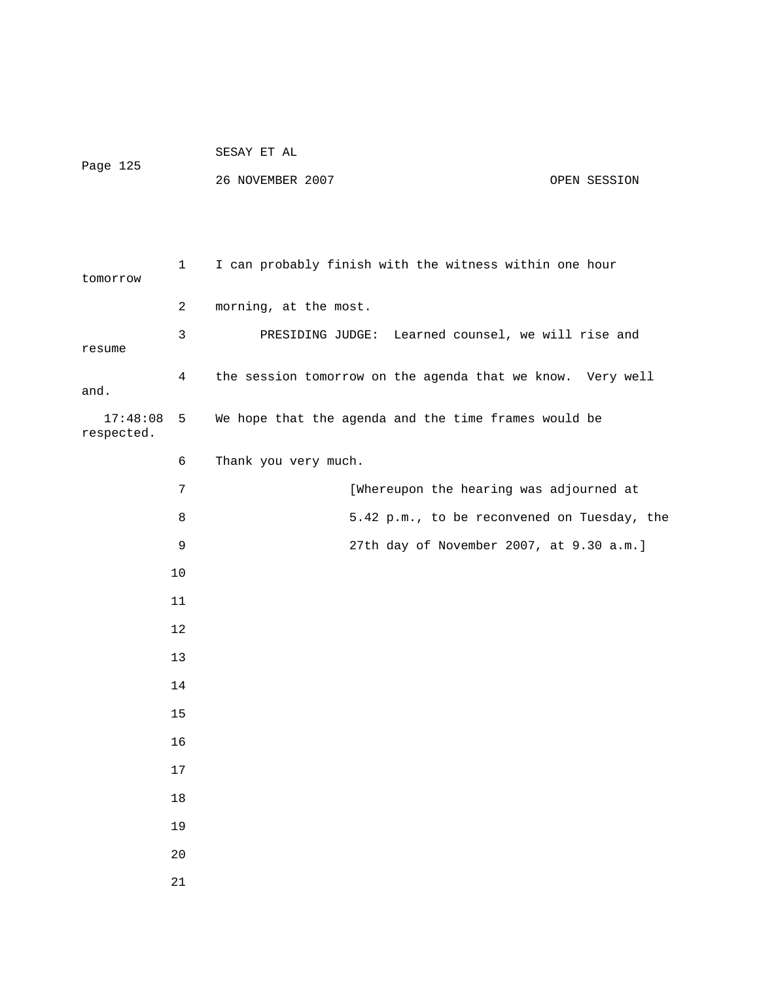| Page 125               |                | 26 NOVEMBER 2007<br>OPEN SESSION                           |
|------------------------|----------------|------------------------------------------------------------|
| tomorrow               | $\mathbf{1}$   | I can probably finish with the witness within one hour     |
|                        | $\overline{a}$ | morning, at the most.                                      |
| resume                 | 3              | PRESIDING JUDGE: Learned counsel, we will rise and         |
| and.                   | 4              | the session tomorrow on the agenda that we know. Very well |
| 17:48:08<br>respected. | 5              | We hope that the agenda and the time frames would be       |
|                        | 6              | Thank you very much.                                       |
|                        | 7              | [Whereupon the hearing was adjourned at                    |
|                        | 8              | 5.42 p.m., to be reconvened on Tuesday, the                |
|                        | 9              | 27th day of November 2007, at 9.30 a.m.]                   |
|                        | 10             |                                                            |
|                        | 11             |                                                            |
|                        | 12             |                                                            |
|                        | 13             |                                                            |
|                        | 14             |                                                            |
|                        | $15\,$         |                                                            |
|                        | 16             |                                                            |
|                        | $17$           |                                                            |
|                        | $18\,$         |                                                            |
|                        | 19             |                                                            |
|                        | $20$           |                                                            |
|                        | 21             |                                                            |

SESAY ET AL